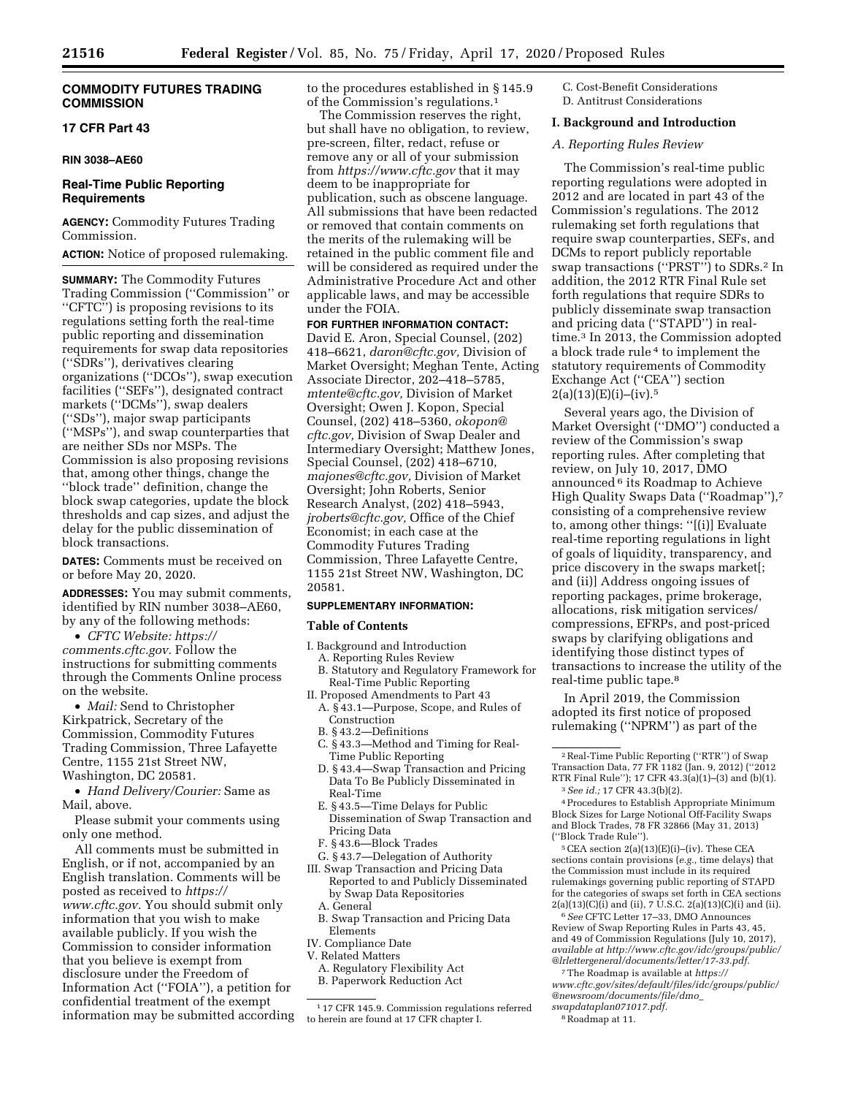# **COMMODITY FUTURES TRADING COMMISSION**

# **17 CFR Part 43**

## **RIN 3038–AE60**

# **Real-Time Public Reporting Requirements**

**AGENCY:** Commodity Futures Trading Commission.

**ACTION:** Notice of proposed rulemaking.

**SUMMARY:** The Commodity Futures Trading Commission (''Commission'' or ''CFTC'') is proposing revisions to its regulations setting forth the real-time public reporting and dissemination requirements for swap data repositories (''SDRs''), derivatives clearing organizations (''DCOs''), swap execution facilities (''SEFs''), designated contract markets (''DCMs''), swap dealers (''SDs''), major swap participants (''MSPs''), and swap counterparties that are neither SDs nor MSPs. The Commission is also proposing revisions that, among other things, change the ''block trade'' definition, change the block swap categories, update the block thresholds and cap sizes, and adjust the delay for the public dissemination of block transactions.

**DATES:** Comments must be received on or before May 20, 2020.

**ADDRESSES:** You may submit comments, identified by RIN number 3038–AE60, by any of the following methods:

• *CFTC Website: [https://](https://comments.cftc.gov) [comments.cftc.gov.](https://comments.cftc.gov)* Follow the instructions for submitting comments through the Comments Online process on the website.

• *Mail:* Send to Christopher Kirkpatrick, Secretary of the Commission, Commodity Futures Trading Commission, Three Lafayette Centre, 1155 21st Street NW, Washington, DC 20581.

• *Hand Delivery/Courier:* Same as Mail, above.

Please submit your comments using only one method.

All comments must be submitted in English, or if not, accompanied by an English translation. Comments will be posted as received to *[https://](https://www.cftc.gov) [www.cftc.gov.](https://www.cftc.gov)* You should submit only information that you wish to make available publicly. If you wish the Commission to consider information that you believe is exempt from disclosure under the Freedom of Information Act (''FOIA''), a petition for confidential treatment of the exempt information may be submitted according to the procedures established in § 145.9 of the Commission's regulations.1

The Commission reserves the right, but shall have no obligation, to review, pre-screen, filter, redact, refuse or remove any or all of your submission from *<https://www.cftc.gov>* that it may deem to be inappropriate for publication, such as obscene language. All submissions that have been redacted or removed that contain comments on the merits of the rulemaking will be retained in the public comment file and will be considered as required under the Administrative Procedure Act and other applicable laws, and may be accessible under the FOIA.

# **FOR FURTHER INFORMATION CONTACT:**

David E. Aron, Special Counsel, (202) 418–6621, *[daron@cftc.gov,](mailto:daron@cftc.gov)* Division of Market Oversight; Meghan Tente, Acting Associate Director, 202–418–5785, *[mtente@cftc.gov,](mailto:mtente@cftc.gov)* Division of Market Oversight; Owen J. Kopon, Special Counsel, (202) 418–5360, *[okopon@](mailto:okopon@cftc.gov) [cftc.gov,](mailto:okopon@cftc.gov)* Division of Swap Dealer and Intermediary Oversight; Matthew Jones, Special Counsel, (202) 418–6710, *[majones@cftc.gov,](mailto:majones@cftc.gov)* Division of Market Oversight; John Roberts, Senior Research Analyst, (202) 418–5943, *[jroberts@cftc.gov,](mailto:jroberts@cftc.gov)* Office of the Chief Economist; in each case at the Commodity Futures Trading Commission, Three Lafayette Centre, 1155 21st Street NW, Washington, DC 20581.

#### **SUPPLEMENTARY INFORMATION:**

#### **Table of Contents**

- I. Background and Introduction
	- A. Reporting Rules Review
- B. Statutory and Regulatory Framework for Real-Time Public Reporting
- II. Proposed Amendments to Part 43 A. § 43.1—Purpose, Scope, and Rules of Construction
	- B. § 43.2—Definitions
	- C. § 43.3—Method and Timing for Real-Time Public Reporting
	- D. § 43.4—Swap Transaction and Pricing Data To Be Publicly Disseminated in Real-Time
	- E. § 43.5—Time Delays for Public Dissemination of Swap Transaction and Pricing Data
	- F. § 43.6—Block Trades
	- G. § 43.7—Delegation of Authority
- III. Swap Transaction and Pricing Data Reported to and Publicly Disseminated by Swap Data Repositories
	- A. General
	- B. Swap Transaction and Pricing Data Elements
- IV. Compliance Date
- V. Related Matters
- A. Regulatory Flexibility Act B. Paperwork Reduction Act

C. Cost-Benefit Considerations D. Antitrust Considerations

#### **I. Background and Introduction**

# *A. Reporting Rules Review*

The Commission's real-time public reporting regulations were adopted in 2012 and are located in part 43 of the Commission's regulations. The 2012 rulemaking set forth regulations that require swap counterparties, SEFs, and DCMs to report publicly reportable swap transactions (''PRST'') to SDRs.2 In addition, the 2012 RTR Final Rule set forth regulations that require SDRs to publicly disseminate swap transaction and pricing data (''STAPD'') in realtime.3 In 2013, the Commission adopted a block trade rule 4 to implement the statutory requirements of Commodity Exchange Act (''CEA'') section  $2(a)(13)(E)(i)–(iv).5$ 

Several years ago, the Division of Market Oversight (''DMO'') conducted a review of the Commission's swap reporting rules. After completing that review, on July 10, 2017, DMO announced 6 its Roadmap to Achieve High Quality Swaps Data (''Roadmap''),7 consisting of a comprehensive review to, among other things: ''[(i)] Evaluate real-time reporting regulations in light of goals of liquidity, transparency, and price discovery in the swaps market[; and (ii)] Address ongoing issues of reporting packages, prime brokerage, allocations, risk mitigation services/ compressions, EFRPs, and post-priced swaps by clarifying obligations and identifying those distinct types of transactions to increase the utility of the real-time public tape.8

In April 2019, the Commission adopted its first notice of proposed rulemaking (''NPRM'') as part of the

 $5$  CEA section 2(a)(13)(E)(i)–(iv). These CEA sections contain provisions (*e.g.,* time delays) that the Commission must include in its required rulemakings governing public reporting of STAPD for the categories of swaps set forth in CEA sections  $2(a)(13)(C)(i)$  and (ii), 7 U.S.C.  $2(a)(13)(C)(i)$  and (ii).

6*See* CFTC Letter 17–33, DMO Announces Review of Swap Reporting Rules in Parts 43, 45, and 49 of Commission Regulations (July 10, 2017), *available at [http://www.cftc.gov/idc/groups/public/](http://www.cftc.gov/idc/groups/public/@lrlettergeneral/documents/letter/17-33.pdf)  [@lrlettergeneral/documents/letter/17-33.pdf.](http://www.cftc.gov/idc/groups/public/@lrlettergeneral/documents/letter/17-33.pdf)* 

7The Roadmap is available at *[https://](https://www.cftc.gov/sites/default/files/idc/groups/public/@newsroom/documents/file/dmo_swapdataplan071017.pdf) [www.cftc.gov/sites/default/files/idc/groups/public/](https://www.cftc.gov/sites/default/files/idc/groups/public/@newsroom/documents/file/dmo_swapdataplan071017.pdf)  [@newsroom/documents/file/dmo](https://www.cftc.gov/sites/default/files/idc/groups/public/@newsroom/documents/file/dmo_swapdataplan071017.pdf)*\_

<sup>1</sup> 17 CFR 145.9. Commission regulations referred to herein are found at 17 CFR chapter I.

<sup>2</sup>Real-Time Public Reporting (''RTR'') of Swap Transaction Data, 77 FR 1182 (Jan. 9, 2012) (''2012 RTR Final Rule''); 17 CFR 43.3(a)(1)–(3) and (b)(1). 3*See id.;* 17 CFR 43.3(b)(2).

<sup>4</sup>Procedures to Establish Appropriate Minimum Block Sizes for Large Notional Off-Facility Swaps and Block Trades, 78 FR 32866 (May 31, 2013) (''Block Trade Rule'').

*[swapdataplan071017.pdf.](https://www.cftc.gov/sites/default/files/idc/groups/public/@newsroom/documents/file/dmo_swapdataplan071017.pdf)*  8Roadmap at 11.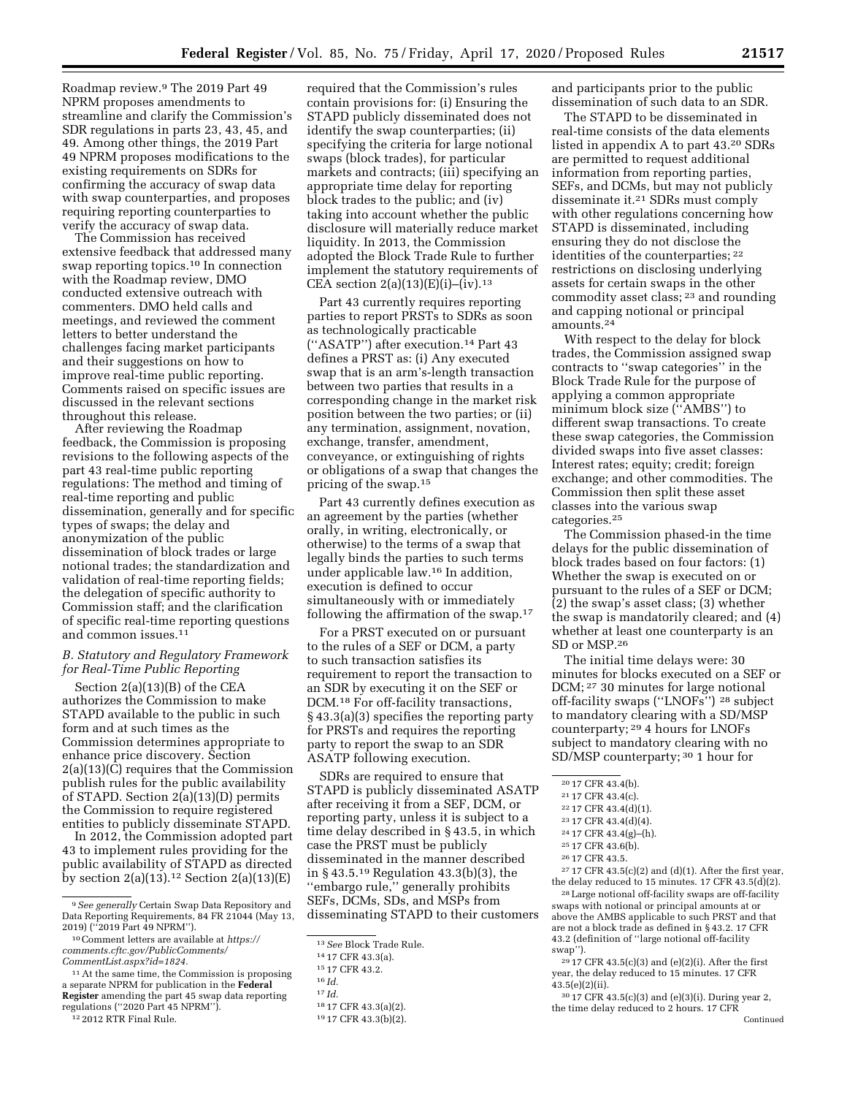Roadmap review.9 The 2019 Part 49 NPRM proposes amendments to streamline and clarify the Commission's SDR regulations in parts 23, 43, 45, and 49. Among other things, the 2019 Part 49 NPRM proposes modifications to the existing requirements on SDRs for confirming the accuracy of swap data with swap counterparties, and proposes requiring reporting counterparties to verify the accuracy of swap data.

The Commission has received extensive feedback that addressed many swap reporting topics.10 In connection with the Roadmap review, DMO conducted extensive outreach with commenters. DMO held calls and meetings, and reviewed the comment letters to better understand the challenges facing market participants and their suggestions on how to improve real-time public reporting. Comments raised on specific issues are discussed in the relevant sections throughout this release.

After reviewing the Roadmap feedback, the Commission is proposing revisions to the following aspects of the part 43 real-time public reporting regulations: The method and timing of real-time reporting and public dissemination, generally and for specific types of swaps; the delay and anonymization of the public dissemination of block trades or large notional trades; the standardization and validation of real-time reporting fields; the delegation of specific authority to Commission staff; and the clarification of specific real-time reporting questions and common issues.11

# *B. Statutory and Regulatory Framework for Real-Time Public Reporting*

Section 2(a)(13)(B) of the CEA authorizes the Commission to make STAPD available to the public in such form and at such times as the Commission determines appropriate to enhance price discovery. Section 2(a)(13)(C) requires that the Commission publish rules for the public availability of STAPD. Section 2(a)(13)(D) permits the Commission to require registered entities to publicly disseminate STAPD.

In 2012, the Commission adopted part 43 to implement rules providing for the public availability of STAPD as directed by section  $2(a)(13)$ .<sup>12</sup> Section  $2(a)(13)(E)$ 

 $^{12}$  2012 RTR Final Rule.

required that the Commission's rules contain provisions for: (i) Ensuring the STAPD publicly disseminated does not identify the swap counterparties; (ii) specifying the criteria for large notional swaps (block trades), for particular markets and contracts; (iii) specifying an appropriate time delay for reporting block trades to the public; and (iv) taking into account whether the public disclosure will materially reduce market liquidity. In 2013, the Commission adopted the Block Trade Rule to further implement the statutory requirements of CEA section  $2(a)(13)(E)(i)$ –(iv).<sup>13</sup>

Part 43 currently requires reporting parties to report PRSTs to SDRs as soon as technologically practicable (''ASATP'') after execution.14 Part 43 defines a PRST as: (i) Any executed swap that is an arm's-length transaction between two parties that results in a corresponding change in the market risk position between the two parties; or (ii) any termination, assignment, novation, exchange, transfer, amendment, conveyance, or extinguishing of rights or obligations of a swap that changes the pricing of the swap.15

Part 43 currently defines execution as an agreement by the parties (whether orally, in writing, electronically, or otherwise) to the terms of a swap that legally binds the parties to such terms under applicable law.16 In addition, execution is defined to occur simultaneously with or immediately following the affirmation of the swap.17

For a PRST executed on or pursuant to the rules of a SEF or DCM, a party to such transaction satisfies its requirement to report the transaction to an SDR by executing it on the SEF or DCM.18 For off-facility transactions, § 43.3(a)(3) specifies the reporting party for PRSTs and requires the reporting party to report the swap to an SDR ASATP following execution.

SDRs are required to ensure that STAPD is publicly disseminated ASATP after receiving it from a SEF, DCM, or reporting party, unless it is subject to a time delay described in § 43.5, in which case the PRST must be publicly disseminated in the manner described in § 43.5.19 Regulation 43.3(b)(3), the ''embargo rule,'' generally prohibits SEFs, DCMs, SDs, and MSPs from disseminating STAPD to their customers and participants prior to the public dissemination of such data to an SDR.

The STAPD to be disseminated in real-time consists of the data elements listed in appendix A to part 43.20 SDRs are permitted to request additional information from reporting parties, SEFs, and DCMs, but may not publicly disseminate it.21 SDRs must comply with other regulations concerning how STAPD is disseminated, including ensuring they do not disclose the identities of the counterparties; 22 restrictions on disclosing underlying assets for certain swaps in the other commodity asset class; 23 and rounding and capping notional or principal amounts.24

With respect to the delay for block trades, the Commission assigned swap contracts to ''swap categories'' in the Block Trade Rule for the purpose of applying a common appropriate minimum block size (''AMBS'') to different swap transactions. To create these swap categories, the Commission divided swaps into five asset classes: Interest rates; equity; credit; foreign exchange; and other commodities. The Commission then split these asset classes into the various swap categories.25

The Commission phased-in the time delays for the public dissemination of block trades based on four factors: (1) Whether the swap is executed on or pursuant to the rules of a SEF or DCM; (2) the swap's asset class; (3) whether the swap is mandatorily cleared; and (4) whether at least one counterparty is an SD or MSP.26

The initial time delays were: 30 minutes for blocks executed on a SEF or DCM; 27 30 minutes for large notional off-facility swaps (''LNOFs'') 28 subject to mandatory clearing with a SD/MSP counterparty; 29 4 hours for LNOFs subject to mandatory clearing with no SD/MSP counterparty; 30 1 hour for

 $\ensuremath{^{27}\,17}$  CFR 43.5(c)(2) and (d)(1). After the first year, the delay reduced to 15 minutes. 17 CFR 43.5(d)(2).

28Large notional off-facility swaps are off-facility swaps with notional or principal amounts at or above the AMBS applicable to such PRST and that are not a block trade as defined in § 43.2. 17 CFR 43.2 (definition of ''large notional off-facility swap'').

 $^{29}$  17 CFR 43.5(c)(3) and (e)(2)(i). After the first year, the delay reduced to 15 minutes. 17 CFR 43.5(e)(2)(ii).

30 17 CFR 43.5(c)(3) and (e)(3)(i). During year 2, the time delay reduced to 2 hours. 17 CFR Continued

<sup>9</sup>*See generally* Certain Swap Data Repository and Data Reporting Requirements, 84 FR 21044 (May 13, 2019) (''2019 Part 49 NPRM'').

<sup>10</sup>Comment letters are available at *[https://](https://comments.cftc.gov/PublicComments/CommentList.aspx?id=1824) [comments.cftc.gov/PublicComments/](https://comments.cftc.gov/PublicComments/CommentList.aspx?id=1824)  [CommentList.aspx?id=1824.](https://comments.cftc.gov/PublicComments/CommentList.aspx?id=1824)* 

<sup>11</sup>At the same time, the Commission is proposing a separate NPRM for publication in the **Federal Register** amending the part 45 swap data reporting regulations (''2020 Part 45 NPRM'').

<sup>13</sup>*See* Block Trade Rule.

<sup>14</sup> 17 CFR 43.3(a).

<sup>15</sup> 17 CFR 43.2.

<sup>16</sup> *Id.* 

<sup>17</sup> *Id.* 

<sup>18</sup> 17 CFR 43.3(a)(2).

<sup>19</sup> 17 CFR 43.3(b)(2).

<sup>20</sup> 17 CFR 43.4(b).

<sup>21</sup> 17 CFR 43.4(c).

<sup>22</sup> 17 CFR 43.4(d)(1).

<sup>23</sup> 17 CFR 43.4(d)(4).

<sup>24</sup> 17 CFR 43.4(g)–(h).

<sup>25</sup> 17 CFR 43.6(b).

<sup>26</sup> 17 CFR 43.5.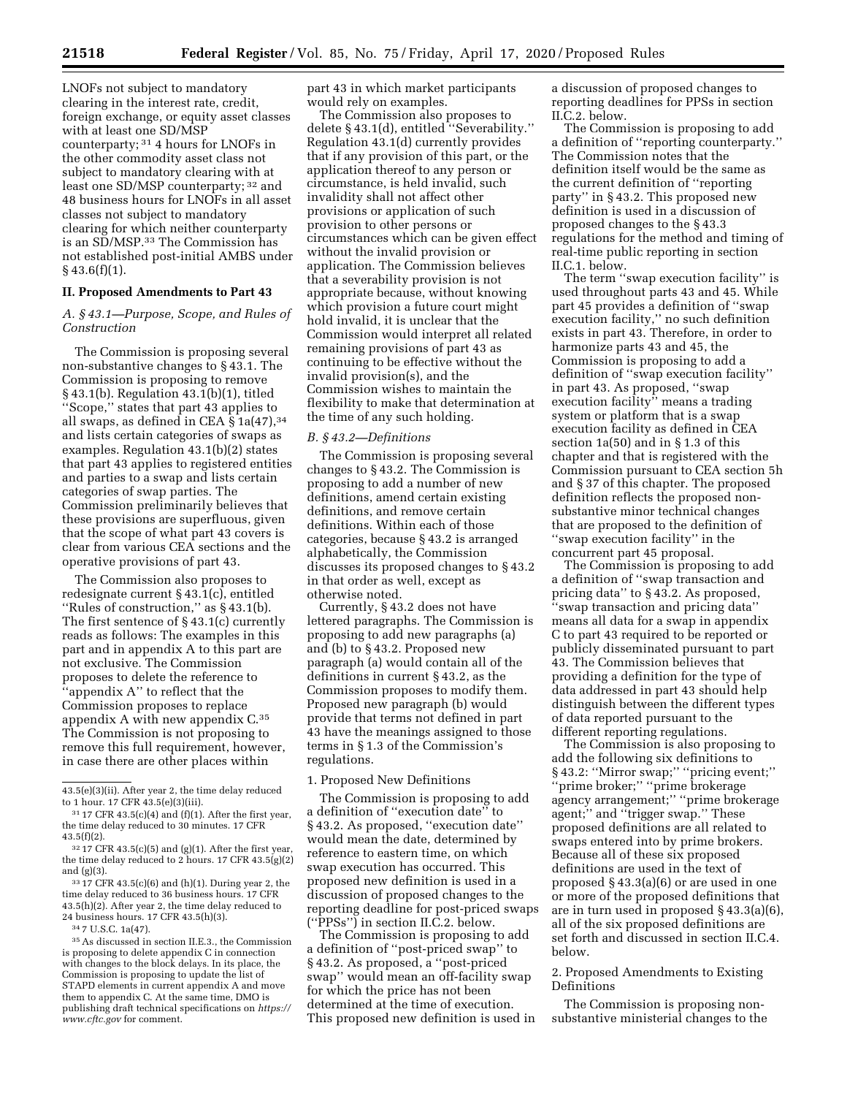LNOFs not subject to mandatory clearing in the interest rate, credit, foreign exchange, or equity asset classes with at least one SD/MSP counterparty; 31 4 hours for LNOFs in the other commodity asset class not subject to mandatory clearing with at least one SD/MSP counterparty; 32 and 48 business hours for LNOFs in all asset classes not subject to mandatory clearing for which neither counterparty is an SD/MSP.33 The Commission has not established post-initial AMBS under  $§$  43.6(f)(1).

#### **II. Proposed Amendments to Part 43**

# *A. § 43.1—Purpose, Scope, and Rules of Construction*

The Commission is proposing several non-substantive changes to § 43.1. The Commission is proposing to remove § 43.1(b). Regulation 43.1(b)(1), titled ''Scope,'' states that part 43 applies to all swaps, as defined in CEA § 1a(47), 34 and lists certain categories of swaps as examples. Regulation 43.1(b)(2) states that part 43 applies to registered entities and parties to a swap and lists certain categories of swap parties. The Commission preliminarily believes that these provisions are superfluous, given that the scope of what part 43 covers is clear from various CEA sections and the operative provisions of part 43.

The Commission also proposes to redesignate current § 43.1(c), entitled ''Rules of construction,'' as § 43.1(b). The first sentence of § 43.1(c) currently reads as follows: The examples in this part and in appendix A to this part are not exclusive. The Commission proposes to delete the reference to ''appendix A'' to reflect that the Commission proposes to replace appendix A with new appendix C.35 The Commission is not proposing to remove this full requirement, however, in case there are other places within

part 43 in which market participants would rely on examples.

The Commission also proposes to delete § 43.1(d), entitled ''Severability.'' Regulation 43.1(d) currently provides that if any provision of this part, or the application thereof to any person or circumstance, is held invalid, such invalidity shall not affect other provisions or application of such provision to other persons or circumstances which can be given effect without the invalid provision or application. The Commission believes that a severability provision is not appropriate because, without knowing which provision a future court might hold invalid, it is unclear that the Commission would interpret all related remaining provisions of part 43 as continuing to be effective without the invalid provision(s), and the Commission wishes to maintain the flexibility to make that determination at the time of any such holding.

#### *B. § 43.2—Definitions*

The Commission is proposing several changes to § 43.2. The Commission is proposing to add a number of new definitions, amend certain existing definitions, and remove certain definitions. Within each of those categories, because § 43.2 is arranged alphabetically, the Commission discusses its proposed changes to § 43.2 in that order as well, except as otherwise noted.

Currently, § 43.2 does not have lettered paragraphs. The Commission is proposing to add new paragraphs (a) and (b) to § 43.2. Proposed new paragraph (a) would contain all of the definitions in current § 43.2, as the Commission proposes to modify them. Proposed new paragraph (b) would provide that terms not defined in part 43 have the meanings assigned to those terms in § 1.3 of the Commission's regulations.

## 1. Proposed New Definitions

The Commission is proposing to add a definition of ''execution date'' to § 43.2. As proposed, ''execution date'' would mean the date, determined by reference to eastern time, on which swap execution has occurred. This proposed new definition is used in a discussion of proposed changes to the reporting deadline for post-priced swaps (''PPSs'') in section II.C.2. below.

The Commission is proposing to add a definition of ''post-priced swap'' to § 43.2. As proposed, a ''post-priced swap'' would mean an off-facility swap for which the price has not been determined at the time of execution. This proposed new definition is used in a discussion of proposed changes to reporting deadlines for PPSs in section II.C.2. below.

The Commission is proposing to add a definition of ''reporting counterparty.'' The Commission notes that the definition itself would be the same as the current definition of ''reporting party'' in § 43.2. This proposed new definition is used in a discussion of proposed changes to the § 43.3 regulations for the method and timing of real-time public reporting in section II.C.1. below.

The term ''swap execution facility'' is used throughout parts 43 and 45. While part 45 provides a definition of ''swap execution facility,'' no such definition exists in part 43. Therefore, in order to harmonize parts 43 and 45, the Commission is proposing to add a definition of ''swap execution facility'' in part 43. As proposed, ''swap execution facility" means a trading system or platform that is a swap execution facility as defined in CEA section 1a(50) and in § 1.3 of this chapter and that is registered with the Commission pursuant to CEA section 5h and § 37 of this chapter. The proposed definition reflects the proposed nonsubstantive minor technical changes that are proposed to the definition of ''swap execution facility'' in the concurrent part 45 proposal.

The Commission is proposing to add a definition of ''swap transaction and pricing data'' to § 43.2. As proposed, ''swap transaction and pricing data'' means all data for a swap in appendix C to part 43 required to be reported or publicly disseminated pursuant to part 43. The Commission believes that providing a definition for the type of data addressed in part 43 should help distinguish between the different types of data reported pursuant to the different reporting regulations.

The Commission is also proposing to add the following six definitions to § 43.2: ''Mirror swap;'' ''pricing event;'' ''prime broker;'' ''prime brokerage agency arrangement;'' ''prime brokerage agent;'' and ''trigger swap.'' These proposed definitions are all related to swaps entered into by prime brokers. Because all of these six proposed definitions are used in the text of proposed § 43.3(a)(6) or are used in one or more of the proposed definitions that are in turn used in proposed § 43.3(a)(6), all of the six proposed definitions are set forth and discussed in section II.C.4. below.

# 2. Proposed Amendments to Existing Definitions

The Commission is proposing nonsubstantive ministerial changes to the

<sup>43.5(</sup>e)(3)(ii). After year 2, the time delay reduced to 1 hour. 17 CFR 43.5(e)(3)(iii).

 $^{31}$  17 CFR 43.5(c)(4) and (f)(1). After the first year, the time delay reduced to 30 minutes. 17 CFR 43.5(f)(2).

 $^{32}$  17 CFR 43.5(c)(5) and (g)(1). After the first year, the time delay reduced to 2 hours. 17 CFR 43.5(g)(2) and (g)(3).

<sup>33</sup> 17 CFR 43.5(c)(6) and (h)(1). During year 2, the time delay reduced to 36 business hours. 17 CFR 43.5(h)(2). After year 2, the time delay reduced to 24 business hours. 17 CFR 43.5(h)(3).

<sup>34</sup> 7 U.S.C. 1a(47).

<sup>35</sup>As discussed in section II.E.3., the Commission is proposing to delete appendix C in connection with changes to the block delays. In its place, the Commission is proposing to update the list of STAPD elements in current appendix A and move them to appendix C. At the same time, DMO is publishing draft technical specifications on *[https://](https://www.cftc.gov) [www.cftc.gov](https://www.cftc.gov)* for comment.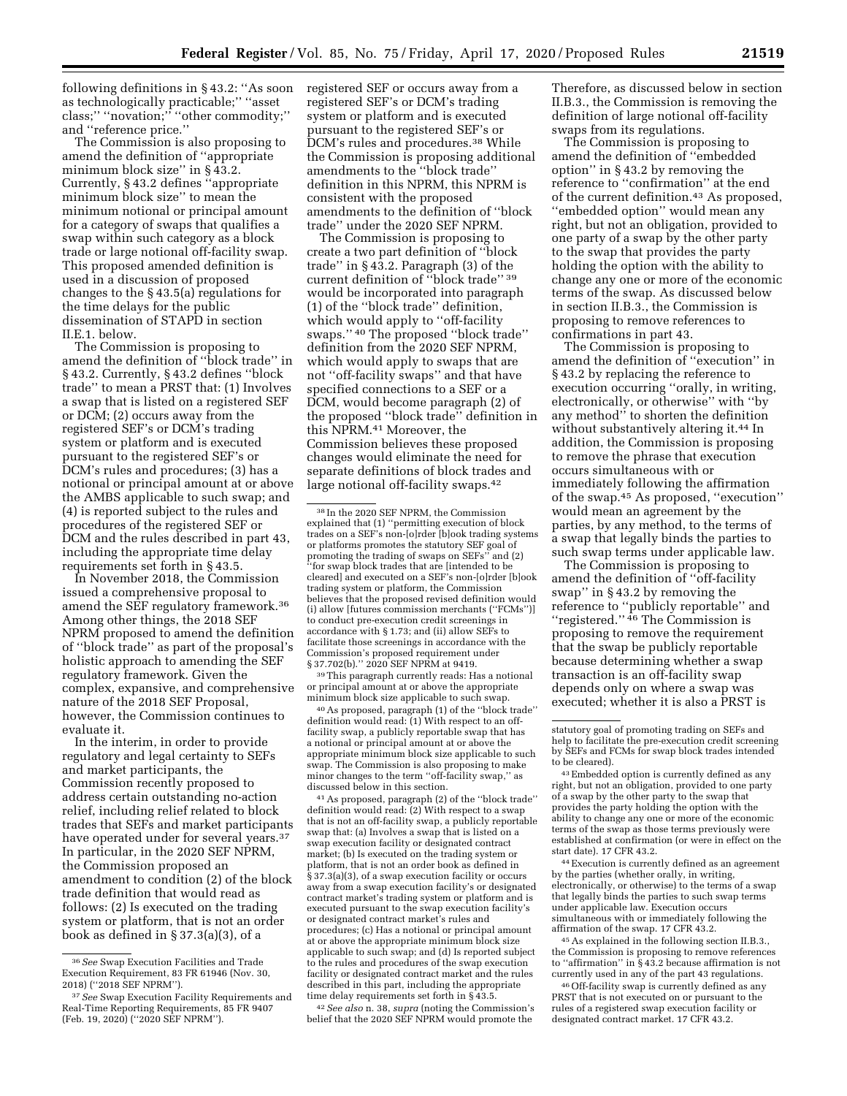following definitions in § 43.2: ''As soon as technologically practicable;'' ''asset class;'' ''novation;'' ''other commodity;'' and ''reference price.''

The Commission is also proposing to amend the definition of ''appropriate minimum block size'' in § 43.2. Currently, § 43.2 defines ''appropriate minimum block size'' to mean the minimum notional or principal amount for a category of swaps that qualifies a swap within such category as a block trade or large notional off-facility swap. This proposed amended definition is used in a discussion of proposed changes to the § 43.5(a) regulations for the time delays for the public dissemination of STAPD in section II.E.1. below.

The Commission is proposing to amend the definition of ''block trade'' in § 43.2. Currently, § 43.2 defines ''block trade'' to mean a PRST that: (1) Involves a swap that is listed on a registered SEF or DCM; (2) occurs away from the registered SEF's or DCM's trading system or platform and is executed pursuant to the registered SEF's or DCM's rules and procedures; (3) has a notional or principal amount at or above the AMBS applicable to such swap; and (4) is reported subject to the rules and procedures of the registered SEF or DCM and the rules described in part 43, including the appropriate time delay requirements set forth in § 43.5.

In November 2018, the Commission issued a comprehensive proposal to amend the SEF regulatory framework.36 Among other things, the 2018 SEF NPRM proposed to amend the definition of ''block trade'' as part of the proposal's holistic approach to amending the SEF regulatory framework. Given the complex, expansive, and comprehensive nature of the 2018 SEF Proposal, however, the Commission continues to evaluate it.

In the interim, in order to provide regulatory and legal certainty to SEFs and market participants, the Commission recently proposed to address certain outstanding no-action relief, including relief related to block trades that SEFs and market participants have operated under for several years.37 In particular, in the 2020 SEF NPRM, the Commission proposed an amendment to condition (2) of the block trade definition that would read as follows: (2) Is executed on the trading system or platform, that is not an order book as defined in § 37.3(a)(3), of a

registered SEF or occurs away from a registered SEF's or DCM's trading system or platform and is executed pursuant to the registered SEF's or DCM's rules and procedures.38 While the Commission is proposing additional amendments to the ''block trade'' definition in this NPRM, this NPRM is consistent with the proposed amendments to the definition of ''block trade'' under the 2020 SEF NPRM.

The Commission is proposing to create a two part definition of ''block trade'' in § 43.2. Paragraph (3) of the current definition of ''block trade'' 39 would be incorporated into paragraph (1) of the ''block trade'' definition, which would apply to ''off-facility swaps.'' 40 The proposed ''block trade'' definition from the 2020 SEF NPRM, which would apply to swaps that are not ''off-facility swaps'' and that have specified connections to a SEF or a DCM, would become paragraph (2) of the proposed ''block trade'' definition in this NPRM.41 Moreover, the Commission believes these proposed changes would eliminate the need for separate definitions of block trades and large notional off-facility swaps.42

39This paragraph currently reads: Has a notional or principal amount at or above the appropriate minimum block size applicable to such swap.

40As proposed, paragraph (1) of the ''block trade'' definition would read: (1) With respect to an offfacility swap, a publicly reportable swap that has a notional or principal amount at or above the appropriate minimum block size applicable to such swap. The Commission is also proposing to make minor changes to the term ''off-facility swap,'' as discussed below in this section.

41As proposed, paragraph (2) of the ''block trade'' definition would read: (2) With respect to a swap that is not an off-facility swap, a publicly reportable swap that: (a) Involves a swap that is listed on a swap execution facility or designated contract market; (b) Is executed on the trading system or platform, that is not an order book as defined in § 37.3(a)(3), of a swap execution facility or occurs away from a swap execution facility's or designated contract market's trading system or platform and is executed pursuant to the swap execution facility's or designated contract market's rules and procedures; (c) Has a notional or principal amount at or above the appropriate minimum block size applicable to such swap; and (d) Is reported subject to the rules and procedures of the swap execution facility or designated contract market and the rules described in this part, including the appropriate time delay requirements set forth in § 43.5.

42*See also* n. 38, *supra* (noting the Commission's belief that the 2020 SEF NPRM would promote the

Therefore, as discussed below in section II.B.3., the Commission is removing the definition of large notional off-facility swaps from its regulations.

The Commission is proposing to amend the definition of ''embedded option'' in § 43.2 by removing the reference to ''confirmation'' at the end of the current definition.43 As proposed, ''embedded option'' would mean any right, but not an obligation, provided to one party of a swap by the other party to the swap that provides the party holding the option with the ability to change any one or more of the economic terms of the swap. As discussed below in section II.B.3., the Commission is proposing to remove references to confirmations in part 43.

The Commission is proposing to amend the definition of ''execution'' in § 43.2 by replacing the reference to execution occurring ''orally, in writing, electronically, or otherwise'' with ''by any method'' to shorten the definition without substantively altering it.44 In addition, the Commission is proposing to remove the phrase that execution occurs simultaneous with or immediately following the affirmation of the swap.45 As proposed, ''execution'' would mean an agreement by the parties, by any method, to the terms of a swap that legally binds the parties to such swap terms under applicable law.

The Commission is proposing to amend the definition of ''off-facility swap'' in § 43.2 by removing the reference to ''publicly reportable'' and ''registered.'' 46 The Commission is proposing to remove the requirement that the swap be publicly reportable because determining whether a swap transaction is an off-facility swap depends only on where a swap was executed; whether it is also a PRST is

43Embedded option is currently defined as any right, but not an obligation, provided to one party of a swap by the other party to the swap that provides the party holding the option with the ability to change any one or more of the economic terms of the swap as those terms previously were established at confirmation (or were in effect on the start date). 17 CFR 43.2.

44Execution is currently defined as an agreement by the parties (whether orally, in writing, electronically, or otherwise) to the terms of a swap that legally binds the parties to such swap terms under applicable law. Execution occurs simultaneous with or immediately following the affirmation of the swap. 17 CFR 43.2.

45As explained in the following section II.B.3., the Commission is proposing to remove references to "affirmation" in §43.2 because affirmation is not currently used in any of the part 43 regulations.

46Off-facility swap is currently defined as any PRST that is not executed on or pursuant to the rules of a registered swap execution facility or designated contract market. 17 CFR 43.2.

<sup>36</sup>*See* Swap Execution Facilities and Trade Execution Requirement, 83 FR 61946 (Nov. 30, 2018) (''2018 SEF NPRM'').

<sup>37</sup>*See* Swap Execution Facility Requirements and Real-Time Reporting Requirements, 85 FR 9407 (Feb. 19, 2020) (''2020 SEF NPRM'').

<sup>38</sup> In the 2020 SEF NPRM, the Commission explained that (1) ''permitting execution of block trades on a SEF's non-[o]rder [b]ook trading systems or platforms promotes the statutory SEF goal of promoting the trading of swaps on SEFs'' and (2) ''for swap block trades that are [intended to be cleared] and executed on a SEF's non-[o]rder [b]ook trading system or platform, the Commission believes that the proposed revised definition would (i) allow [futures commission merchants (''FCMs'')] to conduct pre-execution credit screenings in accordance with § 1.73; and (ii) allow SEFs to facilitate those screenings in accordance with the Commission's proposed requirement under § 37.702(b)." 2020 SEF NPRM at 9419.

statutory goal of promoting trading on SEFs and help to facilitate the pre-execution credit screening by SEFs and FCMs for swap block trades intended to be cleared).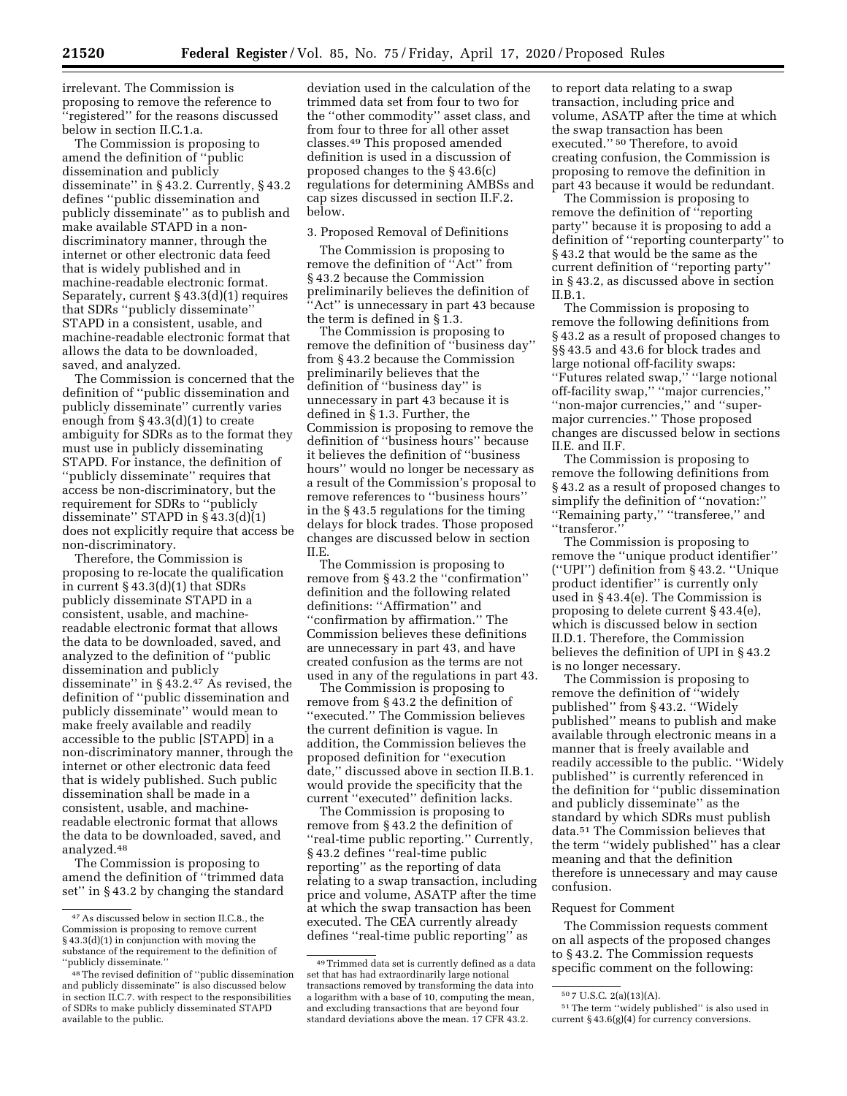irrelevant. The Commission is proposing to remove the reference to ''registered'' for the reasons discussed below in section II.C.1.a.

The Commission is proposing to amend the definition of ''public dissemination and publicly disseminate'' in § 43.2. Currently, § 43.2 defines ''public dissemination and publicly disseminate'' as to publish and make available STAPD in a nondiscriminatory manner, through the internet or other electronic data feed that is widely published and in machine-readable electronic format. Separately, current § 43.3(d)(1) requires that SDRs ''publicly disseminate'' STAPD in a consistent, usable, and machine-readable electronic format that allows the data to be downloaded, saved, and analyzed.

The Commission is concerned that the definition of ''public dissemination and publicly disseminate'' currently varies enough from § 43.3(d)(1) to create ambiguity for SDRs as to the format they must use in publicly disseminating STAPD. For instance, the definition of ''publicly disseminate'' requires that access be non-discriminatory, but the requirement for SDRs to ''publicly disseminate" STAPD in  $\S$ 43.3(d)(1) does not explicitly require that access be non-discriminatory.

Therefore, the Commission is proposing to re-locate the qualification in current § 43.3(d)(1) that SDRs publicly disseminate STAPD in a consistent, usable, and machinereadable electronic format that allows the data to be downloaded, saved, and analyzed to the definition of ''public dissemination and publicly disseminate" in  $\S$ 43.2.<sup>47</sup> As revised, the definition of ''public dissemination and publicly disseminate'' would mean to make freely available and readily accessible to the public [STAPD] in a non-discriminatory manner, through the internet or other electronic data feed that is widely published. Such public dissemination shall be made in a consistent, usable, and machinereadable electronic format that allows the data to be downloaded, saved, and analyzed.48

The Commission is proposing to amend the definition of ''trimmed data set'' in § 43.2 by changing the standard

deviation used in the calculation of the trimmed data set from four to two for the ''other commodity'' asset class, and from four to three for all other asset classes.49 This proposed amended definition is used in a discussion of proposed changes to the § 43.6(c) regulations for determining AMBSs and cap sizes discussed in section II.F.2. below.

#### 3. Proposed Removal of Definitions

The Commission is proposing to remove the definition of "Act" from § 43.2 because the Commission preliminarily believes the definition of 'Act'' is unnecessary in part 43 because the term is defined in § 1.3.

The Commission is proposing to remove the definition of ''business day'' from § 43.2 because the Commission preliminarily believes that the definition of ''business day'' is unnecessary in part 43 because it is defined in § 1.3. Further, the Commission is proposing to remove the definition of ''business hours'' because it believes the definition of ''business hours'' would no longer be necessary as a result of the Commission's proposal to remove references to ''business hours'' in the § 43.5 regulations for the timing delays for block trades. Those proposed changes are discussed below in section II.E.

The Commission is proposing to remove from § 43.2 the ''confirmation'' definition and the following related definitions: ''Affirmation'' and ''confirmation by affirmation.'' The Commission believes these definitions are unnecessary in part 43, and have created confusion as the terms are not used in any of the regulations in part 43.

The Commission is proposing to remove from § 43.2 the definition of 'executed." The Commission believes the current definition is vague. In addition, the Commission believes the proposed definition for ''execution date,'' discussed above in section II.B.1. would provide the specificity that the current ''executed'' definition lacks.

The Commission is proposing to remove from § 43.2 the definition of ''real-time public reporting.'' Currently, § 43.2 defines ''real-time public reporting'' as the reporting of data relating to a swap transaction, including price and volume, ASATP after the time at which the swap transaction has been executed. The CEA currently already defines ''real-time public reporting'' as

to report data relating to a swap transaction, including price and volume, ASATP after the time at which the swap transaction has been executed.'' 50 Therefore, to avoid creating confusion, the Commission is proposing to remove the definition in part 43 because it would be redundant.

The Commission is proposing to remove the definition of ''reporting party'' because it is proposing to add a definition of ''reporting counterparty'' to § 43.2 that would be the same as the current definition of ''reporting party'' in § 43.2, as discussed above in section II.B.1.

The Commission is proposing to remove the following definitions from § 43.2 as a result of proposed changes to §§ 43.5 and 43.6 for block trades and large notional off-facility swaps: ''Futures related swap,'' ''large notional off-facility swap,'' ''major currencies,'' ''non-major currencies,'' and ''supermajor currencies.'' Those proposed changes are discussed below in sections II.E. and II.F.

The Commission is proposing to remove the following definitions from § 43.2 as a result of proposed changes to simplify the definition of ''novation:'' ''Remaining party,'' ''transferee,'' and ''transferor.''

The Commission is proposing to remove the ''unique product identifier'' (''UPI'') definition from § 43.2. ''Unique product identifier'' is currently only used in § 43.4(e). The Commission is proposing to delete current § 43.4(e), which is discussed below in section II.D.1. Therefore, the Commission believes the definition of UPI in § 43.2 is no longer necessary.

The Commission is proposing to remove the definition of ''widely published'' from § 43.2. ''Widely published'' means to publish and make available through electronic means in a manner that is freely available and readily accessible to the public. ''Widely published'' is currently referenced in the definition for ''public dissemination and publicly disseminate'' as the standard by which SDRs must publish data.51 The Commission believes that the term ''widely published'' has a clear meaning and that the definition therefore is unnecessary and may cause confusion.

#### Request for Comment

The Commission requests comment on all aspects of the proposed changes to § 43.2. The Commission requests specific comment on the following:

<sup>47</sup>As discussed below in section II.C.8., the Commission is proposing to remove current § 43.3(d)(1) in conjunction with moving the substance of the requirement to the definition of ''publicly disseminate.''

<sup>48</sup>The revised definition of ''public dissemination and publicly disseminate'' is also discussed below in section II.C.7. with respect to the responsibilities of SDRs to make publicly disseminated STAPD available to the public.

<sup>49</sup>Trimmed data set is currently defined as a data set that has had extraordinarily large notional transactions removed by transforming the data into a logarithm with a base of 10, computing the mean, and excluding transactions that are beyond four standard deviations above the mean. 17 CFR 43.2.

<sup>50</sup> 7 U.S.C. 2(a)(13)(A).

<sup>51</sup>The term ''widely published'' is also used in current § 43.6(g)(4) for currency conversions.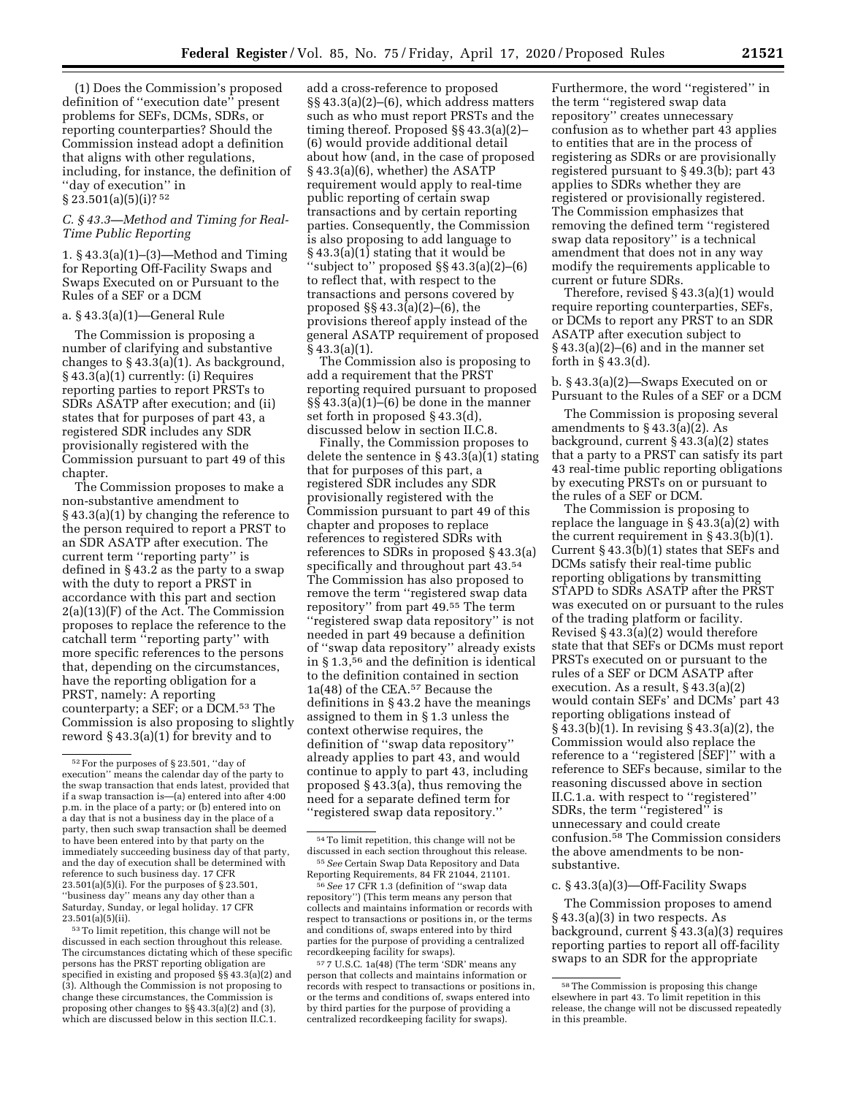(1) Does the Commission's proposed definition of ''execution date'' present problems for SEFs, DCMs, SDRs, or reporting counterparties? Should the Commission instead adopt a definition that aligns with other regulations, including, for instance, the definition of ''day of execution'' in  $\S 23.501(a)(5)(i)$ ? 52

# *C. § 43.3—Method and Timing for Real-Time Public Reporting*

1. § 43.3(a)(1)–(3)—Method and Timing for Reporting Off-Facility Swaps and Swaps Executed on or Pursuant to the Rules of a SEF or a DCM

#### a. § 43.3(a)(1)—General Rule

The Commission is proposing a number of clarifying and substantive changes to  $\S$  43.3(a)(1). As background, § 43.3(a)(1) currently: (i) Requires reporting parties to report PRSTs to SDRs ASATP after execution; and (ii) states that for purposes of part 43, a registered SDR includes any SDR provisionally registered with the Commission pursuant to part 49 of this chapter.

The Commission proposes to make a non-substantive amendment to § 43.3(a)(1) by changing the reference to the person required to report a PRST to an SDR ASATP after execution. The current term ''reporting party'' is defined in § 43.2 as the party to a swap with the duty to report a PRST in accordance with this part and section 2(a)(13)(F) of the Act. The Commission proposes to replace the reference to the catchall term ''reporting party'' with more specific references to the persons that, depending on the circumstances, have the reporting obligation for a PRST, namely: A reporting counterparty; a SEF; or a DCM.53 The Commission is also proposing to slightly reword § 43.3(a)(1) for brevity and to

53To limit repetition, this change will not be discussed in each section throughout this release. The circumstances dictating which of these specific persons has the PRST reporting obligation are specified in existing and proposed §§ 43.3(a)(2) and (3). Although the Commission is not proposing to change these circumstances, the Commission is proposing other changes to §§ 43.3(a)(2) and (3), which are discussed below in this section II.C.1.

add a cross-reference to proposed §§ 43.3(a)(2)–(6), which address matters such as who must report PRSTs and the timing thereof. Proposed §§ 43.3(a)(2)– (6) would provide additional detail about how (and, in the case of proposed § 43.3(a)(6), whether) the ASATP requirement would apply to real-time public reporting of certain swap transactions and by certain reporting parties. Consequently, the Commission is also proposing to add language to § 43.3(a)(1) stating that it would be ''subject to'' proposed §§ 43.3(a)(2)–(6) to reflect that, with respect to the transactions and persons covered by proposed §§ 43.3(a)(2)–(6), the provisions thereof apply instead of the general ASATP requirement of proposed § 43.3(a)(1).

The Commission also is proposing to add a requirement that the PRST reporting required pursuant to proposed §§ 43.3(a)(1)–(6) be done in the manner set forth in proposed § 43.3(d), discussed below in section II.C.8.

Finally, the Commission proposes to delete the sentence in § 43.3(a)(1) stating that for purposes of this part, a registered SDR includes any SDR provisionally registered with the Commission pursuant to part 49 of this chapter and proposes to replace references to registered SDRs with references to SDRs in proposed § 43.3(a) specifically and throughout part 43.54 The Commission has also proposed to remove the term ''registered swap data repository'' from part 49.55 The term ''registered swap data repository'' is not needed in part 49 because a definition of ''swap data repository'' already exists in § 1.3,56 and the definition is identical to the definition contained in section 1a(48) of the CEA.57 Because the definitions in § 43.2 have the meanings assigned to them in § 1.3 unless the context otherwise requires, the definition of ''swap data repository'' already applies to part 43, and would continue to apply to part 43, including proposed § 43.3(a), thus removing the need for a separate defined term for ''registered swap data repository.''

Furthermore, the word ''registered'' in the term ''registered swap data repository'' creates unnecessary confusion as to whether part 43 applies to entities that are in the process of registering as SDRs or are provisionally registered pursuant to § 49.3(b); part 43 applies to SDRs whether they are registered or provisionally registered. The Commission emphasizes that removing the defined term ''registered swap data repository'' is a technical amendment that does not in any way modify the requirements applicable to current or future SDRs.

Therefore, revised § 43.3(a)(1) would require reporting counterparties, SEFs, or DCMs to report any PRST to an SDR ASATP after execution subject to  $§$  43.3(a)(2)–(6) and in the manner set forth in § 43.3(d).

b. § 43.3(a)(2)—Swaps Executed on or Pursuant to the Rules of a SEF or a DCM

The Commission is proposing several amendments to § 43.3(a)(2). As background, current § 43.3(a)(2) states that a party to a PRST can satisfy its part 43 real-time public reporting obligations by executing PRSTs on or pursuant to the rules of a SEF or DCM.

The Commission is proposing to replace the language in  $\S$  43.3(a)(2) with the current requirement in  $\S 43.3(b)(1)$ . Current § 43.3(b)(1) states that SEFs and DCMs satisfy their real-time public reporting obligations by transmitting STAPD to SDRs ASATP after the PRST was executed on or pursuant to the rules of the trading platform or facility. Revised § 43.3(a)(2) would therefore state that that SEFs or DCMs must report PRSTs executed on or pursuant to the rules of a SEF or DCM ASATP after execution. As a result, § 43.3(a)(2) would contain SEFs' and DCMs' part 43 reporting obligations instead of § 43.3(b)(1). In revising § 43.3(a)(2), the Commission would also replace the reference to a ''registered [SEF]'' with a reference to SEFs because, similar to the reasoning discussed above in section II.C.1.a. with respect to ''registered'' SDRs, the term ''registered'' is unnecessary and could create confusion.58 The Commission considers the above amendments to be nonsubstantive.

## c. § 43.3(a)(3)—Off-Facility Swaps

The Commission proposes to amend § 43.3(a)(3) in two respects. As background, current § 43.3(a)(3) requires reporting parties to report all off-facility swaps to an SDR for the appropriate

<sup>52</sup>For the purposes of § 23.501, ''day of execution'' means the calendar day of the party to the swap transaction that ends latest, provided that if a swap transaction is—(a) entered into after 4:00 p.m. in the place of a party; or (b) entered into on a day that is not a business day in the place of a party, then such swap transaction shall be deemed to have been entered into by that party on the immediately succeeding business day of that party, and the day of execution shall be determined with reference to such business day. 17 CFR 23.501(a)(5)(i). For the purposes of § 23.501, ''business day'' means any day other than a Saturday, Sunday, or legal holiday. 17 CFR  $23.501(a)(5)(ii)$ .

<sup>&</sup>lt;sup>54</sup> To limit repetition, this change will not be discussed in each section throughout this release. <sup>55</sup> See Certain Swap Data Repository and Data

Reporting Requirements, 84 FR 21044, 21101.

<sup>56</sup>*See* 17 CFR 1.3 (definition of ''swap data repository'') (This term means any person that collects and maintains information or records with respect to transactions or positions in, or the terms and conditions of, swaps entered into by third parties for the purpose of providing a centralized recordkeeping facility for swaps).

<sup>57</sup> 7 U.S.C. 1a(48) (The term 'SDR' means any person that collects and maintains information or records with respect to transactions or positions in, or the terms and conditions of, swaps entered into by third parties for the purpose of providing a centralized recordkeeping facility for swaps).

<sup>58</sup>The Commission is proposing this change elsewhere in part 43. To limit repetition in this release, the change will not be discussed repeatedly in this preamble.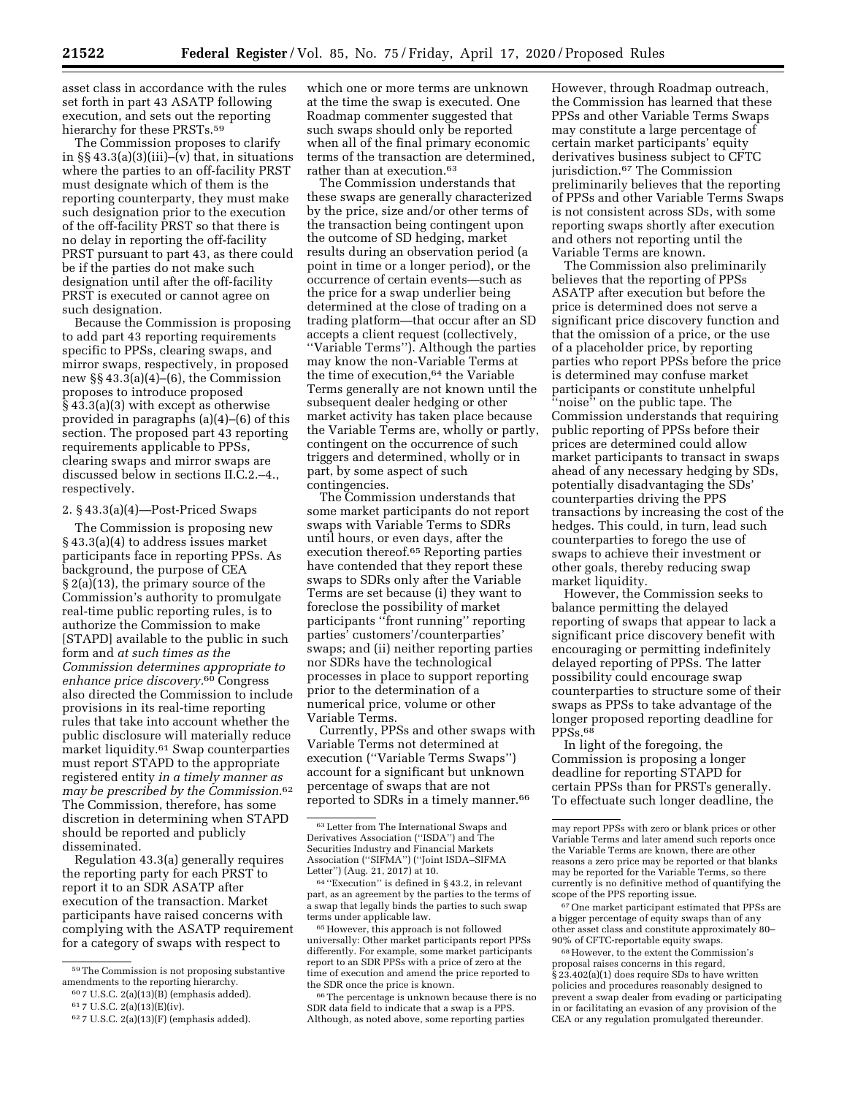asset class in accordance with the rules set forth in part 43 ASATP following execution, and sets out the reporting hierarchy for these PRSTs.<sup>59</sup>

The Commission proposes to clarify in  $\S$  43.3(a)(3)(iii)–(v) that, in situations where the parties to an off-facility PRST must designate which of them is the reporting counterparty, they must make such designation prior to the execution of the off-facility PRST so that there is no delay in reporting the off-facility PRST pursuant to part 43, as there could be if the parties do not make such designation until after the off-facility PRST is executed or cannot agree on such designation.

Because the Commission is proposing to add part 43 reporting requirements specific to PPSs, clearing swaps, and mirror swaps, respectively, in proposed new §§ 43.3(a)(4)–(6), the Commission proposes to introduce proposed § 43.3(a)(3) with except as otherwise provided in paragraphs (a)(4)–(6) of this section. The proposed part 43 reporting requirements applicable to PPSs, clearing swaps and mirror swaps are discussed below in sections II.C.2.–4., respectively.

#### 2. § 43.3(a)(4)—Post-Priced Swaps

The Commission is proposing new § 43.3(a)(4) to address issues market participants face in reporting PPSs. As background, the purpose of CEA § 2(a)(13), the primary source of the Commission's authority to promulgate real-time public reporting rules, is to authorize the Commission to make [STAPD] available to the public in such form and *at such times as the Commission determines appropriate to enhance price discovery.*60 Congress also directed the Commission to include provisions in its real-time reporting rules that take into account whether the public disclosure will materially reduce market liquidity.61 Swap counterparties must report STAPD to the appropriate registered entity *in a timely manner as may be prescribed by the Commission.*62 The Commission, therefore, has some discretion in determining when STAPD should be reported and publicly disseminated.

Regulation 43.3(a) generally requires the reporting party for each PRST to report it to an SDR ASATP after execution of the transaction. Market participants have raised concerns with complying with the ASATP requirement for a category of swaps with respect to

which one or more terms are unknown at the time the swap is executed. One Roadmap commenter suggested that such swaps should only be reported when all of the final primary economic terms of the transaction are determined, rather than at execution.63

The Commission understands that these swaps are generally characterized by the price, size and/or other terms of the transaction being contingent upon the outcome of SD hedging, market results during an observation period (a point in time or a longer period), or the occurrence of certain events—such as the price for a swap underlier being determined at the close of trading on a trading platform—that occur after an SD accepts a client request (collectively, ''Variable Terms''). Although the parties may know the non-Variable Terms at the time of execution,64 the Variable Terms generally are not known until the subsequent dealer hedging or other market activity has taken place because the Variable Terms are, wholly or partly, contingent on the occurrence of such triggers and determined, wholly or in part, by some aspect of such contingencies.

The Commission understands that some market participants do not report swaps with Variable Terms to SDRs until hours, or even days, after the execution thereof.65 Reporting parties have contended that they report these swaps to SDRs only after the Variable Terms are set because (i) they want to foreclose the possibility of market participants ''front running'' reporting parties' customers'/counterparties' swaps; and (ii) neither reporting parties nor SDRs have the technological processes in place to support reporting prior to the determination of a numerical price, volume or other Variable Terms.

Currently, PPSs and other swaps with Variable Terms not determined at execution (''Variable Terms Swaps'') account for a significant but unknown percentage of swaps that are not reported to SDRs in a timely manner.66

64 ''Execution'' is defined in § 43.2, in relevant part, as an agreement by the parties to the terms of a swap that legally binds the parties to such swap terms under applicable law.

65However, this approach is not followed universally: Other market participants report PPSs differently. For example, some market participants report to an SDR PPSs with a price of zero at the time of execution and amend the price reported to the SDR once the price is known.

66The percentage is unknown because there is no SDR data field to indicate that a swap is a PPS. Although, as noted above, some reporting parties

However, through Roadmap outreach, the Commission has learned that these PPSs and other Variable Terms Swaps may constitute a large percentage of certain market participants' equity derivatives business subject to CFTC jurisdiction.67 The Commission preliminarily believes that the reporting of PPSs and other Variable Terms Swaps is not consistent across SDs, with some reporting swaps shortly after execution and others not reporting until the Variable Terms are known.

The Commission also preliminarily believes that the reporting of PPSs ASATP after execution but before the price is determined does not serve a significant price discovery function and that the omission of a price, or the use of a placeholder price, by reporting parties who report PPSs before the price is determined may confuse market participants or constitute unhelpful ''noise'' on the public tape. The Commission understands that requiring public reporting of PPSs before their prices are determined could allow market participants to transact in swaps ahead of any necessary hedging by SDs, potentially disadvantaging the SDs' counterparties driving the PPS transactions by increasing the cost of the hedges. This could, in turn, lead such counterparties to forego the use of swaps to achieve their investment or other goals, thereby reducing swap market liquidity.

However, the Commission seeks to balance permitting the delayed reporting of swaps that appear to lack a significant price discovery benefit with encouraging or permitting indefinitely delayed reporting of PPSs. The latter possibility could encourage swap counterparties to structure some of their swaps as PPSs to take advantage of the longer proposed reporting deadline for PPSs.68

In light of the foregoing, the Commission is proposing a longer deadline for reporting STAPD for certain PPSs than for PRSTs generally. To effectuate such longer deadline, the

67One market participant estimated that PPSs are a bigger percentage of equity swaps than of any other asset class and constitute approximately 80– 90% of CFTC-reportable equity swaps.

68However, to the extent the Commission's proposal raises concerns in this regard, § 23.402(a)(1) does require SDs to have written policies and procedures reasonably designed to prevent a swap dealer from evading or participating in or facilitating an evasion of any provision of the CEA or any regulation promulgated thereunder.

<sup>59</sup>The Commission is not proposing substantive amendments to the reporting hierarchy.

<sup>60</sup> 7 U.S.C. 2(a)(13)(B) (emphasis added).

<sup>61</sup> 7 U.S.C. 2(a)(13)(E)(iv).

<sup>62</sup> 7 U.S.C. 2(a)(13)(F) (emphasis added).

<sup>63</sup>Letter from The International Swaps and Derivatives Association (''ISDA'') and The Securities Industry and Financial Markets Association (''SIFMA'') (''Joint ISDA–SIFMA Letter'') (Aug. 21, 2017) at 10.

may report PPSs with zero or blank prices or other Variable Terms and later amend such reports once the Variable Terms are known, there are other reasons a zero price may be reported or that blanks may be reported for the Variable Terms, so there currently is no definitive method of quantifying the scope of the PPS reporting issue.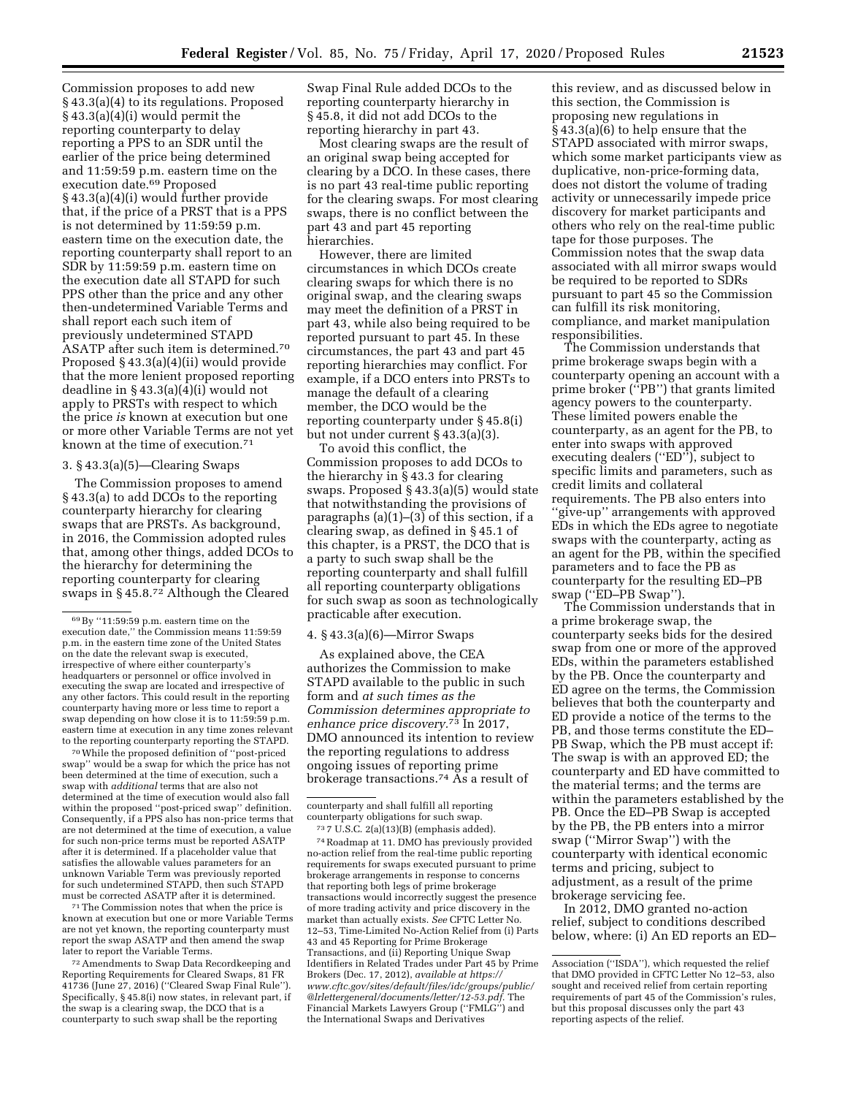Commission proposes to add new § 43.3(a)(4) to its regulations. Proposed § 43.3(a)(4)(i) would permit the reporting counterparty to delay reporting a PPS to an SDR until the earlier of the price being determined and 11:59:59 p.m. eastern time on the execution date.69 Proposed § 43.3(a)(4)(i) would further provide that, if the price of a PRST that is a PPS is not determined by 11:59:59 p.m. eastern time on the execution date, the reporting counterparty shall report to an SDR by 11:59:59 p.m. eastern time on the execution date all STAPD for such PPS other than the price and any other then-undetermined Variable Terms and shall report each such item of previously undetermined STAPD ASATP after such item is determined.70 Proposed § 43.3(a)(4)(ii) would provide that the more lenient proposed reporting deadline in § 43.3(a)(4)(i) would not apply to PRSTs with respect to which the price *is* known at execution but one or more other Variable Terms are not yet known at the time of execution.71

## 3. § 43.3(a)(5)—Clearing Swaps

The Commission proposes to amend § 43.3(a) to add DCOs to the reporting counterparty hierarchy for clearing swaps that are PRSTs. As background, in 2016, the Commission adopted rules that, among other things, added DCOs to the hierarchy for determining the reporting counterparty for clearing swaps in § 45.8.72 Although the Cleared

70While the proposed definition of ''post-priced swap'' would be a swap for which the price has not been determined at the time of execution, such a swap with *additional* terms that are also not determined at the time of execution would also fall within the proposed ''post-priced swap'' definition. Consequently, if a PPS also has non-price terms that are not determined at the time of execution, a value for such non-price terms must be reported ASATP after it is determined. If a placeholder value that satisfies the allowable values parameters for an unknown Variable Term was previously reported for such undetermined STAPD, then such STAPD must be corrected ASATP after it is determined.

71The Commission notes that when the price is known at execution but one or more Variable Terms are not yet known, the reporting counterparty must report the swap ASATP and then amend the swap later to report the Variable Terms.

72Amendments to Swap Data Recordkeeping and Reporting Requirements for Cleared Swaps, 81 FR 41736 (June 27, 2016) (''Cleared Swap Final Rule''). Specifically, § 45.8(i) now states, in relevant part, if the swap is a clearing swap, the DCO that is a counterparty to such swap shall be the reporting

Swap Final Rule added DCOs to the reporting counterparty hierarchy in § 45.8, it did not add DCOs to the reporting hierarchy in part 43.

Most clearing swaps are the result of an original swap being accepted for clearing by a DCO. In these cases, there is no part 43 real-time public reporting for the clearing swaps. For most clearing swaps, there is no conflict between the part 43 and part 45 reporting hierarchies.

However, there are limited circumstances in which DCOs create clearing swaps for which there is no original swap, and the clearing swaps may meet the definition of a PRST in part 43, while also being required to be reported pursuant to part 45. In these circumstances, the part 43 and part 45 reporting hierarchies may conflict. For example, if a DCO enters into PRSTs to manage the default of a clearing member, the DCO would be the reporting counterparty under § 45.8(i) but not under current § 43.3(a)(3).

To avoid this conflict, the Commission proposes to add DCOs to the hierarchy in § 43.3 for clearing swaps. Proposed § 43.3(a)(5) would state that notwithstanding the provisions of paragraphs (a)(1)–(3) of this section, if a clearing swap, as defined in § 45.1 of this chapter, is a PRST, the DCO that is a party to such swap shall be the reporting counterparty and shall fulfill all reporting counterparty obligations for such swap as soon as technologically practicable after execution.

# 4. § 43.3(a)(6)—Mirror Swaps

As explained above, the CEA authorizes the Commission to make STAPD available to the public in such form and *at such times as the Commission determines appropriate to enhance price discovery.*73 In 2017, DMO announced its intention to review the reporting regulations to address ongoing issues of reporting prime brokerage transactions.74 As a result of

73 7 U.S.C. 2(a)(13)(B) (emphasis added). 74Roadmap at 11. DMO has previously provided no-action relief from the real-time public reporting requirements for swaps executed pursuant to prime brokerage arrangements in response to concerns that reporting both legs of prime brokerage transactions would incorrectly suggest the presence of more trading activity and price discovery in the market than actually exists. *See* CFTC Letter No. 12–53, Time-Limited No-Action Relief from (i) Parts 43 and 45 Reporting for Prime Brokerage Transactions, and (ii) Reporting Unique Swap Identifiers in Related Trades under Part 45 by Prime Brokers (Dec. 17, 2012), *available a[t https://](https://www.cftc.gov/sites/default/files/idc/groups/public/@lrlettergeneral/documents/letter/12-53.pdf) [www.cftc.gov/sites/default/files/idc/groups/public/](https://www.cftc.gov/sites/default/files/idc/groups/public/@lrlettergeneral/documents/letter/12-53.pdf)  [@lrlettergeneral/documents/letter/12-53.pdf.](https://www.cftc.gov/sites/default/files/idc/groups/public/@lrlettergeneral/documents/letter/12-53.pdf)* The Financial Markets Lawyers Group (''FMLG'') and the International Swaps and Derivatives

this review, and as discussed below in this section, the Commission is proposing new regulations in § 43.3(a)(6) to help ensure that the STAPD associated with mirror swaps, which some market participants view as duplicative, non-price-forming data, does not distort the volume of trading activity or unnecessarily impede price discovery for market participants and others who rely on the real-time public tape for those purposes. The Commission notes that the swap data associated with all mirror swaps would be required to be reported to SDRs pursuant to part 45 so the Commission can fulfill its risk monitoring, compliance, and market manipulation responsibilities.

The Commission understands that prime brokerage swaps begin with a counterparty opening an account with a prime broker (''PB'') that grants limited agency powers to the counterparty. These limited powers enable the counterparty, as an agent for the PB, to enter into swaps with approved executing dealers ("ED"), subject to specific limits and parameters, such as credit limits and collateral requirements. The PB also enters into ''give-up'' arrangements with approved EDs in which the EDs agree to negotiate swaps with the counterparty, acting as an agent for the PB, within the specified parameters and to face the PB as counterparty for the resulting ED–PB swap (''ED–PB Swap'').

The Commission understands that in a prime brokerage swap, the counterparty seeks bids for the desired swap from one or more of the approved EDs, within the parameters established by the PB. Once the counterparty and ED agree on the terms, the Commission believes that both the counterparty and ED provide a notice of the terms to the PB, and those terms constitute the ED– PB Swap, which the PB must accept if: The swap is with an approved ED; the counterparty and ED have committed to the material terms; and the terms are within the parameters established by the PB. Once the ED–PB Swap is accepted by the PB, the PB enters into a mirror swap (''Mirror Swap'') with the counterparty with identical economic terms and pricing, subject to adjustment, as a result of the prime brokerage servicing fee.

In 2012, DMO granted no-action relief, subject to conditions described below, where: (i) An ED reports an ED–

<sup>69</sup>By ''11:59:59 p.m. eastern time on the execution date,'' the Commission means 11:59:59 p.m. in the eastern time zone of the United States on the date the relevant swap is executed, irrespective of where either counterparty's headquarters or personnel or office involved in executing the swap are located and irrespective of any other factors. This could result in the reporting counterparty having more or less time to report a swap depending on how close it is to 11:59:59 p.m. eastern time at execution in any time zones relevant to the reporting counterparty reporting the STAPD.

counterparty and shall fulfill all reporting counterparty obligations for such swap.

Association (''ISDA''), which requested the relief that DMO provided in CFTC Letter No 12–53, also sought and received relief from certain reporting requirements of part 45 of the Commission's rules, but this proposal discusses only the part 43 reporting aspects of the relief.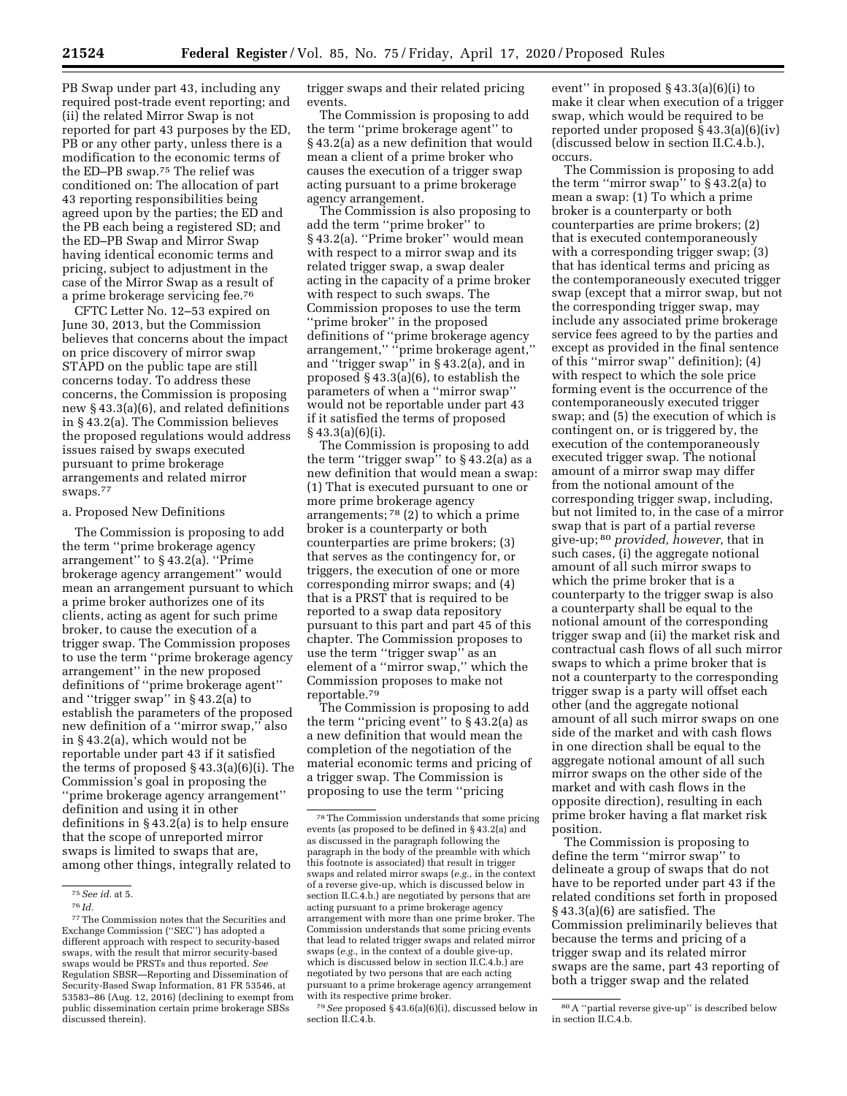PB Swap under part 43, including any required post-trade event reporting; and (ii) the related Mirror Swap is not reported for part 43 purposes by the ED, PB or any other party, unless there is a modification to the economic terms of the ED–PB swap.75 The relief was conditioned on: The allocation of part 43 reporting responsibilities being agreed upon by the parties; the ED and the PB each being a registered SD; and the ED–PB Swap and Mirror Swap having identical economic terms and pricing, subject to adjustment in the case of the Mirror Swap as a result of a prime brokerage servicing fee.76

CFTC Letter No. 12–53 expired on June 30, 2013, but the Commission believes that concerns about the impact on price discovery of mirror swap STAPD on the public tape are still concerns today. To address these concerns, the Commission is proposing new § 43.3(a)(6), and related definitions in § 43.2(a). The Commission believes the proposed regulations would address issues raised by swaps executed pursuant to prime brokerage arrangements and related mirror swaps.77

#### a. Proposed New Definitions

The Commission is proposing to add the term ''prime brokerage agency arrangement'' to § 43.2(a). ''Prime brokerage agency arrangement'' would mean an arrangement pursuant to which a prime broker authorizes one of its clients, acting as agent for such prime broker, to cause the execution of a trigger swap. The Commission proposes to use the term ''prime brokerage agency arrangement'' in the new proposed definitions of ''prime brokerage agent'' and ''trigger swap'' in § 43.2(a) to establish the parameters of the proposed new definition of a ''mirror swap,'' also in § 43.2(a), which would not be reportable under part 43 if it satisfied the terms of proposed § 43.3(a)(6)(i). The Commission's goal in proposing the ''prime brokerage agency arrangement'' definition and using it in other definitions in § 43.2(a) is to help ensure that the scope of unreported mirror swaps is limited to swaps that are, among other things, integrally related to

trigger swaps and their related pricing events.

The Commission is proposing to add the term ''prime brokerage agent'' to § 43.2(a) as a new definition that would mean a client of a prime broker who causes the execution of a trigger swap acting pursuant to a prime brokerage agency arrangement.

The Commission is also proposing to add the term ''prime broker'' to § 43.2(a). ''Prime broker'' would mean with respect to a mirror swap and its related trigger swap, a swap dealer acting in the capacity of a prime broker with respect to such swaps. The Commission proposes to use the term "prime broker" in the proposed definitions of ''prime brokerage agency arrangement,'' ''prime brokerage agent,'' and ''trigger swap'' in § 43.2(a), and in proposed § 43.3(a)(6), to establish the parameters of when a ''mirror swap'' would not be reportable under part 43 if it satisfied the terms of proposed § 43.3(a)(6)(i).

The Commission is proposing to add the term ''trigger swap'' to § 43.2(a) as a new definition that would mean a swap: (1) That is executed pursuant to one or more prime brokerage agency arrangements; 78 (2) to which a prime broker is a counterparty or both counterparties are prime brokers; (3) that serves as the contingency for, or triggers, the execution of one or more corresponding mirror swaps; and (4) that is a PRST that is required to be reported to a swap data repository pursuant to this part and part 45 of this chapter. The Commission proposes to use the term ''trigger swap'' as an element of a ''mirror swap,'' which the Commission proposes to make not reportable.79

The Commission is proposing to add the term "pricing event" to  $\S$ 43.2(a) as a new definition that would mean the completion of the negotiation of the material economic terms and pricing of a trigger swap. The Commission is proposing to use the term ''pricing

79*See* proposed § 43.6(a)(6)(i), discussed below in section II.C.4.b.

event'' in proposed § 43.3(a)(6)(i) to make it clear when execution of a trigger swap, which would be required to be reported under proposed § 43.3(a)(6)(iv) (discussed below in section II.C.4.b.), occurs.

The Commission is proposing to add the term "mirror swap" to  $\S$ 43.2(a) to mean a swap: (1) To which a prime broker is a counterparty or both counterparties are prime brokers; (2) that is executed contemporaneously with a corresponding trigger swap; (3) that has identical terms and pricing as the contemporaneously executed trigger swap (except that a mirror swap, but not the corresponding trigger swap, may include any associated prime brokerage service fees agreed to by the parties and except as provided in the final sentence of this ''mirror swap'' definition); (4) with respect to which the sole price forming event is the occurrence of the contemporaneously executed trigger swap; and (5) the execution of which is contingent on, or is triggered by, the execution of the contemporaneously executed trigger swap. The notional amount of a mirror swap may differ from the notional amount of the corresponding trigger swap, including, but not limited to, in the case of a mirror swap that is part of a partial reverse give-up; 80 *provided, however,* that in such cases, (i) the aggregate notional amount of all such mirror swaps to which the prime broker that is a counterparty to the trigger swap is also a counterparty shall be equal to the notional amount of the corresponding trigger swap and (ii) the market risk and contractual cash flows of all such mirror swaps to which a prime broker that is not a counterparty to the corresponding trigger swap is a party will offset each other (and the aggregate notional amount of all such mirror swaps on one side of the market and with cash flows in one direction shall be equal to the aggregate notional amount of all such mirror swaps on the other side of the market and with cash flows in the opposite direction), resulting in each prime broker having a flat market risk position.

The Commission is proposing to define the term ''mirror swap'' to delineate a group of swaps that do not have to be reported under part 43 if the related conditions set forth in proposed § 43.3(a)(6) are satisfied. The Commission preliminarily believes that because the terms and pricing of a trigger swap and its related mirror swaps are the same, part 43 reporting of both a trigger swap and the related

<sup>75</sup>*See id.* at 5.

<sup>76</sup> *Id.* 

 $\rm ^{77}$  The Commission notes that the Securities and Exchange Commission (''SEC'') has adopted a different approach with respect to security-based swaps, with the result that mirror security-based swaps would be PRSTs and thus reported. *See*  Regulation SBSR—Reporting and Dissemination of Security-Based Swap Information, 81 FR 53546, at 53583–86 (Aug. 12, 2016) (declining to exempt from public dissemination certain prime brokerage SBSs discussed therein).

<sup>78</sup>The Commission understands that some pricing events (as proposed to be defined in § 43.2(a) and as discussed in the paragraph following the paragraph in the body of the preamble with which this footnote is associated) that result in trigger swaps and related mirror swaps (*e.g.,* in the context of a reverse give-up, which is discussed below in section II.C.4.b.) are negotiated by persons that are acting pursuant to a prime brokerage agency arrangement with more than one prime broker. The Commission understands that some pricing events that lead to related trigger swaps and related mirror swaps (*e.g.,* in the context of a double give-up, which is discussed below in section II.C.4.b.) are negotiated by two persons that are each acting pursuant to a prime brokerage agency arrangement with its respective prime broker.

<sup>80</sup>A ''partial reverse give-up'' is described below in section II.C.4.b.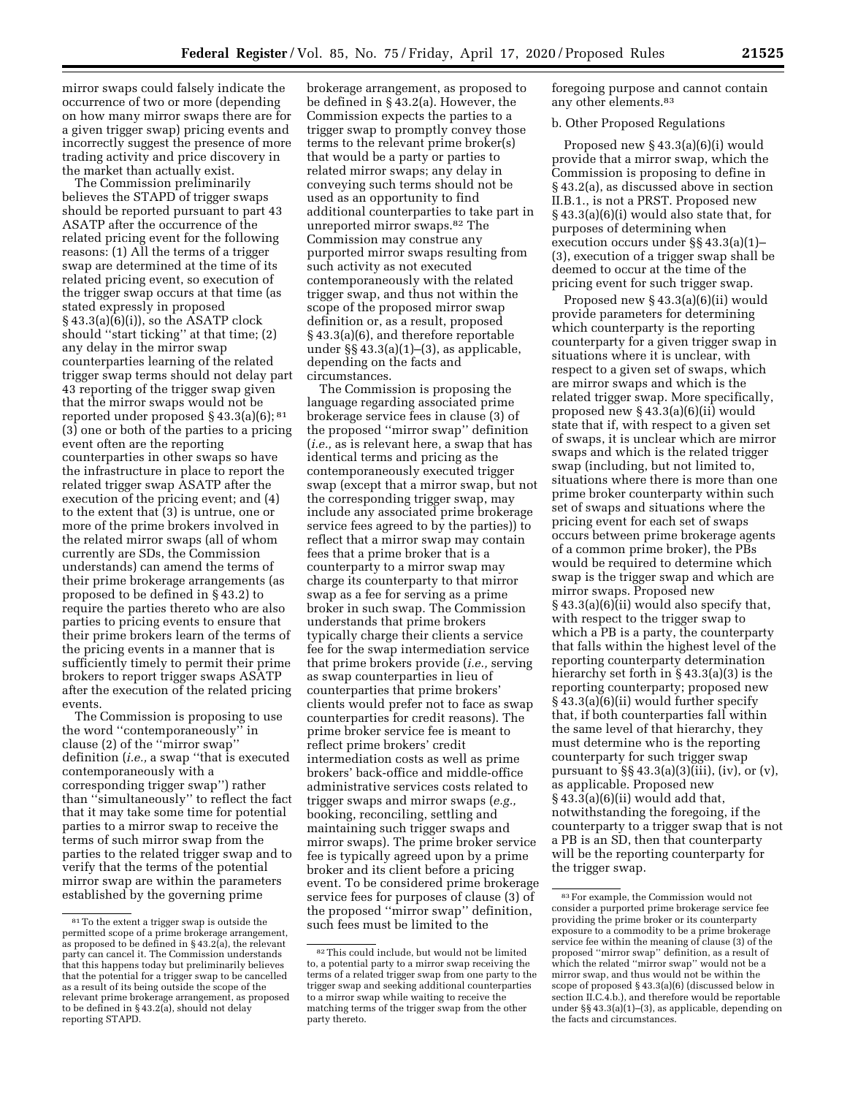mirror swaps could falsely indicate the occurrence of two or more (depending on how many mirror swaps there are for a given trigger swap) pricing events and incorrectly suggest the presence of more trading activity and price discovery in the market than actually exist.

The Commission preliminarily believes the STAPD of trigger swaps should be reported pursuant to part 43 ASATP after the occurrence of the related pricing event for the following reasons: (1) All the terms of a trigger swap are determined at the time of its related pricing event, so execution of the trigger swap occurs at that time (as stated expressly in proposed  $§$  43.3(a)(6)(i)), so the ASATP clock should ''start ticking'' at that time; (2) any delay in the mirror swap counterparties learning of the related trigger swap terms should not delay part 43 reporting of the trigger swap given that the mirror swaps would not be reported under proposed § 43.3(a)(6); 81 (3) one or both of the parties to a pricing event often are the reporting counterparties in other swaps so have the infrastructure in place to report the related trigger swap ASATP after the execution of the pricing event; and (4) to the extent that (3) is untrue, one or more of the prime brokers involved in the related mirror swaps (all of whom currently are SDs, the Commission understands) can amend the terms of their prime brokerage arrangements (as proposed to be defined in § 43.2) to require the parties thereto who are also parties to pricing events to ensure that their prime brokers learn of the terms of the pricing events in a manner that is sufficiently timely to permit their prime brokers to report trigger swaps ASATP after the execution of the related pricing events.

The Commission is proposing to use the word ''contemporaneously'' in clause (2) of the ''mirror swap'' definition (*i.e.,* a swap ''that is executed contemporaneously with a corresponding trigger swap'') rather than ''simultaneously'' to reflect the fact that it may take some time for potential parties to a mirror swap to receive the terms of such mirror swap from the parties to the related trigger swap and to verify that the terms of the potential mirror swap are within the parameters established by the governing prime

brokerage arrangement, as proposed to be defined in § 43.2(a). However, the Commission expects the parties to a trigger swap to promptly convey those terms to the relevant prime broker(s) that would be a party or parties to related mirror swaps; any delay in conveying such terms should not be used as an opportunity to find additional counterparties to take part in unreported mirror swaps.82 The Commission may construe any purported mirror swaps resulting from such activity as not executed contemporaneously with the related trigger swap, and thus not within the scope of the proposed mirror swap definition or, as a result, proposed § 43.3(a)(6), and therefore reportable under §§ 43.3(a)(1)–(3), as applicable, depending on the facts and circumstances.

The Commission is proposing the language regarding associated prime brokerage service fees in clause (3) of the proposed ''mirror swap'' definition (*i.e.,* as is relevant here, a swap that has identical terms and pricing as the contemporaneously executed trigger swap (except that a mirror swap, but not the corresponding trigger swap, may include any associated prime brokerage service fees agreed to by the parties)) to reflect that a mirror swap may contain fees that a prime broker that is a counterparty to a mirror swap may charge its counterparty to that mirror swap as a fee for serving as a prime broker in such swap. The Commission understands that prime brokers typically charge their clients a service fee for the swap intermediation service that prime brokers provide (*i.e.,* serving as swap counterparties in lieu of counterparties that prime brokers' clients would prefer not to face as swap counterparties for credit reasons). The prime broker service fee is meant to reflect prime brokers' credit intermediation costs as well as prime brokers' back-office and middle-office administrative services costs related to trigger swaps and mirror swaps (*e.g.,*  booking, reconciling, settling and maintaining such trigger swaps and mirror swaps). The prime broker service fee is typically agreed upon by a prime broker and its client before a pricing event. To be considered prime brokerage service fees for purposes of clause (3) of the proposed ''mirror swap'' definition, such fees must be limited to the

foregoing purpose and cannot contain any other elements.83

# b. Other Proposed Regulations

Proposed new § 43.3(a)(6)(i) would provide that a mirror swap, which the Commission is proposing to define in § 43.2(a), as discussed above in section II.B.1., is not a PRST. Proposed new § 43.3(a)(6)(i) would also state that, for purposes of determining when execution occurs under §§ 43.3(a)(1)– (3), execution of a trigger swap shall be deemed to occur at the time of the pricing event for such trigger swap.

Proposed new § 43.3(a)(6)(ii) would provide parameters for determining which counterparty is the reporting counterparty for a given trigger swap in situations where it is unclear, with respect to a given set of swaps, which are mirror swaps and which is the related trigger swap. More specifically, proposed new § 43.3(a)(6)(ii) would state that if, with respect to a given set of swaps, it is unclear which are mirror swaps and which is the related trigger swap (including, but not limited to, situations where there is more than one prime broker counterparty within such set of swaps and situations where the pricing event for each set of swaps occurs between prime brokerage agents of a common prime broker), the PBs would be required to determine which swap is the trigger swap and which are mirror swaps. Proposed new § 43.3(a)(6)(ii) would also specify that, with respect to the trigger swap to which a PB is a party, the counterparty that falls within the highest level of the reporting counterparty determination hierarchy set forth in § 43.3(a)(3) is the reporting counterparty; proposed new § 43.3(a)(6)(ii) would further specify that, if both counterparties fall within the same level of that hierarchy, they must determine who is the reporting counterparty for such trigger swap pursuant to  $\S$ § 43.3(a)(3)(iii), (iv), or (v), as applicable. Proposed new  $\S$  43.3(a)(6)(ii) would add that, notwithstanding the foregoing, if the counterparty to a trigger swap that is not a PB is an SD, then that counterparty will be the reporting counterparty for the trigger swap.

 $81$ <sup>81</sup> To the extent a trigger swap is outside the permitted scope of a prime brokerage arrangement, as proposed to be defined in  $\S$ 43.2(a), the relevant party can cancel it. The Commission understands that this happens today but preliminarily believes that the potential for a trigger swap to be cancelled as a result of its being outside the scope of the relevant prime brokerage arrangement, as proposed to be defined in § 43.2(a), should not delay reporting STAPD.

<sup>82</sup>This could include, but would not be limited to, a potential party to a mirror swap receiving the terms of a related trigger swap from one party to the trigger swap and seeking additional counterparties to a mirror swap while waiting to receive the matching terms of the trigger swap from the other party thereto.

<sup>83</sup>For example, the Commission would not consider a purported prime brokerage service fee providing the prime broker or its counterparty exposure to a commodity to be a prime brokerage service fee within the meaning of clause (3) of the proposed ''mirror swap'' definition, as a result of which the related ''mirror swap'' would not be a mirror swap, and thus would not be within the scope of proposed § 43.3(a)(6) (discussed below in section II.C.4.b.), and therefore would be reportable under §§ 43.3(a)(1)–(3), as applicable, depending on the facts and circumstances.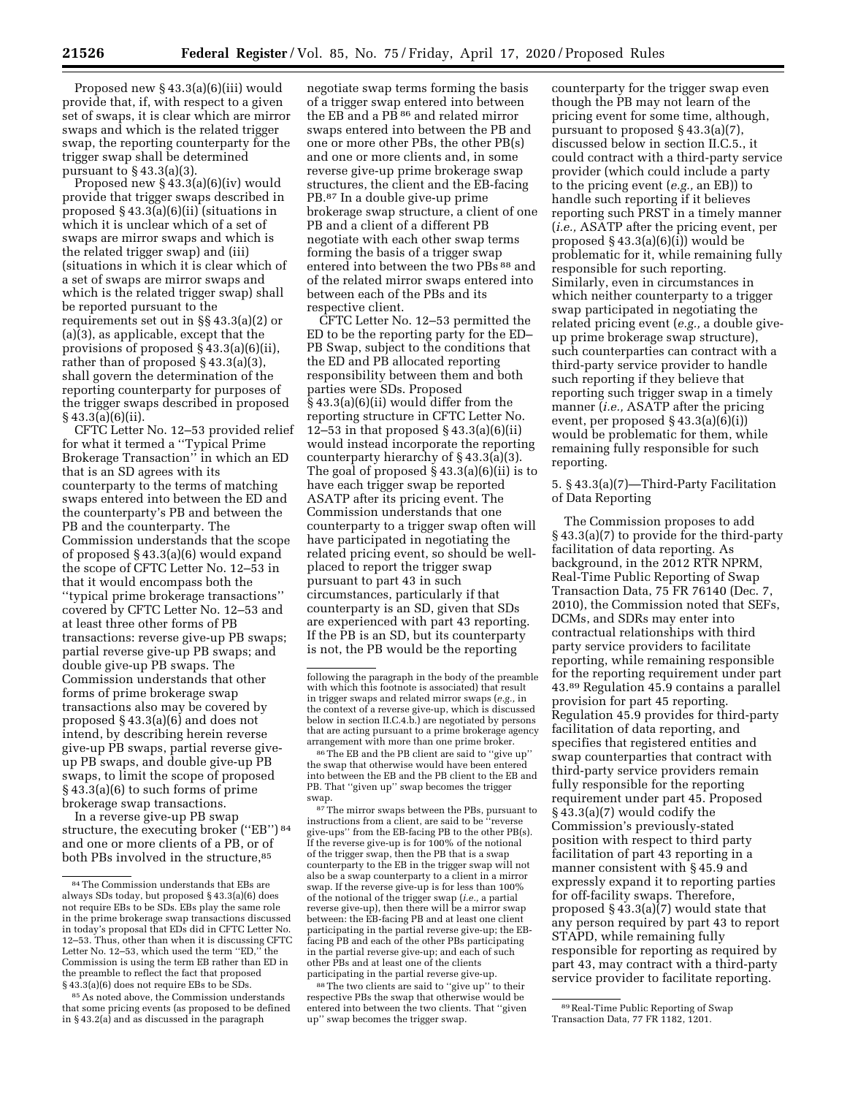Proposed new § 43.3(a)(6)(iii) would provide that, if, with respect to a given set of swaps, it is clear which are mirror swaps and which is the related trigger swap, the reporting counterparty for the trigger swap shall be determined pursuant to § 43.3(a)(3).

Proposed new § 43.3(a)(6)(iv) would provide that trigger swaps described in proposed § 43.3(a)(6)(ii) (situations in which it is unclear which of a set of swaps are mirror swaps and which is the related trigger swap) and (iii) (situations in which it is clear which of a set of swaps are mirror swaps and which is the related trigger swap) shall be reported pursuant to the requirements set out in §§ 43.3(a)(2) or (a)(3), as applicable, except that the provisions of proposed § 43.3(a)(6)(ii), rather than of proposed § 43.3(a)(3), shall govern the determination of the reporting counterparty for purposes of the trigger swaps described in proposed § 43.3(a)(6)(ii).

CFTC Letter No. 12–53 provided relief for what it termed a ''Typical Prime Brokerage Transaction'' in which an ED that is an SD agrees with its counterparty to the terms of matching swaps entered into between the ED and the counterparty's PB and between the PB and the counterparty. The Commission understands that the scope of proposed § 43.3(a)(6) would expand the scope of CFTC Letter No. 12–53 in that it would encompass both the ''typical prime brokerage transactions'' covered by CFTC Letter No. 12–53 and at least three other forms of PB transactions: reverse give-up PB swaps; partial reverse give-up PB swaps; and double give-up PB swaps. The Commission understands that other forms of prime brokerage swap transactions also may be covered by proposed § 43.3(a)(6) and does not intend, by describing herein reverse give-up PB swaps, partial reverse giveup PB swaps, and double give-up PB swaps, to limit the scope of proposed § 43.3(a)(6) to such forms of prime brokerage swap transactions.

In a reverse give-up PB swap structure, the executing broker ("EB") 84 and one or more clients of a PB, or of both PBs involved in the structure,<sup>85</sup>

85As noted above, the Commission understands that some pricing events (as proposed to be defined in § 43.2(a) and as discussed in the paragraph

negotiate swap terms forming the basis of a trigger swap entered into between the EB and a PB<sup>86</sup> and related mirror swaps entered into between the PB and one or more other PBs, the other PB(s) and one or more clients and, in some reverse give-up prime brokerage swap structures, the client and the EB-facing PB.87 In a double give-up prime brokerage swap structure, a client of one PB and a client of a different PB negotiate with each other swap terms forming the basis of a trigger swap entered into between the two PBs 88 and of the related mirror swaps entered into between each of the PBs and its respective client.

CFTC Letter No. 12–53 permitted the ED to be the reporting party for the ED– PB Swap, subject to the conditions that the ED and PB allocated reporting responsibility between them and both parties were SDs. Proposed § 43.3(a)(6)(ii) would differ from the reporting structure in CFTC Letter No. 12–53 in that proposed  $\S$  43.3(a)(6)(ii) would instead incorporate the reporting counterparty hierarchy of § 43.3(a)(3). The goal of proposed  $\S 43.3(a)(6)(ii)$  is to have each trigger swap be reported ASATP after its pricing event. The Commission understands that one counterparty to a trigger swap often will have participated in negotiating the related pricing event, so should be wellplaced to report the trigger swap pursuant to part 43 in such circumstances, particularly if that counterparty is an SD, given that SDs are experienced with part 43 reporting. If the PB is an SD, but its counterparty is not, the PB would be the reporting

 $^{86}\mathrm{The}$  EB and the PB client are said to ''give up' the swap that otherwise would have been entered into between the EB and the PB client to the EB and PB. That ''given up'' swap becomes the trigger swap.

87The mirror swaps between the PBs, pursuant to instructions from a client, are said to be ''reverse ive-ups" from the EB-facing PB to the other PB(s). If the reverse give-up is for 100% of the notional of the trigger swap, then the PB that is a swap counterparty to the EB in the trigger swap will not also be a swap counterparty to a client in a mirror swap. If the reverse give-up is for less than 100% of the notional of the trigger swap (*i.e.,* a partial reverse give-up), then there will be a mirror swap between: the EB-facing PB and at least one client participating in the partial reverse give-up; the EBfacing PB and each of the other PBs participating in the partial reverse give-up; and each of such other PBs and at least one of the clients participating in the partial reverse give-up.

88The two clients are said to ''give up'' to their respective PBs the swap that otherwise would be entered into between the two clients. That ''given up'' swap becomes the trigger swap.

counterparty for the trigger swap even though the PB may not learn of the pricing event for some time, although, pursuant to proposed § 43.3(a)(7), discussed below in section II.C.5., it could contract with a third-party service provider (which could include a party to the pricing event (*e.g.,* an EB)) to handle such reporting if it believes reporting such PRST in a timely manner (*i.e.,* ASATP after the pricing event, per proposed § 43.3(a)(6)(i)) would be problematic for it, while remaining fully responsible for such reporting. Similarly, even in circumstances in which neither counterparty to a trigger swap participated in negotiating the related pricing event (*e.g.,* a double giveup prime brokerage swap structure), such counterparties can contract with a third-party service provider to handle such reporting if they believe that reporting such trigger swap in a timely manner (*i.e.,* ASATP after the pricing event, per proposed § 43.3(a)(6)(i)) would be problematic for them, while remaining fully responsible for such reporting.

5. § 43.3(a)(7)—Third-Party Facilitation of Data Reporting

The Commission proposes to add § 43.3(a)(7) to provide for the third-party facilitation of data reporting. As background, in the 2012 RTR NPRM, Real-Time Public Reporting of Swap Transaction Data, 75 FR 76140 (Dec. 7, 2010), the Commission noted that SEFs, DCMs, and SDRs may enter into contractual relationships with third party service providers to facilitate reporting, while remaining responsible for the reporting requirement under part 43.89 Regulation 45.9 contains a parallel provision for part 45 reporting. Regulation 45.9 provides for third-party facilitation of data reporting, and specifies that registered entities and swap counterparties that contract with third-party service providers remain fully responsible for the reporting requirement under part 45. Proposed § 43.3(a)(7) would codify the Commission's previously-stated position with respect to third party facilitation of part 43 reporting in a manner consistent with § 45.9 and expressly expand it to reporting parties for off-facility swaps. Therefore, proposed § 43.3(a)(7) would state that any person required by part 43 to report STAPD, while remaining fully responsible for reporting as required by part 43, may contract with a third-party service provider to facilitate reporting.

<sup>84</sup>The Commission understands that EBs are always SDs today, but proposed § 43.3(a)(6) does not require EBs to be SDs. EBs play the same role in the prime brokerage swap transactions discussed in today's proposal that EDs did in CFTC Letter No. 12–53. Thus, other than when it is discussing CFTC Letter No. 12–53, which used the term ''ED,'' the Commission is using the term EB rather than ED in the preamble to reflect the fact that proposed § 43.3(a)(6) does not require EBs to be SDs.

following the paragraph in the body of the preamble with which this footnote is associated) that result in trigger swaps and related mirror swaps (*e.g.,* in the context of a reverse give-up, which is discussed below in section II.C.4.b.) are negotiated by persons that are acting pursuant to a prime brokerage agency arrangement with more than one prime broker.

<sup>89</sup>Real-Time Public Reporting of Swap Transaction Data, 77 FR 1182, 1201.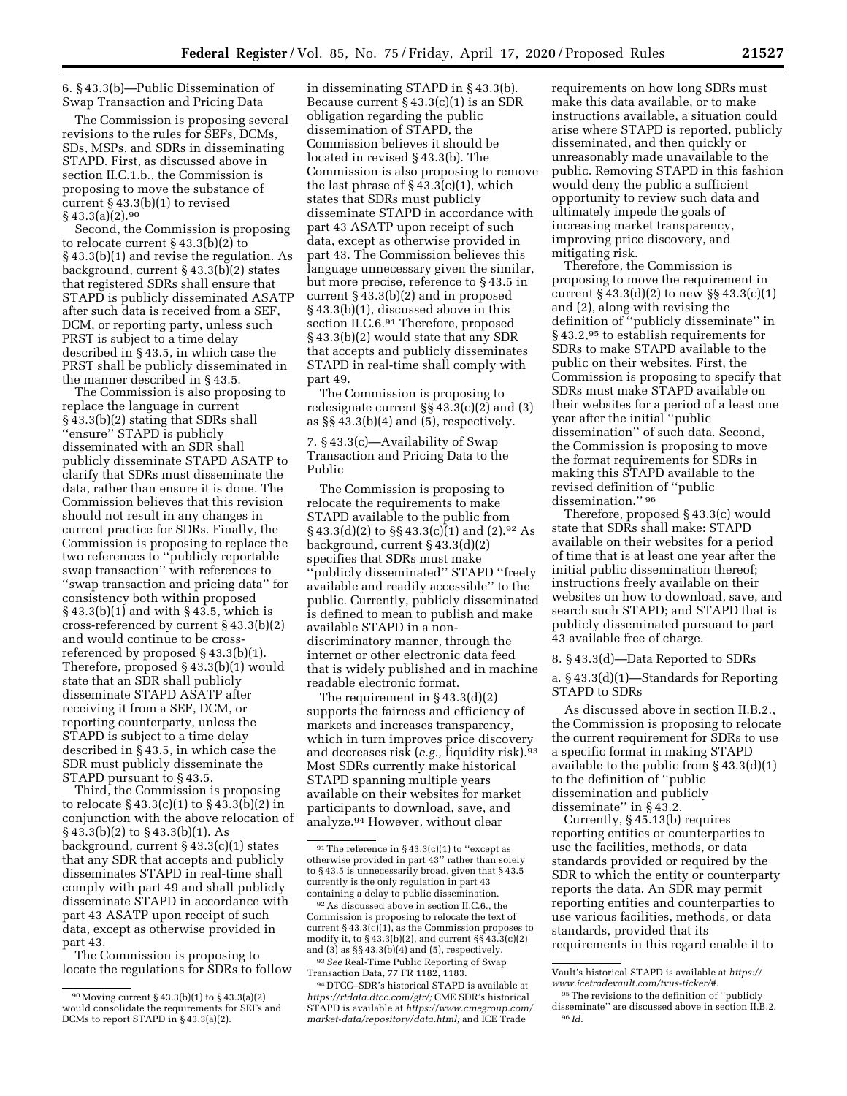6. § 43.3(b)—Public Dissemination of Swap Transaction and Pricing Data

The Commission is proposing several revisions to the rules for SEFs, DCMs, SDs, MSPs, and SDRs in disseminating STAPD. First, as discussed above in section II.C.1.b., the Commission is proposing to move the substance of current § 43.3(b)(1) to revised  $§$  43.3(a)(2).<sup>90</sup>

Second, the Commission is proposing to relocate current § 43.3(b)(2) to § 43.3(b)(1) and revise the regulation. As background, current § 43.3(b)(2) states that registered SDRs shall ensure that STAPD is publicly disseminated ASATP after such data is received from a SEF, DCM, or reporting party, unless such PRST is subject to a time delay described in § 43.5, in which case the PRST shall be publicly disseminated in the manner described in § 43.5.

The Commission is also proposing to replace the language in current § 43.3(b)(2) stating that SDRs shall ''ensure'' STAPD is publicly disseminated with an SDR shall publicly disseminate STAPD ASATP to clarify that SDRs must disseminate the data, rather than ensure it is done. The Commission believes that this revision should not result in any changes in current practice for SDRs. Finally, the Commission is proposing to replace the two references to ''publicly reportable swap transaction'' with references to ''swap transaction and pricing data'' for consistency both within proposed § 43.3(b)(1) and with § 43.5, which is cross-referenced by current § 43.3(b)(2) and would continue to be crossreferenced by proposed § 43.3(b)(1). Therefore, proposed § 43.3(b)(1) would state that an SDR shall publicly disseminate STAPD ASATP after receiving it from a SEF, DCM, or reporting counterparty, unless the STAPD is subject to a time delay described in § 43.5, in which case the SDR must publicly disseminate the STAPD pursuant to § 43.5.

Third, the Commission is proposing to relocate § 43.3(c)(1) to § 43.3(b)(2) in conjunction with the above relocation of § 43.3(b)(2) to § 43.3(b)(1). As background, current § 43.3(c)(1) states that any SDR that accepts and publicly disseminates STAPD in real-time shall comply with part 49 and shall publicly disseminate STAPD in accordance with part 43 ASATP upon receipt of such data, except as otherwise provided in part 43.

The Commission is proposing to locate the regulations for SDRs to follow

in disseminating STAPD in § 43.3(b). Because current  $\S$  43.3(c)(1) is an SDR obligation regarding the public dissemination of STAPD, the Commission believes it should be located in revised § 43.3(b). The Commission is also proposing to remove the last phrase of  $\S$  43.3(c)(1), which states that SDRs must publicly disseminate STAPD in accordance with part 43 ASATP upon receipt of such data, except as otherwise provided in part 43. The Commission believes this language unnecessary given the similar, but more precise, reference to § 43.5 in current § 43.3(b)(2) and in proposed § 43.3(b)(1), discussed above in this section II.C.6.91 Therefore, proposed § 43.3(b)(2) would state that any SDR that accepts and publicly disseminates STAPD in real-time shall comply with part 49.

The Commission is proposing to redesignate current §§ 43.3(c)(2) and (3) as  $\S$  43.3(b)(4) and (5), respectively.

7. § 43.3(c)—Availability of Swap Transaction and Pricing Data to the Public

The Commission is proposing to relocate the requirements to make STAPD available to the public from § 43.3(d)(2) to §§ 43.3(c)(1) and (2).92 As background, current § 43.3(d)(2) specifies that SDRs must make ''publicly disseminated'' STAPD ''freely available and readily accessible'' to the public. Currently, publicly disseminated is defined to mean to publish and make available STAPD in a nondiscriminatory manner, through the internet or other electronic data feed that is widely published and in machine readable electronic format.

The requirement in § 43.3(d)(2) supports the fairness and efficiency of markets and increases transparency, which in turn improves price discovery and decreases risk (*e.g.,* liquidity risk).93 Most SDRs currently make historical STAPD spanning multiple years available on their websites for market participants to download, save, and analyze.94 However, without clear

requirements on how long SDRs must make this data available, or to make instructions available, a situation could arise where STAPD is reported, publicly disseminated, and then quickly or unreasonably made unavailable to the public. Removing STAPD in this fashion would deny the public a sufficient opportunity to review such data and ultimately impede the goals of increasing market transparency, improving price discovery, and mitigating risk.

Therefore, the Commission is proposing to move the requirement in current  $\S 43.3(d)(2)$  to new  $\S § 43.3(c)(1)$ and (2), along with revising the definition of ''publicly disseminate'' in § 43.2,<sup>95</sup> to establish requirements for SDRs to make STAPD available to the public on their websites. First, the Commission is proposing to specify that SDRs must make STAPD available on their websites for a period of a least one year after the initial ''public dissemination'' of such data. Second, the Commission is proposing to move the format requirements for SDRs in making this STAPD available to the revised definition of ''public dissemination.'' 96

Therefore, proposed § 43.3(c) would state that SDRs shall make: STAPD available on their websites for a period of time that is at least one year after the initial public dissemination thereof; instructions freely available on their websites on how to download, save, and search such STAPD; and STAPD that is publicly disseminated pursuant to part 43 available free of charge.

8. § 43.3(d)—Data Reported to SDRs

a. § 43.3(d)(1)—Standards for Reporting STAPD to SDRs

As discussed above in section II.B.2., the Commission is proposing to relocate the current requirement for SDRs to use a specific format in making STAPD available to the public from § 43.3(d)(1) to the definition of ''public dissemination and publicly disseminate'' in § 43.2.

Currently, § 45.13(b) requires reporting entities or counterparties to use the facilities, methods, or data standards provided or required by the SDR to which the entity or counterparty reports the data. An SDR may permit reporting entities and counterparties to use various facilities, methods, or data standards, provided that its requirements in this regard enable it to

<sup>90</sup>Moving current § 43.3(b)(1) to § 43.3(a)(2) would consolidate the requirements for SEFs and DCMs to report STAPD in § 43.3(a)(2).

 $91$  The reference in § 43.3(c)(1) to "except as otherwise provided in part 43'' rather than solely to § 43.5 is unnecessarily broad, given that § 43.5 currently is the only regulation in part 43 containing a delay to public dissemination.

<sup>92</sup>As discussed above in section II.C.6., the Commission is proposing to relocate the text of current  $§$  43.3(c)(1), as the Commission proposes to modify it, to  $\S 43.3(b)(2)$ , and current  $\S \ \dot{\S} 43.3(c)(2)$ and  $(3)$  as  $\S § 43.3(b)(4)$  and  $(5)$ , respectively.

<sup>93</sup>*See* Real-Time Public Reporting of Swap Transaction Data, 77 FR 1182, 1183.

<sup>94</sup> DTCC–SDR's historical STAPD is available at *[https://rtdata.dtcc.com/gtr/;](https://rtdata.dtcc.com/gtr/)* CME SDR's historical STAPD is available at *[https://www.cmegroup.com/](https://www.cmegroup.com/market-data/repository/data.html) [market-data/repository/data.html;](https://www.cmegroup.com/market-data/repository/data.html)* and ICE Trade

Vault's historical STAPD is available at *[https://](https://www.icetradevault.com/tvus-ticker/#) [www.icetradevault.com/tvus-ticker/#.](https://www.icetradevault.com/tvus-ticker/#)* 

<sup>95</sup>The revisions to the definition of ''publicly disseminate'' are discussed above in section II.B.2. 96 *Id.*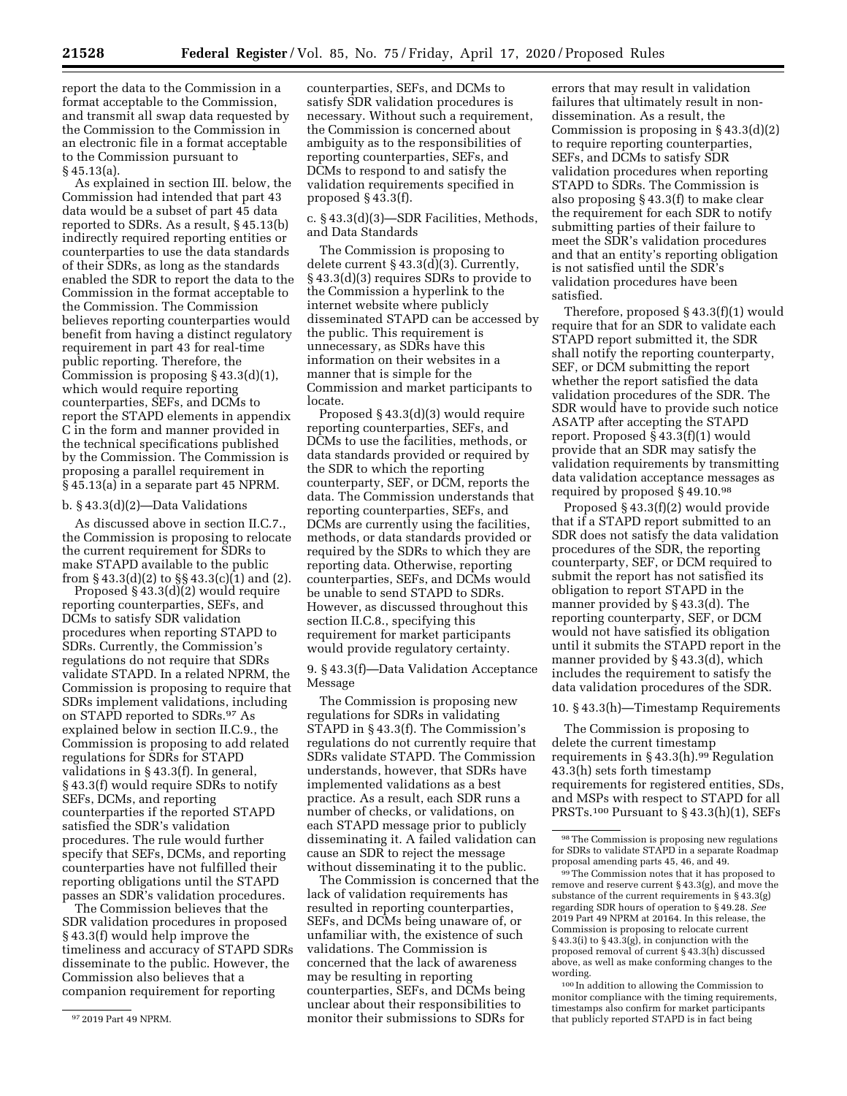report the data to the Commission in a format acceptable to the Commission, and transmit all swap data requested by the Commission to the Commission in an electronic file in a format acceptable to the Commission pursuant to § 45.13(a).

As explained in section III. below, the Commission had intended that part 43 data would be a subset of part 45 data reported to SDRs. As a result, § 45.13(b) indirectly required reporting entities or counterparties to use the data standards of their SDRs, as long as the standards enabled the SDR to report the data to the Commission in the format acceptable to the Commission. The Commission believes reporting counterparties would benefit from having a distinct regulatory requirement in part 43 for real-time public reporting. Therefore, the Commission is proposing § 43.3(d)(1), which would require reporting counterparties, SEFs, and DCMs to report the STAPD elements in appendix C in the form and manner provided in the technical specifications published by the Commission. The Commission is proposing a parallel requirement in § 45.13(a) in a separate part 45 NPRM.

#### b. § 43.3(d)(2)—Data Validations

As discussed above in section II.C.7., the Commission is proposing to relocate the current requirement for SDRs to make STAPD available to the public from § 43.3(d)(2) to §§ 43.3(c)(1) and (2).

Proposed  $\S$  43.3(d)(2) would require reporting counterparties, SEFs, and DCMs to satisfy SDR validation procedures when reporting STAPD to SDRs. Currently, the Commission's regulations do not require that SDRs validate STAPD. In a related NPRM, the Commission is proposing to require that SDRs implement validations, including on STAPD reported to SDRs.97 As explained below in section II.C.9., the Commission is proposing to add related regulations for SDRs for STAPD validations in § 43.3(f). In general, § 43.3(f) would require SDRs to notify SEFs, DCMs, and reporting counterparties if the reported STAPD satisfied the SDR's validation procedures. The rule would further specify that SEFs, DCMs, and reporting counterparties have not fulfilled their reporting obligations until the STAPD passes an SDR's validation procedures.

The Commission believes that the SDR validation procedures in proposed § 43.3(f) would help improve the timeliness and accuracy of STAPD SDRs disseminate to the public. However, the Commission also believes that a companion requirement for reporting

counterparties, SEFs, and DCMs to satisfy SDR validation procedures is necessary. Without such a requirement, the Commission is concerned about ambiguity as to the responsibilities of reporting counterparties, SEFs, and DCMs to respond to and satisfy the validation requirements specified in proposed § 43.3(f).

c. § 43.3(d)(3)—SDR Facilities, Methods, and Data Standards

The Commission is proposing to delete current § 43.3(d)(3). Currently, § 43.3(d)(3) requires SDRs to provide to the Commission a hyperlink to the internet website where publicly disseminated STAPD can be accessed by the public. This requirement is unnecessary, as SDRs have this information on their websites in a manner that is simple for the Commission and market participants to locate.

Proposed § 43.3(d)(3) would require reporting counterparties, SEFs, and DCMs to use the facilities, methods, or data standards provided or required by the SDR to which the reporting counterparty, SEF, or DCM, reports the data. The Commission understands that reporting counterparties, SEFs, and DCMs are currently using the facilities, methods, or data standards provided or required by the SDRs to which they are reporting data. Otherwise, reporting counterparties, SEFs, and DCMs would be unable to send STAPD to SDRs. However, as discussed throughout this section II.C.8., specifying this requirement for market participants would provide regulatory certainty.

9. § 43.3(f)—Data Validation Acceptance Message

The Commission is proposing new regulations for SDRs in validating STAPD in § 43.3(f). The Commission's regulations do not currently require that SDRs validate STAPD. The Commission understands, however, that SDRs have implemented validations as a best practice. As a result, each SDR runs a number of checks, or validations, on each STAPD message prior to publicly disseminating it. A failed validation can cause an SDR to reject the message without disseminating it to the public.

The Commission is concerned that the lack of validation requirements has resulted in reporting counterparties, SEFs, and DCMs being unaware of, or unfamiliar with, the existence of such validations. The Commission is concerned that the lack of awareness may be resulting in reporting counterparties, SEFs, and DCMs being unclear about their responsibilities to monitor their submissions to SDRs for

errors that may result in validation failures that ultimately result in nondissemination. As a result, the Commission is proposing in § 43.3(d)(2) to require reporting counterparties, SEFs, and DCMs to satisfy SDR validation procedures when reporting STAPD to SDRs. The Commission is also proposing § 43.3(f) to make clear the requirement for each SDR to notify submitting parties of their failure to meet the SDR's validation procedures and that an entity's reporting obligation is not satisfied until the SDR's validation procedures have been satisfied.

Therefore, proposed § 43.3(f)(1) would require that for an SDR to validate each STAPD report submitted it, the SDR shall notify the reporting counterparty, SEF, or DCM submitting the report whether the report satisfied the data validation procedures of the SDR. The SDR would have to provide such notice ASATP after accepting the STAPD report. Proposed § 43.3(f)(1) would provide that an SDR may satisfy the validation requirements by transmitting data validation acceptance messages as required by proposed § 49.10.98

Proposed § 43.3(f)(2) would provide that if a STAPD report submitted to an SDR does not satisfy the data validation procedures of the SDR, the reporting counterparty, SEF, or DCM required to submit the report has not satisfied its obligation to report STAPD in the manner provided by § 43.3(d). The reporting counterparty, SEF, or DCM would not have satisfied its obligation until it submits the STAPD report in the manner provided by § 43.3(d), which includes the requirement to satisfy the data validation procedures of the SDR.

## 10. § 43.3(h)—Timestamp Requirements

The Commission is proposing to delete the current timestamp requirements in  $\S$  43.3(h).<sup>99</sup> Regulation 43.3(h) sets forth timestamp requirements for registered entities, SDs, and MSPs with respect to STAPD for all PRSTs.100 Pursuant to § 43.3(h)(1), SEFs

99The Commission notes that it has proposed to remove and reserve current § 43.3(g), and move the substance of the current requirements in § 43.3(g) regarding SDR hours of operation to § 49.28. *See*  2019 Part 49 NPRM at 20164. In this release, the Commission is proposing to relocate current § 43.3(i) to § 43.3(g), in conjunction with the proposed removal of current § 43.3(h) discussed above, as well as make conforming changes to the wording.

100 In addition to allowing the Commission to monitor compliance with the timing requirements, timestamps also confirm for market participants that publicly reported STAPD is in fact being

<sup>97</sup> 2019 Part 49 NPRM.

 $^{\mathrm{98}}$  The Commission is proposing new regulations for SDRs to validate STAPD in a separate Roadmap proposal amending parts 45, 46, and 49.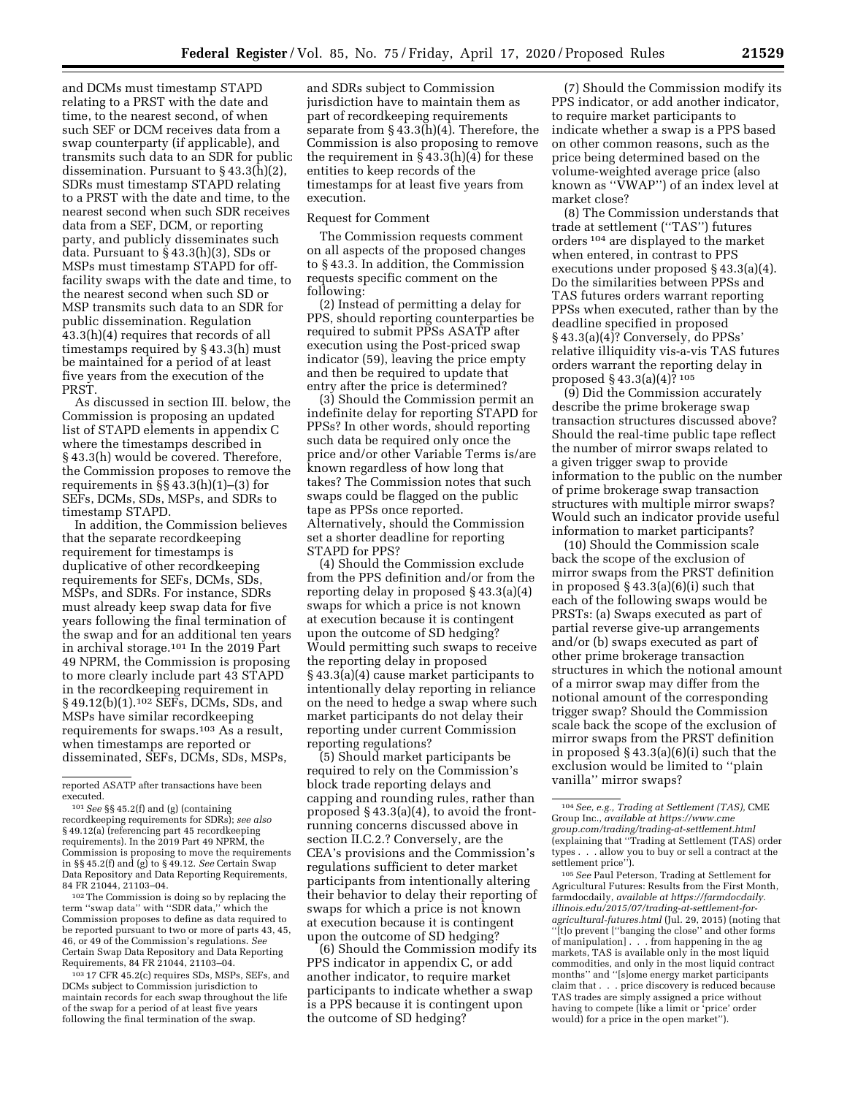and DCMs must timestamp STAPD relating to a PRST with the date and time, to the nearest second, of when such SEF or DCM receives data from a swap counterparty (if applicable), and transmits such data to an SDR for public dissemination. Pursuant to § 43.3(h)(2), SDRs must timestamp STAPD relating to a PRST with the date and time, to the nearest second when such SDR receives data from a SEF, DCM, or reporting party, and publicly disseminates such data. Pursuant to  $\S$  43.3(h)(3), SDs or MSPs must timestamp STAPD for offfacility swaps with the date and time, to the nearest second when such SD or MSP transmits such data to an SDR for public dissemination. Regulation 43.3(h)(4) requires that records of all timestamps required by § 43.3(h) must be maintained for a period of at least five years from the execution of the PRST.

As discussed in section III. below, the Commission is proposing an updated list of STAPD elements in appendix C where the timestamps described in § 43.3(h) would be covered. Therefore, the Commission proposes to remove the requirements in §§ 43.3(h)(1)–(3) for SEFs, DCMs, SDs, MSPs, and SDRs to timestamp STAPD.

In addition, the Commission believes that the separate recordkeeping requirement for timestamps is duplicative of other recordkeeping requirements for SEFs, DCMs, SDs, MSPs, and SDRs. For instance, SDRs must already keep swap data for five years following the final termination of the swap and for an additional ten years in archival storage.101 In the 2019 Part 49 NPRM, the Commission is proposing to more clearly include part 43 STAPD in the recordkeeping requirement in § 49.12(b)(1).102 SEFs, DCMs, SDs, and MSPs have similar recordkeeping requirements for swaps.103 As a result, when timestamps are reported or disseminated, SEFs, DCMs, SDs, MSPs,

reported ASATP after transactions have been executed.

101*See* §§ 45.2(f) and (g) (containing recordkeeping requirements for SDRs); *see also*  § 49.12(a) (referencing part 45 recordkeeping requirements). In the 2019 Part 49 NPRM, the Commission is proposing to move the requirements in §§ 45.2(f) and (g) to § 49.12. *See* Certain Swap Data Repository and Data Reporting Requirements, 84 FR 21044, 21103–04.

102The Commission is doing so by replacing the term ''swap data'' with ''SDR data,'' which the Commission proposes to define as data required to be reported pursuant to two or more of parts 43, 45, 46, or 49 of the Commission's regulations. *See*  Certain Swap Data Repository and Data Reporting Requirements, 84 FR 21044, 21103–04.

103 17 CFR 45.2(c) requires SDs, MSPs, SEFs, and DCMs subject to Commission jurisdiction to maintain records for each swap throughout the life of the swap for a period of at least five years following the final termination of the swap.

and SDRs subject to Commission jurisdiction have to maintain them as part of recordkeeping requirements separate from § 43.3(h)(4). Therefore, the Commission is also proposing to remove the requirement in  $\S$  43.3(h)(4) for these entities to keep records of the timestamps for at least five years from execution.

# Request for Comment

The Commission requests comment on all aspects of the proposed changes to § 43.3. In addition, the Commission requests specific comment on the following:

(2) Instead of permitting a delay for PPS, should reporting counterparties be required to submit PPSs ASATP after execution using the Post-priced swap indicator (59), leaving the price empty and then be required to update that entry after the price is determined?

(3) Should the Commission permit an indefinite delay for reporting STAPD for PPSs? In other words, should reporting such data be required only once the price and/or other Variable Terms is/are known regardless of how long that takes? The Commission notes that such swaps could be flagged on the public tape as PPSs once reported. Alternatively, should the Commission set a shorter deadline for reporting STAPD for PPS?

(4) Should the Commission exclude from the PPS definition and/or from the reporting delay in proposed § 43.3(a)(4) swaps for which a price is not known at execution because it is contingent upon the outcome of SD hedging? Would permitting such swaps to receive the reporting delay in proposed § 43.3(a)(4) cause market participants to intentionally delay reporting in reliance on the need to hedge a swap where such market participants do not delay their reporting under current Commission reporting regulations?

(5) Should market participants be required to rely on the Commission's block trade reporting delays and capping and rounding rules, rather than proposed § 43.3(a)(4), to avoid the frontrunning concerns discussed above in section II.C.2.? Conversely, are the CEA's provisions and the Commission's regulations sufficient to deter market participants from intentionally altering their behavior to delay their reporting of swaps for which a price is not known at execution because it is contingent upon the outcome of SD hedging?

(6) Should the Commission modify its PPS indicator in appendix C, or add another indicator, to require market participants to indicate whether a swap is a PPS because it is contingent upon the outcome of SD hedging?

(7) Should the Commission modify its PPS indicator, or add another indicator, to require market participants to indicate whether a swap is a PPS based on other common reasons, such as the price being determined based on the volume-weighted average price (also known as ''VWAP'') of an index level at market close?

(8) The Commission understands that trade at settlement (''TAS'') futures orders 104 are displayed to the market when entered, in contrast to PPS executions under proposed § 43.3(a)(4). Do the similarities between PPSs and TAS futures orders warrant reporting PPSs when executed, rather than by the deadline specified in proposed § 43.3(a)(4)? Conversely, do PPSs' relative illiquidity vis-a-vis TAS futures orders warrant the reporting delay in proposed § 43.3(a)(4)? 105

(9) Did the Commission accurately describe the prime brokerage swap transaction structures discussed above? Should the real-time public tape reflect the number of mirror swaps related to a given trigger swap to provide information to the public on the number of prime brokerage swap transaction structures with multiple mirror swaps? Would such an indicator provide useful information to market participants?

(10) Should the Commission scale back the scope of the exclusion of mirror swaps from the PRST definition in proposed  $\S$  43.3(a)(6)(i) such that each of the following swaps would be PRSTs: (a) Swaps executed as part of partial reverse give-up arrangements and/or (b) swaps executed as part of other prime brokerage transaction structures in which the notional amount of a mirror swap may differ from the notional amount of the corresponding trigger swap? Should the Commission scale back the scope of the exclusion of mirror swaps from the PRST definition in proposed § 43.3(a)(6)(i) such that the exclusion would be limited to ''plain vanilla'' mirror swaps?

105*See* Paul Peterson, Trading at Settlement for Agricultural Futures: Results from the First Month, farmdocdaily, *available at [https://farmdocdaily.](https://farmdocdaily.illinois.edu/2015/07/trading-at-settlement-for-agricultural-futures.html) [illinois.edu/2015/07/trading-at-settlement-for](https://farmdocdaily.illinois.edu/2015/07/trading-at-settlement-for-agricultural-futures.html)[agricultural-futures.html](https://farmdocdaily.illinois.edu/2015/07/trading-at-settlement-for-agricultural-futures.html)* (Jul. 29, 2015) (noting that ''[t]o prevent [''banging the close'' and other forms of manipulation] . . . from happening in the ag markets, TAS is available only in the most liquid commodities, and only in the most liquid contract months'' and ''[s]ome energy market participants claim that . . . price discovery is reduced because TAS trades are simply assigned a price without having to compete (like a limit or 'price' order would) for a price in the open market'').

<sup>104</sup>*See, e.g., Trading at Settlement (TAS),* CME Group Inc., *available at [https://www.cme](https://www.cmegroup.com/trading/trading-at-settlement.html) [group.com/trading/trading-at-settlement.html](https://www.cmegroup.com/trading/trading-at-settlement.html)*  (explaining that ''Trading at Settlement (TAS) order types . . . allow you to buy or sell a contract at the settlement price'').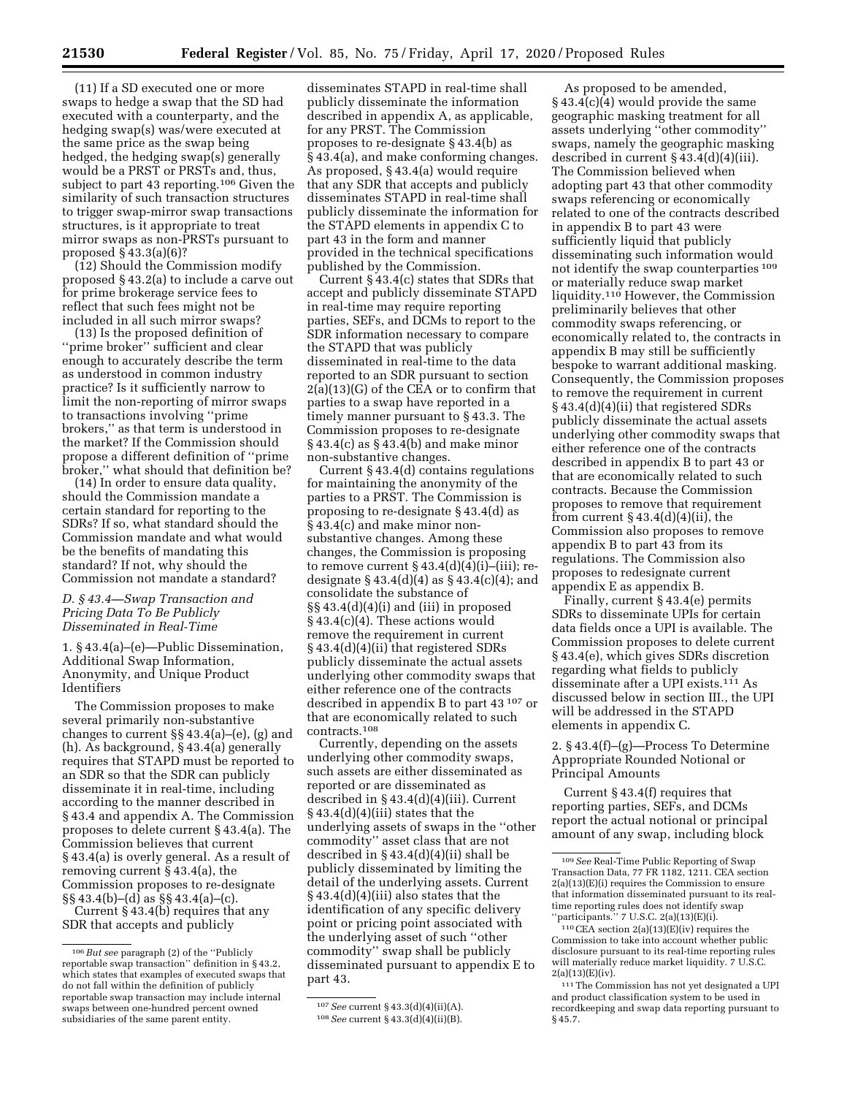(11) If a SD executed one or more swaps to hedge a swap that the SD had executed with a counterparty, and the hedging swap(s) was/were executed at the same price as the swap being hedged, the hedging swap(s) generally would be a PRST or PRSTs and, thus, subject to part 43 reporting.106 Given the similarity of such transaction structures to trigger swap-mirror swap transactions structures, is it appropriate to treat mirror swaps as non-PRSTs pursuant to proposed § 43.3(a)(6)?

(12) Should the Commission modify proposed § 43.2(a) to include a carve out for prime brokerage service fees to reflect that such fees might not be included in all such mirror swaps?

(13) Is the proposed definition of ''prime broker'' sufficient and clear enough to accurately describe the term as understood in common industry practice? Is it sufficiently narrow to limit the non-reporting of mirror swaps to transactions involving ''prime brokers,'' as that term is understood in the market? If the Commission should propose a different definition of ''prime broker,'' what should that definition be?

(14) In order to ensure data quality, should the Commission mandate a certain standard for reporting to the SDRs? If so, what standard should the Commission mandate and what would be the benefits of mandating this standard? If not, why should the Commission not mandate a standard?

# *D. § 43.4—Swap Transaction and Pricing Data To Be Publicly Disseminated in Real-Time*

1. § 43.4(a)–(e)—Public Dissemination, Additional Swap Information, Anonymity, and Unique Product Identifiers

The Commission proposes to make several primarily non-substantive changes to current  $\S$ § 43.4(a)–(e), (g) and (h). As background, § 43.4(a) generally requires that STAPD must be reported to an SDR so that the SDR can publicly disseminate it in real-time, including according to the manner described in § 43.4 and appendix A. The Commission proposes to delete current § 43.4(a). The Commission believes that current § 43.4(a) is overly general. As a result of removing current § 43.4(a), the Commission proposes to re-designate §§ 43.4(b)–(d) as §§ 43.4(a)–(c). Current § 43.4(b) requires that any SDR that accepts and publicly

disseminates STAPD in real-time shall publicly disseminate the information described in appendix A, as applicable, for any PRST. The Commission proposes to re-designate § 43.4(b) as § 43.4(a), and make conforming changes. As proposed, § 43.4(a) would require that any SDR that accepts and publicly disseminates STAPD in real-time shall publicly disseminate the information for the STAPD elements in appendix C to part 43 in the form and manner provided in the technical specifications published by the Commission.

Current § 43.4(c) states that SDRs that accept and publicly disseminate STAPD in real-time may require reporting parties, SEFs, and DCMs to report to the SDR information necessary to compare the STAPD that was publicly disseminated in real-time to the data reported to an SDR pursuant to section 2(a)(13)(G) of the CEA or to confirm that parties to a swap have reported in a timely manner pursuant to § 43.3. The Commission proposes to re-designate § 43.4(c) as § 43.4(b) and make minor non-substantive changes.

Current § 43.4(d) contains regulations for maintaining the anonymity of the parties to a PRST. The Commission is proposing to re-designate § 43.4(d) as § 43.4(c) and make minor nonsubstantive changes. Among these changes, the Commission is proposing to remove current  $§$  43.4(d)(4)(i)–(iii); redesignate  $§$  43.4(d)(4) as  $§$  43.4(c)(4); and consolidate the substance of §§ 43.4(d)(4)(i) and (iii) in proposed § 43.4(c)(4). These actions would remove the requirement in current § 43.4(d)(4)(ii) that registered SDRs publicly disseminate the actual assets underlying other commodity swaps that either reference one of the contracts described in appendix B to part 43 107 or that are economically related to such contracts.108

Currently, depending on the assets underlying other commodity swaps, such assets are either disseminated as reported or are disseminated as described in § 43.4(d)(4)(iii). Current § 43.4(d)(4)(iii) states that the underlying assets of swaps in the ''other commodity'' asset class that are not described in § 43.4(d)(4)(ii) shall be publicly disseminated by limiting the detail of the underlying assets. Current § 43.4(d)(4)(iii) also states that the identification of any specific delivery point or pricing point associated with the underlying asset of such ''other commodity'' swap shall be publicly disseminated pursuant to appendix E to part 43.

As proposed to be amended, § 43.4(c)(4) would provide the same geographic masking treatment for all assets underlying ''other commodity'' swaps, namely the geographic masking described in current § 43.4(d)(4)(iii). The Commission believed when adopting part 43 that other commodity swaps referencing or economically related to one of the contracts described in appendix B to part 43 were sufficiently liquid that publicly disseminating such information would not identify the swap counterparties 109 or materially reduce swap market liquidity.<sup>110</sup> However, the Commission preliminarily believes that other commodity swaps referencing, or economically related to, the contracts in appendix B may still be sufficiently bespoke to warrant additional masking. Consequently, the Commission proposes to remove the requirement in current § 43.4(d)(4)(ii) that registered SDRs publicly disseminate the actual assets underlying other commodity swaps that either reference one of the contracts described in appendix B to part 43 or that are economically related to such contracts. Because the Commission proposes to remove that requirement from current  $\S 43.4(d)(4)(ii)$ , the Commission also proposes to remove appendix B to part 43 from its regulations. The Commission also proposes to redesignate current appendix E as appendix B.

Finally, current § 43.4(e) permits SDRs to disseminate UPIs for certain data fields once a UPI is available. The Commission proposes to delete current § 43.4(e), which gives SDRs discretion regarding what fields to publicly disseminate after a UPI exists.111 As discussed below in section III., the UPI will be addressed in the STAPD elements in appendix C.

2. § 43.4(f)–(g)—Process To Determine Appropriate Rounded Notional or Principal Amounts

Current § 43.4(f) requires that reporting parties, SEFs, and DCMs report the actual notional or principal amount of any swap, including block

<sup>106</sup>*But see* paragraph (2) of the ''Publicly reportable swap transaction'' definition in § 43.2, which states that examples of executed swaps that do not fall within the definition of publicly reportable swap transaction may include internal swaps between one-hundred percent owned subsidiaries of the same parent entity.

<sup>107</sup>*See* current § 43.3(d)(4)(ii)(A).

<sup>108</sup>*See* current § 43.3(d)(4)(ii)(B).

<sup>109</sup>*See* Real-Time Public Reporting of Swap Transaction Data, 77 FR 1182, 1211. CEA section 2(a)(13)(E)(i) requires the Commission to ensure that information disseminated pursuant to its realtime reporting rules does not identify swap ''participants.'' 7 U.S.C. 2(a)(13)(E)(i).

<sup>110</sup>CEA section 2(a)(13)(E)(iv) requires the Commission to take into account whether public disclosure pursuant to its real-time reporting rules will materially reduce market liquidity. 7 U.S.C.  $2(a)(13)(E)(iv)$ .

<sup>111</sup>The Commission has not yet designated a UPI and product classification system to be used in recordkeeping and swap data reporting pursuant to § 45.7.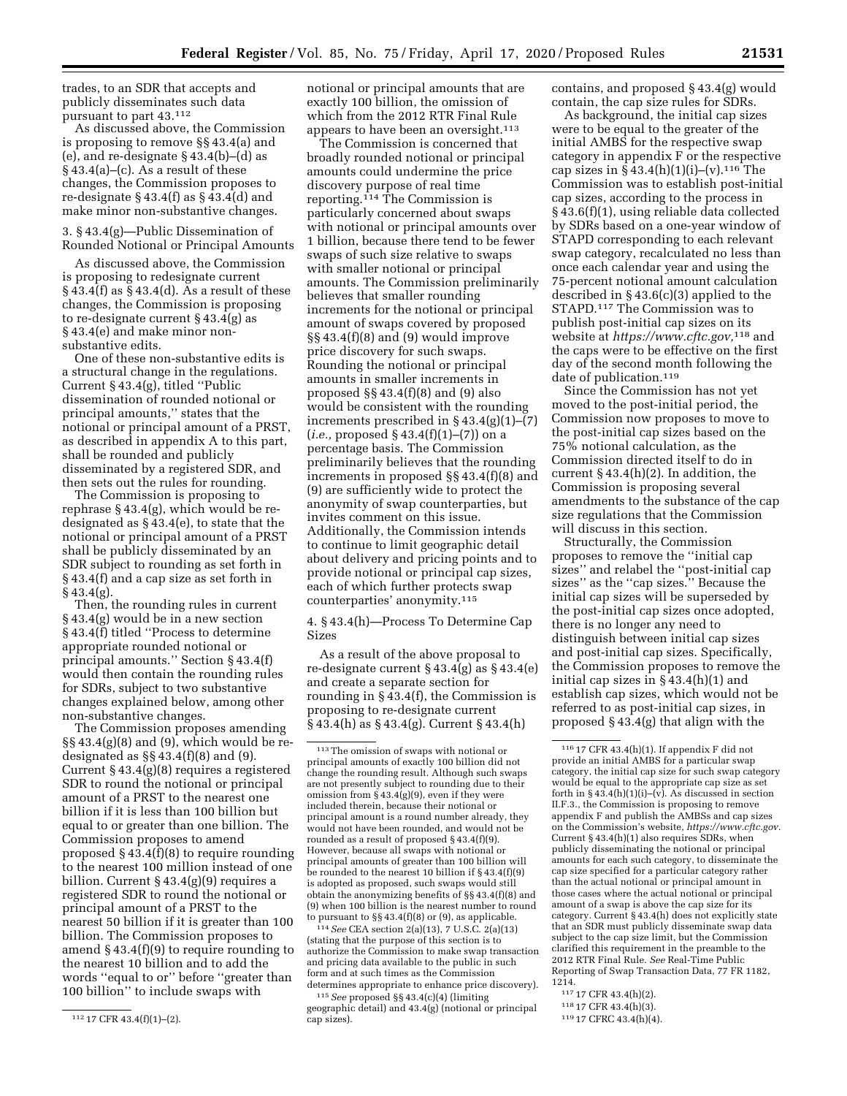trades, to an SDR that accepts and publicly disseminates such data pursuant to part 43.112

As discussed above, the Commission is proposing to remove §§ 43.4(a) and (e), and re-designate § 43.4(b)–(d) as § 43.4(a)–(c). As a result of these changes, the Commission proposes to re-designate  $\S$  43.4(f) as  $\S$  43.4(d) and make minor non-substantive changes.

3. § 43.4(g)—Public Dissemination of Rounded Notional or Principal Amounts

As discussed above, the Commission is proposing to redesignate current § 43.4(f) as § 43.4(d). As a result of these changes, the Commission is proposing to re-designate current § 43.4(g) as § 43.4(e) and make minor nonsubstantive edits.

One of these non-substantive edits is a structural change in the regulations. Current § 43.4(g), titled ''Public dissemination of rounded notional or principal amounts,'' states that the notional or principal amount of a PRST, as described in appendix A to this part, shall be rounded and publicly disseminated by a registered SDR, and then sets out the rules for rounding.

The Commission is proposing to rephrase § 43.4(g), which would be redesignated as  $\S$ 43.4(e), to state that the notional or principal amount of a PRST shall be publicly disseminated by an SDR subject to rounding as set forth in § 43.4(f) and a cap size as set forth in § 43.4(g).

Then, the rounding rules in current § 43.4(g) would be in a new section § 43.4(f) titled "Process to determine appropriate rounded notional or principal amounts.'' Section § 43.4(f) would then contain the rounding rules for SDRs, subject to two substantive changes explained below, among other non-substantive changes.

The Commission proposes amending  $\S\S 43.4(g)(8)$  and (9), which would be redesignated as  $\S$  43.4(f)(8) and (9). Current § 43.4(g)(8) requires a registered SDR to round the notional or principal amount of a PRST to the nearest one billion if it is less than 100 billion but equal to or greater than one billion. The Commission proposes to amend proposed § 43.4(f)(8) to require rounding to the nearest 100 million instead of one billion. Current § 43.4(g)(9) requires a registered SDR to round the notional or principal amount of a PRST to the nearest 50 billion if it is greater than 100 billion. The Commission proposes to amend § 43.4(f)(9) to require rounding to the nearest 10 billion and to add the words ''equal to or'' before ''greater than 100 billion'' to include swaps with

notional or principal amounts that are exactly 100 billion, the omission of which from the 2012 RTR Final Rule appears to have been an oversight.<sup>113</sup>

The Commission is concerned that broadly rounded notional or principal amounts could undermine the price discovery purpose of real time reporting.114 The Commission is particularly concerned about swaps with notional or principal amounts over 1 billion, because there tend to be fewer swaps of such size relative to swaps with smaller notional or principal amounts. The Commission preliminarily believes that smaller rounding increments for the notional or principal amount of swaps covered by proposed §§ 43.4(f)(8) and (9) would improve price discovery for such swaps. Rounding the notional or principal amounts in smaller increments in proposed §§ 43.4(f)(8) and (9) also would be consistent with the rounding increments prescribed in § 43.4(g)(1)–(7) (*i.e.,* proposed § 43.4(f)(1)–(7)) on a percentage basis. The Commission preliminarily believes that the rounding increments in proposed §§ 43.4(f)(8) and (9) are sufficiently wide to protect the anonymity of swap counterparties, but invites comment on this issue. Additionally, the Commission intends to continue to limit geographic detail about delivery and pricing points and to provide notional or principal cap sizes, each of which further protects swap counterparties' anonymity.115

4. § 43.4(h)—Process To Determine Cap Sizes

As a result of the above proposal to re-designate current § 43.4(g) as § 43.4(e) and create a separate section for rounding in § 43.4(f), the Commission is proposing to re-designate current § 43.4(h) as § 43.4(g). Current § 43.4(h)

114*See* CEA section 2(a)(13), 7 U.S.C. 2(a)(13) (stating that the purpose of this section is to authorize the Commission to make swap transaction and pricing data available to the public in such form and at such times as the Commission determines appropriate to enhance price discovery).

115*See* proposed §§ 43.4(c)(4) (limiting geographic detail) and 43.4(g) (notional or principal cap sizes).

contains, and proposed § 43.4(g) would contain, the cap size rules for SDRs.

As background, the initial cap sizes were to be equal to the greater of the initial AMBS for the respective swap category in appendix F or the respective cap sizes in  $\S 43.4(h)(1)(i)$ –(v).<sup>116</sup> The Commission was to establish post-initial cap sizes, according to the process in § 43.6(f)(1), using reliable data collected by SDRs based on a one-year window of STAPD corresponding to each relevant swap category, recalculated no less than once each calendar year and using the 75-percent notional amount calculation described in § 43.6(c)(3) applied to the STAPD.117 The Commission was to publish post-initial cap sizes on its website at *[https://www.cftc.gov,](https://www.cftc.gov)*118 and the caps were to be effective on the first day of the second month following the date of publication.<sup>119</sup>

Since the Commission has not yet moved to the post-initial period, the Commission now proposes to move to the post-initial cap sizes based on the 75% notional calculation, as the Commission directed itself to do in current  $\S 43.4(h)(2)$ . In addition, the Commission is proposing several amendments to the substance of the cap size regulations that the Commission will discuss in this section.

Structurally, the Commission proposes to remove the ''initial cap sizes'' and relabel the ''post-initial cap sizes'' as the ''cap sizes.'' Because the initial cap sizes will be superseded by the post-initial cap sizes once adopted, there is no longer any need to distinguish between initial cap sizes and post-initial cap sizes. Specifically, the Commission proposes to remove the initial cap sizes in § 43.4(h)(1) and establish cap sizes, which would not be referred to as post-initial cap sizes, in proposed § 43.4(g) that align with the

- 117 17 CFR 43.4(h)(2).
- 118 17 CFR 43.4(h)(3).
- 119 17 CFRC 43.4(h)(4).

<sup>112</sup> 17 CFR 43.4(f)(1)–(2).

<sup>113</sup>The omission of swaps with notional or principal amounts of exactly 100 billion did not change the rounding result. Although such swaps are not presently subject to rounding due to their omission from § 43.4(g)(9), even if they were included therein, because their notional or principal amount is a round number already, they would not have been rounded, and would not be rounded as a result of proposed § 43.4(f)(9). However, because all swaps with notional or principal amounts of greater than 100 billion will be rounded to the nearest 10 billion if § 43.4(f)(9) is adopted as proposed, such swaps would still obtain the anonymizing benefits of §§ 43.4(f)(8) and (9) when 100 billion is the nearest number to round to pursuant to  $\S\S 43.4(f)(8)$  or (9), as applicable.

<sup>116</sup> 17 CFR 43.4(h)(1). If appendix F did not provide an initial AMBS for a particular swap category, the initial cap size for such swap category would be equal to the appropriate cap size as set forth in  $\S 43.4(h)(1)(i)$ –(v). As discussed in section II.F.3., the Commission is proposing to remove appendix F and publish the AMBSs and cap sizes on the Commission's website, *[https://www.cftc.gov.](https://www.cftc.gov)*  Current § 43.4(h)(1) also requires SDRs, when publicly disseminating the notional or principal amounts for each such category, to disseminate the cap size specified for a particular category rather than the actual notional or principal amount in those cases where the actual notional or principal amount of a swap is above the cap size for its category. Current § 43.4(h) does not explicitly state that an SDR must publicly disseminate swap data subject to the cap size limit, but the Commission clarified this requirement in the preamble to the 2012 RTR Final Rule. *See* Real-Time Public Reporting of Swap Transaction Data, 77 FR 1182, 1214.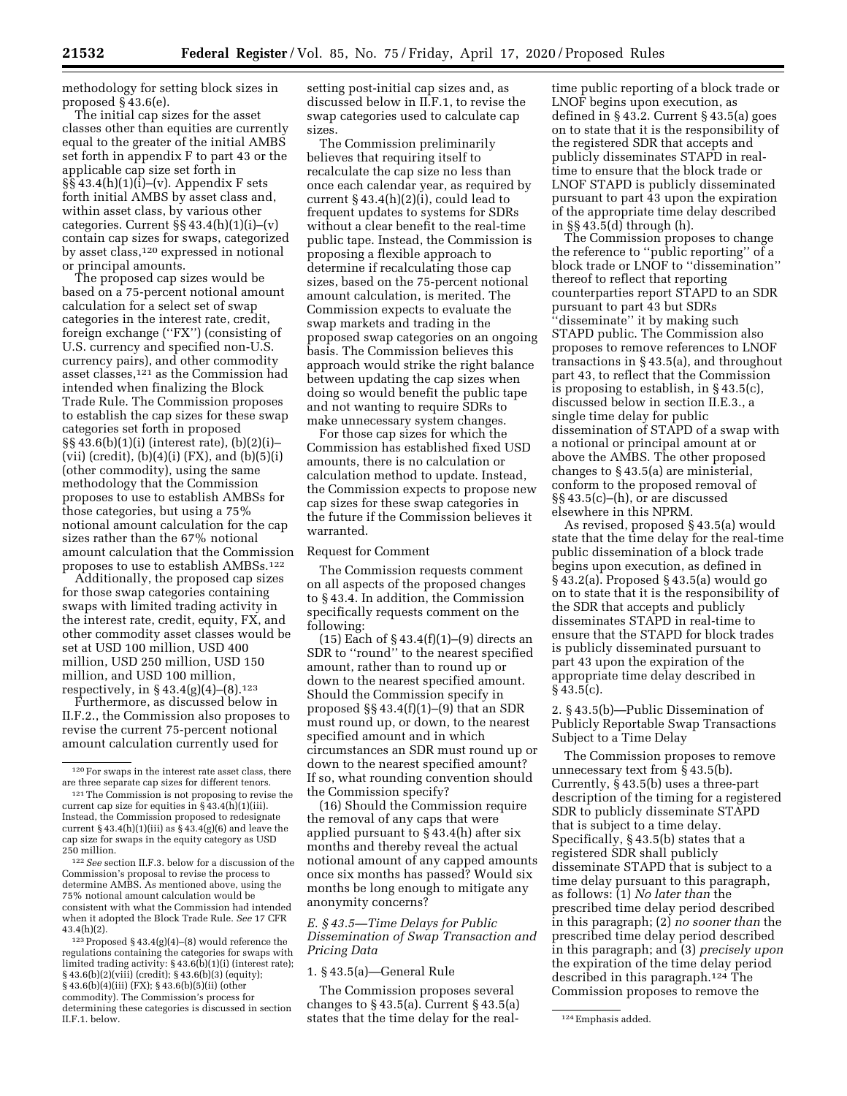methodology for setting block sizes in proposed § 43.6(e).

The initial cap sizes for the asset classes other than equities are currently equal to the greater of the initial AMBS set forth in appendix F to part 43 or the applicable cap size set forth in  $\S § 43.4(h)(1)(i)–(v)$ . Appendix F sets forth initial AMBS by asset class and, within asset class, by various other categories. Current  $\S$ § 43.4(h)(1)(i)–(v) contain cap sizes for swaps, categorized by asset class,<sup>120</sup> expressed in notional or principal amounts.

The proposed cap sizes would be based on a 75-percent notional amount calculation for a select set of swap categories in the interest rate, credit, foreign exchange (''FX'') (consisting of U.S. currency and specified non-U.S. currency pairs), and other commodity asset classes,121 as the Commission had intended when finalizing the Block Trade Rule. The Commission proposes to establish the cap sizes for these swap categories set forth in proposed §§ 43.6(b)(1)(i) (interest rate), (b)(2)(i)– (vii) (credit),  $(b)(4)(i)$  (FX), and  $(b)(5)(i)$ (other commodity), using the same methodology that the Commission proposes to use to establish AMBSs for those categories, but using a 75% notional amount calculation for the cap sizes rather than the 67% notional amount calculation that the Commission proposes to use to establish AMBSs.122

Additionally, the proposed cap sizes for those swap categories containing swaps with limited trading activity in the interest rate, credit, equity, FX, and other commodity asset classes would be set at USD 100 million, USD 400 million, USD 250 million, USD 150 million, and USD 100 million, respectively, in § 43.4(g)(4)–(8).123

Furthermore, as discussed below in II.F.2., the Commission also proposes to revise the current 75-percent notional amount calculation currently used for

122*See* section II.F.3. below for a discussion of the Commission's proposal to revise the process to determine AMBS. As mentioned above, using the 75% notional amount calculation would be consistent with what the Commission had intended when it adopted the Block Trade Rule. *See* 17 CFR  $43.4(h)(2)$ .

123Proposed § 43.4(g)(4)–(8) would reference the regulations containing the categories for swaps with limited trading activity: § 43.6(b)(1)(i) (interest rate); § 43.6(b)(2)(viii) (credit); § 43.6(b)(3) (equity); § 43.6(b)(4)(iii) (FX); § 43.6(b)(5)(ii) (other commodity). The Commission's process for determining these categories is discussed in section II.F.1. below. II.F.1. below. The states that the time delay for the real-class added.

setting post-initial cap sizes and, as discussed below in II.F.1, to revise the swap categories used to calculate cap sizes.

The Commission preliminarily believes that requiring itself to recalculate the cap size no less than once each calendar year, as required by current § 43.4(h)(2)(i), could lead to frequent updates to systems for SDRs without a clear benefit to the real-time public tape. Instead, the Commission is proposing a flexible approach to determine if recalculating those cap sizes, based on the 75-percent notional amount calculation, is merited. The Commission expects to evaluate the swap markets and trading in the proposed swap categories on an ongoing basis. The Commission believes this approach would strike the right balance between updating the cap sizes when doing so would benefit the public tape and not wanting to require SDRs to make unnecessary system changes.

For those cap sizes for which the Commission has established fixed USD amounts, there is no calculation or calculation method to update. Instead, the Commission expects to propose new cap sizes for these swap categories in the future if the Commission believes it warranted.

## Request for Comment

The Commission requests comment on all aspects of the proposed changes to § 43.4. In addition, the Commission specifically requests comment on the following:

(15) Each of  $\S$  43.4(f)(1)–(9) directs an SDR to ''round'' to the nearest specified amount, rather than to round up or down to the nearest specified amount. Should the Commission specify in proposed §§ 43.4(f)(1)–(9) that an SDR must round up, or down, to the nearest specified amount and in which circumstances an SDR must round up or down to the nearest specified amount? If so, what rounding convention should the Commission specify?

(16) Should the Commission require the removal of any caps that were applied pursuant to § 43.4(h) after six months and thereby reveal the actual notional amount of any capped amounts once six months has passed? Would six months be long enough to mitigate any anonymity concerns?

*E. § 43.5—Time Delays for Public Dissemination of Swap Transaction and Pricing Data* 

## 1. § 43.5(a)—General Rule

The Commission proposes several changes to  $\S$  43.5(a). Current  $\S$  43.5(a)

time public reporting of a block trade or LNOF begins upon execution, as defined in § 43.2. Current § 43.5(a) goes on to state that it is the responsibility of the registered SDR that accepts and publicly disseminates STAPD in realtime to ensure that the block trade or LNOF STAPD is publicly disseminated pursuant to part 43 upon the expiration of the appropriate time delay described in §§ 43.5(d) through (h).

The Commission proposes to change the reference to ''public reporting'' of a block trade or LNOF to ''dissemination'' thereof to reflect that reporting counterparties report STAPD to an SDR pursuant to part 43 but SDRs ''disseminate'' it by making such STAPD public. The Commission also proposes to remove references to LNOF transactions in § 43.5(a), and throughout part 43, to reflect that the Commission is proposing to establish, in § 43.5(c), discussed below in section II.E.3., a single time delay for public dissemination of STAPD of a swap with a notional or principal amount at or above the AMBS. The other proposed changes to § 43.5(a) are ministerial, conform to the proposed removal of §§ 43.5(c)–(h), or are discussed elsewhere in this NPRM.

As revised, proposed § 43.5(a) would state that the time delay for the real-time public dissemination of a block trade begins upon execution, as defined in § 43.2(a). Proposed § 43.5(a) would go on to state that it is the responsibility of the SDR that accepts and publicly disseminates STAPD in real-time to ensure that the STAPD for block trades is publicly disseminated pursuant to part 43 upon the expiration of the appropriate time delay described in  $§$  43.5(c).

2. § 43.5(b)—Public Dissemination of Publicly Reportable Swap Transactions Subject to a Time Delay

The Commission proposes to remove unnecessary text from § 43.5(b). Currently, § 43.5(b) uses a three-part description of the timing for a registered SDR to publicly disseminate STAPD that is subject to a time delay. Specifically, § 43.5(b) states that a registered SDR shall publicly disseminate STAPD that is subject to a time delay pursuant to this paragraph, as follows: (1) *No later than* the prescribed time delay period described in this paragraph; (2) *no sooner than* the prescribed time delay period described in this paragraph; and (3) *precisely upon*  the expiration of the time delay period described in this paragraph.124 The Commission proposes to remove the

<sup>120</sup>For swaps in the interest rate asset class, there are three separate cap sizes for different tenors.

<sup>121</sup>The Commission is not proposing to revise the current cap size for equities in  $\S$  43.4(h)(1)(iii). Instead, the Commission proposed to redesignate current § 43.4(h)(1)(iii) as § 43.4(g)(6) and leave the cap size for swaps in the equity category as USD 250 million.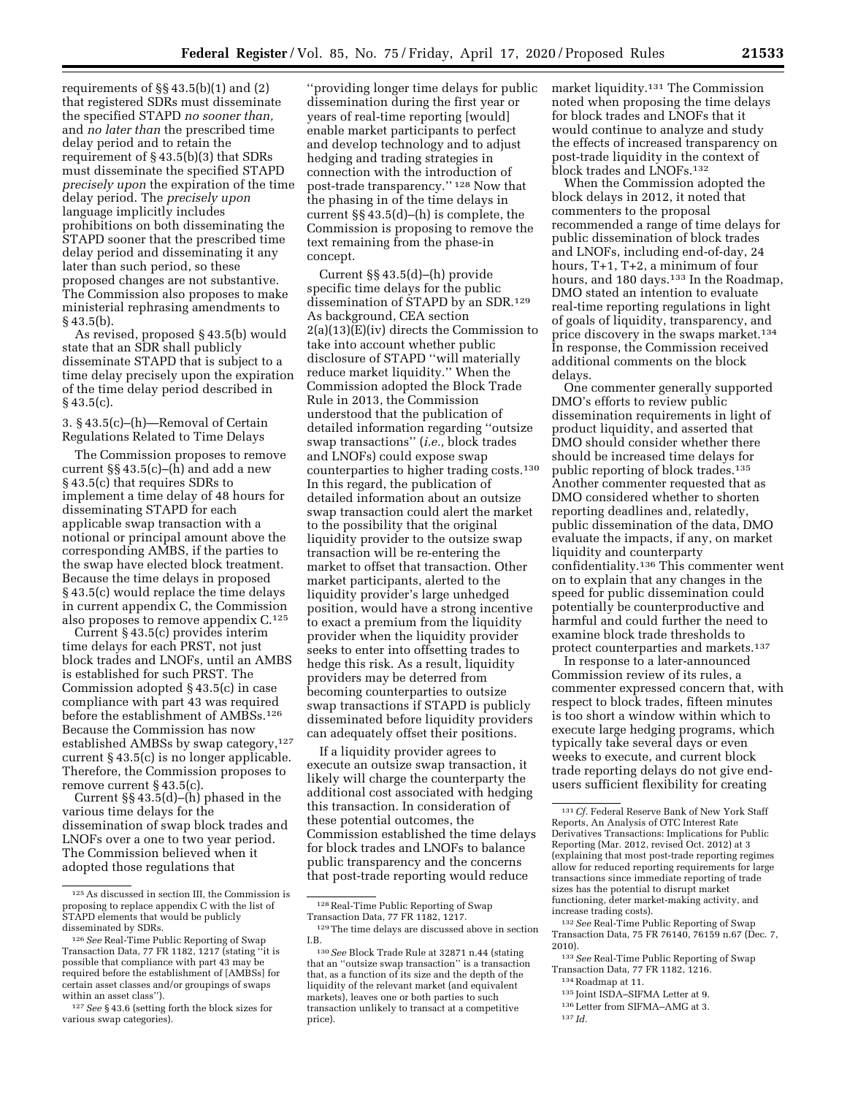requirements of  $\S\S 43.5(b)(1)$  and  $(2)$ that registered SDRs must disseminate the specified STAPD *no sooner than,*  and *no later than* the prescribed time delay period and to retain the requirement of § 43.5(b)(3) that SDRs must disseminate the specified STAPD *precisely upon* the expiration of the time delay period. The *precisely upon*  language implicitly includes prohibitions on both disseminating the STAPD sooner that the prescribed time delay period and disseminating it any later than such period, so these proposed changes are not substantive. The Commission also proposes to make ministerial rephrasing amendments to § 43.5(b).

As revised, proposed § 43.5(b) would state that an SDR shall publicly disseminate STAPD that is subject to a time delay precisely upon the expiration of the time delay period described in  $§$  43.5(c).

3. § 43.5(c)–(h)—Removal of Certain Regulations Related to Time Delays

The Commission proposes to remove current §§ 43.5(c)–(h) and add a new § 43.5(c) that requires SDRs to implement a time delay of 48 hours for disseminating STAPD for each applicable swap transaction with a notional or principal amount above the corresponding AMBS, if the parties to the swap have elected block treatment. Because the time delays in proposed § 43.5(c) would replace the time delays in current appendix C, the Commission also proposes to remove appendix C.125

Current § 43.5(c) provides interim time delays for each PRST, not just block trades and LNOFs, until an AMBS is established for such PRST. The Commission adopted § 43.5(c) in case compliance with part 43 was required before the establishment of AMBSs.126 Because the Commission has now established AMBSs by swap category,<sup>127</sup> current § 43.5(c) is no longer applicable. Therefore, the Commission proposes to remove current § 43.5(c).

Current §§ 43.5(d)–(h) phased in the various time delays for the dissemination of swap block trades and LNOFs over a one to two year period. The Commission believed when it adopted those regulations that

''providing longer time delays for public dissemination during the first year or years of real-time reporting [would] enable market participants to perfect and develop technology and to adjust hedging and trading strategies in connection with the introduction of post-trade transparency.'' 128 Now that the phasing in of the time delays in current §§ 43.5(d)–(h) is complete, the Commission is proposing to remove the text remaining from the phase-in concept.

Current §§ 43.5(d)–(h) provide specific time delays for the public dissemination of STAPD by an SDR.129 As background, CEA section  $2(a)(13)(E)(iv)$  directs the Commission to take into account whether public disclosure of STAPD ''will materially reduce market liquidity.'' When the Commission adopted the Block Trade Rule in 2013, the Commission understood that the publication of detailed information regarding ''outsize swap transactions'' (*i.e.,* block trades and LNOFs) could expose swap counterparties to higher trading costs.130 In this regard, the publication of detailed information about an outsize swap transaction could alert the market to the possibility that the original liquidity provider to the outsize swap transaction will be re-entering the market to offset that transaction. Other market participants, alerted to the liquidity provider's large unhedged position, would have a strong incentive to exact a premium from the liquidity provider when the liquidity provider seeks to enter into offsetting trades to hedge this risk. As a result, liquidity providers may be deterred from becoming counterparties to outsize swap transactions if STAPD is publicly disseminated before liquidity providers can adequately offset their positions.

If a liquidity provider agrees to execute an outsize swap transaction, it likely will charge the counterparty the additional cost associated with hedging this transaction. In consideration of these potential outcomes, the Commission established the time delays for block trades and LNOFs to balance public transparency and the concerns that post-trade reporting would reduce

128Real-Time Public Reporting of Swap Transaction Data, 77 FR 1182, 1217.

market liquidity.131 The Commission noted when proposing the time delays for block trades and LNOFs that it would continue to analyze and study the effects of increased transparency on post-trade liquidity in the context of block trades and LNOFs.132

When the Commission adopted the block delays in 2012, it noted that commenters to the proposal recommended a range of time delays for public dissemination of block trades and LNOFs, including end-of-day, 24 hours, T+1, T+2, a minimum of four hours, and 180 days.<sup>133</sup> In the Roadmap, DMO stated an intention to evaluate real-time reporting regulations in light of goals of liquidity, transparency, and price discovery in the swaps market.134 In response, the Commission received additional comments on the block delays.

One commenter generally supported DMO's efforts to review public dissemination requirements in light of product liquidity, and asserted that DMO should consider whether there should be increased time delays for public reporting of block trades.135 Another commenter requested that as DMO considered whether to shorten reporting deadlines and, relatedly, public dissemination of the data, DMO evaluate the impacts, if any, on market liquidity and counterparty confidentiality.136 This commenter went on to explain that any changes in the speed for public dissemination could potentially be counterproductive and harmful and could further the need to examine block trade thresholds to protect counterparties and markets.137

In response to a later-announced Commission review of its rules, a commenter expressed concern that, with respect to block trades, fifteen minutes is too short a window within which to execute large hedging programs, which typically take several days or even weeks to execute, and current block trade reporting delays do not give endusers sufficient flexibility for creating

132*See* Real-Time Public Reporting of Swap Transaction Data, 75 FR 76140, 76159 n.67 (Dec. 7, 2010).

135 Joint ISDA–SIFMA Letter at 9.

137 *Id.* 

<sup>125</sup>As discussed in section III, the Commission is proposing to replace appendix C with the list of STAPD elements that would be publicly disseminated by SDRs.

<sup>126</sup>*See* Real-Time Public Reporting of Swap Transaction Data, 77 FR 1182, 1217 (stating ''it is possible that compliance with part 43 may be required before the establishment of [AMBSs] for certain asset classes and/or groupings of swaps within an asset class'').

<sup>127</sup>*See* § 43.6 (setting forth the block sizes for various swap categories).

<sup>129</sup>The time delays are discussed above in section I.B.

<sup>130</sup>*See* Block Trade Rule at 32871 n.44 (stating that an ''outsize swap transaction'' is a transaction that, as a function of its size and the depth of the liquidity of the relevant market (and equivalent markets), leaves one or both parties to such transaction unlikely to transact at a competitive price).

<sup>&</sup>lt;sup>131</sup> Cf. Federal Reserve Bank of New York Staff Reports, An Analysis of OTC Interest Rate Derivatives Transactions: Implications for Public Reporting (Mar. 2012, revised Oct. 2012) at 3 (explaining that most post-trade reporting regimes allow for reduced reporting requirements for large transactions since immediate reporting of trade sizes has the potential to disrupt market functioning, deter market-making activity, and increase trading costs).

<sup>133</sup>*See* Real-Time Public Reporting of Swap Transaction Data, 77 FR 1182, 1216.

<sup>134</sup>Roadmap at 11.

<sup>136</sup>Letter from SIFMA–AMG at 3.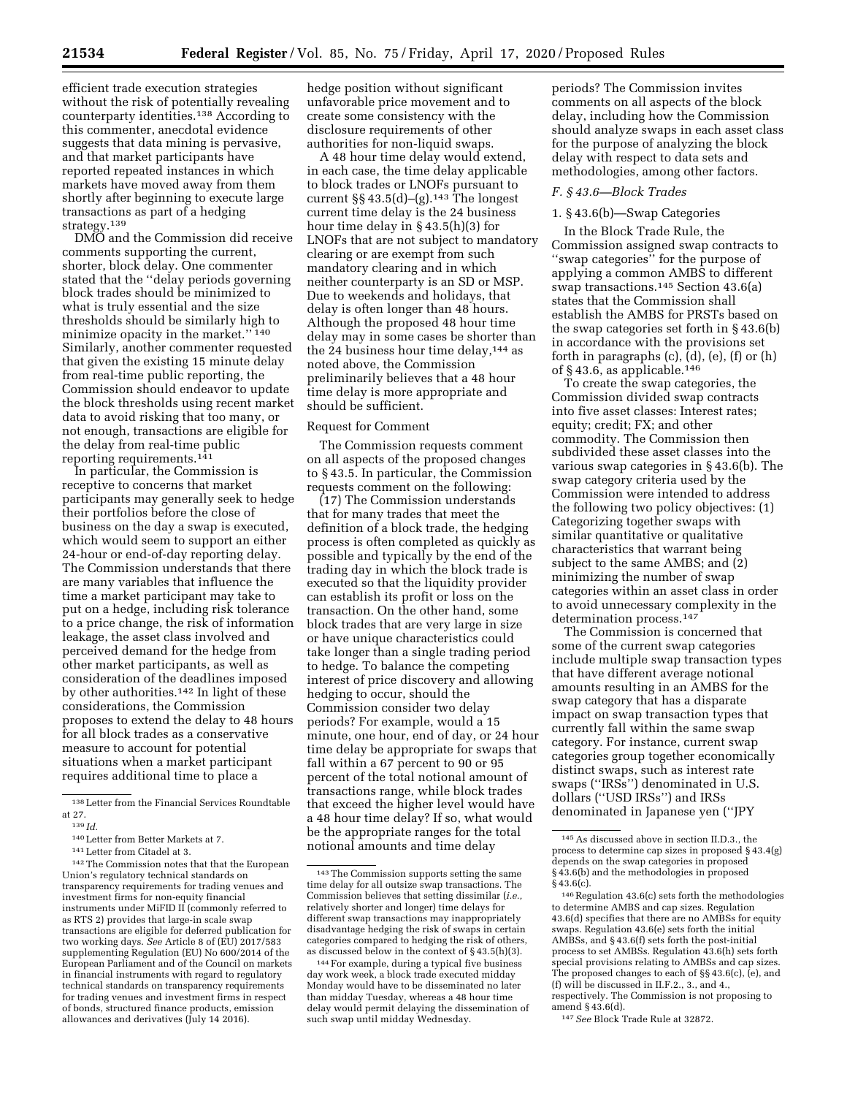efficient trade execution strategies without the risk of potentially revealing counterparty identities.138 According to this commenter, anecdotal evidence suggests that data mining is pervasive, and that market participants have reported repeated instances in which markets have moved away from them shortly after beginning to execute large transactions as part of a hedging strategy.<sup>139</sup>

DMO and the Commission did receive comments supporting the current, shorter, block delay. One commenter stated that the ''delay periods governing block trades should be minimized to what is truly essential and the size thresholds should be similarly high to minimize opacity in the market.'' 140 Similarly, another commenter requested that given the existing 15 minute delay from real-time public reporting, the Commission should endeavor to update the block thresholds using recent market data to avoid risking that too many, or not enough, transactions are eligible for the delay from real-time public reporting requirements.141

In particular, the Commission is receptive to concerns that market participants may generally seek to hedge their portfolios before the close of business on the day a swap is executed, which would seem to support an either 24-hour or end-of-day reporting delay. The Commission understands that there are many variables that influence the time a market participant may take to put on a hedge, including risk tolerance to a price change, the risk of information leakage, the asset class involved and perceived demand for the hedge from other market participants, as well as consideration of the deadlines imposed by other authorities.<sup>142</sup> In light of these considerations, the Commission proposes to extend the delay to 48 hours for all block trades as a conservative measure to account for potential situations when a market participant requires additional time to place a

142The Commission notes that that the European Union's regulatory technical standards on transparency requirements for trading venues and investment firms for non-equity financial instruments under MiFID II (commonly referred to as RTS 2) provides that large-in scale swap transactions are eligible for deferred publication for two working days. *See* Article 8 of (EU) 2017/583 supplementing Regulation (EU) No 600/2014 of the European Parliament and of the Council on markets in financial instruments with regard to regulatory technical standards on transparency requirements for trading venues and investment firms in respect of bonds, structured finance products, emission allowances and derivatives (July 14 2016).

hedge position without significant unfavorable price movement and to create some consistency with the disclosure requirements of other authorities for non-liquid swaps.

A 48 hour time delay would extend, in each case, the time delay applicable to block trades or LNOFs pursuant to current  $\S § 43.5(d)–(g).$ <sup>143</sup> The longest current time delay is the 24 business hour time delay in § 43.5(h)(3) for LNOFs that are not subject to mandatory clearing or are exempt from such mandatory clearing and in which neither counterparty is an SD or MSP. Due to weekends and holidays, that delay is often longer than 48 hours. Although the proposed 48 hour time delay may in some cases be shorter than the 24 business hour time delay,144 as noted above, the Commission preliminarily believes that a 48 hour time delay is more appropriate and should be sufficient.

## Request for Comment

The Commission requests comment on all aspects of the proposed changes to § 43.5. In particular, the Commission requests comment on the following:

(17) The Commission understands that for many trades that meet the definition of a block trade, the hedging process is often completed as quickly as possible and typically by the end of the trading day in which the block trade is executed so that the liquidity provider can establish its profit or loss on the transaction. On the other hand, some block trades that are very large in size or have unique characteristics could take longer than a single trading period to hedge. To balance the competing interest of price discovery and allowing hedging to occur, should the Commission consider two delay periods? For example, would a 15 minute, one hour, end of day, or 24 hour time delay be appropriate for swaps that fall within a 67 percent to 90 or 95 percent of the total notional amount of transactions range, while block trades that exceed the higher level would have a 48 hour time delay? If so, what would be the appropriate ranges for the total notional amounts and time delay

periods? The Commission invites comments on all aspects of the block delay, including how the Commission should analyze swaps in each asset class for the purpose of analyzing the block delay with respect to data sets and methodologies, among other factors.

## *F. § 43.6—Block Trades*

## 1. § 43.6(b)—Swap Categories

In the Block Trade Rule, the Commission assigned swap contracts to ''swap categories'' for the purpose of applying a common AMBS to different swap transactions.145 Section 43.6(a) states that the Commission shall establish the AMBS for PRSTs based on the swap categories set forth in § 43.6(b) in accordance with the provisions set forth in paragraphs (c), (d), (e), (f) or (h) of § 43.6, as applicable.146

To create the swap categories, the Commission divided swap contracts into five asset classes: Interest rates; equity; credit; FX; and other commodity. The Commission then subdivided these asset classes into the various swap categories in § 43.6(b). The swap category criteria used by the Commission were intended to address the following two policy objectives: (1) Categorizing together swaps with similar quantitative or qualitative characteristics that warrant being subject to the same AMBS; and (2) minimizing the number of swap categories within an asset class in order to avoid unnecessary complexity in the determination process.147

The Commission is concerned that some of the current swap categories include multiple swap transaction types that have different average notional amounts resulting in an AMBS for the swap category that has a disparate impact on swap transaction types that currently fall within the same swap category. For instance, current swap categories group together economically distinct swaps, such as interest rate swaps (''IRSs'') denominated in U.S. dollars (''USD IRSs'') and IRSs denominated in Japanese yen (''JPY

147*See* Block Trade Rule at 32872.

<sup>138</sup>Letter from the Financial Services Roundtable at 27.

<sup>139</sup> *Id.* 

<sup>140</sup>Letter from Better Markets at 7.

<sup>141</sup>Letter from Citadel at 3.

<sup>143</sup>The Commission supports setting the same time delay for all outsize swap transactions. The Commission believes that setting dissimilar (*i.e.,*  relatively shorter and longer) time delays for different swap transactions may inappropriately disadvantage hedging the risk of swaps in certain categories compared to hedging the risk of others, as discussed below in the context of § 43.5(h)(3).

<sup>144</sup>For example, during a typical five business day work week, a block trade executed midday Monday would have to be disseminated no later than midday Tuesday, whereas a 48 hour time delay would permit delaying the dissemination of such swap until midday Wednesday.

<sup>145</sup>As discussed above in section II.D.3., the process to determine cap sizes in proposed § 43.4(g) depends on the swap categories in proposed § 43.6(b) and the methodologies in proposed § 43.6(c).

<sup>146</sup>Regulation 43.6(c) sets forth the methodologies to determine AMBS and cap sizes. Regulation 43.6(d) specifies that there are no AMBSs for equity swaps. Regulation 43.6(e) sets forth the initial AMBSs, and § 43.6(f) sets forth the post-initial process to set AMBSs. Regulation 43.6(h) sets forth special provisions relating to AMBSs and cap sizes. The proposed changes to each of §§ 43.6(c), (e), and (f) will be discussed in II.F.2., 3., and 4., respectively. The Commission is not proposing to amend § 43.6(d).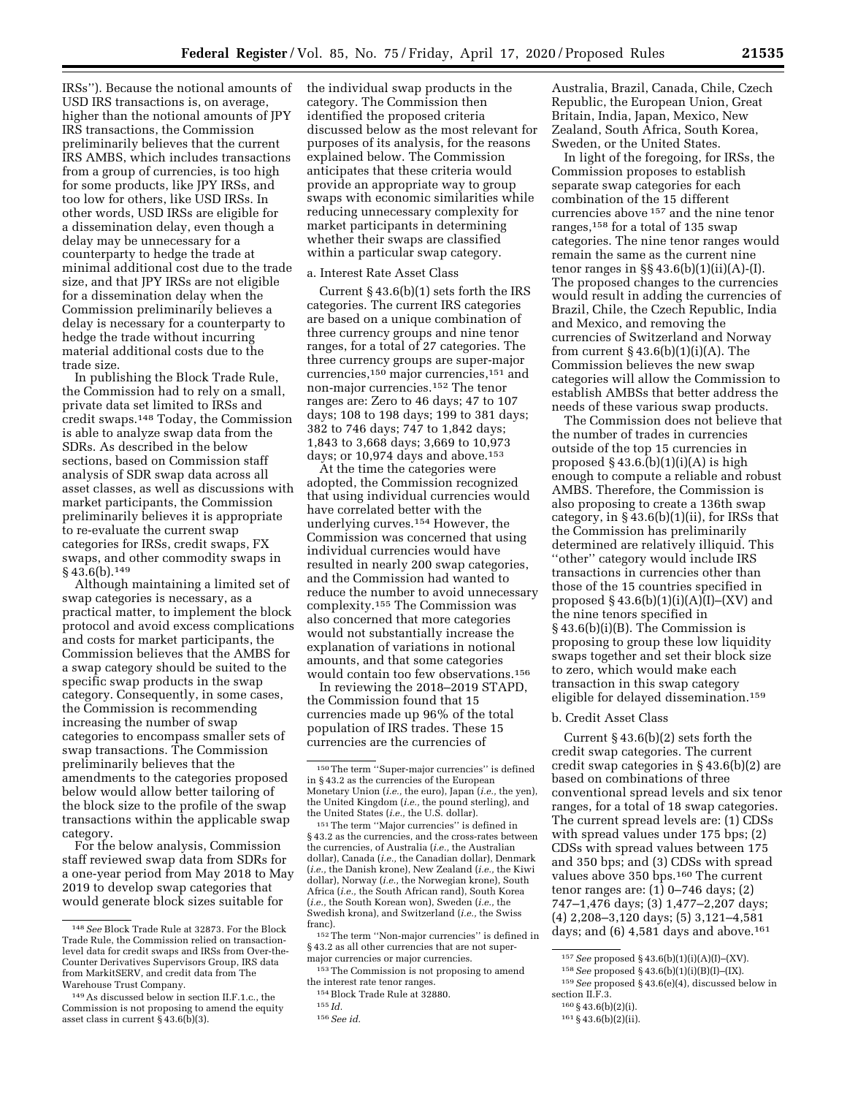IRSs''). Because the notional amounts of USD IRS transactions is, on average, higher than the notional amounts of JPY IRS transactions, the Commission preliminarily believes that the current IRS AMBS, which includes transactions from a group of currencies, is too high for some products, like JPY IRSs, and too low for others, like USD IRSs. In other words, USD IRSs are eligible for a dissemination delay, even though a delay may be unnecessary for a counterparty to hedge the trade at minimal additional cost due to the trade size, and that JPY IRSs are not eligible for a dissemination delay when the Commission preliminarily believes a delay is necessary for a counterparty to hedge the trade without incurring material additional costs due to the trade size.

In publishing the Block Trade Rule, the Commission had to rely on a small, private data set limited to IRSs and credit swaps.148 Today, the Commission is able to analyze swap data from the SDRs. As described in the below sections, based on Commission staff analysis of SDR swap data across all asset classes, as well as discussions with market participants, the Commission preliminarily believes it is appropriate to re-evaluate the current swap categories for IRSs, credit swaps, FX swaps, and other commodity swaps in  $§$  43.6(b).<sup>149</sup>

Although maintaining a limited set of swap categories is necessary, as a practical matter, to implement the block protocol and avoid excess complications and costs for market participants, the Commission believes that the AMBS for a swap category should be suited to the specific swap products in the swap category. Consequently, in some cases, the Commission is recommending increasing the number of swap categories to encompass smaller sets of swap transactions. The Commission preliminarily believes that the amendments to the categories proposed below would allow better tailoring of the block size to the profile of the swap transactions within the applicable swap category.

For the below analysis, Commission staff reviewed swap data from SDRs for a one-year period from May 2018 to May 2019 to develop swap categories that would generate block sizes suitable for

the individual swap products in the category. The Commission then identified the proposed criteria discussed below as the most relevant for purposes of its analysis, for the reasons explained below. The Commission anticipates that these criteria would provide an appropriate way to group swaps with economic similarities while reducing unnecessary complexity for market participants in determining whether their swaps are classified within a particular swap category.

#### a. Interest Rate Asset Class

Current § 43.6(b)(1) sets forth the IRS categories. The current IRS categories are based on a unique combination of three currency groups and nine tenor ranges, for a total of 27 categories. The three currency groups are super-major currencies,150 major currencies,151 and non-major currencies.152 The tenor ranges are: Zero to 46 days; 47 to 107 days; 108 to 198 days; 199 to 381 days; 382 to 746 days; 747 to 1,842 days; 1,843 to 3,668 days; 3,669 to 10,973 days; or 10,974 days and above.<sup>153</sup>

At the time the categories were adopted, the Commission recognized that using individual currencies would have correlated better with the underlying curves.154 However, the Commission was concerned that using individual currencies would have resulted in nearly 200 swap categories, and the Commission had wanted to reduce the number to avoid unnecessary complexity.155 The Commission was also concerned that more categories would not substantially increase the explanation of variations in notional amounts, and that some categories would contain too few observations.156

In reviewing the 2018–2019 STAPD, the Commission found that 15 currencies made up 96% of the total population of IRS trades. These 15 currencies are the currencies of

151The term ''Major currencies'' is defined in § 43.2 as the currencies, and the cross-rates between the currencies, of Australia (*i.e.,* the Australian dollar), Canada (*i.e.,* the Canadian dollar), Denmark (*i.e.,* the Danish krone), New Zealand (*i.e.,* the Kiwi dollar), Norway (*i.e.,* the Norwegian krone), South Africa (*i.e.,* the South African rand), South Korea (*i.e.,* the South Korean won), Sweden (*i.e.,* the Swedish krona), and Switzerland (*i.e.,* the Swiss franc).

152The term ''Non-major currencies'' is defined in § 43.2 as all other currencies that are not supermajor currencies or major currencies.

153The Commission is not proposing to amend the interest rate tenor ranges.

Australia, Brazil, Canada, Chile, Czech Republic, the European Union, Great Britain, India, Japan, Mexico, New Zealand, South Africa, South Korea, Sweden, or the United States.

In light of the foregoing, for IRSs, the Commission proposes to establish separate swap categories for each combination of the 15 different currencies above 157 and the nine tenor ranges,158 for a total of 135 swap categories. The nine tenor ranges would remain the same as the current nine tenor ranges in  $\S § 43.6(b)(1)(ii)(A)$ -(I). The proposed changes to the currencies would result in adding the currencies of Brazil, Chile, the Czech Republic, India and Mexico, and removing the currencies of Switzerland and Norway from current  $\S 43.6(b)(1)(i)(A)$ . The Commission believes the new swap categories will allow the Commission to establish AMBSs that better address the needs of these various swap products.

The Commission does not believe that the number of trades in currencies outside of the top 15 currencies in proposed  $§$  43.6.(b)(1)(i)(A) is high enough to compute a reliable and robust AMBS. Therefore, the Commission is also proposing to create a 136th swap category, in  $§$  43.6(b)(1)(ii), for IRSs that the Commission has preliminarily determined are relatively illiquid. This ''other'' category would include IRS transactions in currencies other than those of the 15 countries specified in proposed  $\S 43.6(b)(1)(i)(A)(I)$ –(XV) and the nine tenors specified in § 43.6(b)(i)(B). The Commission is proposing to group these low liquidity swaps together and set their block size to zero, which would make each transaction in this swap category eligible for delayed dissemination.159

## b. Credit Asset Class

Current § 43.6(b)(2) sets forth the credit swap categories. The current credit swap categories in § 43.6(b)(2) are based on combinations of three conventional spread levels and six tenor ranges, for a total of 18 swap categories. The current spread levels are: (1) CDSs with spread values under 175 bps; (2) CDSs with spread values between 175 and 350 bps; and (3) CDSs with spread values above 350 bps.160 The current tenor ranges are: (1) 0–746 days; (2) 747–1,476 days; (3) 1,477–2,207 days; (4) 2,208–3,120 days; (5) 3,121–4,581 days; and  $(6)$  4,581 days and above.<sup>161</sup>

<sup>148</sup>*See* Block Trade Rule at 32873. For the Block Trade Rule, the Commission relied on transactionlevel data for credit swaps and IRSs from Over-the-Counter Derivatives Supervisors Group, IRS data from MarkitSERV, and credit data from The Warehouse Trust Company.

<sup>149</sup>As discussed below in section II.F.1.c., the Commission is not proposing to amend the equity asset class in current  $\S$  43.6(b)(3).

<sup>150</sup>The term ''Super-major currencies'' is defined in § 43.2 as the currencies of the European Monetary Union (*i.e.,* the euro), Japan (*i.e.,* the yen), the United Kingdom (*i.e.,* the pound sterling), and the United States (*i.e.,* the U.S. dollar).

<sup>154</sup>Block Trade Rule at 32880.

<sup>155</sup> *Id.* 

<sup>156</sup>*See id.* 

<sup>157</sup>*See* proposed § 43.6(b)(1)(i)(A)(I)–(XV).

<sup>158</sup>*See* proposed § 43.6(b)(1)(i)(B)(I)–(IX).

<sup>159</sup>*See* proposed § 43.6(e)(4), discussed below in section II.F.3.

<sup>160</sup> § 43.6(b)(2)(i).

<sup>161</sup> § 43.6(b)(2)(ii).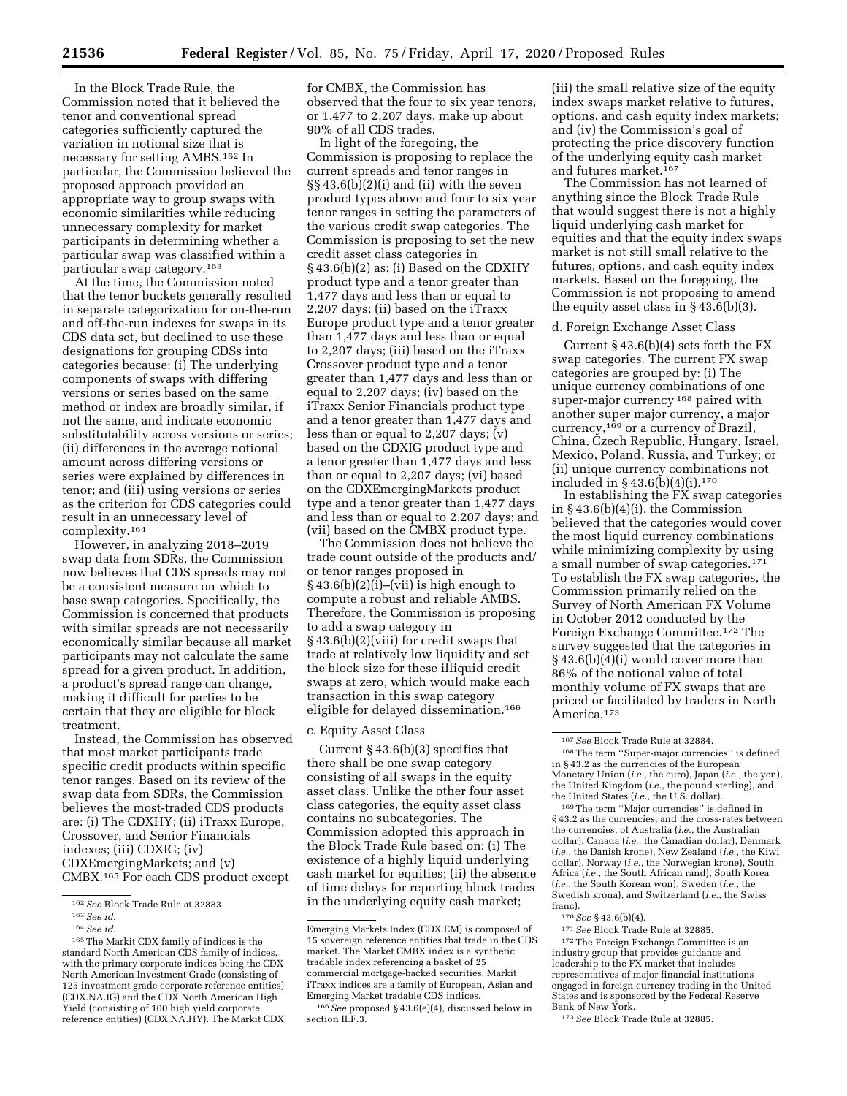In the Block Trade Rule, the Commission noted that it believed the tenor and conventional spread categories sufficiently captured the variation in notional size that is necessary for setting AMBS.162 In particular, the Commission believed the proposed approach provided an appropriate way to group swaps with economic similarities while reducing unnecessary complexity for market participants in determining whether a particular swap was classified within a particular swap category.163

At the time, the Commission noted that the tenor buckets generally resulted in separate categorization for on-the-run and off-the-run indexes for swaps in its CDS data set, but declined to use these designations for grouping CDSs into categories because: (i) The underlying components of swaps with differing versions or series based on the same method or index are broadly similar, if not the same, and indicate economic substitutability across versions or series; (ii) differences in the average notional amount across differing versions or series were explained by differences in tenor; and (iii) using versions or series as the criterion for CDS categories could result in an unnecessary level of complexity.164

However, in analyzing 2018–2019 swap data from SDRs, the Commission now believes that CDS spreads may not be a consistent measure on which to base swap categories. Specifically, the Commission is concerned that products with similar spreads are not necessarily economically similar because all market participants may not calculate the same spread for a given product. In addition, a product's spread range can change, making it difficult for parties to be certain that they are eligible for block treatment.

Instead, the Commission has observed that most market participants trade specific credit products within specific tenor ranges. Based on its review of the swap data from SDRs, the Commission believes the most-traded CDS products are: (i) The CDXHY; (ii) iTraxx Europe, Crossover, and Senior Financials indexes; (iii) CDXIG; (iv) CDXEmergingMarkets; and (v) CMBX.165 For each CDS product except

for CMBX, the Commission has observed that the four to six year tenors, or 1,477 to 2,207 days, make up about 90% of all CDS trades.

In light of the foregoing, the Commission is proposing to replace the current spreads and tenor ranges in §§ 43.6(b)(2)(i) and (ii) with the seven product types above and four to six year tenor ranges in setting the parameters of the various credit swap categories. The Commission is proposing to set the new credit asset class categories in § 43.6(b)(2) as: (i) Based on the CDXHY product type and a tenor greater than 1,477 days and less than or equal to 2,207 days; (ii) based on the iTraxx Europe product type and a tenor greater than 1,477 days and less than or equal to 2,207 days; (iii) based on the iTraxx Crossover product type and a tenor greater than 1,477 days and less than or equal to 2,207 days; (iv) based on the iTraxx Senior Financials product type and a tenor greater than 1,477 days and less than or equal to 2,207 days; (v) based on the CDXIG product type and a tenor greater than 1,477 days and less than or equal to 2,207 days; (vi) based on the CDXEmergingMarkets product type and a tenor greater than 1,477 days and less than or equal to 2,207 days; and (vii) based on the CMBX product type.

The Commission does not believe the trade count outside of the products and/ or tenor ranges proposed in  $§ 43.6(b)(2)(i)$ –(vii) is high enough to compute a robust and reliable AMBS. Therefore, the Commission is proposing to add a swap category in § 43.6(b)(2)(viii) for credit swaps that trade at relatively low liquidity and set the block size for these illiquid credit swaps at zero, which would make each transaction in this swap category eligible for delayed dissemination.166

## c. Equity Asset Class

Current § 43.6(b)(3) specifies that there shall be one swap category consisting of all swaps in the equity asset class. Unlike the other four asset class categories, the equity asset class contains no subcategories. The Commission adopted this approach in the Block Trade Rule based on: (i) The existence of a highly liquid underlying cash market for equities; (ii) the absence of time delays for reporting block trades in the underlying equity cash market;

(iii) the small relative size of the equity index swaps market relative to futures, options, and cash equity index markets; and (iv) the Commission's goal of protecting the price discovery function of the underlying equity cash market and futures market.167

The Commission has not learned of anything since the Block Trade Rule that would suggest there is not a highly liquid underlying cash market for equities and that the equity index swaps market is not still small relative to the futures, options, and cash equity index markets. Based on the foregoing, the Commission is not proposing to amend the equity asset class in § 43.6(b)(3).

## d. Foreign Exchange Asset Class

Current § 43.6(b)(4) sets forth the FX swap categories. The current FX swap categories are grouped by: (i) The unique currency combinations of one super-major currency <sup>168</sup> paired with another super major currency, a major currency,<sup>169</sup> or a currency of Brazil, China, Czech Republic, Hungary, Israel, Mexico, Poland, Russia, and Turkey; or (ii) unique currency combinations not included in § 43.6(b)(4)(i).170

In establishing the FX swap categories in § 43.6(b)(4)(i), the Commission believed that the categories would cover the most liquid currency combinations while minimizing complexity by using a small number of swap categories.171 To establish the FX swap categories, the Commission primarily relied on the Survey of North American FX Volume in October 2012 conducted by the Foreign Exchange Committee.172 The survey suggested that the categories in § 43.6(b)(4)(i) would cover more than 86% of the notional value of total monthly volume of FX swaps that are priced or facilitated by traders in North America.173

<sup>169</sup> The term "Major currencies" is defined in § 43.2 as the currencies, and the cross-rates between the currencies, of Australia (*i.e.,* the Australian dollar), Canada (*i.e.,* the Canadian dollar), Denmark (*i.e.,* the Danish krone), New Zealand (*i.e.,* the Kiwi dollar), Norway (*i.e.,* the Norwegian krone), South Africa (*i.e.,* the South African rand), South Korea (*i.e.,* the South Korean won), Sweden (*i.e.,* the Swedish krona), and Switzerland (*i.e.,* the Swiss franc).<br> $170 \text{ See } \S 43.6(b)(4)$ .

<sup>171</sup> See Block Trade Rule at 32885.<br><sup>172</sup> The Foreign Exchange Committee is an industry group that provides guidance and leadership to the FX market that includes representatives of major financial institutions engaged in foreign currency trading in the United States and is sponsored by the Federal Reserve

<sup>173</sup> See Block Trade Rule at 32885

<sup>162</sup>*See* Block Trade Rule at 32883.

<sup>163</sup>*See id.* 

<sup>164</sup>*See id.* 

<sup>165</sup>The Markit CDX family of indices is the standard North American CDS family of indices, with the primary corporate indices being the CDX North American Investment Grade (consisting of 125 investment grade corporate reference entities) (CDX.NA.IG) and the CDX North American High Yield (consisting of 100 high yield corporate reference entities) (CDX.NA.HY). The Markit CDX

Emerging Markets Index (CDX.EM) is composed of 15 sovereign reference entities that trade in the CDS market. The Market CMBX index is a synthetic tradable index referencing a basket of 25 commercial mortgage-backed securities. Markit iTraxx indices are a family of European, Asian and Emerging Market tradable CDS indices.

<sup>166</sup>*See* proposed § 43.6(e)(4), discussed below in section II.F.3.

<sup>167</sup>*See* Block Trade Rule at 32884. 168The term ''Super-major currencies'' is defined in § 43.2 as the currencies of the European Monetary Union (*i.e.,* the euro), Japan (*i.e.,* the yen), the United Kingdom (*i.e.*, the pound sterling), and the United States (*i.e.*, the U.S. dollar).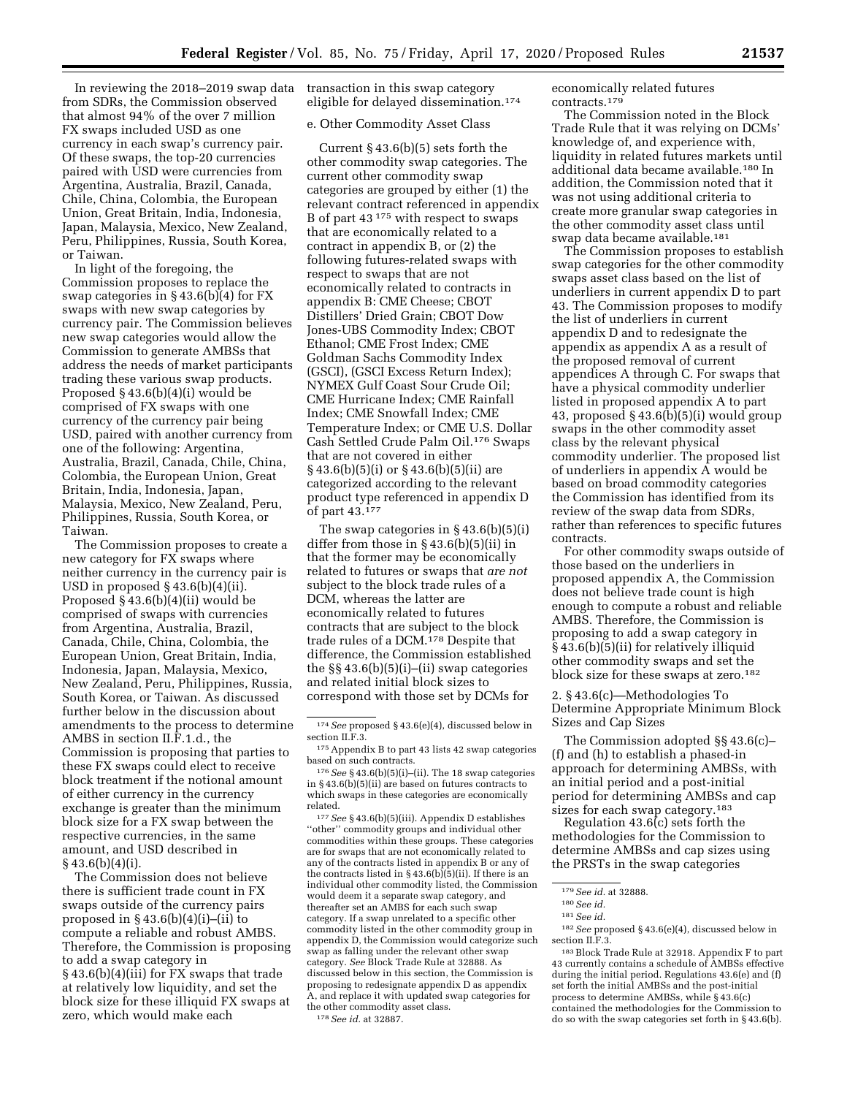In reviewing the 2018–2019 swap data from SDRs, the Commission observed that almost 94% of the over 7 million FX swaps included USD as one currency in each swap's currency pair. Of these swaps, the top-20 currencies paired with USD were currencies from Argentina, Australia, Brazil, Canada, Chile, China, Colombia, the European Union, Great Britain, India, Indonesia, Japan, Malaysia, Mexico, New Zealand, Peru, Philippines, Russia, South Korea, or Taiwan.

In light of the foregoing, the Commission proposes to replace the swap categories in § 43.6(b)(4) for FX swaps with new swap categories by currency pair. The Commission believes new swap categories would allow the Commission to generate AMBSs that address the needs of market participants trading these various swap products. Proposed § 43.6(b)(4)(i) would be comprised of FX swaps with one currency of the currency pair being USD, paired with another currency from one of the following: Argentina, Australia, Brazil, Canada, Chile, China, Colombia, the European Union, Great Britain, India, Indonesia, Japan, Malaysia, Mexico, New Zealand, Peru, Philippines, Russia, South Korea, or Taiwan.

The Commission proposes to create a new category for FX swaps where neither currency in the currency pair is USD in proposed  $\S$  43.6(b)(4)(ii). Proposed § 43.6(b)(4)(ii) would be comprised of swaps with currencies from Argentina, Australia, Brazil, Canada, Chile, China, Colombia, the European Union, Great Britain, India, Indonesia, Japan, Malaysia, Mexico, New Zealand, Peru, Philippines, Russia, South Korea, or Taiwan. As discussed further below in the discussion about amendments to the process to determine AMBS in section II.F.1.d., the Commission is proposing that parties to these FX swaps could elect to receive block treatment if the notional amount of either currency in the currency exchange is greater than the minimum block size for a FX swap between the respective currencies, in the same amount, and USD described in  $§$ 43.6(b)(4)(i).

The Commission does not believe there is sufficient trade count in FX swaps outside of the currency pairs proposed in  $\S$  43.6(b)(4)(i)–(ii) to compute a reliable and robust AMBS. Therefore, the Commission is proposing to add a swap category in § 43.6(b)(4)(iii) for FX swaps that trade at relatively low liquidity, and set the block size for these illiquid FX swaps at zero, which would make each

transaction in this swap category eligible for delayed dissemination.174

## e. Other Commodity Asset Class

Current  $\S 43.6(b)(5)$  sets forth the other commodity swap categories. The current other commodity swap categories are grouped by either (1) the relevant contract referenced in appendix B of part 43 175 with respect to swaps that are economically related to a contract in appendix B, or (2) the following futures-related swaps with respect to swaps that are not economically related to contracts in appendix B: CME Cheese; CBOT Distillers' Dried Grain; CBOT Dow Jones-UBS Commodity Index; CBOT Ethanol; CME Frost Index; CME Goldman Sachs Commodity Index (GSCI), (GSCI Excess Return Index); NYMEX Gulf Coast Sour Crude Oil; CME Hurricane Index; CME Rainfall Index; CME Snowfall Index; CME Temperature Index; or CME U.S. Dollar Cash Settled Crude Palm Oil.176 Swaps that are not covered in either § 43.6(b)(5)(i) or § 43.6(b)(5)(ii) are categorized according to the relevant product type referenced in appendix D of part 43.177

The swap categories in  $\S 43.6(b)(5)(i)$ differ from those in § 43.6(b)(5)(ii) in that the former may be economically related to futures or swaps that *are not*  subject to the block trade rules of a DCM, whereas the latter are economically related to futures contracts that are subject to the block trade rules of a DCM.<sup>178</sup> Despite that difference, the Commission established the §§ 43.6(b)(5)(i)–(ii) swap categories and related initial block sizes to correspond with those set by DCMs for

176*See* § 43.6(b)(5)(i)–(ii). The 18 swap categories in § 43.6(b)(5)(ii) are based on futures contracts to which swaps in these categories are economically related.

177*See* § 43.6(b)(5)(iii). Appendix D establishes ''other'' commodity groups and individual other commodities within these groups. These categories are for swaps that are not economically related to any of the contracts listed in appendix B or any of the contracts listed in § 43.6(b)(5)(ii). If there is an individual other commodity listed, the Commission would deem it a separate swap category, and thereafter set an AMBS for each such swap category. If a swap unrelated to a specific other commodity listed in the other commodity group in appendix D, the Commission would categorize such swap as falling under the relevant other swap category. *See* Block Trade Rule at 32888. As discussed below in this section, the Commission is proposing to redesignate appendix D as appendix A, and replace it with updated swap categories for the other commodity asset class. 178*See id.* at 32887.

economically related futures contracts.179

The Commission noted in the Block Trade Rule that it was relying on DCMs' knowledge of, and experience with, liquidity in related futures markets until additional data became available.180 In addition, the Commission noted that it was not using additional criteria to create more granular swap categories in the other commodity asset class until swap data became available.181

The Commission proposes to establish swap categories for the other commodity swaps asset class based on the list of underliers in current appendix D to part 43. The Commission proposes to modify the list of underliers in current appendix D and to redesignate the appendix as appendix A as a result of the proposed removal of current appendices A through C. For swaps that have a physical commodity underlier listed in proposed appendix A to part 43, proposed  $\S$  43.6(b)(5)(i) would group swaps in the other commodity asset class by the relevant physical commodity underlier. The proposed list of underliers in appendix A would be based on broad commodity categories the Commission has identified from its review of the swap data from SDRs, rather than references to specific futures contracts.

For other commodity swaps outside of those based on the underliers in proposed appendix A, the Commission does not believe trade count is high enough to compute a robust and reliable AMBS. Therefore, the Commission is proposing to add a swap category in § 43.6(b)(5)(ii) for relatively illiquid other commodity swaps and set the block size for these swaps at zero.182

2. § 43.6(c)—Methodologies To Determine Appropriate Minimum Block Sizes and Cap Sizes

The Commission adopted §§ 43.6(c)– (f) and (h) to establish a phased-in approach for determining AMBSs, with an initial period and a post-initial period for determining AMBSs and cap sizes for each swap category.<sup>183</sup>

Regulation 43.6(c) sets forth the methodologies for the Commission to determine AMBSs and cap sizes using the PRSTs in the swap categories

<sup>174</sup>*See* proposed § 43.6(e)(4), discussed below in section II.F.3.

<sup>175</sup>Appendix B to part 43 lists 42 swap categories based on such contracts.

<sup>179</sup>*See id.* at 32888.

<sup>180</sup>*See id.* 

<sup>181</sup>*See id.* 

<sup>182</sup>*See* proposed § 43.6(e)(4), discussed below in section II.F.3.

<sup>183</sup>Block Trade Rule at 32918. Appendix F to part 43 currently contains a schedule of AMBSs effective during the initial period. Regulations 43.6(e) and (f) set forth the initial AMBSs and the post-initial process to determine AMBSs, while § 43.6(c) contained the methodologies for the Commission to do so with the swap categories set forth in § 43.6(b).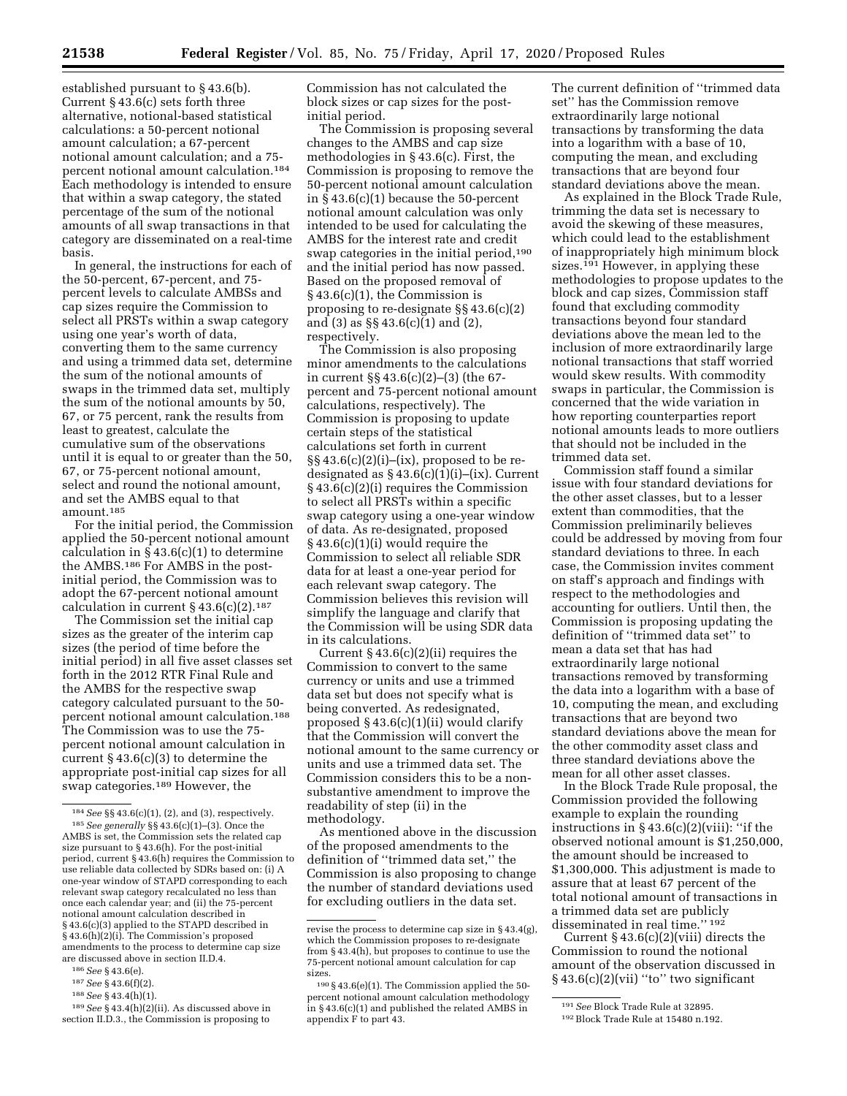established pursuant to § 43.6(b). Current § 43.6(c) sets forth three alternative, notional-based statistical calculations: a 50-percent notional amount calculation; a 67-percent notional amount calculation; and a 75 percent notional amount calculation.184 Each methodology is intended to ensure that within a swap category, the stated percentage of the sum of the notional amounts of all swap transactions in that category are disseminated on a real-time basis.

In general, the instructions for each of the 50-percent, 67-percent, and 75 percent levels to calculate AMBSs and cap sizes require the Commission to select all PRSTs within a swap category using one year's worth of data, converting them to the same currency and using a trimmed data set, determine the sum of the notional amounts of swaps in the trimmed data set, multiply the sum of the notional amounts by 50, 67, or 75 percent, rank the results from least to greatest, calculate the cumulative sum of the observations until it is equal to or greater than the 50, 67, or 75-percent notional amount, select and round the notional amount, and set the AMBS equal to that amount.185

For the initial period, the Commission applied the 50-percent notional amount calculation in  $\S$  43.6(c)(1) to determine the AMBS.186 For AMBS in the postinitial period, the Commission was to adopt the 67-percent notional amount calculation in current  $§ 43.6(c)(2).$ <sup>187</sup>

The Commission set the initial cap sizes as the greater of the interim cap sizes (the period of time before the initial period) in all five asset classes set forth in the 2012 RTR Final Rule and the AMBS for the respective swap category calculated pursuant to the 50 percent notional amount calculation.188 The Commission was to use the 75 percent notional amount calculation in current § 43.6(c)(3) to determine the appropriate post-initial cap sizes for all swap categories.<sup>189</sup> However, the

188*See* § 43.4(h)(1). 189*See* § 43.4(h)(2)(ii). As discussed above in Commission has not calculated the block sizes or cap sizes for the postinitial period.

The Commission is proposing several changes to the AMBS and cap size methodologies in § 43.6(c). First, the Commission is proposing to remove the 50-percent notional amount calculation in § 43.6(c)(1) because the 50-percent notional amount calculation was only intended to be used for calculating the AMBS for the interest rate and credit swap categories in the initial period,190 and the initial period has now passed. Based on the proposed removal of § 43.6(c)(1), the Commission is proposing to re-designate §§ 43.6(c)(2) and (3) as §§ 43.6(c)(1) and (2), respectively.

The Commission is also proposing minor amendments to the calculations in current §§ 43.6(c)(2)–(3) (the 67 percent and 75-percent notional amount calculations, respectively). The Commission is proposing to update certain steps of the statistical calculations set forth in current  $\S\S 43.6(c)(2)(i)$ –(ix), proposed to be redesignated as  $§$  43.6(c)(1)(i)–(ix). Current § 43.6(c)(2)(i) requires the Commission to select all PRSTs within a specific swap category using a one-year window of data. As re-designated, proposed § 43.6(c)(1)(i) would require the Commission to select all reliable SDR data for at least a one-year period for each relevant swap category. The Commission believes this revision will simplify the language and clarify that the Commission will be using SDR data in its calculations.

Current  $§$  43.6(c)(2)(ii) requires the Commission to convert to the same currency or units and use a trimmed data set but does not specify what is being converted. As redesignated, proposed § 43.6(c)(1)(ii) would clarify that the Commission will convert the notional amount to the same currency or units and use a trimmed data set. The Commission considers this to be a nonsubstantive amendment to improve the readability of step (ii) in the methodology.

As mentioned above in the discussion of the proposed amendments to the definition of ''trimmed data set,'' the Commission is also proposing to change the number of standard deviations used for excluding outliers in the data set.

The current definition of ''trimmed data set'' has the Commission remove extraordinarily large notional transactions by transforming the data into a logarithm with a base of 10, computing the mean, and excluding transactions that are beyond four standard deviations above the mean.

As explained in the Block Trade Rule, trimming the data set is necessary to avoid the skewing of these measures, which could lead to the establishment of inappropriately high minimum block sizes.191 However, in applying these methodologies to propose updates to the block and cap sizes, Commission staff found that excluding commodity transactions beyond four standard deviations above the mean led to the inclusion of more extraordinarily large notional transactions that staff worried would skew results. With commodity swaps in particular, the Commission is concerned that the wide variation in how reporting counterparties report notional amounts leads to more outliers that should not be included in the trimmed data set.

Commission staff found a similar issue with four standard deviations for the other asset classes, but to a lesser extent than commodities, that the Commission preliminarily believes could be addressed by moving from four standard deviations to three. In each case, the Commission invites comment on staff's approach and findings with respect to the methodologies and accounting for outliers. Until then, the Commission is proposing updating the definition of ''trimmed data set'' to mean a data set that has had extraordinarily large notional transactions removed by transforming the data into a logarithm with a base of 10, computing the mean, and excluding transactions that are beyond two standard deviations above the mean for the other commodity asset class and three standard deviations above the mean for all other asset classes.

In the Block Trade Rule proposal, the Commission provided the following example to explain the rounding instructions in  $\S 43.6(c)(2)(viii)$ : "if the observed notional amount is \$1,250,000, the amount should be increased to \$1,300,000. This adjustment is made to assure that at least 67 percent of the total notional amount of transactions in a trimmed data set are publicly disseminated in real time.'' 192

Current  $§$  43.6(c)(2)(viii) directs the Commission to round the notional amount of the observation discussed in  $§43.6(c)(2)(vii)$  "to" two significant

<sup>184</sup>*See* §§ 43.6(c)(1), (2), and (3), respectively. 185*See generally* §§ 43.6(c)(1)–(3). Once the AMBS is set, the Commission sets the related cap size pursuant to § 43.6(h). For the post-initial period, current § 43.6(h) requires the Commission to use reliable data collected by SDRs based on: (i) A one-year window of STAPD corresponding to each relevant swap category recalculated no less than once each calendar year; and (ii) the 75-percent notional amount calculation described in § 43.6(c)(3) applied to the STAPD described in § 43.6(h)(2)(i). The Commission's proposed amendments to the process to determine cap size are discussed above in section II.D.4.

<sup>186</sup>*See* § 43.6(e).

<sup>187</sup>*See* § 43.6(f)(2).

section II.D.3., the Commission is proposing to

revise the process to determine cap size in § 43.4(g), which the Commission proposes to re-designate from § 43.4(h), but proposes to continue to use the 75-percent notional amount calculation for cap sizes.

<sup>190</sup> § 43.6(e)(1). The Commission applied the 50 percent notional amount calculation methodology in § 43.6(c)(1) and published the related AMBS in appendix F to part 43.

<sup>191</sup>*See* Block Trade Rule at 32895.

<sup>192</sup>Block Trade Rule at 15480 n.192.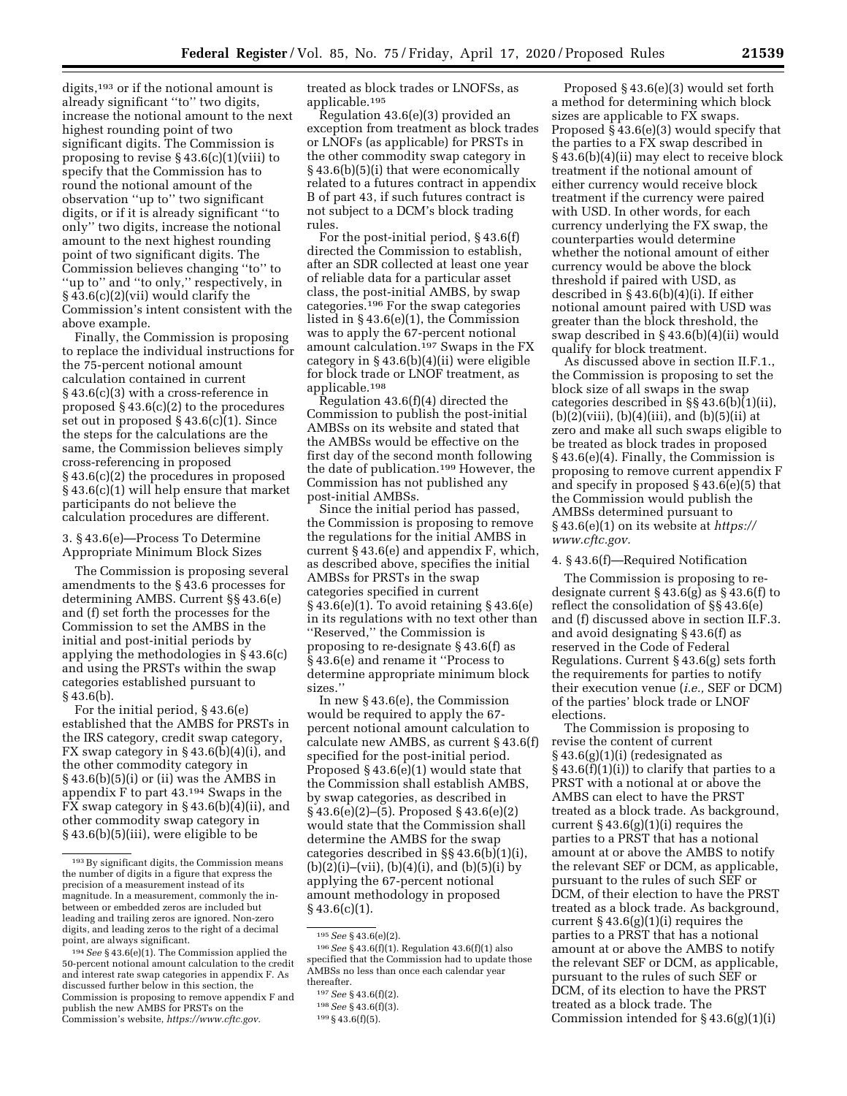digits,<sup>193</sup> or if the notional amount is already significant ''to'' two digits, increase the notional amount to the next highest rounding point of two significant digits. The Commission is proposing to revise  $\S 43.6(c)(1)(viii)$  to specify that the Commission has to round the notional amount of the observation ''up to'' two significant digits, or if it is already significant ''to only'' two digits, increase the notional amount to the next highest rounding point of two significant digits. The Commission believes changing ''to'' to "up to" and "to only," respectively, in § 43.6(c)(2)(vii) would clarify the Commission's intent consistent with the above example.

Finally, the Commission is proposing to replace the individual instructions for the 75-percent notional amount calculation contained in current § 43.6(c)(3) with a cross-reference in proposed § 43.6(c)(2) to the procedures set out in proposed § 43.6(c)(1). Since the steps for the calculations are the same, the Commission believes simply cross-referencing in proposed § 43.6(c)(2) the procedures in proposed § 43.6(c)(1) will help ensure that market participants do not believe the calculation procedures are different.

# 3. § 43.6(e)—Process To Determine Appropriate Minimum Block Sizes

The Commission is proposing several amendments to the § 43.6 processes for determining AMBS. Current §§ 43.6(e) and (f) set forth the processes for the Commission to set the AMBS in the initial and post-initial periods by applying the methodologies in § 43.6(c) and using the PRSTs within the swap categories established pursuant to § 43.6(b).

For the initial period, § 43.6(e) established that the AMBS for PRSTs in the IRS category, credit swap category, FX swap category in  $\S$  43.6(b)(4)(i), and the other commodity category in § 43.6(b)(5)(i) or (ii) was the AMBS in appendix F to part 43.194 Swaps in the FX swap category in  $\S$  43.6(b)(4)(ii), and other commodity swap category in § 43.6(b)(5)(iii), were eligible to be

treated as block trades or LNOFSs, as applicable.195

Regulation 43.6(e)(3) provided an exception from treatment as block trades or LNOFs (as applicable) for PRSTs in the other commodity swap category in § 43.6(b)(5)(i) that were economically related to a futures contract in appendix B of part 43, if such futures contract is not subject to a DCM's block trading rules.

For the post-initial period, § 43.6(f) directed the Commission to establish, after an SDR collected at least one year of reliable data for a particular asset class, the post-initial AMBS, by swap categories.196 For the swap categories listed in § 43.6(e)(1), the Commission was to apply the 67-percent notional amount calculation.197 Swaps in the FX category in § 43.6(b)(4)(ii) were eligible for block trade or LNOF treatment, as applicable.198

Regulation 43.6(f)(4) directed the Commission to publish the post-initial AMBSs on its website and stated that the AMBSs would be effective on the first day of the second month following the date of publication.199 However, the Commission has not published any post-initial AMBSs.

Since the initial period has passed, the Commission is proposing to remove the regulations for the initial AMBS in current § 43.6(e) and appendix F, which, as described above, specifies the initial AMBSs for PRSTs in the swap categories specified in current § 43.6(e)(1). To avoid retaining § 43.6(e) in its regulations with no text other than ''Reserved,'' the Commission is proposing to re-designate § 43.6(f) as § 43.6(e) and rename it ''Process to determine appropriate minimum block sizes.''

In new § 43.6(e), the Commission would be required to apply the 67 percent notional amount calculation to calculate new AMBS, as current § 43.6(f) specified for the post-initial period. Proposed § 43.6(e)(1) would state that the Commission shall establish AMBS, by swap categories, as described in § 43.6(e)(2)–(5). Proposed § 43.6(e)(2) would state that the Commission shall determine the AMBS for the swap categories described in §§ 43.6(b)(1)(i),  $(b)(2)(i)$ –(vii),  $(b)(4)(i)$ , and  $(b)(5)(i)$  by applying the 67-percent notional amount methodology in proposed  $§$  43.6(c)(1).

Proposed § 43.6(e)(3) would set forth a method for determining which block sizes are applicable to FX swaps. Proposed § 43.6(e)(3) would specify that the parties to a FX swap described in § 43.6(b)(4)(ii) may elect to receive block treatment if the notional amount of either currency would receive block treatment if the currency were paired with USD. In other words, for each currency underlying the FX swap, the counterparties would determine whether the notional amount of either currency would be above the block threshold if paired with USD, as described in § 43.6(b)(4)(i). If either notional amount paired with USD was greater than the block threshold, the swap described in § 43.6(b)(4)(ii) would qualify for block treatment.

As discussed above in section II.F.1., the Commission is proposing to set the block size of all swaps in the swap categories described in §§ 43.6(b)(1)(ii),  $(b)(2)(viii), (b)(4)(iii), and (b)(5)(ii)$  at zero and make all such swaps eligible to be treated as block trades in proposed § 43.6(e)(4). Finally, the Commission is proposing to remove current appendix F and specify in proposed § 43.6(e)(5) that the Commission would publish the AMBSs determined pursuant to § 43.6(e)(1) on its website at *[https://](https://www.cftc.gov) [www.cftc.gov.](https://www.cftc.gov)* 

# 4. § 43.6(f)—Required Notification

The Commission is proposing to redesignate current  $§ 43.6(g)$  as  $§ 43.6(f)$  to reflect the consolidation of §§ 43.6(e) and (f) discussed above in section II.F.3. and avoid designating § 43.6(f) as reserved in the Code of Federal Regulations. Current § 43.6(g) sets forth the requirements for parties to notify their execution venue (*i.e.,* SEF or DCM) of the parties' block trade or LNOF elections.

The Commission is proposing to revise the content of current  $§$  43.6(g)(1)(i) (redesignated as  $\S$  43.6(f)(1)(i)) to clarify that parties to a PRST with a notional at or above the AMBS can elect to have the PRST treated as a block trade. As background, current  $\S 43.6(g)(1)(i)$  requires the parties to a PRST that has a notional amount at or above the AMBS to notify the relevant SEF or DCM, as applicable, pursuant to the rules of such SEF or DCM, of their election to have the PRST treated as a block trade. As background, current  $§$  43.6(g)(1)(i) requires the parties to a PRST that has a notional amount at or above the AMBS to notify the relevant SEF or DCM, as applicable, pursuant to the rules of such SEF or DCM, of its election to have the PRST treated as a block trade. The Commission intended for § 43.6(g)(1)(i)

<sup>193</sup>By significant digits, the Commission means the number of digits in a figure that express the precision of a measurement instead of its magnitude. In a measurement, commonly the inbetween or embedded zeros are included but leading and trailing zeros are ignored. Non-zero digits, and leading zeros to the right of a decimal point, are always significant.

<sup>194</sup>*See* § 43.6(e)(1). The Commission applied the 50-percent notional amount calculation to the credit and interest rate swap categories in appendix F. As discussed further below in this section, the Commission is proposing to remove appendix F and publish the new AMBS for PRSTs on the Commission's website, *[https://www.cftc.gov.](https://www.cftc.gov)* 

<sup>195</sup>*See* § 43.6(e)(2).

<sup>196</sup>*See* § 43.6(f)(1). Regulation 43.6(f)(1) also specified that the Commission had to update those AMBSs no less than once each calendar year thereafter.

<sup>197</sup>*See* § 43.6(f)(2).

<sup>198</sup>*See* § 43.6(f)(3).

<sup>199</sup> § 43.6(f)(5).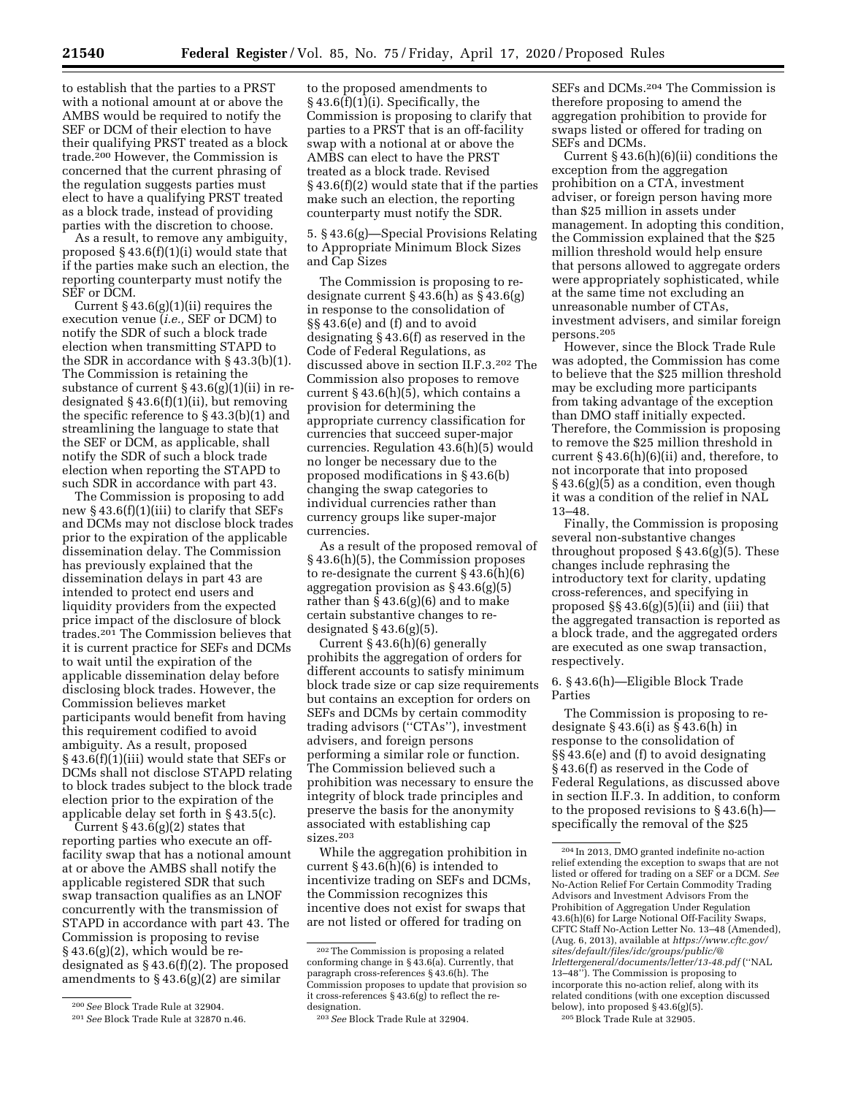to establish that the parties to a PRST with a notional amount at or above the AMBS would be required to notify the SEF or DCM of their election to have their qualifying PRST treated as a block trade.200 However, the Commission is concerned that the current phrasing of the regulation suggests parties must elect to have a qualifying PRST treated as a block trade, instead of providing parties with the discretion to choose.

As a result, to remove any ambiguity, proposed § 43.6(f)(1)(i) would state that if the parties make such an election, the reporting counterparty must notify the SEF or DCM.

Current  $\S 43.6(g)(1)(ii)$  requires the execution venue (*i.e.,* SEF or DCM) to notify the SDR of such a block trade election when transmitting STAPD to the SDR in accordance with § 43.3(b)(1). The Commission is retaining the substance of current § 43.6(g)(1)(ii) in redesignated  $§$  43.6(f)(1)(ii), but removing the specific reference to § 43.3(b)(1) and streamlining the language to state that the SEF or DCM, as applicable, shall notify the SDR of such a block trade election when reporting the STAPD to such SDR in accordance with part 43.

The Commission is proposing to add new § 43.6(f)(1)(iii) to clarify that SEFs and DCMs may not disclose block trades prior to the expiration of the applicable dissemination delay. The Commission has previously explained that the dissemination delays in part 43 are intended to protect end users and liquidity providers from the expected price impact of the disclosure of block trades.201 The Commission believes that it is current practice for SEFs and DCMs to wait until the expiration of the applicable dissemination delay before disclosing block trades. However, the Commission believes market participants would benefit from having this requirement codified to avoid ambiguity. As a result, proposed § 43.6(f)(1)(iii) would state that SEFs or DCMs shall not disclose STAPD relating to block trades subject to the block trade election prior to the expiration of the applicable delay set forth in § 43.5(c).

Current  $\S 43.6(g)(2)$  states that reporting parties who execute an offfacility swap that has a notional amount at or above the AMBS shall notify the applicable registered SDR that such swap transaction qualifies as an LNOF concurrently with the transmission of STAPD in accordance with part 43. The Commission is proposing to revise  $§43.6(g)(2)$ , which would be redesignated as § 43.6(f)(2). The proposed amendments to  $\S$  43.6(g)(2) are similar

to the proposed amendments to § 43.6(f)(1)(i). Specifically, the Commission is proposing to clarify that parties to a PRST that is an off-facility swap with a notional at or above the AMBS can elect to have the PRST treated as a block trade. Revised § 43.6(f)(2) would state that if the parties make such an election, the reporting counterparty must notify the SDR.

5. § 43.6(g)—Special Provisions Relating to Appropriate Minimum Block Sizes and Cap Sizes

The Commission is proposing to redesignate current § 43.6(h) as § 43.6(g) in response to the consolidation of §§ 43.6(e) and (f) and to avoid designating § 43.6(f) as reserved in the Code of Federal Regulations, as discussed above in section II.F.3.202 The Commission also proposes to remove current § 43.6(h)(5), which contains a provision for determining the appropriate currency classification for currencies that succeed super-major currencies. Regulation 43.6(h)(5) would no longer be necessary due to the proposed modifications in § 43.6(b) changing the swap categories to individual currencies rather than currency groups like super-major currencies.

As a result of the proposed removal of § 43.6(h)(5), the Commission proposes to re-designate the current § 43.6(h)(6) aggregation provision as  $\S$ 43.6(g)(5) rather than  $\S 43.6(g)(6)$  and to make certain substantive changes to redesignated  $\S$  43.6(g)(5).

Current § 43.6(h)(6) generally prohibits the aggregation of orders for different accounts to satisfy minimum block trade size or cap size requirements but contains an exception for orders on SEFs and DCMs by certain commodity trading advisors (''CTAs''), investment advisers, and foreign persons performing a similar role or function. The Commission believed such a prohibition was necessary to ensure the integrity of block trade principles and preserve the basis for the anonymity associated with establishing cap sizes.203

While the aggregation prohibition in current  $\S 43.6(h)(6)$  is intended to incentivize trading on SEFs and DCMs, the Commission recognizes this incentive does not exist for swaps that are not listed or offered for trading on

SEFs and DCMs.204 The Commission is therefore proposing to amend the aggregation prohibition to provide for swaps listed or offered for trading on SEF<sub>s</sub> and DCM<sub>s</sub>.

Current § 43.6(h)(6)(ii) conditions the exception from the aggregation prohibition on a CTA, investment adviser, or foreign person having more than \$25 million in assets under management. In adopting this condition, the Commission explained that the \$25 million threshold would help ensure that persons allowed to aggregate orders were appropriately sophisticated, while at the same time not excluding an unreasonable number of CTAs, investment advisers, and similar foreign persons.205

However, since the Block Trade Rule was adopted, the Commission has come to believe that the \$25 million threshold may be excluding more participants from taking advantage of the exception than DMO staff initially expected. Therefore, the Commission is proposing to remove the \$25 million threshold in current  $\S 43.6(h)(6)(ii)$  and, therefore, to not incorporate that into proposed § 43.6(g)(5) as a condition, even though it was a condition of the relief in NAL 13–48.

Finally, the Commission is proposing several non-substantive changes throughout proposed § 43.6(g)(5). These changes include rephrasing the introductory text for clarity, updating cross-references, and specifying in proposed §§ 43.6(g)(5)(ii) and (iii) that the aggregated transaction is reported as a block trade, and the aggregated orders are executed as one swap transaction, respectively.

# 6. § 43.6(h)—Eligible Block Trade Parties

The Commission is proposing to redesignate  $\S$  43.6(i) as  $\S$  43.6(h) in response to the consolidation of §§ 43.6(e) and (f) to avoid designating § 43.6(f) as reserved in the Code of Federal Regulations, as discussed above in section II.F.3. In addition, to conform to the proposed revisions to § 43.6(h) specifically the removal of the \$25

<sup>200</sup>*See* Block Trade Rule at 32904.

<sup>201</sup>*See* Block Trade Rule at 32870 n.46.

<sup>202</sup>The Commission is proposing a related conforming change in § 43.6(a). Currently, that paragraph cross-references § 43.6(h). The Commission proposes to update that provision so it cross-references § 43.6(g) to reflect the redesignation.

<sup>203</sup>*See* Block Trade Rule at 32904.

<sup>204</sup> In 2013, DMO granted indefinite no-action relief extending the exception to swaps that are not listed or offered for trading on a SEF or a DCM. *See*  No-Action Relief For Certain Commodity Trading Advisors and Investment Advisors From the Prohibition of Aggregation Under Regulation 43.6(h)(6) for Large Notional Off-Facility Swaps, CFTC Staff No-Action Letter No. 13–48 (Amended), (Aug. 6, 2013), available at *[https://www.cftc.gov/](https://www.cftc.gov/sites/default/files/idc/groups/public/@lrlettergeneral/documents/letter/13-48.pdf) [sites/default/files/idc/groups/public/@](https://www.cftc.gov/sites/default/files/idc/groups/public/@lrlettergeneral/documents/letter/13-48.pdf) [lrlettergeneral/documents/letter/13-48.pdf](https://www.cftc.gov/sites/default/files/idc/groups/public/@lrlettergeneral/documents/letter/13-48.pdf)* (''NAL 13–48''). The Commission is proposing to incorporate this no-action relief, along with its related conditions (with one exception discussed below), into proposed § 43.6(g)(5). 205Block Trade Rule at 32905.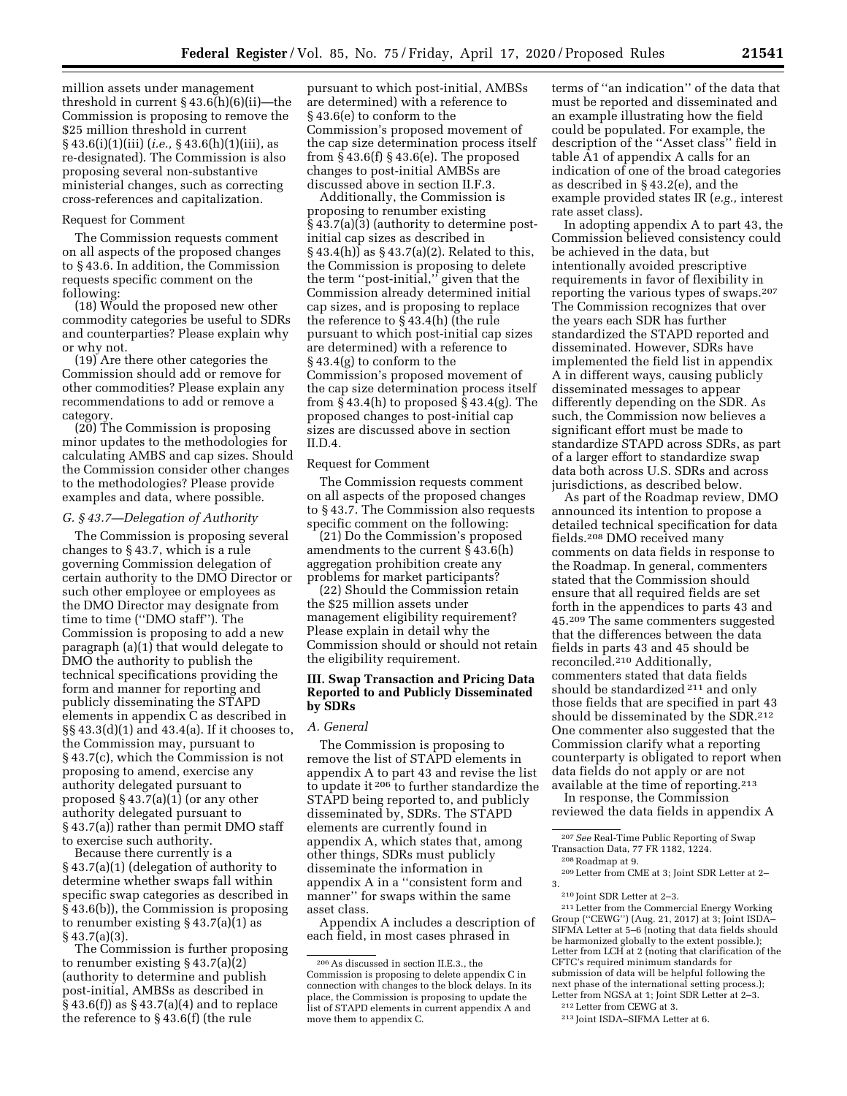million assets under management threshold in current § 43.6(h)(6)(ii)—the Commission is proposing to remove the \$25 million threshold in current § 43.6(i)(1)(iii) (*i.e.,* § 43.6(h)(1)(iii), as re-designated). The Commission is also proposing several non-substantive ministerial changes, such as correcting cross-references and capitalization.

## Request for Comment

The Commission requests comment on all aspects of the proposed changes to § 43.6. In addition, the Commission requests specific comment on the following:

(18) Would the proposed new other commodity categories be useful to SDRs and counterparties? Please explain why or why not.

(19) Are there other categories the Commission should add or remove for other commodities? Please explain any recommendations to add or remove a category.

(20) The Commission is proposing minor updates to the methodologies for calculating AMBS and cap sizes. Should the Commission consider other changes to the methodologies? Please provide examples and data, where possible.

#### *G. § 43.7—Delegation of Authority*

The Commission is proposing several changes to § 43.7, which is a rule governing Commission delegation of certain authority to the DMO Director or such other employee or employees as the DMO Director may designate from time to time (''DMO staff''). The Commission is proposing to add a new paragraph (a)(1) that would delegate to DMO the authority to publish the technical specifications providing the form and manner for reporting and publicly disseminating the STAPD elements in appendix C as described in §§ 43.3(d)(1) and 43.4(a). If it chooses to, the Commission may, pursuant to § 43.7(c), which the Commission is not proposing to amend, exercise any authority delegated pursuant to proposed  $\S 43.7(a)(1)$  (or any other authority delegated pursuant to § 43.7(a)) rather than permit DMO staff to exercise such authority.

Because there currently is a § 43.7(a)(1) (delegation of authority to determine whether swaps fall within specific swap categories as described in § 43.6(b)), the Commission is proposing to renumber existing § 43.7(a)(1) as § 43.7(a)(3).

The Commission is further proposing to renumber existing § 43.7(a)(2) (authority to determine and publish post-initial, AMBSs as described in  $\S$  43.6(f)) as  $\S$  43.7(a)(4) and to replace the reference to § 43.6(f) (the rule

pursuant to which post-initial, AMBSs are determined) with a reference to § 43.6(e) to conform to the Commission's proposed movement of the cap size determination process itself from § 43.6(f) § 43.6(e). The proposed changes to post-initial AMBSs are discussed above in section II.F.3.

Additionally, the Commission is proposing to renumber existing § 43.7(a)(3) (authority to determine postinitial cap sizes as described in § 43.4(h)) as § 43.7(a)(2). Related to this, the Commission is proposing to delete the term ''post-initial,'' given that the Commission already determined initial cap sizes, and is proposing to replace the reference to § 43.4(h) (the rule pursuant to which post-initial cap sizes are determined) with a reference to § 43.4(g) to conform to the Commission's proposed movement of the cap size determination process itself from § 43.4(h) to proposed § 43.4(g). The proposed changes to post-initial cap sizes are discussed above in section II.D.4.

## Request for Comment

The Commission requests comment on all aspects of the proposed changes to § 43.7. The Commission also requests specific comment on the following:

(21) Do the Commission's proposed amendments to the current § 43.6(h) aggregation prohibition create any problems for market participants?

(22) Should the Commission retain the \$25 million assets under management eligibility requirement? Please explain in detail why the Commission should or should not retain the eligibility requirement.

# **III. Swap Transaction and Pricing Data Reported to and Publicly Disseminated by SDRs**

## *A. General*

The Commission is proposing to remove the list of STAPD elements in appendix A to part 43 and revise the list to update it 206 to further standardize the STAPD being reported to, and publicly disseminated by, SDRs. The STAPD elements are currently found in appendix A, which states that, among other things, SDRs must publicly disseminate the information in appendix A in a ''consistent form and manner'' for swaps within the same asset class.

Appendix A includes a description of each field, in most cases phrased in

terms of ''an indication'' of the data that must be reported and disseminated and an example illustrating how the field could be populated. For example, the description of the ''Asset class'' field in table A1 of appendix A calls for an indication of one of the broad categories as described in § 43.2(e), and the example provided states IR (*e.g.,* interest rate asset class).

In adopting appendix A to part 43, the Commission believed consistency could be achieved in the data, but intentionally avoided prescriptive requirements in favor of flexibility in reporting the various types of swaps.207 The Commission recognizes that over the years each SDR has further standardized the STAPD reported and disseminated. However, SDRs have implemented the field list in appendix A in different ways, causing publicly disseminated messages to appear differently depending on the SDR. As such, the Commission now believes a significant effort must be made to standardize STAPD across SDRs, as part of a larger effort to standardize swap data both across U.S. SDRs and across jurisdictions, as described below.

As part of the Roadmap review, DMO announced its intention to propose a detailed technical specification for data fields.208 DMO received many comments on data fields in response to the Roadmap. In general, commenters stated that the Commission should ensure that all required fields are set forth in the appendices to parts 43 and 45.209 The same commenters suggested that the differences between the data fields in parts 43 and 45 should be reconciled.210 Additionally, commenters stated that data fields should be standardized 211 and only those fields that are specified in part 43 should be disseminated by the SDR.<sup>212</sup> One commenter also suggested that the Commission clarify what a reporting counterparty is obligated to report when data fields do not apply or are not available at the time of reporting.213

In response, the Commission reviewed the data fields in appendix A

 $^\mathrm{208}\textsc{Roadmap}$  at 9.  $^\mathrm{209}\textsc{Lefter}$  from CME at 3; Joint SDR Letter at 2–3.

<sup>210</sup> Joint SDR Letter at 2–3.<br><sup>211</sup> Letter from the Commercial Energy Working Group (''CEWG'') (Aug. 21, 2017) at 3; Joint ISDA– SIFMA Letter at 5–6 (noting that data fields should be harmonized globally to the extent possible.); Letter from LCH at 2 (noting that clarification of the CFTC's required minimum standards for submission of data will be helpful following the next phase of the international setting process.); Letter from NGSA at 1; Joint SDR Letter at 2–3.

<sup>206</sup>As discussed in section II.E.3., the Commission is proposing to delete appendix C in connection with changes to the block delays. In its place, the Commission is proposing to update the list of STAPD elements in current appendix A and move them to appendix C.

<sup>&</sup>lt;sup>207</sup> See Real-Time Public Reporting of Swap<br>Transaction Data, 77 FR 1182, 1224.

 $^{212}$  Letter from CEWG at 3.  $^{213}$  Joint ISDA–SIFMA Letter at 6.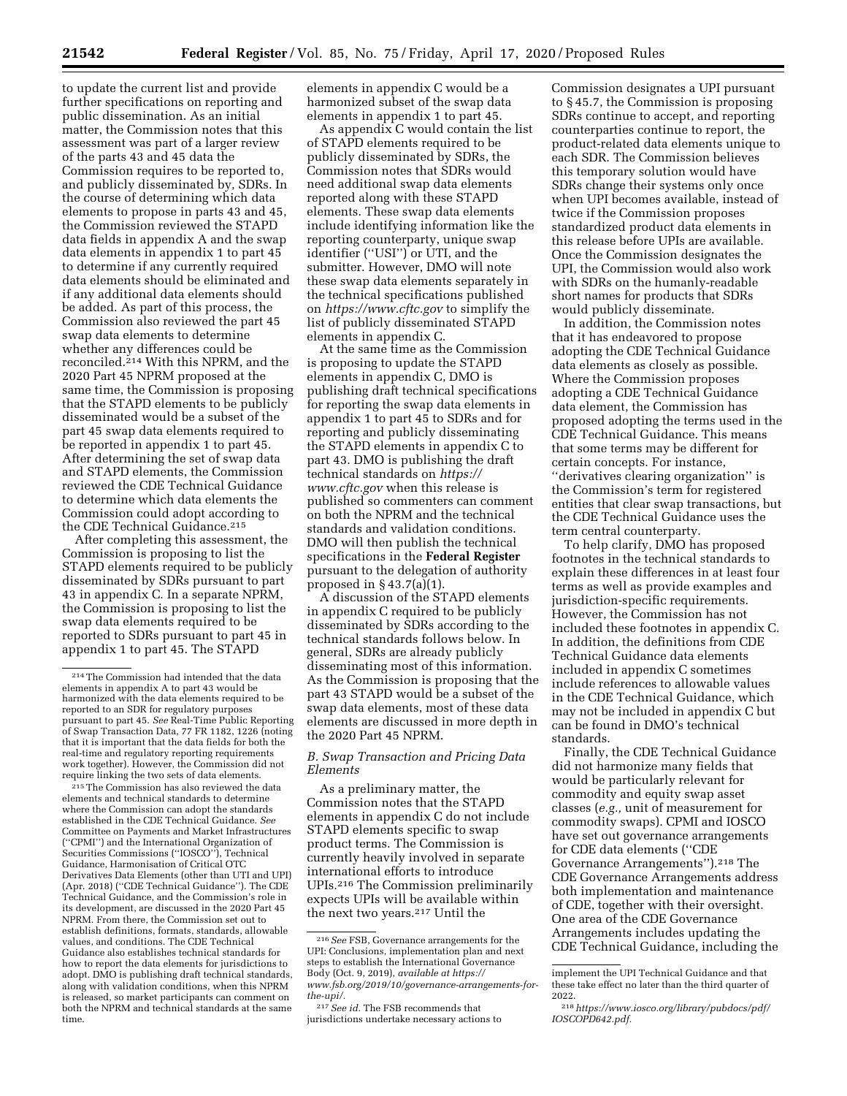to update the current list and provide further specifications on reporting and public dissemination. As an initial matter, the Commission notes that this assessment was part of a larger review of the parts 43 and 45 data the Commission requires to be reported to, and publicly disseminated by, SDRs. In the course of determining which data elements to propose in parts 43 and 45, the Commission reviewed the STAPD data fields in appendix A and the swap data elements in appendix 1 to part 45 to determine if any currently required data elements should be eliminated and if any additional data elements should be added. As part of this process, the Commission also reviewed the part 45 swap data elements to determine whether any differences could be reconciled.<sup>214</sup> With this NPRM, and the 2020 Part 45 NPRM proposed at the same time, the Commission is proposing that the STAPD elements to be publicly disseminated would be a subset of the part 45 swap data elements required to be reported in appendix 1 to part 45. After determining the set of swap data and STAPD elements, the Commission reviewed the CDE Technical Guidance to determine which data elements the

the CDE Technical Guidance.215 After completing this assessment, the Commission is proposing to list the STAPD elements required to be publicly disseminated by SDRs pursuant to part 43 in appendix C. In a separate NPRM, the Commission is proposing to list the swap data elements required to be reported to SDRs pursuant to part 45 in appendix 1 to part 45. The STAPD

Commission could adopt according to

215The Commission has also reviewed the data elements and technical standards to determine where the Commission can adopt the standards established in the CDE Technical Guidance. *See*  Committee on Payments and Market Infrastructures (''CPMI'') and the International Organization of Securities Commissions (''IOSCO''), Technical Guidance, Harmonisation of Critical OTC Derivatives Data Elements (other than UTI and UPI) (Apr. 2018) (''CDE Technical Guidance''). The CDE Technical Guidance, and the Commission's role in its development, are discussed in the 2020 Part 45 NPRM. From there, the Commission set out to establish definitions, formats, standards, allowable values, and conditions. The CDE Technical Guidance also establishes technical standards for how to report the data elements for jurisdictions to adopt. DMO is publishing draft technical standards, along with validation conditions, when this NPRM is released, so market participants can comment on both the NPRM and technical standards at the same time.

elements in appendix C would be a harmonized subset of the swap data elements in appendix 1 to part 45.

As appendix C would contain the list of STAPD elements required to be publicly disseminated by SDRs, the Commission notes that SDRs would need additional swap data elements reported along with these STAPD elements. These swap data elements include identifying information like the reporting counterparty, unique swap identifier ("USI") or UTI, and the submitter. However, DMO will note these swap data elements separately in the technical specifications published on *<https://www.cftc.gov>* to simplify the list of publicly disseminated STAPD elements in appendix C.

At the same time as the Commission is proposing to update the STAPD elements in appendix C, DMO is publishing draft technical specifications for reporting the swap data elements in appendix 1 to part 45 to SDRs and for reporting and publicly disseminating the STAPD elements in appendix C to part 43. DMO is publishing the draft technical standards on *[https://](https://www.cftc.gov) [www.cftc.gov](https://www.cftc.gov)* when this release is published so commenters can comment on both the NPRM and the technical standards and validation conditions. DMO will then publish the technical specifications in the **Federal Register**  pursuant to the delegation of authority proposed in  $\S$  43.7(a)(1).

A discussion of the STAPD elements in appendix C required to be publicly disseminated by SDRs according to the technical standards follows below. In general, SDRs are already publicly disseminating most of this information. As the Commission is proposing that the part 43 STAPD would be a subset of the swap data elements, most of these data elements are discussed in more depth in the 2020 Part 45 NPRM.

# *B. Swap Transaction and Pricing Data Elements*

As a preliminary matter, the Commission notes that the STAPD elements in appendix C do not include STAPD elements specific to swap product terms. The Commission is currently heavily involved in separate international efforts to introduce UPIs.216 The Commission preliminarily expects UPIs will be available within the next two years.217 Until the

Commission designates a UPI pursuant to § 45.7, the Commission is proposing SDRs continue to accept, and reporting counterparties continue to report, the product-related data elements unique to each SDR. The Commission believes this temporary solution would have SDRs change their systems only once when UPI becomes available, instead of twice if the Commission proposes standardized product data elements in this release before UPIs are available. Once the Commission designates the UPI, the Commission would also work with SDRs on the humanly-readable short names for products that SDRs would publicly disseminate.

In addition, the Commission notes that it has endeavored to propose adopting the CDE Technical Guidance data elements as closely as possible. Where the Commission proposes adopting a CDE Technical Guidance data element, the Commission has proposed adopting the terms used in the CDE Technical Guidance. This means that some terms may be different for certain concepts. For instance, ''derivatives clearing organization'' is the Commission's term for registered entities that clear swap transactions, but the CDE Technical Guidance uses the term central counterparty.

To help clarify, DMO has proposed footnotes in the technical standards to explain these differences in at least four terms as well as provide examples and jurisdiction-specific requirements. However, the Commission has not included these footnotes in appendix C. In addition, the definitions from CDE Technical Guidance data elements included in appendix C sometimes include references to allowable values in the CDE Technical Guidance, which may not be included in appendix C but can be found in DMO's technical standards.

Finally, the CDE Technical Guidance did not harmonize many fields that would be particularly relevant for commodity and equity swap asset classes (*e.g.,* unit of measurement for commodity swaps). CPMI and IOSCO have set out governance arrangements for CDE data elements (''CDE Governance Arrangements'').218 The CDE Governance Arrangements address both implementation and maintenance of CDE, together with their oversight. One area of the CDE Governance Arrangements includes updating the CDE Technical Guidance, including the

<sup>214</sup>The Commission had intended that the data elements in appendix A to part 43 would be harmonized with the data elements required to be reported to an SDR for regulatory purposes pursuant to part 45. *See* Real-Time Public Reporting of Swap Transaction Data, 77 FR 1182, 1226 (noting that it is important that the data fields for both the real-time and regulatory reporting requirements work together). However, the Commission did not require linking the two sets of data elements.

<sup>216</sup>*See* FSB, Governance arrangements for the UPI: Conclusions, implementation plan and next steps to establish the International Governance Body (Oct. 9, 2019), *available at [https://](https://www.fsb.org/2019/10/governance-arrangements-for-the-upi/) [www.fsb.org/2019/10/governance-arrangements-for](https://www.fsb.org/2019/10/governance-arrangements-for-the-upi/)[the-upi/.](https://www.fsb.org/2019/10/governance-arrangements-for-the-upi/)* 

<sup>217</sup>*See id.* The FSB recommends that jurisdictions undertake necessary actions to

implement the UPI Technical Guidance and that these take effect no later than the third quarter of 2022.

<sup>218</sup>*[https://www.iosco.org/library/pubdocs/pdf/](https://www.iosco.org/library/pubdocs/pdf/IOSCOPD642.pdf)  [IOSCOPD642.pdf.](https://www.iosco.org/library/pubdocs/pdf/IOSCOPD642.pdf)*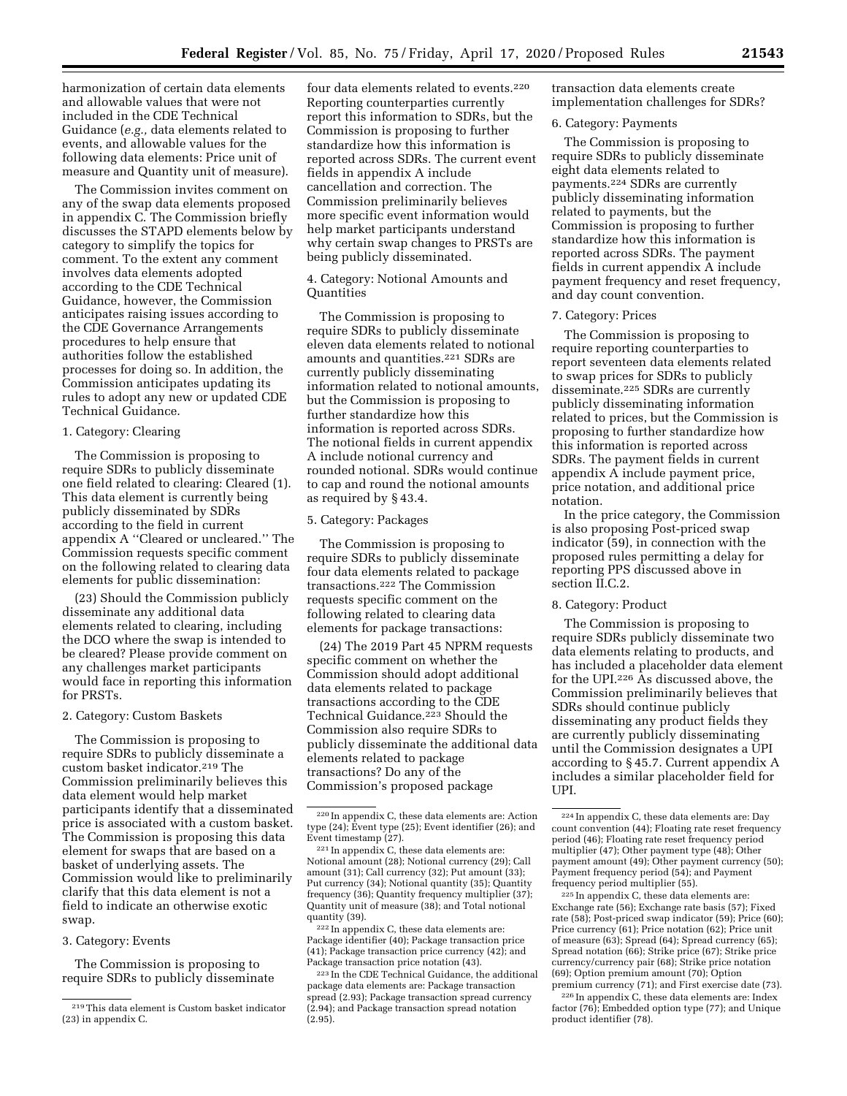harmonization of certain data elements and allowable values that were not included in the CDE Technical Guidance (*e.g.,* data elements related to events, and allowable values for the following data elements: Price unit of measure and Quantity unit of measure).

The Commission invites comment on any of the swap data elements proposed in appendix C. The Commission briefly discusses the STAPD elements below by category to simplify the topics for comment. To the extent any comment involves data elements adopted according to the CDE Technical Guidance, however, the Commission anticipates raising issues according to the CDE Governance Arrangements procedures to help ensure that authorities follow the established processes for doing so. In addition, the Commission anticipates updating its rules to adopt any new or updated CDE Technical Guidance.

# 1. Category: Clearing

The Commission is proposing to require SDRs to publicly disseminate one field related to clearing: Cleared (1). This data element is currently being publicly disseminated by SDRs according to the field in current appendix A ''Cleared or uncleared.'' The Commission requests specific comment on the following related to clearing data elements for public dissemination:

(23) Should the Commission publicly disseminate any additional data elements related to clearing, including the DCO where the swap is intended to be cleared? Please provide comment on any challenges market participants would face in reporting this information for PRSTs.

## 2. Category: Custom Baskets

The Commission is proposing to require SDRs to publicly disseminate a custom basket indicator.219 The Commission preliminarily believes this data element would help market participants identify that a disseminated price is associated with a custom basket. The Commission is proposing this data element for swaps that are based on a basket of underlying assets. The Commission would like to preliminarily clarify that this data element is not a field to indicate an otherwise exotic swap.

3. Category: Events

The Commission is proposing to require SDRs to publicly disseminate

four data elements related to events.220 Reporting counterparties currently report this information to SDRs, but the Commission is proposing to further standardize how this information is reported across SDRs. The current event fields in appendix A include cancellation and correction. The Commission preliminarily believes more specific event information would help market participants understand why certain swap changes to PRSTs are being publicly disseminated.

4. Category: Notional Amounts and Quantities

The Commission is proposing to require SDRs to publicly disseminate eleven data elements related to notional amounts and quantities.221 SDRs are currently publicly disseminating information related to notional amounts, but the Commission is proposing to further standardize how this information is reported across SDRs. The notional fields in current appendix A include notional currency and rounded notional. SDRs would continue to cap and round the notional amounts as required by § 43.4.

#### 5. Category: Packages

The Commission is proposing to require SDRs to publicly disseminate four data elements related to package transactions.222 The Commission requests specific comment on the following related to clearing data elements for package transactions:

(24) The 2019 Part 45 NPRM requests specific comment on whether the Commission should adopt additional data elements related to package transactions according to the CDE Technical Guidance.<sup>223</sup> Should the Commission also require SDRs to publicly disseminate the additional data elements related to package transactions? Do any of the Commission's proposed package

transaction data elements create implementation challenges for SDRs?

## 6. Category: Payments

The Commission is proposing to require SDRs to publicly disseminate eight data elements related to payments.224 SDRs are currently publicly disseminating information related to payments, but the Commission is proposing to further standardize how this information is reported across SDRs. The payment fields in current appendix A include payment frequency and reset frequency, and day count convention.

#### 7. Category: Prices

The Commission is proposing to require reporting counterparties to report seventeen data elements related to swap prices for SDRs to publicly disseminate.225 SDRs are currently publicly disseminating information related to prices, but the Commission is proposing to further standardize how this information is reported across SDRs. The payment fields in current appendix A include payment price, price notation, and additional price notation.

In the price category, the Commission is also proposing Post-priced swap indicator (59), in connection with the proposed rules permitting a delay for reporting PPS discussed above in section II.C.2.

## 8. Category: Product

The Commission is proposing to require SDRs publicly disseminate two data elements relating to products, and has included a placeholder data element for the UPI.226 As discussed above, the Commission preliminarily believes that SDRs should continue publicly disseminating any product fields they are currently publicly disseminating until the Commission designates a UPI according to § 45.7. Current appendix A includes a similar placeholder field for UPI.

225 In appendix C, these data elements are: Exchange rate (56); Exchange rate basis (57); Fixed rate (58); Post-priced swap indicator (59); Price (60); Price currency (61); Price notation (62); Price unit of measure (63); Spread (64); Spread currency (65); Spread notation (66); Strike price (67); Strike price currency/currency pair (68); Strike price notation (69); Option premium amount (70); Option premium currency (71); and First exercise date (73).

226 In appendix C, these data elements are: Index factor (76); Embedded option type (77); and Unique product identifier (78).

<sup>219</sup>This data element is Custom basket indicator (23) in appendix C.

<sup>220</sup> In appendix C, these data elements are: Action type (24); Event type (25); Event identifier (26); and Event timestamp (27).

<sup>221</sup> In appendix C, these data elements are: Notional amount (28); Notional currency (29); Call amount (31); Call currency (32); Put amount (33); Put currency (34); Notional quantity (35); Quantity frequency (36); Quantity frequency multiplier (37); Quantity unit of measure (38); and Total notional quantity (39).

<sup>222</sup> In appendix C, these data elements are: Package identifier (40); Package transaction price (41); Package transaction price currency (42); and Package transaction price notation (43).

 $\,{}^{223}\!$  In the CDE Technical Guidance, the additional package data elements are: Package transaction spread (2.93); Package transaction spread currency (2.94); and Package transaction spread notation (2.95).

<sup>224</sup> In appendix C, these data elements are: Day count convention (44); Floating rate reset frequency period (46); Floating rate reset frequency period multiplier (47); Other payment type (48); Other payment amount (49); Other payment currency (50); Payment frequency period (54); and Payment frequency period multiplier (55).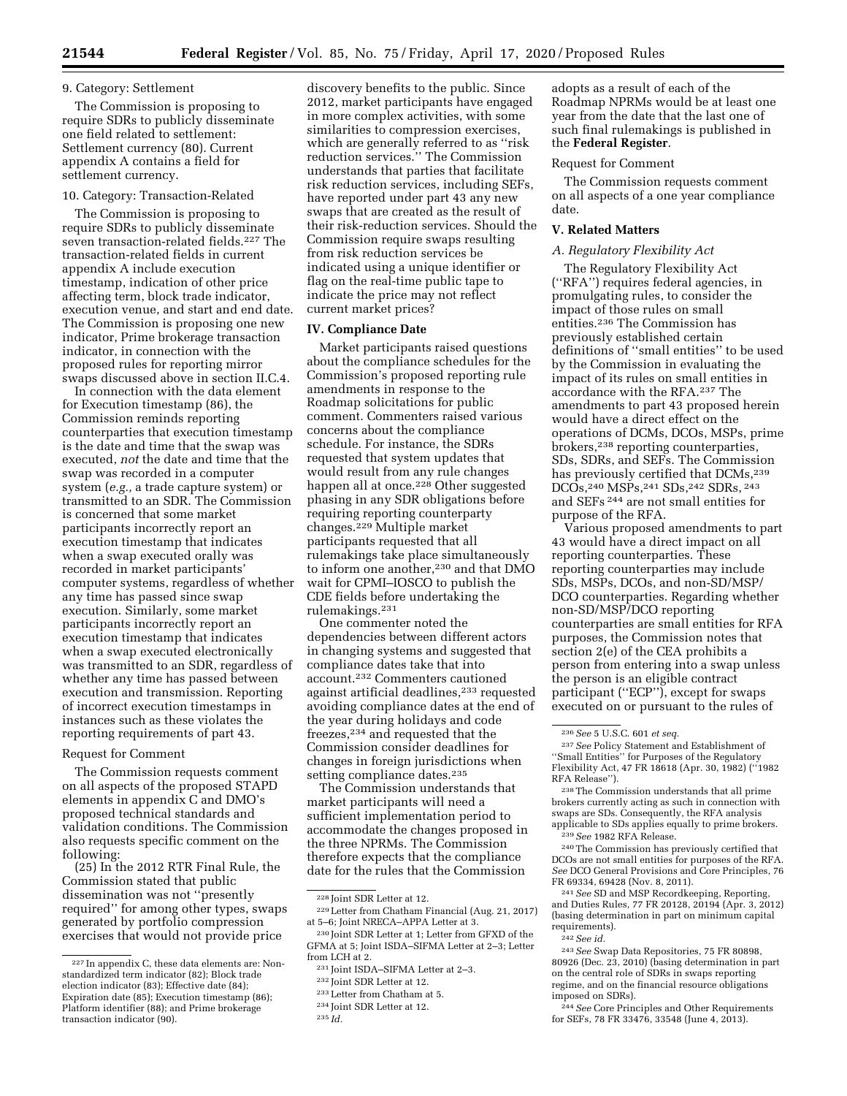## 9. Category: Settlement

The Commission is proposing to require SDRs to publicly disseminate one field related to settlement: Settlement currency (80). Current appendix A contains a field for settlement currency.

## 10. Category: Transaction-Related

The Commission is proposing to require SDRs to publicly disseminate seven transaction-related fields.227 The transaction-related fields in current appendix A include execution timestamp, indication of other price affecting term, block trade indicator, execution venue, and start and end date. The Commission is proposing one new indicator, Prime brokerage transaction indicator, in connection with the proposed rules for reporting mirror swaps discussed above in section II.C.4.

In connection with the data element for Execution timestamp (86), the Commission reminds reporting counterparties that execution timestamp is the date and time that the swap was executed, *not* the date and time that the swap was recorded in a computer system (*e.g.,* a trade capture system) or transmitted to an SDR. The Commission is concerned that some market participants incorrectly report an execution timestamp that indicates when a swap executed orally was recorded in market participants' computer systems, regardless of whether any time has passed since swap execution. Similarly, some market participants incorrectly report an execution timestamp that indicates when a swap executed electronically was transmitted to an SDR, regardless of whether any time has passed between execution and transmission. Reporting of incorrect execution timestamps in instances such as these violates the reporting requirements of part 43.

#### Request for Comment

The Commission requests comment on all aspects of the proposed STAPD elements in appendix C and DMO's proposed technical standards and validation conditions. The Commission also requests specific comment on the following:

(25) In the 2012 RTR Final Rule, the Commission stated that public dissemination was not ''presently required'' for among other types, swaps generated by portfolio compression exercises that would not provide price

discovery benefits to the public. Since 2012, market participants have engaged in more complex activities, with some similarities to compression exercises, which are generally referred to as ''risk reduction services.'' The Commission understands that parties that facilitate risk reduction services, including SEFs, have reported under part 43 any new swaps that are created as the result of their risk-reduction services. Should the Commission require swaps resulting from risk reduction services be indicated using a unique identifier or flag on the real-time public tape to indicate the price may not reflect current market prices?

## **IV. Compliance Date**

Market participants raised questions about the compliance schedules for the Commission's proposed reporting rule amendments in response to the Roadmap solicitations for public comment. Commenters raised various concerns about the compliance schedule. For instance, the SDRs requested that system updates that would result from any rule changes happen all at once.<sup>228</sup> Other suggested phasing in any SDR obligations before requiring reporting counterparty changes.229 Multiple market participants requested that all rulemakings take place simultaneously to inform one another,<sup>230</sup> and that DMO wait for CPMI–IOSCO to publish the CDE fields before undertaking the rulemakings.231

One commenter noted the dependencies between different actors in changing systems and suggested that compliance dates take that into account.232 Commenters cautioned against artificial deadlines,233 requested avoiding compliance dates at the end of the year during holidays and code freezes,234 and requested that the Commission consider deadlines for changes in foreign jurisdictions when setting compliance dates.<sup>235</sup>

The Commission understands that market participants will need a sufficient implementation period to accommodate the changes proposed in the three NPRMs. The Commission therefore expects that the compliance date for the rules that the Commission

233Letter from Chatham at 5.

adopts as a result of each of the Roadmap NPRMs would be at least one year from the date that the last one of such final rulemakings is published in the **Federal Register**.

#### Request for Comment

The Commission requests comment on all aspects of a one year compliance date.

#### **V. Related Matters**

#### *A. Regulatory Flexibility Act*

The Regulatory Flexibility Act (''RFA'') requires federal agencies, in promulgating rules, to consider the impact of those rules on small entities.236 The Commission has previously established certain definitions of ''small entities'' to be used by the Commission in evaluating the impact of its rules on small entities in accordance with the RFA.237 The amendments to part 43 proposed herein would have a direct effect on the operations of DCMs, DCOs, MSPs, prime brokers,238 reporting counterparties, SDs, SDRs, and SEFs. The Commission has previously certified that DCMs,<sup>239</sup> DCOs,240 MSPs,241 SDs,242 SDRs, 243 and SEFs 244 are not small entities for purpose of the RFA.

Various proposed amendments to part 43 would have a direct impact on all reporting counterparties. These reporting counterparties may include SDs, MSPs, DCOs, and non-SD/MSP/ DCO counterparties. Regarding whether non-SD/MSP/DCO reporting counterparties are small entities for RFA purposes, the Commission notes that section 2(e) of the CEA prohibits a person from entering into a swap unless the person is an eligible contract participant ("ECP"), except for swaps executed on or pursuant to the rules of

241*See* SD and MSP Recordkeeping, Reporting, and Duties Rules, 77 FR 20128, 20194 (Apr. 3, 2012) (basing determination in part on minimum capital requirements).

244*See* Core Principles and Other Requirements for SEFs, 78 FR 33476, 33548 (June 4, 2013).

<sup>227</sup> In appendix C, these data elements are: Nonstandardized term indicator (82); Block trade election indicator (83); Effective date (84); Expiration date (85); Execution timestamp (86); Platform identifier (88); and Prime brokerage transaction indicator (90).

<sup>228</sup> Joint SDR Letter at 12.

<sup>229</sup>Letter from Chatham Financial (Aug. 21, 2017) at 5–6; Joint NRECA–APPA Letter at 3.

<sup>230</sup> Joint SDR Letter at 1; Letter from GFXD of the GFMA at 5; Joint ISDA–SIFMA Letter at 2–3; Letter from LCH at 2.

<sup>231</sup> Joint ISDA–SIFMA Letter at 2–3.

<sup>232</sup> Joint SDR Letter at 12.

<sup>234</sup> Joint SDR Letter at 12.

<sup>235</sup> *Id.* 

<sup>236</sup>*See* 5 U.S.C. 601 *et seq.* 

<sup>237</sup>*See* Policy Statement and Establishment of ''Small Entities'' for Purposes of the Regulatory Flexibility Act, 47 FR 18618 (Apr. 30, 1982) (''1982 RFA Release'').

<sup>238</sup>The Commission understands that all prime brokers currently acting as such in connection with swaps are SDs. Consequently, the RFA analysis applicable to SDs applies equally to prime brokers. 239*See* 1982 RFA Release.

<sup>240</sup>The Commission has previously certified that DCOs are not small entities for purposes of the RFA. *See* DCO General Provisions and Core Principles, 76 FR 69334, 69428 (Nov. 8, 2011).

<sup>242</sup>*See id.* 

<sup>243</sup>*See* Swap Data Repositories, 75 FR 80898, 80926 (Dec. 23, 2010) (basing determination in part on the central role of SDRs in swaps reporting regime, and on the financial resource obligations imposed on SDRs).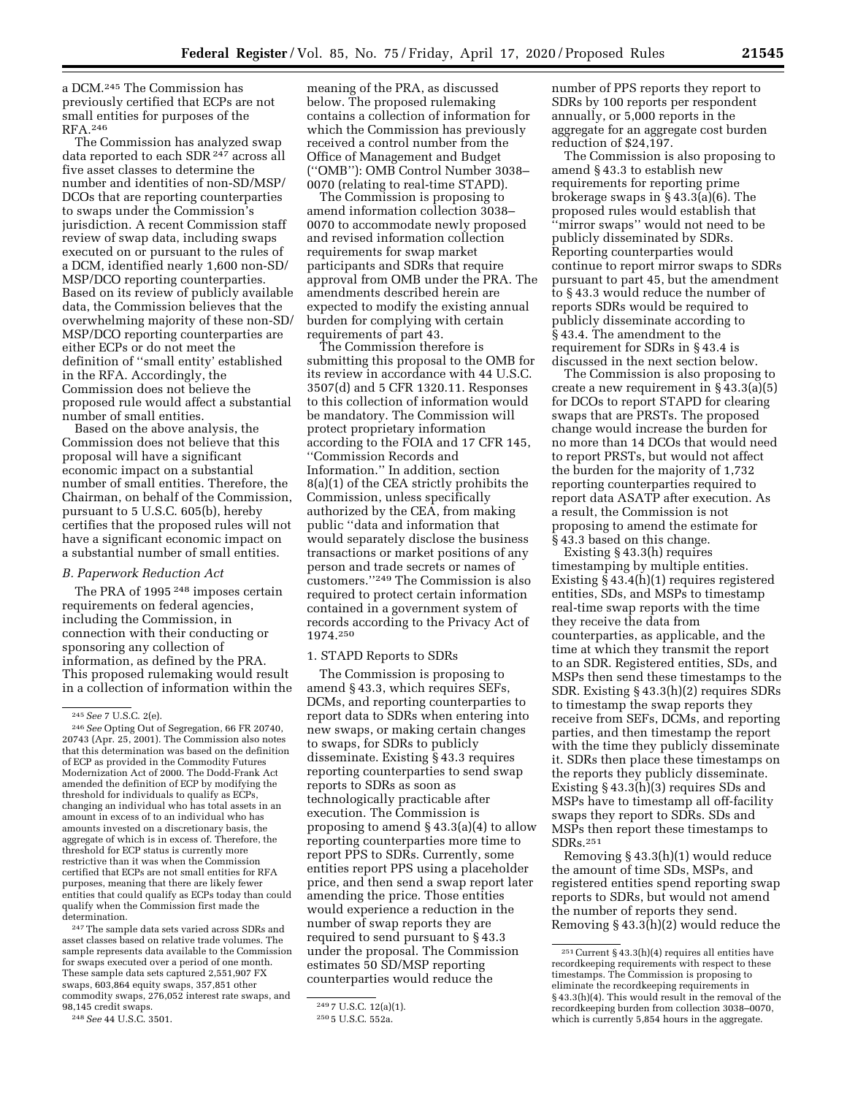a DCM.245 The Commission has previously certified that ECPs are not small entities for purposes of the RFA.246

The Commission has analyzed swap data reported to each SDR 247 across all five asset classes to determine the number and identities of non-SD/MSP/ DCOs that are reporting counterparties to swaps under the Commission's jurisdiction. A recent Commission staff review of swap data, including swaps executed on or pursuant to the rules of a DCM, identified nearly 1,600 non-SD/ MSP/DCO reporting counterparties. Based on its review of publicly available data, the Commission believes that the overwhelming majority of these non-SD/ MSP/DCO reporting counterparties are either ECPs or do not meet the definition of ''small entity' established in the RFA. Accordingly, the Commission does not believe the proposed rule would affect a substantial number of small entities.

Based on the above analysis, the Commission does not believe that this proposal will have a significant economic impact on a substantial number of small entities. Therefore, the Chairman, on behalf of the Commission, pursuant to 5 U.S.C. 605(b), hereby certifies that the proposed rules will not have a significant economic impact on a substantial number of small entities.

## *B. Paperwork Reduction Act*

The PRA of 1995 248 imposes certain requirements on federal agencies, including the Commission, in connection with their conducting or sponsoring any collection of information, as defined by the PRA. This proposed rulemaking would result in a collection of information within the

247The sample data sets varied across SDRs and asset classes based on relative trade volumes. The sample represents data available to the Commission for swaps executed over a period of one month. These sample data sets captured 2,551,907 FX swaps, 603,864 equity swaps, 357,851 other commodity swaps, 276,052 interest rate swaps, and 98,145 credit swaps.

248*See* 44 U.S.C. 3501.

meaning of the PRA, as discussed below. The proposed rulemaking contains a collection of information for which the Commission has previously received a control number from the Office of Management and Budget (''OMB''): OMB Control Number 3038– 0070 (relating to real-time STAPD).

The Commission is proposing to amend information collection 3038– 0070 to accommodate newly proposed and revised information collection requirements for swap market participants and SDRs that require approval from OMB under the PRA. The amendments described herein are expected to modify the existing annual burden for complying with certain requirements of part 43.

The Commission therefore is submitting this proposal to the OMB for its review in accordance with 44 U.S.C. 3507(d) and 5 CFR 1320.11. Responses to this collection of information would be mandatory. The Commission will protect proprietary information according to the FOIA and 17 CFR 145, ''Commission Records and Information.'' In addition, section 8(a)(1) of the CEA strictly prohibits the Commission, unless specifically authorized by the CEA, from making public ''data and information that would separately disclose the business transactions or market positions of any person and trade secrets or names of customers.''249 The Commission is also required to protect certain information contained in a government system of records according to the Privacy Act of 1974.250

## 1. STAPD Reports to SDRs

The Commission is proposing to amend § 43.3, which requires SEFs, DCMs, and reporting counterparties to report data to SDRs when entering into new swaps, or making certain changes to swaps, for SDRs to publicly disseminate. Existing § 43.3 requires reporting counterparties to send swap reports to SDRs as soon as technologically practicable after execution. The Commission is proposing to amend § 43.3(a)(4) to allow reporting counterparties more time to report PPS to SDRs. Currently, some entities report PPS using a placeholder price, and then send a swap report later amending the price. Those entities would experience a reduction in the number of swap reports they are required to send pursuant to § 43.3 under the proposal. The Commission estimates 50 SD/MSP reporting counterparties would reduce the

number of PPS reports they report to SDRs by 100 reports per respondent annually, or 5,000 reports in the aggregate for an aggregate cost burden reduction of \$24,197.

The Commission is also proposing to amend § 43.3 to establish new requirements for reporting prime brokerage swaps in § 43.3(a)(6). The proposed rules would establish that ''mirror swaps'' would not need to be publicly disseminated by SDRs. Reporting counterparties would continue to report mirror swaps to SDRs pursuant to part 45, but the amendment to § 43.3 would reduce the number of reports SDRs would be required to publicly disseminate according to § 43.4. The amendment to the requirement for SDRs in § 43.4 is discussed in the next section below.

The Commission is also proposing to create a new requirement in § 43.3(a)(5) for DCOs to report STAPD for clearing swaps that are PRSTs. The proposed change would increase the burden for no more than 14 DCOs that would need to report PRSTs, but would not affect the burden for the majority of 1,732 reporting counterparties required to report data ASATP after execution. As a result, the Commission is not proposing to amend the estimate for § 43.3 based on this change.

Existing § 43.3(h) requires timestamping by multiple entities. Existing § 43.4(h)(1) requires registered entities, SDs, and MSPs to timestamp real-time swap reports with the time they receive the data from counterparties, as applicable, and the time at which they transmit the report to an SDR. Registered entities, SDs, and MSPs then send these timestamps to the SDR. Existing § 43.3(h)(2) requires SDRs to timestamp the swap reports they receive from SEFs, DCMs, and reporting parties, and then timestamp the report with the time they publicly disseminate it. SDRs then place these timestamps on the reports they publicly disseminate. Existing § 43.3(h)(3) requires SDs and MSPs have to timestamp all off-facility swaps they report to SDRs. SDs and MSPs then report these timestamps to SDRs.251

Removing § 43.3(h)(1) would reduce the amount of time SDs, MSPs, and registered entities spend reporting swap reports to SDRs, but would not amend the number of reports they send. Removing § 43.3(h)(2) would reduce the

<sup>245</sup>*See* 7 U.S.C. 2(e).

<sup>246</sup>*See* Opting Out of Segregation, 66 FR 20740, 20743 (Apr. 25, 2001). The Commission also notes that this determination was based on the definition of ECP as provided in the Commodity Futures Modernization Act of 2000. The Dodd-Frank Act amended the definition of ECP by modifying the threshold for individuals to qualify as ECPs, changing an individual who has total assets in an amount in excess of to an individual who has amounts invested on a discretionary basis, the aggregate of which is in excess of. Therefore, the threshold for ECP status is currently more restrictive than it was when the Commission certified that ECPs are not small entities for RFA purposes, meaning that there are likely fewer entities that could qualify as ECPs today than could qualify when the Commission first made the determination.

<sup>249</sup> 7 U.S.C. 12(a)(1).

<sup>250</sup> 5 U.S.C. 552a.

 $^{251}\rm{Current}$  § 43.3(h)(4) requires all entities have recordkeeping requirements with respect to these timestamps. The Commission is proposing to eliminate the recordkeeping requirements in § 43.3(h)(4). This would result in the removal of the recordkeeping burden from collection 3038–0070, which is currently 5,854 hours in the aggregate.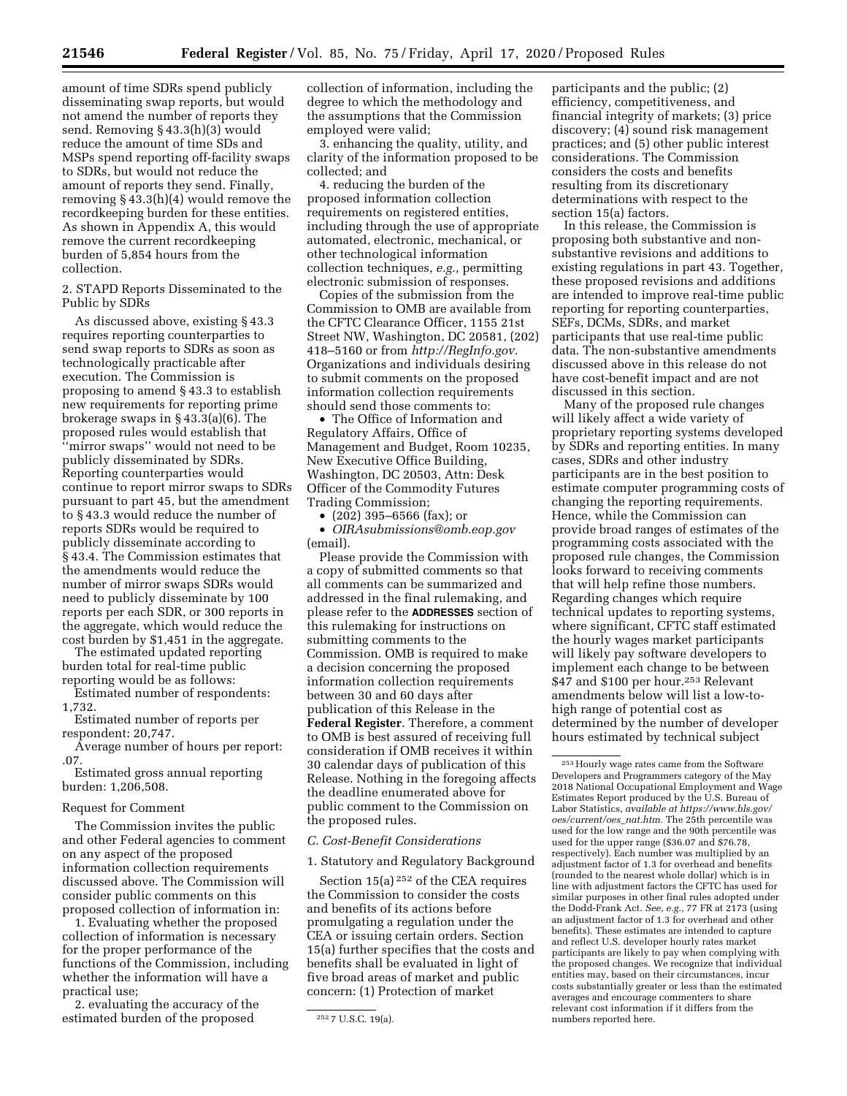amount of time SDRs spend publicly disseminating swap reports, but would not amend the number of reports they send. Removing § 43.3(h)(3) would reduce the amount of time SDs and MSPs spend reporting off-facility swaps to SDRs, but would not reduce the amount of reports they send. Finally, removing § 43.3(h)(4) would remove the recordkeeping burden for these entities. As shown in Appendix A, this would remove the current recordkeeping burden of 5,854 hours from the collection.

2. STAPD Reports Disseminated to the Public by SDRs

As discussed above, existing § 43.3 requires reporting counterparties to send swap reports to SDRs as soon as technologically practicable after execution. The Commission is proposing to amend § 43.3 to establish new requirements for reporting prime brokerage swaps in § 43.3(a)(6). The proposed rules would establish that ''mirror swaps'' would not need to be publicly disseminated by SDRs. Reporting counterparties would continue to report mirror swaps to SDRs pursuant to part 45, but the amendment to § 43.3 would reduce the number of reports SDRs would be required to publicly disseminate according to § 43.4. The Commission estimates that the amendments would reduce the number of mirror swaps SDRs would need to publicly disseminate by 100 reports per each SDR, or 300 reports in the aggregate, which would reduce the cost burden by \$1,451 in the aggregate.

The estimated updated reporting burden total for real-time public reporting would be as follows:

Estimated number of respondents: 1,732.

Estimated number of reports per respondent: 20,747.

Average number of hours per report: .07.

Estimated gross annual reporting burden: 1,206,508.

## Request for Comment

The Commission invites the public and other Federal agencies to comment on any aspect of the proposed information collection requirements discussed above. The Commission will consider public comments on this proposed collection of information in:

1. Evaluating whether the proposed collection of information is necessary for the proper performance of the functions of the Commission, including whether the information will have a practical use;

2. evaluating the accuracy of the estimated burden of the proposed

collection of information, including the degree to which the methodology and the assumptions that the Commission employed were valid;

3. enhancing the quality, utility, and clarity of the information proposed to be collected; and

4. reducing the burden of the proposed information collection requirements on registered entities, including through the use of appropriate automated, electronic, mechanical, or other technological information collection techniques, *e.g.,* permitting electronic submission of responses.

Copies of the submission from the Commission to OMB are available from the CFTC Clearance Officer, 1155 21st Street NW, Washington, DC 20581, (202) 418–5160 or from *[http://RegInfo.gov.](http://RegInfo.gov)*  Organizations and individuals desiring to submit comments on the proposed information collection requirements should send those comments to:

• The Office of Information and Regulatory Affairs, Office of Management and Budget, Room 10235, New Executive Office Building, Washington, DC 20503, Attn: Desk Officer of the Commodity Futures Trading Commission;

• (202) 395–6566 (fax); or

• *[OIRAsubmissions@omb.eop.gov](mailto:OIRA_submissions@omb.eop.gov)*  (email).

Please provide the Commission with a copy of submitted comments so that all comments can be summarized and addressed in the final rulemaking, and please refer to the **ADDRESSES** section of this rulemaking for instructions on submitting comments to the Commission. OMB is required to make a decision concerning the proposed information collection requirements between 30 and 60 days after publication of this Release in the **Federal Register**. Therefore, a comment to OMB is best assured of receiving full consideration if OMB receives it within 30 calendar days of publication of this Release. Nothing in the foregoing affects the deadline enumerated above for public comment to the Commission on the proposed rules.

## *C. Cost-Benefit Considerations*

1. Statutory and Regulatory Background

Section 15(a) 252 of the CEA requires the Commission to consider the costs and benefits of its actions before promulgating a regulation under the CEA or issuing certain orders. Section 15(a) further specifies that the costs and benefits shall be evaluated in light of five broad areas of market and public concern: (1) Protection of market

participants and the public; (2) efficiency, competitiveness, and financial integrity of markets; (3) price discovery; (4) sound risk management practices; and (5) other public interest considerations. The Commission considers the costs and benefits resulting from its discretionary determinations with respect to the section 15(a) factors.

In this release, the Commission is proposing both substantive and nonsubstantive revisions and additions to existing regulations in part 43. Together, these proposed revisions and additions are intended to improve real-time public reporting for reporting counterparties, SEFs, DCMs, SDRs, and market participants that use real-time public data. The non-substantive amendments discussed above in this release do not have cost-benefit impact and are not discussed in this section.

Many of the proposed rule changes will likely affect a wide variety of proprietary reporting systems developed by SDRs and reporting entities. In many cases, SDRs and other industry participants are in the best position to estimate computer programming costs of changing the reporting requirements. Hence, while the Commission can provide broad ranges of estimates of the programming costs associated with the proposed rule changes, the Commission looks forward to receiving comments that will help refine those numbers. Regarding changes which require technical updates to reporting systems, where significant, CFTC staff estimated the hourly wages market participants will likely pay software developers to implement each change to be between \$47 and \$100 per hour.253 Relevant amendments below will list a low-tohigh range of potential cost as determined by the number of developer hours estimated by technical subject

<sup>252</sup> 7 U.S.C. 19(a).

<sup>253</sup>Hourly wage rates came from the Software Developers and Programmers category of the May 2018 National Occupational Employment and Wage Estimates Report produced by the U.S. Bureau of Labor Statistics, *available at [https://www.bls.gov/](https://www.bls.gov/oes/current/oes_nat.htm) [oes/current/oes](https://www.bls.gov/oes/current/oes_nat.htm)*\_*nat.htm.* The 25th percentile was used for the low range and the 90th percentile was used for the upper range (\$36.07 and \$76.78, respectively). Each number was multiplied by an adjustment factor of 1.3 for overhead and benefits (rounded to the nearest whole dollar) which is in line with adjustment factors the CFTC has used for similar purposes in other final rules adopted under the Dodd-Frank Act. *See, e.g.,* 77 FR at 2173 (using an adjustment factor of 1.3 for overhead and other benefits). These estimates are intended to capture and reflect U.S. developer hourly rates market participants are likely to pay when complying with the proposed changes. We recognize that individual entities may, based on their circumstances, incur costs substantially greater or less than the estimated averages and encourage commenters to share relevant cost information if it differs from the numbers reported here.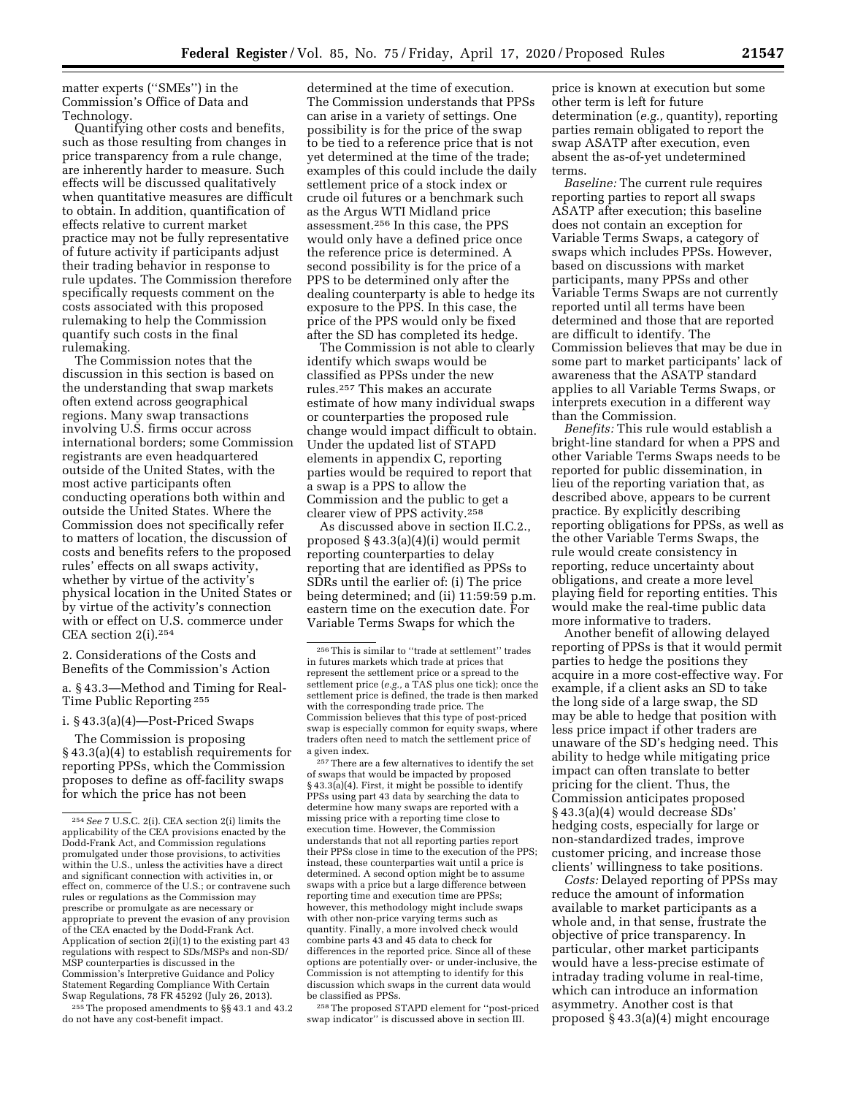matter experts (''SMEs'') in the Commission's Office of Data and Technology.

Quantifying other costs and benefits, such as those resulting from changes in price transparency from a rule change, are inherently harder to measure. Such effects will be discussed qualitatively when quantitative measures are difficult to obtain. In addition, quantification of effects relative to current market practice may not be fully representative of future activity if participants adjust their trading behavior in response to rule updates. The Commission therefore specifically requests comment on the costs associated with this proposed rulemaking to help the Commission quantify such costs in the final rulemaking.

The Commission notes that the discussion in this section is based on the understanding that swap markets often extend across geographical regions. Many swap transactions involving U.S. firms occur across international borders; some Commission registrants are even headquartered outside of the United States, with the most active participants often conducting operations both within and outside the United States. Where the Commission does not specifically refer to matters of location, the discussion of costs and benefits refers to the proposed rules' effects on all swaps activity, whether by virtue of the activity's physical location in the United States or by virtue of the activity's connection with or effect on U.S. commerce under CEA section 2(i).254

2. Considerations of the Costs and Benefits of the Commission's Action

a. § 43.3—Method and Timing for Real-Time Public Reporting 255

i. § 43.3(a)(4)—Post-Priced Swaps

The Commission is proposing § 43.3(a)(4) to establish requirements for reporting PPSs, which the Commission proposes to define as off-facility swaps for which the price has not been

255The proposed amendments to §§ 43.1 and 43.2 do not have any cost-benefit impact.

determined at the time of execution. The Commission understands that PPSs can arise in a variety of settings. One possibility is for the price of the swap to be tied to a reference price that is not yet determined at the time of the trade; examples of this could include the daily settlement price of a stock index or crude oil futures or a benchmark such as the Argus WTI Midland price assessment.256 In this case, the PPS would only have a defined price once the reference price is determined. A second possibility is for the price of a PPS to be determined only after the dealing counterparty is able to hedge its exposure to the PPS. In this case, the price of the PPS would only be fixed after the SD has completed its hedge.

The Commission is not able to clearly identify which swaps would be classified as PPSs under the new rules.257 This makes an accurate estimate of how many individual swaps or counterparties the proposed rule change would impact difficult to obtain. Under the updated list of STAPD elements in appendix C, reporting parties would be required to report that a swap is a PPS to allow the Commission and the public to get a clearer view of PPS activity.258

As discussed above in section II.C.2., proposed § 43.3(a)(4)(i) would permit reporting counterparties to delay reporting that are identified as PPSs to SDRs until the earlier of: (i) The price being determined; and (ii) 11:59:59 p.m. eastern time on the execution date. For Variable Terms Swaps for which the

257There are a few alternatives to identify the set of swaps that would be impacted by proposed § 43.3(a)(4). First, it might be possible to identify PPSs using part 43 data by searching the data to determine how many swaps are reported with a missing price with a reporting time close to execution time. However, the Commission understands that not all reporting parties report their PPSs close in time to the execution of the PPS; instead, these counterparties wait until a price is determined. A second option might be to assume swaps with a price but a large difference between reporting time and execution time are PPSs; however, this methodology might include swaps with other non-price varying terms such as quantity. Finally, a more involved check would combine parts 43 and 45 data to check for differences in the reported price. Since all of these options are potentially over- or under-inclusive, the Commission is not attempting to identify for this discussion which swaps in the current data would be classified as PPSs.

258The proposed STAPD element for ''post-priced swap indicator'' is discussed above in section III.

price is known at execution but some other term is left for future determination (*e.g.,* quantity), reporting parties remain obligated to report the swap ASATP after execution, even absent the as-of-yet undetermined terms.

*Baseline:* The current rule requires reporting parties to report all swaps ASATP after execution; this baseline does not contain an exception for Variable Terms Swaps, a category of swaps which includes PPSs. However, based on discussions with market participants, many PPSs and other Variable Terms Swaps are not currently reported until all terms have been determined and those that are reported are difficult to identify. The Commission believes that may be due in some part to market participants' lack of awareness that the ASATP standard applies to all Variable Terms Swaps, or interprets execution in a different way than the Commission.

*Benefits:* This rule would establish a bright-line standard for when a PPS and other Variable Terms Swaps needs to be reported for public dissemination, in lieu of the reporting variation that, as described above, appears to be current practice. By explicitly describing reporting obligations for PPSs, as well as the other Variable Terms Swaps, the rule would create consistency in reporting, reduce uncertainty about obligations, and create a more level playing field for reporting entities. This would make the real-time public data more informative to traders.

Another benefit of allowing delayed reporting of PPSs is that it would permit parties to hedge the positions they acquire in a more cost-effective way. For example, if a client asks an SD to take the long side of a large swap, the SD may be able to hedge that position with less price impact if other traders are unaware of the SD's hedging need. This ability to hedge while mitigating price impact can often translate to better pricing for the client. Thus, the Commission anticipates proposed § 43.3(a)(4) would decrease SDs' hedging costs, especially for large or non-standardized trades, improve customer pricing, and increase those clients' willingness to take positions.

*Costs:* Delayed reporting of PPSs may reduce the amount of information available to market participants as a whole and, in that sense, frustrate the objective of price transparency. In particular, other market participants would have a less-precise estimate of intraday trading volume in real-time, which can introduce an information asymmetry. Another cost is that proposed § 43.3(a)(4) might encourage

<sup>254</sup>*See* 7 U.S.C. 2(i). CEA section 2(i) limits the applicability of the CEA provisions enacted by the Dodd-Frank Act, and Commission regulations promulgated under those provisions, to activities within the U.S., unless the activities have a direct and significant connection with activities in, or effect on, commerce of the U.S.; or contravene such rules or regulations as the Commission may prescribe or promulgate as are necessary or appropriate to prevent the evasion of any provision of the CEA enacted by the Dodd-Frank Act. Application of section 2(i)(1) to the existing part 43 regulations with respect to SDs/MSPs and non-SD/ MSP counterparties is discussed in the Commission's Interpretive Guidance and Policy Statement Regarding Compliance With Certain Swap Regulations, 78 FR 45292 (July 26, 2013).

<sup>256</sup>This is similar to ''trade at settlement'' trades in futures markets which trade at prices that represent the settlement price or a spread to the settlement price (*e.g.,* a TAS plus one tick); once the settlement price is defined, the trade is then marked with the corresponding trade price. The Commission believes that this type of post-priced swap is especially common for equity swaps, where traders often need to match the settlement price of a given index.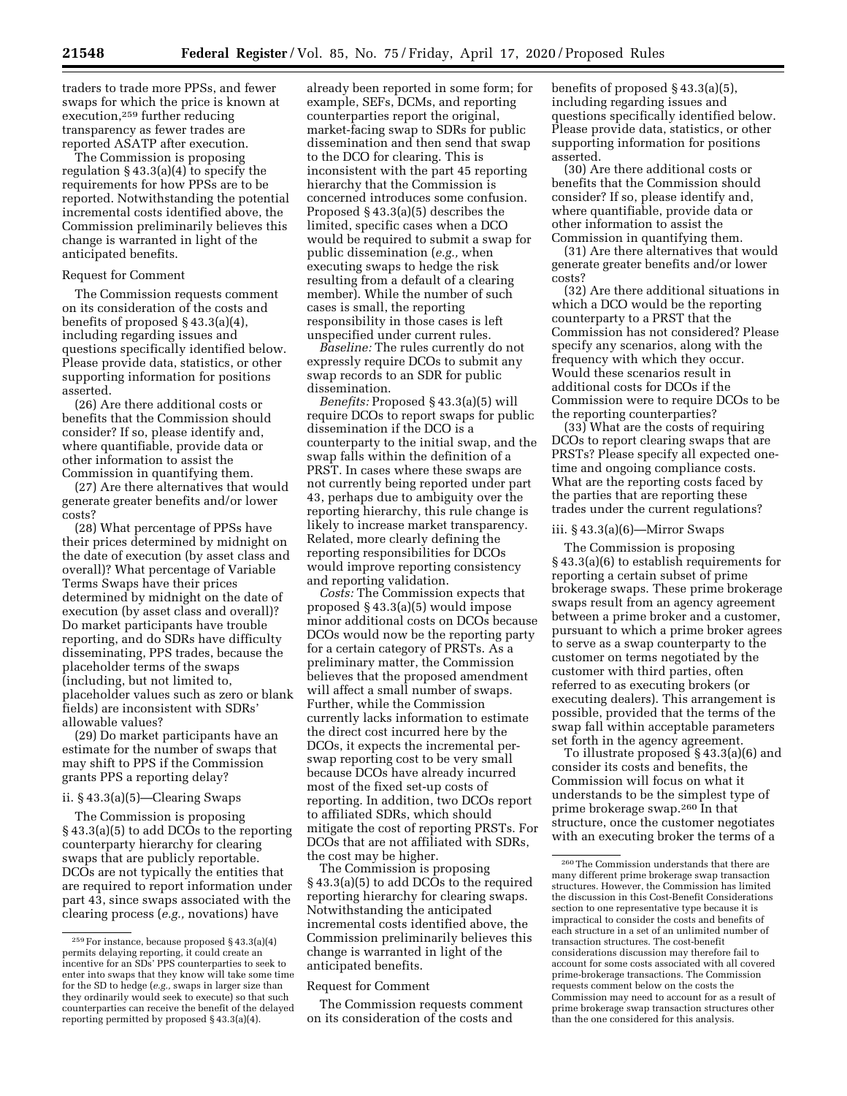traders to trade more PPSs, and fewer swaps for which the price is known at execution,259 further reducing transparency as fewer trades are reported ASATP after execution.

The Commission is proposing regulation § 43.3(a)(4) to specify the requirements for how PPSs are to be reported. Notwithstanding the potential incremental costs identified above, the Commission preliminarily believes this change is warranted in light of the anticipated benefits.

#### Request for Comment

The Commission requests comment on its consideration of the costs and benefits of proposed § 43.3(a)(4), including regarding issues and questions specifically identified below. Please provide data, statistics, or other supporting information for positions asserted.

(26) Are there additional costs or benefits that the Commission should consider? If so, please identify and, where quantifiable, provide data or other information to assist the Commission in quantifying them.

(27) Are there alternatives that would generate greater benefits and/or lower costs?

(28) What percentage of PPSs have their prices determined by midnight on the date of execution (by asset class and overall)? What percentage of Variable Terms Swaps have their prices determined by midnight on the date of execution (by asset class and overall)? Do market participants have trouble reporting, and do SDRs have difficulty disseminating, PPS trades, because the placeholder terms of the swaps (including, but not limited to, placeholder values such as zero or blank fields) are inconsistent with SDRs' allowable values?

(29) Do market participants have an estimate for the number of swaps that may shift to PPS if the Commission grants PPS a reporting delay?

# ii. § 43.3(a)(5)—Clearing Swaps

The Commission is proposing § 43.3(a)(5) to add DCOs to the reporting counterparty hierarchy for clearing swaps that are publicly reportable. DCOs are not typically the entities that are required to report information under part 43, since swaps associated with the clearing process (*e.g.,* novations) have

already been reported in some form; for example, SEFs, DCMs, and reporting counterparties report the original, market-facing swap to SDRs for public dissemination and then send that swap to the DCO for clearing. This is inconsistent with the part 45 reporting hierarchy that the Commission is concerned introduces some confusion. Proposed § 43.3(a)(5) describes the limited, specific cases when a DCO would be required to submit a swap for public dissemination (*e.g.,* when executing swaps to hedge the risk resulting from a default of a clearing member). While the number of such cases is small, the reporting responsibility in those cases is left unspecified under current rules.

*Baseline:* The rules currently do not expressly require DCOs to submit any swap records to an SDR for public dissemination.

*Benefits:* Proposed § 43.3(a)(5) will require DCOs to report swaps for public dissemination if the DCO is a counterparty to the initial swap, and the swap falls within the definition of a PRST. In cases where these swaps are not currently being reported under part 43, perhaps due to ambiguity over the reporting hierarchy, this rule change is likely to increase market transparency. Related, more clearly defining the reporting responsibilities for DCOs would improve reporting consistency and reporting validation.

*Costs:* The Commission expects that proposed § 43.3(a)(5) would impose minor additional costs on DCOs because DCOs would now be the reporting party for a certain category of PRSTs. As a preliminary matter, the Commission believes that the proposed amendment will affect a small number of swaps. Further, while the Commission currently lacks information to estimate the direct cost incurred here by the DCOs, it expects the incremental perswap reporting cost to be very small because DCOs have already incurred most of the fixed set-up costs of reporting. In addition, two DCOs report to affiliated SDRs, which should mitigate the cost of reporting PRSTs. For DCOs that are not affiliated with SDRs, the cost may be higher.

The Commission is proposing § 43.3(a)(5) to add DCOs to the required reporting hierarchy for clearing swaps. Notwithstanding the anticipated incremental costs identified above, the Commission preliminarily believes this change is warranted in light of the anticipated benefits.

#### Request for Comment

The Commission requests comment on its consideration of the costs and

benefits of proposed § 43.3(a)(5), including regarding issues and questions specifically identified below. Please provide data, statistics, or other supporting information for positions asserted.

(30) Are there additional costs or benefits that the Commission should consider? If so, please identify and, where quantifiable, provide data or other information to assist the Commission in quantifying them.

(31) Are there alternatives that would generate greater benefits and/or lower costs?

(32) Are there additional situations in which a DCO would be the reporting counterparty to a PRST that the Commission has not considered? Please specify any scenarios, along with the frequency with which they occur. Would these scenarios result in additional costs for DCOs if the Commission were to require DCOs to be the reporting counterparties?

(33) What are the costs of requiring DCOs to report clearing swaps that are PRSTs? Please specify all expected onetime and ongoing compliance costs. What are the reporting costs faced by the parties that are reporting these trades under the current regulations?

# iii. § 43.3(a)(6)—Mirror Swaps

The Commission is proposing § 43.3(a)(6) to establish requirements for reporting a certain subset of prime brokerage swaps. These prime brokerage swaps result from an agency agreement between a prime broker and a customer, pursuant to which a prime broker agrees to serve as a swap counterparty to the customer on terms negotiated by the customer with third parties, often referred to as executing brokers (or executing dealers). This arrangement is possible, provided that the terms of the swap fall within acceptable parameters set forth in the agency agreement.

To illustrate proposed § 43.3(a)(6) and consider its costs and benefits, the Commission will focus on what it understands to be the simplest type of prime brokerage swap.260 In that structure, once the customer negotiates with an executing broker the terms of a

<sup>259</sup>For instance, because proposed § 43.3(a)(4) permits delaying reporting, it could create an incentive for an SDs' PPS counterparties to seek to enter into swaps that they know will take some time for the SD to hedge (*e.g.,* swaps in larger size than they ordinarily would seek to execute) so that such counterparties can receive the benefit of the delayed reporting permitted by proposed § 43.3(a)(4).

<sup>260</sup>The Commission understands that there are many different prime brokerage swap transaction structures. However, the Commission has limited the discussion in this Cost-Benefit Considerations section to one representative type because it is impractical to consider the costs and benefits of each structure in a set of an unlimited number of transaction structures. The cost-benefit considerations discussion may therefore fail to account for some costs associated with all covered prime-brokerage transactions. The Commission requests comment below on the costs the Commission may need to account for as a result of prime brokerage swap transaction structures other than the one considered for this analysis.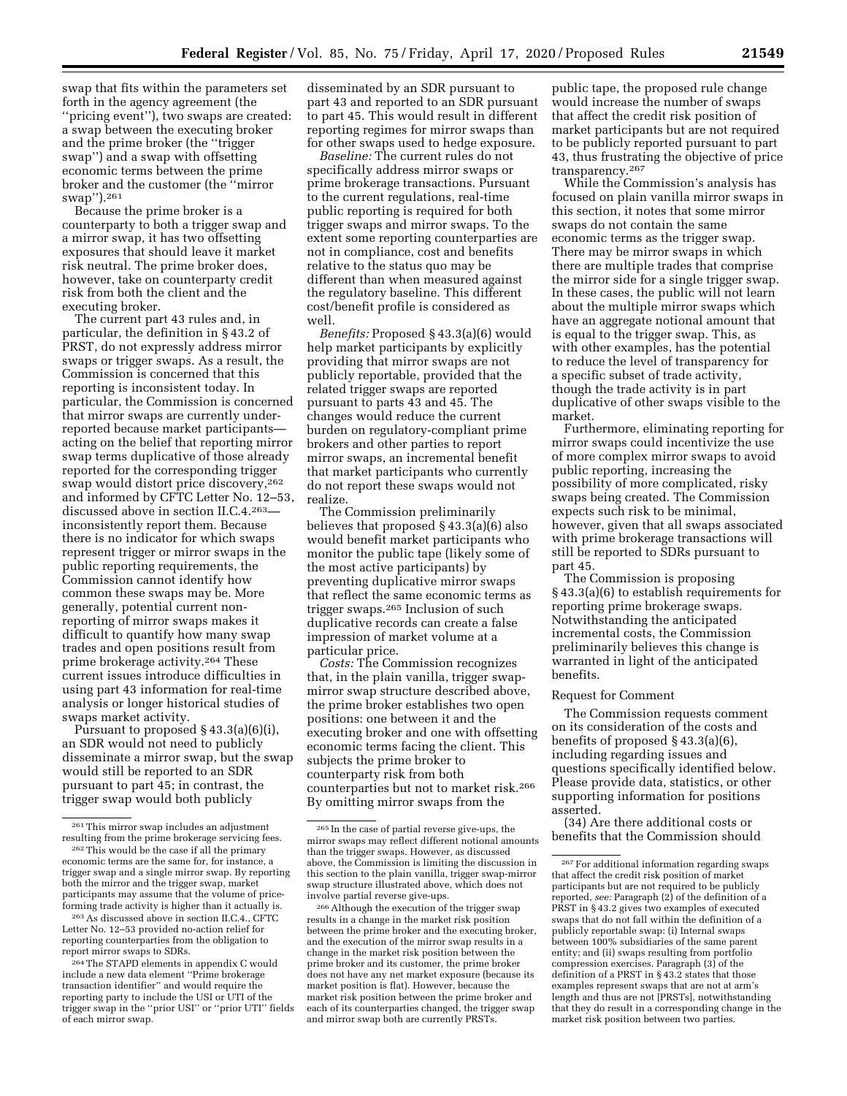swap that fits within the parameters set forth in the agency agreement (the ''pricing event''), two swaps are created: a swap between the executing broker and the prime broker (the ''trigger swap'') and a swap with offsetting economic terms between the prime broker and the customer (the ''mirror swap'').261

Because the prime broker is a counterparty to both a trigger swap and a mirror swap, it has two offsetting exposures that should leave it market risk neutral. The prime broker does, however, take on counterparty credit risk from both the client and the executing broker.

The current part 43 rules and, in particular, the definition in § 43.2 of PRST, do not expressly address mirror swaps or trigger swaps. As a result, the Commission is concerned that this reporting is inconsistent today. In particular, the Commission is concerned that mirror swaps are currently underreported because market participants acting on the belief that reporting mirror swap terms duplicative of those already reported for the corresponding trigger swap would distort price discovery,262 and informed by CFTC Letter No. 12–53, discussed above in section II.C.4.263 inconsistently report them. Because there is no indicator for which swaps represent trigger or mirror swaps in the public reporting requirements, the Commission cannot identify how common these swaps may be. More generally, potential current nonreporting of mirror swaps makes it difficult to quantify how many swap trades and open positions result from prime brokerage activity.264 These current issues introduce difficulties in using part 43 information for real-time analysis or longer historical studies of swaps market activity.

Pursuant to proposed § 43.3(a)(6)(i), an SDR would not need to publicly disseminate a mirror swap, but the swap would still be reported to an SDR pursuant to part 45; in contrast, the trigger swap would both publicly

263As discussed above in section II.C.4., CFTC Letter No. 12–53 provided no-action relief for reporting counterparties from the obligation to report mirror swaps to SDRs.

disseminated by an SDR pursuant to part 43 and reported to an SDR pursuant to part 45. This would result in different reporting regimes for mirror swaps than for other swaps used to hedge exposure.

*Baseline:* The current rules do not specifically address mirror swaps or prime brokerage transactions. Pursuant to the current regulations, real-time public reporting is required for both trigger swaps and mirror swaps. To the extent some reporting counterparties are not in compliance, cost and benefits relative to the status quo may be different than when measured against the regulatory baseline. This different cost/benefit profile is considered as well.

*Benefits:* Proposed § 43.3(a)(6) would help market participants by explicitly providing that mirror swaps are not publicly reportable, provided that the related trigger swaps are reported pursuant to parts 43 and 45. The changes would reduce the current burden on regulatory-compliant prime brokers and other parties to report mirror swaps, an incremental benefit that market participants who currently do not report these swaps would not realize.

The Commission preliminarily believes that proposed § 43.3(a)(6) also would benefit market participants who monitor the public tape (likely some of the most active participants) by preventing duplicative mirror swaps that reflect the same economic terms as trigger swaps.265 Inclusion of such duplicative records can create a false impression of market volume at a particular price.

*Costs:* The Commission recognizes that, in the plain vanilla, trigger swapmirror swap structure described above, the prime broker establishes two open positions: one between it and the executing broker and one with offsetting economic terms facing the client. This subjects the prime broker to counterparty risk from both counterparties but not to market risk.266 By omitting mirror swaps from the

public tape, the proposed rule change would increase the number of swaps that affect the credit risk position of market participants but are not required to be publicly reported pursuant to part 43, thus frustrating the objective of price transparency.267

While the Commission's analysis has focused on plain vanilla mirror swaps in this section, it notes that some mirror swaps do not contain the same economic terms as the trigger swap. There may be mirror swaps in which there are multiple trades that comprise the mirror side for a single trigger swap. In these cases, the public will not learn about the multiple mirror swaps which have an aggregate notional amount that is equal to the trigger swap. This, as with other examples, has the potential to reduce the level of transparency for a specific subset of trade activity, though the trade activity is in part duplicative of other swaps visible to the market.

Furthermore, eliminating reporting for mirror swaps could incentivize the use of more complex mirror swaps to avoid public reporting, increasing the possibility of more complicated, risky swaps being created. The Commission expects such risk to be minimal, however, given that all swaps associated with prime brokerage transactions will still be reported to SDRs pursuant to part 45.

The Commission is proposing § 43.3(a)(6) to establish requirements for reporting prime brokerage swaps. Notwithstanding the anticipated incremental costs, the Commission preliminarily believes this change is warranted in light of the anticipated benefits.

#### Request for Comment

The Commission requests comment on its consideration of the costs and benefits of proposed § 43.3(a)(6), including regarding issues and questions specifically identified below. Please provide data, statistics, or other supporting information for positions asserted.

(34) Are there additional costs or benefits that the Commission should

<sup>261</sup>This mirror swap includes an adjustment resulting from the prime brokerage servicing fees.

<sup>262</sup>This would be the case if all the primary economic terms are the same for, for instance, a trigger swap and a single mirror swap. By reporting both the mirror and the trigger swap, market participants may assume that the volume of priceforming trade activity is higher than it actually is.

<sup>&</sup>lt;sup>264</sup> The STAPD elements in appendix C would include a new data element ''Prime brokerage transaction identifier'' and would require the reporting party to include the USI or UTI of the trigger swap in the ''prior USI'' or ''prior UTI'' fields of each mirror swap.

<sup>265</sup> In the case of partial reverse give-ups, the mirror swaps may reflect different notional amounts than the trigger swaps. However, as discussed above, the Commission is limiting the discussion in this section to the plain vanilla, trigger swap-mirror swap structure illustrated above, which does not involve partial reverse give-ups.

<sup>266</sup>Although the execution of the trigger swap results in a change in the market risk position between the prime broker and the executing broker, and the execution of the mirror swap results in a change in the market risk position between the prime broker and its customer, the prime broker does not have any net market exposure (because its market position is flat). However, because the market risk position between the prime broker and each of its counterparties changed, the trigger swap and mirror swap both are currently PRSTs.

<sup>267</sup>For additional information regarding swaps that affect the credit risk position of market participants but are not required to be publicly reported, *see:* Paragraph (2) of the definition of a PRST in § 43.2 gives two examples of executed swaps that do not fall within the definition of a publicly reportable swap: (i) Internal swaps between 100% subsidiaries of the same parent entity; and (ii) swaps resulting from portfolio compression exercises. Paragraph (3) of the definition of a PRST in § 43.2 states that those examples represent swaps that are not at arm's length and thus are not [PRSTs], notwithstanding that they do result in a corresponding change in the market risk position between two parties.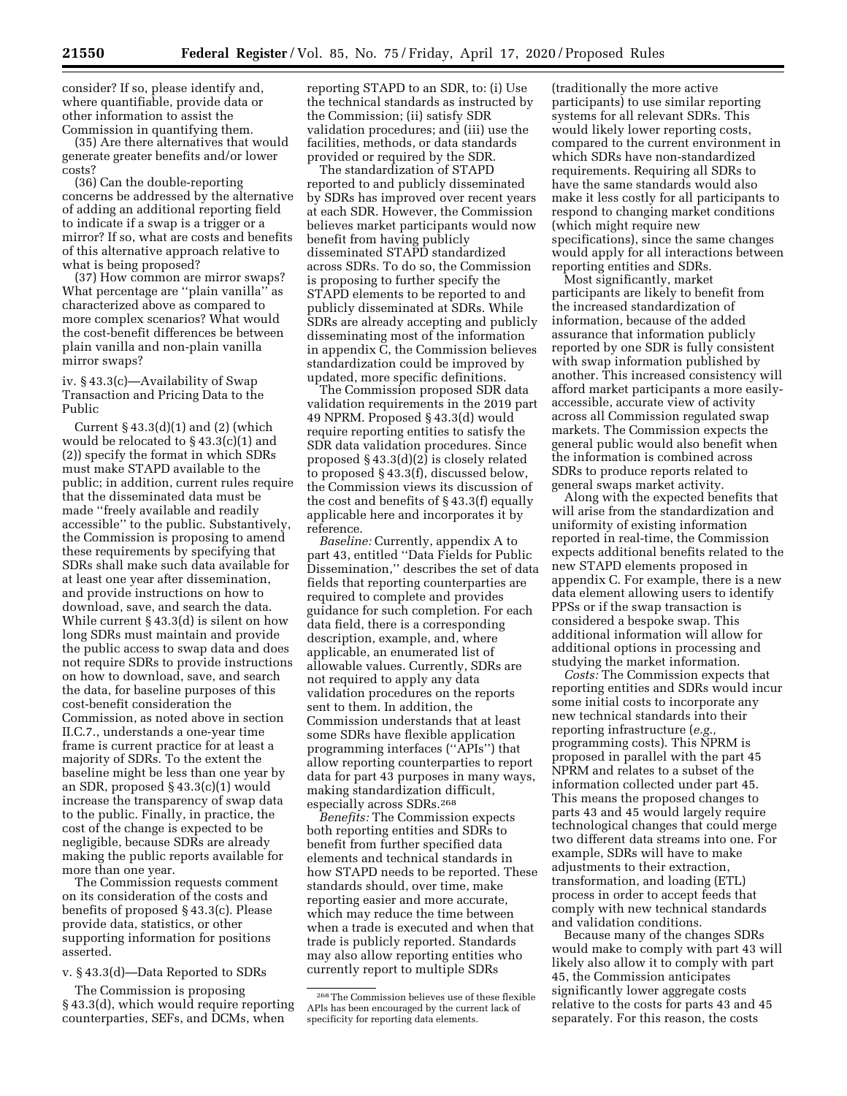consider? If so, please identify and, where quantifiable, provide data or other information to assist the Commission in quantifying them.

(35) Are there alternatives that would generate greater benefits and/or lower costs?

(36) Can the double-reporting concerns be addressed by the alternative of adding an additional reporting field to indicate if a swap is a trigger or a mirror? If so, what are costs and benefits of this alternative approach relative to what is being proposed?

(37) How common are mirror swaps? What percentage are ''plain vanilla'' as characterized above as compared to more complex scenarios? What would the cost-benefit differences be between plain vanilla and non-plain vanilla mirror swaps?

iv. § 43.3(c)—Availability of Swap Transaction and Pricing Data to the Public

Current  $\S$  43.3(d)(1) and (2) (which would be relocated to § 43.3(c)(1) and (2)) specify the format in which SDRs must make STAPD available to the public; in addition, current rules require that the disseminated data must be made ''freely available and readily accessible'' to the public. Substantively, the Commission is proposing to amend these requirements by specifying that SDRs shall make such data available for at least one year after dissemination, and provide instructions on how to download, save, and search the data. While current § 43.3(d) is silent on how long SDRs must maintain and provide the public access to swap data and does not require SDRs to provide instructions on how to download, save, and search the data, for baseline purposes of this cost-benefit consideration the Commission, as noted above in section II.C.7., understands a one-year time frame is current practice for at least a majority of SDRs. To the extent the baseline might be less than one year by an SDR, proposed § 43.3(c)(1) would increase the transparency of swap data to the public. Finally, in practice, the cost of the change is expected to be negligible, because SDRs are already making the public reports available for more than one year.

The Commission requests comment on its consideration of the costs and benefits of proposed § 43.3(c). Please provide data, statistics, or other supporting information for positions asserted.

v. § 43.3(d)—Data Reported to SDRs

The Commission is proposing § 43.3(d), which would require reporting counterparties, SEFs, and DCMs, when

reporting STAPD to an SDR, to: (i) Use the technical standards as instructed by the Commission; (ii) satisfy SDR validation procedures; and (iii) use the facilities, methods, or data standards provided or required by the SDR.

The standardization of STAPD reported to and publicly disseminated by SDRs has improved over recent years at each SDR. However, the Commission believes market participants would now benefit from having publicly disseminated STAPD standardized across SDRs. To do so, the Commission is proposing to further specify the STAPD elements to be reported to and publicly disseminated at SDRs. While SDRs are already accepting and publicly disseminating most of the information in appendix C, the Commission believes standardization could be improved by updated, more specific definitions.

The Commission proposed SDR data validation requirements in the 2019 part 49 NPRM. Proposed § 43.3(d) would require reporting entities to satisfy the SDR data validation procedures. Since proposed § 43.3(d)(2) is closely related to proposed § 43.3(f), discussed below, the Commission views its discussion of the cost and benefits of § 43.3(f) equally applicable here and incorporates it by reference.

*Baseline:* Currently, appendix A to part 43, entitled ''Data Fields for Public Dissemination,'' describes the set of data fields that reporting counterparties are required to complete and provides guidance for such completion. For each data field, there is a corresponding description, example, and, where applicable, an enumerated list of allowable values. Currently, SDRs are not required to apply any data validation procedures on the reports sent to them. In addition, the Commission understands that at least some SDRs have flexible application programming interfaces (''APIs'') that allow reporting counterparties to report data for part 43 purposes in many ways, making standardization difficult, especially across SDRs.268

*Benefits:* The Commission expects both reporting entities and SDRs to benefit from further specified data elements and technical standards in how STAPD needs to be reported. These standards should, over time, make reporting easier and more accurate, which may reduce the time between when a trade is executed and when that trade is publicly reported. Standards may also allow reporting entities who currently report to multiple SDRs

(traditionally the more active participants) to use similar reporting systems for all relevant SDRs. This would likely lower reporting costs, compared to the current environment in which SDRs have non-standardized requirements. Requiring all SDRs to have the same standards would also make it less costly for all participants to respond to changing market conditions (which might require new specifications), since the same changes would apply for all interactions between reporting entities and SDRs.

Most significantly, market participants are likely to benefit from the increased standardization of information, because of the added assurance that information publicly reported by one SDR is fully consistent with swap information published by another. This increased consistency will afford market participants a more easilyaccessible, accurate view of activity across all Commission regulated swap markets. The Commission expects the general public would also benefit when the information is combined across SDRs to produce reports related to general swaps market activity.

Along with the expected benefits that will arise from the standardization and uniformity of existing information reported in real-time, the Commission expects additional benefits related to the new STAPD elements proposed in appendix C. For example, there is a new data element allowing users to identify PPSs or if the swap transaction is considered a bespoke swap. This additional information will allow for additional options in processing and studying the market information.

*Costs:* The Commission expects that reporting entities and SDRs would incur some initial costs to incorporate any new technical standards into their reporting infrastructure (*e.g.,*  programming costs). This NPRM is proposed in parallel with the part 45 NPRM and relates to a subset of the information collected under part 45. This means the proposed changes to parts 43 and 45 would largely require technological changes that could merge two different data streams into one. For example, SDRs will have to make adjustments to their extraction, transformation, and loading (ETL) process in order to accept feeds that comply with new technical standards and validation conditions.

Because many of the changes SDRs would make to comply with part 43 will likely also allow it to comply with part 45, the Commission anticipates significantly lower aggregate costs relative to the costs for parts 43 and 45 separately. For this reason, the costs

<sup>268</sup>The Commission believes use of these flexible APIs has been encouraged by the current lack of specificity for reporting data elements.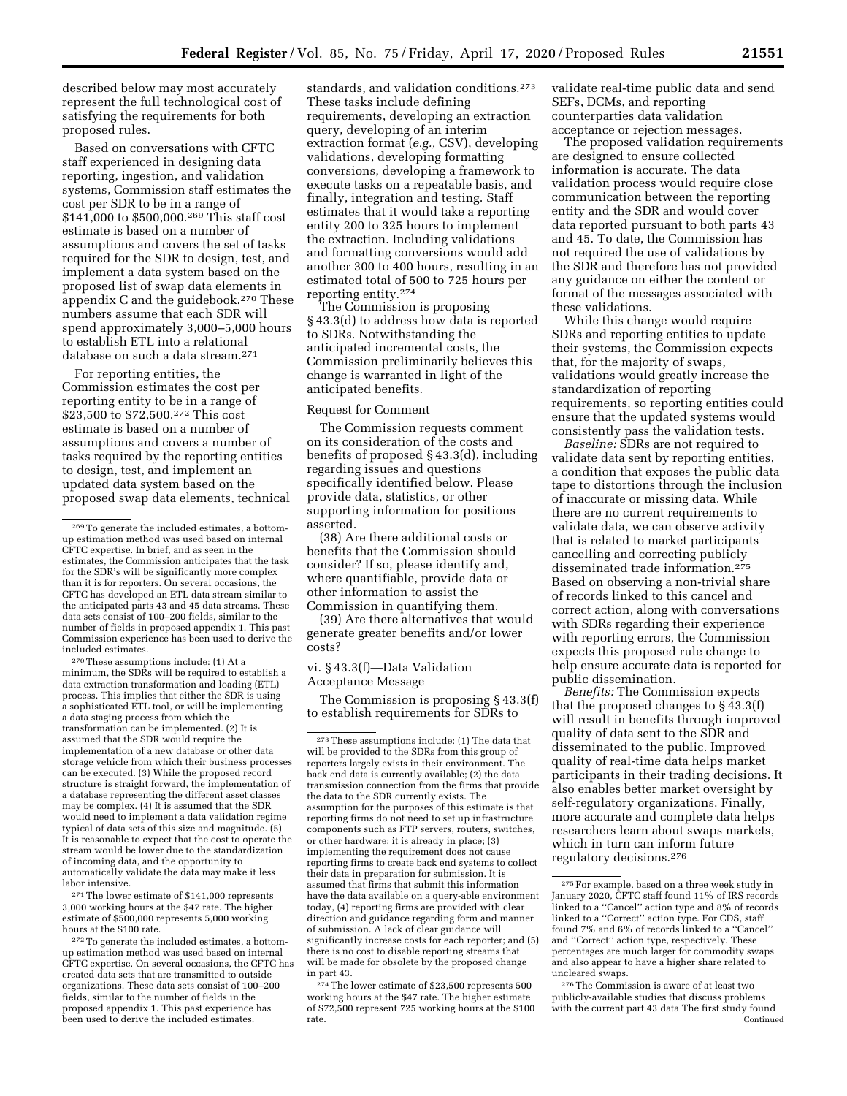described below may most accurately represent the full technological cost of satisfying the requirements for both proposed rules.

Based on conversations with CFTC staff experienced in designing data reporting, ingestion, and validation systems, Commission staff estimates the cost per SDR to be in a range of \$141,000 to \$500,000.269 This staff cost estimate is based on a number of assumptions and covers the set of tasks required for the SDR to design, test, and implement a data system based on the proposed list of swap data elements in appendix C and the guidebook.270 These numbers assume that each SDR will spend approximately 3,000–5,000 hours to establish ETL into a relational database on such a data stream.271

For reporting entities, the Commission estimates the cost per reporting entity to be in a range of \$23,500 to \$72,500.272 This cost estimate is based on a number of assumptions and covers a number of tasks required by the reporting entities to design, test, and implement an updated data system based on the proposed swap data elements, technical

270These assumptions include: (1) At a minimum, the SDRs will be required to establish a data extraction transformation and loading (ETL) process. This implies that either the SDR is using a sophisticated ETL tool, or will be implementing a data staging process from which the transformation can be implemented. (2) It is assumed that the SDR would require the implementation of a new database or other data storage vehicle from which their business processes can be executed. (3) While the proposed record structure is straight forward, the implementation of a database representing the different asset classes may be complex. (4) It is assumed that the SDR would need to implement a data validation regime typical of data sets of this size and magnitude. (5) It is reasonable to expect that the cost to operate the stream would be lower due to the standardization of incoming data, and the opportunity to automatically validate the data may make it less labor intensive.

271The lower estimate of \$141,000 represents 3,000 working hours at the \$47 rate. The higher estimate of \$500,000 represents 5,000 working hours at the \$100 rate.

272To generate the included estimates, a bottomup estimation method was used based on internal CFTC expertise. On several occasions, the CFTC has created data sets that are transmitted to outside organizations. These data sets consist of 100–200 fields, similar to the number of fields in the proposed appendix 1. This past experience has been used to derive the included estimates.

standards, and validation conditions.<sup>273</sup> These tasks include defining requirements, developing an extraction query, developing of an interim extraction format (*e.g.,* CSV), developing validations, developing formatting conversions, developing a framework to execute tasks on a repeatable basis, and finally, integration and testing. Staff estimates that it would take a reporting entity 200 to 325 hours to implement the extraction. Including validations and formatting conversions would add another 300 to 400 hours, resulting in an estimated total of 500 to 725 hours per reporting entity.274

The Commission is proposing § 43.3(d) to address how data is reported to SDRs. Notwithstanding the anticipated incremental costs, the Commission preliminarily believes this change is warranted in light of the anticipated benefits.

# Request for Comment

The Commission requests comment on its consideration of the costs and benefits of proposed § 43.3(d), including regarding issues and questions specifically identified below. Please provide data, statistics, or other supporting information for positions asserted.

(38) Are there additional costs or benefits that the Commission should consider? If so, please identify and, where quantifiable, provide data or other information to assist the Commission in quantifying them.

(39) Are there alternatives that would generate greater benefits and/or lower costs?

## vi. § 43.3(f)—Data Validation Acceptance Message

The Commission is proposing § 43.3(f) to establish requirements for SDRs to

274The lower estimate of \$23,500 represents 500 working hours at the \$47 rate. The higher estimate of \$72,500 represent 725 working hours at the \$100 rate.

validate real-time public data and send SEFs, DCMs, and reporting counterparties data validation acceptance or rejection messages.

The proposed validation requirements are designed to ensure collected information is accurate. The data validation process would require close communication between the reporting entity and the SDR and would cover data reported pursuant to both parts 43 and 45. To date, the Commission has not required the use of validations by the SDR and therefore has not provided any guidance on either the content or format of the messages associated with these validations.

While this change would require SDRs and reporting entities to update their systems, the Commission expects that, for the majority of swaps, validations would greatly increase the standardization of reporting requirements, so reporting entities could ensure that the updated systems would consistently pass the validation tests.

*Baseline:* SDRs are not required to validate data sent by reporting entities, a condition that exposes the public data tape to distortions through the inclusion of inaccurate or missing data. While there are no current requirements to validate data, we can observe activity that is related to market participants cancelling and correcting publicly disseminated trade information.275 Based on observing a non-trivial share of records linked to this cancel and correct action, along with conversations with SDRs regarding their experience with reporting errors, the Commission expects this proposed rule change to help ensure accurate data is reported for public dissemination.

*Benefits:* The Commission expects that the proposed changes to  $\S$ 43.3(f) will result in benefits through improved quality of data sent to the SDR and disseminated to the public. Improved quality of real-time data helps market participants in their trading decisions. It also enables better market oversight by self-regulatory organizations. Finally, more accurate and complete data helps researchers learn about swaps markets, which in turn can inform future regulatory decisions.276

<sup>269</sup>To generate the included estimates, a bottomup estimation method was used based on internal CFTC expertise. In brief, and as seen in the estimates, the Commission anticipates that the task for the SDR's will be significantly more complex than it is for reporters. On several occasions, the CFTC has developed an ETL data stream similar to the anticipated parts 43 and 45 data streams. These data sets consist of 100–200 fields, similar to the number of fields in proposed appendix 1. This past Commission experience has been used to derive the included estimates.

<sup>273</sup>These assumptions include: (1) The data that will be provided to the SDRs from this group of reporters largely exists in their environment. The back end data is currently available; (2) the data transmission connection from the firms that provide the data to the SDR currently exists. The assumption for the purposes of this estimate is that reporting firms do not need to set up infrastructure components such as FTP servers, routers, switches, or other hardware; it is already in place; (3) implementing the requirement does not cause reporting firms to create back end systems to collect their data in preparation for submission. It is assumed that firms that submit this information have the data available on a query-able environment today, (4) reporting firms are provided with clear direction and guidance regarding form and manner of submission. A lack of clear guidance will significantly increase costs for each reporter; and (5) there is no cost to disable reporting streams that will be made for obsolete by the proposed change in part 43.

<sup>275</sup>For example, based on a three week study in January 2020, CFTC staff found 11% of IRS records linked to a ''Cancel'' action type and 8% of records linked to a ''Correct'' action type. For CDS, staff found 7% and 6% of records linked to a ''Cancel'' and ''Correct'' action type, respectively. These percentages are much larger for commodity swaps and also appear to have a higher share related to uncleared swaps.

<sup>276</sup>The Commission is aware of at least two publicly-available studies that discuss problems with the current part 43 data The first study found Continued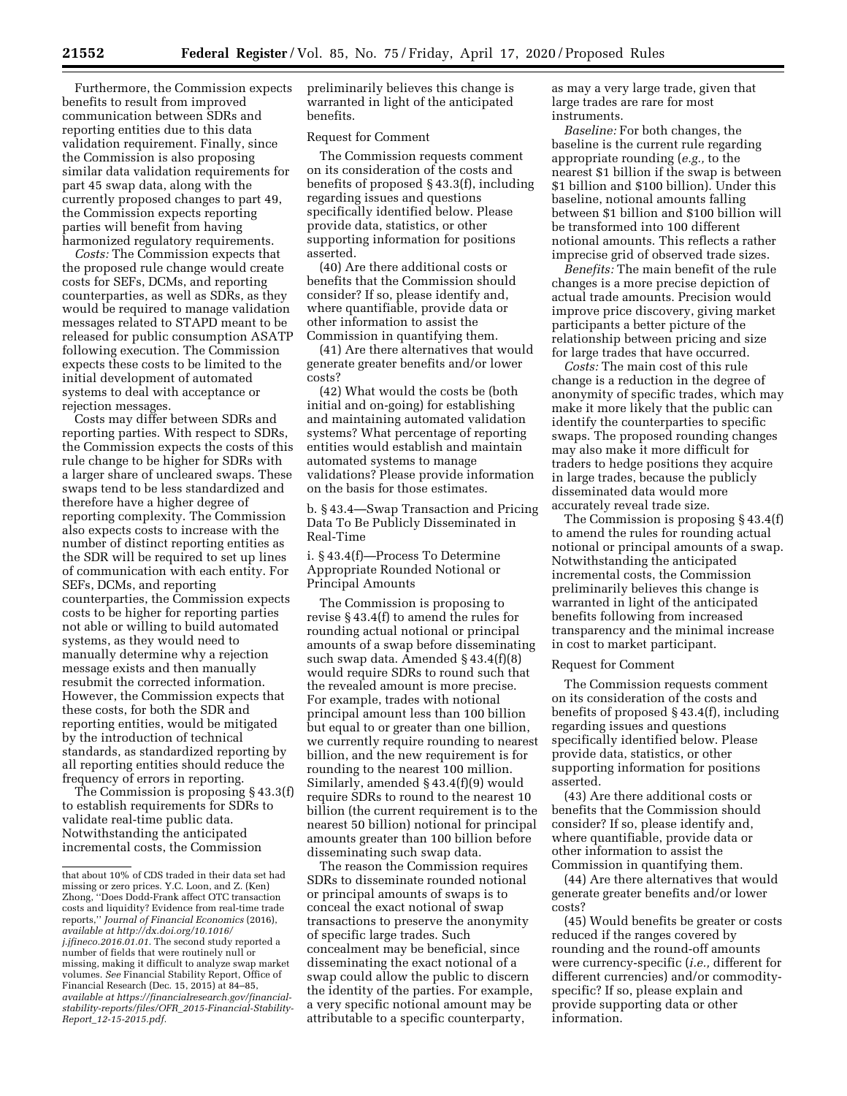Furthermore, the Commission expects benefits to result from improved communication between SDRs and reporting entities due to this data validation requirement. Finally, since the Commission is also proposing similar data validation requirements for part 45 swap data, along with the currently proposed changes to part 49, the Commission expects reporting parties will benefit from having harmonized regulatory requirements.

*Costs:* The Commission expects that the proposed rule change would create costs for SEFs, DCMs, and reporting counterparties, as well as SDRs, as they would be required to manage validation messages related to STAPD meant to be released for public consumption ASATP following execution. The Commission expects these costs to be limited to the initial development of automated systems to deal with acceptance or rejection messages.

Costs may differ between SDRs and reporting parties. With respect to SDRs, the Commission expects the costs of this rule change to be higher for SDRs with a larger share of uncleared swaps. These swaps tend to be less standardized and therefore have a higher degree of reporting complexity. The Commission also expects costs to increase with the number of distinct reporting entities as the SDR will be required to set up lines of communication with each entity. For SEFs, DCMs, and reporting counterparties, the Commission expects costs to be higher for reporting parties not able or willing to build automated systems, as they would need to manually determine why a rejection message exists and then manually resubmit the corrected information. However, the Commission expects that these costs, for both the SDR and reporting entities, would be mitigated by the introduction of technical standards, as standardized reporting by all reporting entities should reduce the frequency of errors in reporting.

The Commission is proposing § 43.3(f) to establish requirements for SDRs to validate real-time public data. Notwithstanding the anticipated incremental costs, the Commission

preliminarily believes this change is warranted in light of the anticipated benefits.

## Request for Comment

The Commission requests comment on its consideration of the costs and benefits of proposed § 43.3(f), including regarding issues and questions specifically identified below. Please provide data, statistics, or other supporting information for positions asserted.

(40) Are there additional costs or benefits that the Commission should consider? If so, please identify and, where quantifiable, provide data or other information to assist the Commission in quantifying them.

(41) Are there alternatives that would generate greater benefits and/or lower costs?

(42) What would the costs be (both initial and on-going) for establishing and maintaining automated validation systems? What percentage of reporting entities would establish and maintain automated systems to manage validations? Please provide information on the basis for those estimates.

b. § 43.4—Swap Transaction and Pricing Data To Be Publicly Disseminated in Real-Time

i. § 43.4(f)—Process To Determine Appropriate Rounded Notional or Principal Amounts

The Commission is proposing to revise § 43.4(f) to amend the rules for rounding actual notional or principal amounts of a swap before disseminating such swap data. Amended § 43.4(f)(8) would require SDRs to round such that the revealed amount is more precise. For example, trades with notional principal amount less than 100 billion but equal to or greater than one billion, we currently require rounding to nearest billion, and the new requirement is for rounding to the nearest 100 million. Similarly, amended § 43.4(f)(9) would require SDRs to round to the nearest 10 billion (the current requirement is to the nearest 50 billion) notional for principal amounts greater than 100 billion before disseminating such swap data.

The reason the Commission requires SDRs to disseminate rounded notional or principal amounts of swaps is to conceal the exact notional of swap transactions to preserve the anonymity of specific large trades. Such concealment may be beneficial, since disseminating the exact notional of a swap could allow the public to discern the identity of the parties. For example, a very specific notional amount may be attributable to a specific counterparty,

as may a very large trade, given that large trades are rare for most instruments.

*Baseline:* For both changes, the baseline is the current rule regarding appropriate rounding (*e.g.,* to the nearest \$1 billion if the swap is between \$1 billion and \$100 billion). Under this baseline, notional amounts falling between \$1 billion and \$100 billion will be transformed into 100 different notional amounts. This reflects a rather imprecise grid of observed trade sizes.

*Benefits:* The main benefit of the rule changes is a more precise depiction of actual trade amounts. Precision would improve price discovery, giving market participants a better picture of the relationship between pricing and size for large trades that have occurred.

*Costs:* The main cost of this rule change is a reduction in the degree of anonymity of specific trades, which may make it more likely that the public can identify the counterparties to specific swaps. The proposed rounding changes may also make it more difficult for traders to hedge positions they acquire in large trades, because the publicly disseminated data would more accurately reveal trade size.

The Commission is proposing § 43.4(f) to amend the rules for rounding actual notional or principal amounts of a swap. Notwithstanding the anticipated incremental costs, the Commission preliminarily believes this change is warranted in light of the anticipated benefits following from increased transparency and the minimal increase in cost to market participant.

#### Request for Comment

The Commission requests comment on its consideration of the costs and benefits of proposed § 43.4(f), including regarding issues and questions specifically identified below. Please provide data, statistics, or other supporting information for positions asserted.

(43) Are there additional costs or benefits that the Commission should consider? If so, please identify and, where quantifiable, provide data or other information to assist the Commission in quantifying them.

(44) Are there alternatives that would generate greater benefits and/or lower costs?

(45) Would benefits be greater or costs reduced if the ranges covered by rounding and the round-off amounts were currency-specific (*i.e.,* different for different currencies) and/or commodityspecific? If so, please explain and provide supporting data or other information.

that about 10% of CDS traded in their data set had missing or zero prices. Y.C. Loon, and Z. (Ken) Zhong, ''Does Dodd-Frank affect OTC transaction costs and liquidity? Evidence from real-time trade reports,'' *Journal of Financial Economics* (2016), *available at [http://dx.doi.org/10.1016/](http://dx.doi.org/10.1016/j.jfineco.2016.01.01) [j.jfineco.2016.01.01.](http://dx.doi.org/10.1016/j.jfineco.2016.01.01)* The second study reported a number of fields that were routinely null or missing, making it difficult to analyze swap market volumes. *See* Financial Stability Report, Office of Financial Research (Dec. 15, 2015) at 84–85, *available at [https://financialresearch.gov/financial](https://financialresearch.gov/financial-stability-reports/files/OFR_2015-Financial-Stability-Report_12-15-2015.pdf)[stability-reports/files/OFR](https://financialresearch.gov/financial-stability-reports/files/OFR_2015-Financial-Stability-Report_12-15-2015.pdf)*\_*2015-Financial-Stability-Report*\_*[12-15-2015.pdf.](https://financialresearch.gov/financial-stability-reports/files/OFR_2015-Financial-Stability-Report_12-15-2015.pdf)*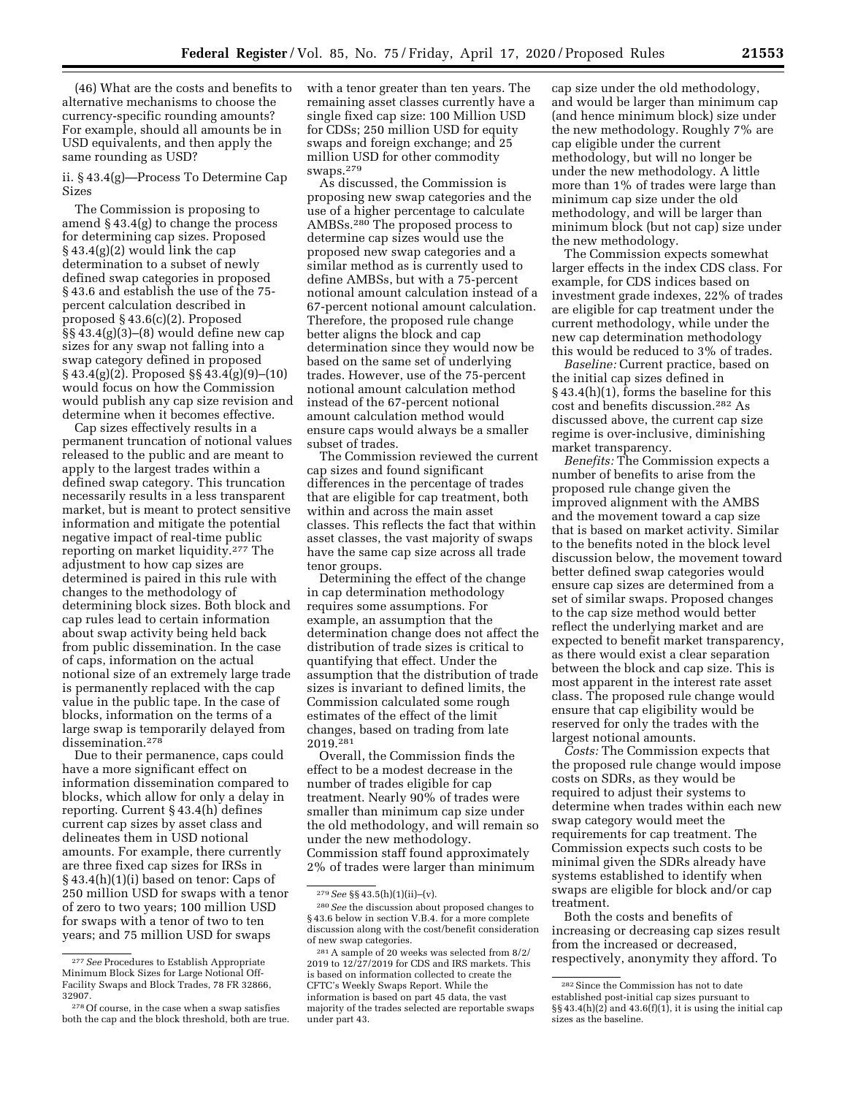(46) What are the costs and benefits to alternative mechanisms to choose the currency-specific rounding amounts? For example, should all amounts be in USD equivalents, and then apply the same rounding as USD?

ii. § 43.4(g)—Process To Determine Cap Sizes

The Commission is proposing to amend  $\S$  43.4(g) to change the process for determining cap sizes. Proposed  $§ 43.4(g)(2)$  would link the cap determination to a subset of newly defined swap categories in proposed § 43.6 and establish the use of the 75 percent calculation described in proposed § 43.6(c)(2). Proposed §§ 43.4(g)(3)–(8) would define new cap sizes for any swap not falling into a swap category defined in proposed § 43.4(g)(2). Proposed §§ 43.4(g)(9)–(10) would focus on how the Commission would publish any cap size revision and determine when it becomes effective.

Cap sizes effectively results in a permanent truncation of notional values released to the public and are meant to apply to the largest trades within a defined swap category. This truncation necessarily results in a less transparent market, but is meant to protect sensitive information and mitigate the potential negative impact of real-time public reporting on market liquidity.277 The adjustment to how cap sizes are determined is paired in this rule with changes to the methodology of determining block sizes. Both block and cap rules lead to certain information about swap activity being held back from public dissemination. In the case of caps, information on the actual notional size of an extremely large trade is permanently replaced with the cap value in the public tape. In the case of blocks, information on the terms of a large swap is temporarily delayed from dissemination.278

Due to their permanence, caps could have a more significant effect on information dissemination compared to blocks, which allow for only a delay in reporting. Current § 43.4(h) defines current cap sizes by asset class and delineates them in USD notional amounts. For example, there currently are three fixed cap sizes for IRSs in § 43.4(h)(1)(i) based on tenor: Caps of 250 million USD for swaps with a tenor of zero to two years; 100 million USD for swaps with a tenor of two to ten years; and 75 million USD for swaps

with a tenor greater than ten years. The remaining asset classes currently have a single fixed cap size: 100 Million USD for CDSs; 250 million USD for equity swaps and foreign exchange; and 25 million USD for other commodity swaps.279

As discussed, the Commission is proposing new swap categories and the use of a higher percentage to calculate AMBSs.280 The proposed process to determine cap sizes would use the proposed new swap categories and a similar method as is currently used to define AMBSs, but with a 75-percent notional amount calculation instead of a 67-percent notional amount calculation. Therefore, the proposed rule change better aligns the block and cap determination since they would now be based on the same set of underlying trades. However, use of the 75-percent notional amount calculation method instead of the 67-percent notional amount calculation method would ensure caps would always be a smaller subset of trades.

The Commission reviewed the current cap sizes and found significant differences in the percentage of trades that are eligible for cap treatment, both within and across the main asset classes. This reflects the fact that within asset classes, the vast majority of swaps have the same cap size across all trade tenor groups.

Determining the effect of the change in cap determination methodology requires some assumptions. For example, an assumption that the determination change does not affect the distribution of trade sizes is critical to quantifying that effect. Under the assumption that the distribution of trade sizes is invariant to defined limits, the Commission calculated some rough estimates of the effect of the limit changes, based on trading from late 2019.281

Overall, the Commission finds the effect to be a modest decrease in the number of trades eligible for cap treatment. Nearly 90% of trades were smaller than minimum cap size under the old methodology, and will remain so under the new methodology. Commission staff found approximately 2% of trades were larger than minimum

cap size under the old methodology, and would be larger than minimum cap (and hence minimum block) size under the new methodology. Roughly 7% are cap eligible under the current methodology, but will no longer be under the new methodology. A little more than 1% of trades were large than minimum cap size under the old methodology, and will be larger than minimum block (but not cap) size under the new methodology.

The Commission expects somewhat larger effects in the index CDS class. For example, for CDS indices based on investment grade indexes, 22% of trades are eligible for cap treatment under the current methodology, while under the new cap determination methodology this would be reduced to 3% of trades.

*Baseline:* Current practice, based on the initial cap sizes defined in § 43.4(h)(1), forms the baseline for this cost and benefits discussion.282 As discussed above, the current cap size regime is over-inclusive, diminishing market transparency.

*Benefits:* The Commission expects a number of benefits to arise from the proposed rule change given the improved alignment with the AMBS and the movement toward a cap size that is based on market activity. Similar to the benefits noted in the block level discussion below, the movement toward better defined swap categories would ensure cap sizes are determined from a set of similar swaps. Proposed changes to the cap size method would better reflect the underlying market and are expected to benefit market transparency, as there would exist a clear separation between the block and cap size. This is most apparent in the interest rate asset class. The proposed rule change would ensure that cap eligibility would be reserved for only the trades with the largest notional amounts.

*Costs:* The Commission expects that the proposed rule change would impose costs on SDRs, as they would be required to adjust their systems to determine when trades within each new swap category would meet the requirements for cap treatment. The Commission expects such costs to be minimal given the SDRs already have systems established to identify when swaps are eligible for block and/or cap treatment.

Both the costs and benefits of increasing or decreasing cap sizes result from the increased or decreased, respectively, anonymity they afford. To

<sup>277</sup>*See* Procedures to Establish Appropriate Minimum Block Sizes for Large Notional Off-Facility Swaps and Block Trades, 78 FR 32866, 32907.

<sup>278</sup>Of course, in the case when a swap satisfies both the cap and the block threshold, both are true.

<sup>279</sup>*See* §§ 43.5(h)(1)(ii)–(v).

<sup>280</sup>*See* the discussion about proposed changes to § 43.6 below in section V.B.4. for a more complete discussion along with the cost/benefit consideration of new swap categories.

<sup>281</sup>A sample of 20 weeks was selected from 8/2/ 2019 to 12/27/2019 for CDS and IRS markets. This is based on information collected to create the CFTC's Weekly Swaps Report. While the information is based on part 45 data, the vast majority of the trades selected are reportable swaps under part 43.

<sup>282</sup>Since the Commission has not to date established post-initial cap sizes pursuant to  $\S\S 43.4(h)(2)$  and  $43.6(f)(1)$ , it is using the initial cap sizes as the baseline.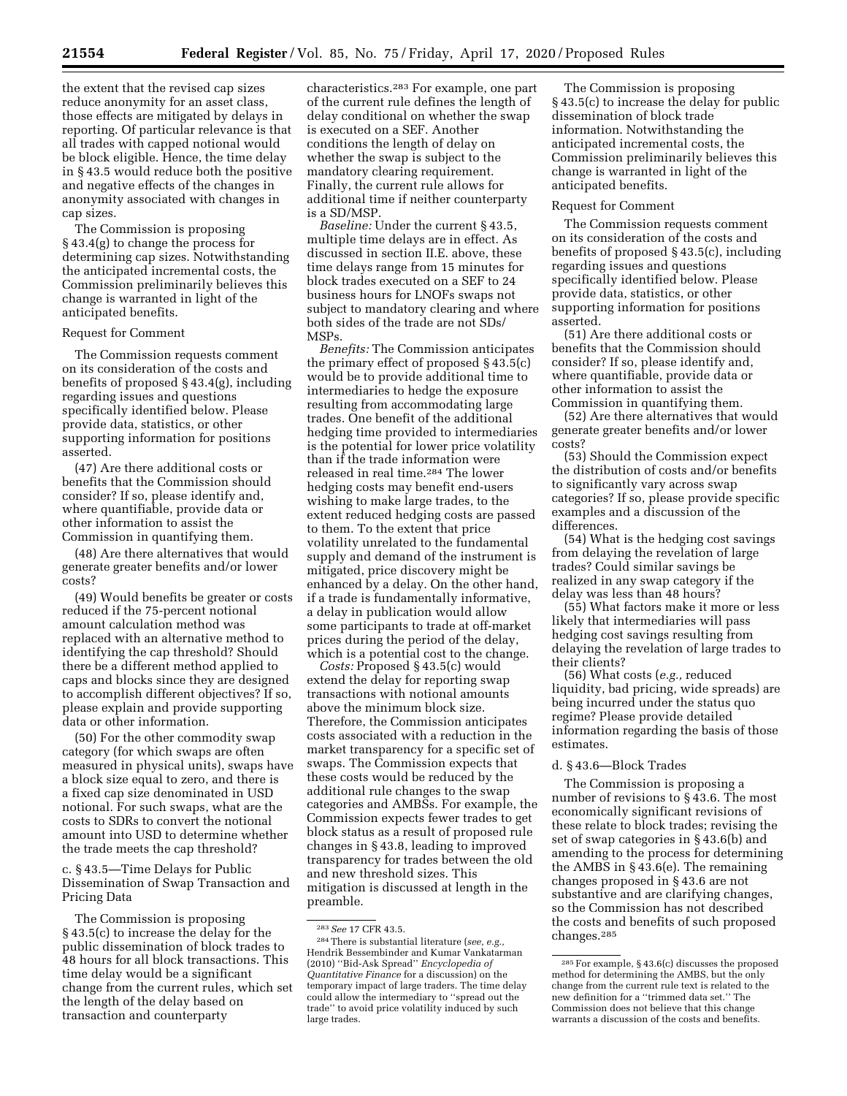the extent that the revised cap sizes reduce anonymity for an asset class, those effects are mitigated by delays in reporting. Of particular relevance is that all trades with capped notional would be block eligible. Hence, the time delay in § 43.5 would reduce both the positive and negative effects of the changes in anonymity associated with changes in cap sizes.

The Commission is proposing § 43.4(g) to change the process for determining cap sizes. Notwithstanding the anticipated incremental costs, the Commission preliminarily believes this change is warranted in light of the anticipated benefits.

# Request for Comment

The Commission requests comment on its consideration of the costs and benefits of proposed § 43.4(g), including regarding issues and questions specifically identified below. Please provide data, statistics, or other supporting information for positions asserted.

(47) Are there additional costs or benefits that the Commission should consider? If so, please identify and, where quantifiable, provide data or other information to assist the Commission in quantifying them.

(48) Are there alternatives that would generate greater benefits and/or lower costs?

(49) Would benefits be greater or costs reduced if the 75-percent notional amount calculation method was replaced with an alternative method to identifying the cap threshold? Should there be a different method applied to caps and blocks since they are designed to accomplish different objectives? If so, please explain and provide supporting data or other information.

(50) For the other commodity swap category (for which swaps are often measured in physical units), swaps have a block size equal to zero, and there is a fixed cap size denominated in USD notional. For such swaps, what are the costs to SDRs to convert the notional amount into USD to determine whether the trade meets the cap threshold?

c. § 43.5—Time Delays for Public Dissemination of Swap Transaction and Pricing Data

The Commission is proposing § 43.5(c) to increase the delay for the public dissemination of block trades to 48 hours for all block transactions. This time delay would be a significant change from the current rules, which set the length of the delay based on transaction and counterparty

characteristics.283 For example, one part of the current rule defines the length of delay conditional on whether the swap is executed on a SEF. Another conditions the length of delay on whether the swap is subject to the mandatory clearing requirement. Finally, the current rule allows for additional time if neither counterparty is a SD/MSP.

*Baseline:* Under the current § 43.5, multiple time delays are in effect. As discussed in section II.E. above, these time delays range from 15 minutes for block trades executed on a SEF to 24 business hours for LNOFs swaps not subject to mandatory clearing and where both sides of the trade are not SDs/ MSPs.

*Benefits:* The Commission anticipates the primary effect of proposed § 43.5(c) would be to provide additional time to intermediaries to hedge the exposure resulting from accommodating large trades. One benefit of the additional hedging time provided to intermediaries is the potential for lower price volatility than if the trade information were released in real time.284 The lower hedging costs may benefit end-users wishing to make large trades, to the extent reduced hedging costs are passed to them. To the extent that price volatility unrelated to the fundamental supply and demand of the instrument is mitigated, price discovery might be enhanced by a delay. On the other hand, if a trade is fundamentally informative, a delay in publication would allow some participants to trade at off-market prices during the period of the delay, which is a potential cost to the change.

*Costs:* Proposed § 43.5(c) would extend the delay for reporting swap transactions with notional amounts above the minimum block size. Therefore, the Commission anticipates costs associated with a reduction in the market transparency for a specific set of swaps. The Commission expects that these costs would be reduced by the additional rule changes to the swap categories and AMBSs. For example, the Commission expects fewer trades to get block status as a result of proposed rule changes in § 43.8, leading to improved transparency for trades between the old and new threshold sizes. This mitigation is discussed at length in the preamble.

The Commission is proposing § 43.5(c) to increase the delay for public dissemination of block trade information. Notwithstanding the anticipated incremental costs, the Commission preliminarily believes this change is warranted in light of the anticipated benefits.

#### Request for Comment

The Commission requests comment on its consideration of the costs and benefits of proposed § 43.5(c), including regarding issues and questions specifically identified below. Please provide data, statistics, or other supporting information for positions asserted.

(51) Are there additional costs or benefits that the Commission should consider? If so, please identify and, where quantifiable, provide data or other information to assist the Commission in quantifying them.

(52) Are there alternatives that would generate greater benefits and/or lower costs?

(53) Should the Commission expect the distribution of costs and/or benefits to significantly vary across swap categories? If so, please provide specific examples and a discussion of the differences.

(54) What is the hedging cost savings from delaying the revelation of large trades? Could similar savings be realized in any swap category if the delay was less than 48 hours?

(55) What factors make it more or less likely that intermediaries will pass hedging cost savings resulting from delaying the revelation of large trades to their clients?

(56) What costs (*e.g.,* reduced liquidity, bad pricing, wide spreads) are being incurred under the status quo regime? Please provide detailed information regarding the basis of those estimates.

#### d. § 43.6—Block Trades

The Commission is proposing a number of revisions to § 43.6. The most economically significant revisions of these relate to block trades; revising the set of swap categories in § 43.6(b) and amending to the process for determining the AMBS in § 43.6(e). The remaining changes proposed in § 43.6 are not substantive and are clarifying changes, so the Commission has not described the costs and benefits of such proposed changes.285

<sup>283</sup>*See* 17 CFR 43.5.

<sup>284</sup>There is substantial literature (*see, e.g.,*  Hendrik Bessembinder and Kumar Vankatarman (2010) ''Bid-Ask Spread'' *Encyclopedia of Quantitative Finance* for a discussion) on the temporary impact of large traders. The time delay could allow the intermediary to ''spread out the trade'' to avoid price volatility induced by such large trades.

<sup>285</sup>For example, § 43.6(c) discusses the proposed method for determining the AMBS, but the only change from the current rule text is related to the new definition for a ''trimmed data set.'' The Commission does not believe that this change warrants a discussion of the costs and benefits.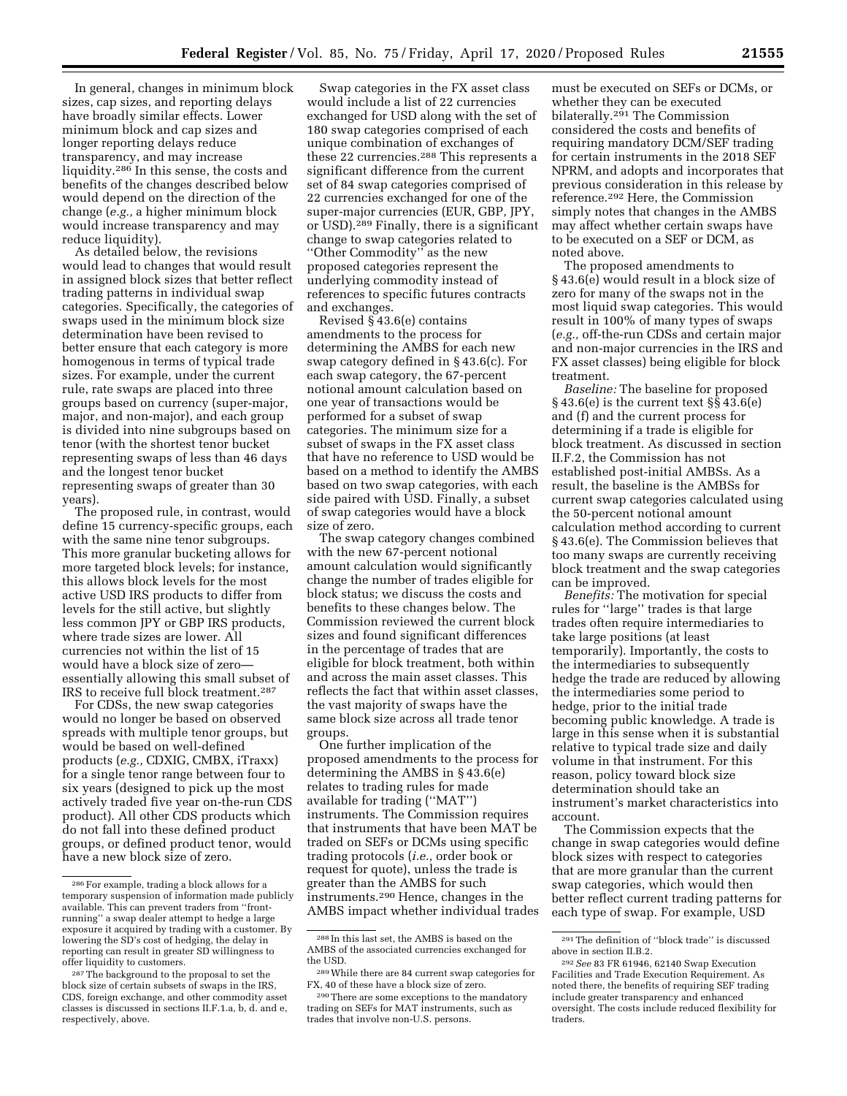In general, changes in minimum block sizes, cap sizes, and reporting delays have broadly similar effects. Lower minimum block and cap sizes and longer reporting delays reduce transparency, and may increase liquidity.286 In this sense, the costs and benefits of the changes described below would depend on the direction of the change (*e.g.,* a higher minimum block would increase transparency and may reduce liquidity).

As detailed below, the revisions would lead to changes that would result in assigned block sizes that better reflect trading patterns in individual swap categories. Specifically, the categories of swaps used in the minimum block size determination have been revised to better ensure that each category is more homogenous in terms of typical trade sizes. For example, under the current rule, rate swaps are placed into three groups based on currency (super-major, major, and non-major), and each group is divided into nine subgroups based on tenor (with the shortest tenor bucket representing swaps of less than 46 days and the longest tenor bucket representing swaps of greater than 30 years).

The proposed rule, in contrast, would define 15 currency-specific groups, each with the same nine tenor subgroups. This more granular bucketing allows for more targeted block levels; for instance, this allows block levels for the most active USD IRS products to differ from levels for the still active, but slightly less common JPY or GBP IRS products, where trade sizes are lower. All currencies not within the list of 15 would have a block size of zero essentially allowing this small subset of IRS to receive full block treatment.287

For CDSs, the new swap categories would no longer be based on observed spreads with multiple tenor groups, but would be based on well-defined products (*e.g.,* CDXIG, CMBX, iTraxx) for a single tenor range between four to six years (designed to pick up the most actively traded five year on-the-run CDS product). All other CDS products which do not fall into these defined product groups, or defined product tenor, would have a new block size of zero.

Swap categories in the FX asset class would include a list of 22 currencies exchanged for USD along with the set of 180 swap categories comprised of each unique combination of exchanges of these 22 currencies.288 This represents a significant difference from the current set of 84 swap categories comprised of 22 currencies exchanged for one of the super-major currencies (EUR, GBP, JPY, or USD).289 Finally, there is a significant change to swap categories related to ''Other Commodity'' as the new proposed categories represent the underlying commodity instead of references to specific futures contracts and exchanges.

Revised  $\sqrt{5}$  43.6(e) contains amendments to the process for determining the AMBS for each new swap category defined in § 43.6(c). For each swap category, the 67-percent notional amount calculation based on one year of transactions would be performed for a subset of swap categories. The minimum size for a subset of swaps in the FX asset class that have no reference to USD would be based on a method to identify the AMBS based on two swap categories, with each side paired with USD. Finally, a subset of swap categories would have a block size of zero.

The swap category changes combined with the new 67-percent notional amount calculation would significantly change the number of trades eligible for block status; we discuss the costs and benefits to these changes below. The Commission reviewed the current block sizes and found significant differences in the percentage of trades that are eligible for block treatment, both within and across the main asset classes. This reflects the fact that within asset classes, the vast majority of swaps have the same block size across all trade tenor groups.

One further implication of the proposed amendments to the process for determining the AMBS in § 43.6(e) relates to trading rules for made available for trading (''MAT'') instruments. The Commission requires that instruments that have been MAT be traded on SEFs or DCMs using specific trading protocols (*i.e.,* order book or request for quote), unless the trade is greater than the AMBS for such instruments.290 Hence, changes in the AMBS impact whether individual trades

must be executed on SEFs or DCMs, or whether they can be executed bilaterally.291 The Commission considered the costs and benefits of requiring mandatory DCM/SEF trading for certain instruments in the 2018 SEF NPRM, and adopts and incorporates that previous consideration in this release by reference.292 Here, the Commission simply notes that changes in the AMBS may affect whether certain swaps have to be executed on a SEF or DCM, as noted above.

The proposed amendments to § 43.6(e) would result in a block size of zero for many of the swaps not in the most liquid swap categories. This would result in 100% of many types of swaps (*e.g.,* off-the-run CDSs and certain major and non-major currencies in the IRS and FX asset classes) being eligible for block treatment.

*Baseline:* The baseline for proposed § 43.6(e) is the current text §§ 43.6(e) and (f) and the current process for determining if a trade is eligible for block treatment. As discussed in section II.F.2, the Commission has not established post-initial AMBSs. As a result, the baseline is the AMBSs for current swap categories calculated using the 50-percent notional amount calculation method according to current § 43.6(e). The Commission believes that too many swaps are currently receiving block treatment and the swap categories can be improved.

*Benefits:* The motivation for special rules for ''large'' trades is that large trades often require intermediaries to take large positions (at least temporarily). Importantly, the costs to the intermediaries to subsequently hedge the trade are reduced by allowing the intermediaries some period to hedge, prior to the initial trade becoming public knowledge. A trade is large in this sense when it is substantial relative to typical trade size and daily volume in that instrument. For this reason, policy toward block size determination should take an instrument's market characteristics into account.

The Commission expects that the change in swap categories would define block sizes with respect to categories that are more granular than the current swap categories, which would then better reflect current trading patterns for each type of swap. For example, USD

<sup>286</sup>For example, trading a block allows for a temporary suspension of information made publicly available. This can prevent traders from ''frontrunning'' a swap dealer attempt to hedge a large exposure it acquired by trading with a customer. By lowering the SD's cost of hedging, the delay in reporting can result in greater SD willingness to offer liquidity to customers.

<sup>287</sup>The background to the proposal to set the block size of certain subsets of swaps in the IRS, CDS, foreign exchange, and other commodity asset classes is discussed in sections II.F.1.a, b, d. and e, respectively, above.

<sup>288</sup> In this last set, the AMBS is based on the AMBS of the associated currencies exchanged for the USD.

<sup>289</sup>While there are 84 current swap categories for FX, 40 of these have a block size of zero.

<sup>290</sup>There are some exceptions to the mandatory trading on SEFs for MAT instruments, such as trades that involve non-U.S. persons.

<sup>291</sup>The definition of ''block trade'' is discussed above in section II.B.2.

<sup>292</sup>*See* 83 FR 61946, 62140 Swap Execution Facilities and Trade Execution Requirement. As noted there, the benefits of requiring SEF trading include greater transparency and enhanced oversight. The costs include reduced flexibility for traders.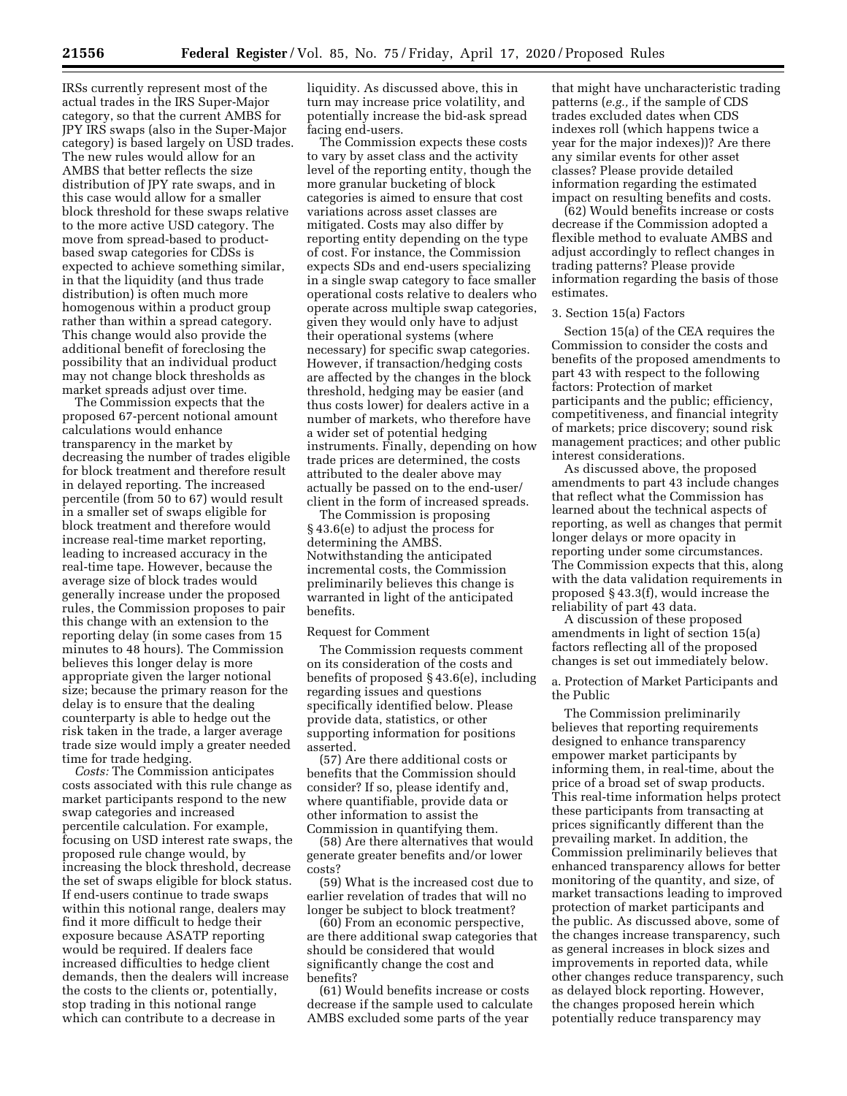IRSs currently represent most of the actual trades in the IRS Super-Major category, so that the current AMBS for JPY IRS swaps (also in the Super-Major category) is based largely on USD trades. The new rules would allow for an AMBS that better reflects the size distribution of JPY rate swaps, and in this case would allow for a smaller block threshold for these swaps relative to the more active USD category. The move from spread-based to productbased swap categories for CDSs is expected to achieve something similar, in that the liquidity (and thus trade distribution) is often much more homogenous within a product group rather than within a spread category. This change would also provide the additional benefit of foreclosing the possibility that an individual product may not change block thresholds as market spreads adjust over time.

The Commission expects that the proposed 67-percent notional amount calculations would enhance transparency in the market by decreasing the number of trades eligible for block treatment and therefore result in delayed reporting. The increased percentile (from 50 to 67) would result in a smaller set of swaps eligible for block treatment and therefore would increase real-time market reporting, leading to increased accuracy in the real-time tape. However, because the average size of block trades would generally increase under the proposed rules, the Commission proposes to pair this change with an extension to the reporting delay (in some cases from 15 minutes to 48 hours). The Commission believes this longer delay is more appropriate given the larger notional size; because the primary reason for the delay is to ensure that the dealing counterparty is able to hedge out the risk taken in the trade, a larger average trade size would imply a greater needed time for trade hedging.

*Costs:* The Commission anticipates costs associated with this rule change as market participants respond to the new swap categories and increased percentile calculation. For example, focusing on USD interest rate swaps, the proposed rule change would, by increasing the block threshold, decrease the set of swaps eligible for block status. If end-users continue to trade swaps within this notional range, dealers may find it more difficult to hedge their exposure because ASATP reporting would be required. If dealers face increased difficulties to hedge client demands, then the dealers will increase the costs to the clients or, potentially, stop trading in this notional range which can contribute to a decrease in

liquidity. As discussed above, this in turn may increase price volatility, and potentially increase the bid-ask spread facing end-users.

The Commission expects these costs to vary by asset class and the activity level of the reporting entity, though the more granular bucketing of block categories is aimed to ensure that cost variations across asset classes are mitigated. Costs may also differ by reporting entity depending on the type of cost. For instance, the Commission expects SDs and end-users specializing in a single swap category to face smaller operational costs relative to dealers who operate across multiple swap categories, given they would only have to adjust their operational systems (where necessary) for specific swap categories. However, if transaction/hedging costs are affected by the changes in the block threshold, hedging may be easier (and thus costs lower) for dealers active in a number of markets, who therefore have a wider set of potential hedging instruments. Finally, depending on how trade prices are determined, the costs attributed to the dealer above may actually be passed on to the end-user/ client in the form of increased spreads.

The Commission is proposing § 43.6(e) to adjust the process for determining the AMBS. Notwithstanding the anticipated incremental costs, the Commission preliminarily believes this change is warranted in light of the anticipated benefits.

# Request for Comment

The Commission requests comment on its consideration of the costs and benefits of proposed § 43.6(e), including regarding issues and questions specifically identified below. Please provide data, statistics, or other supporting information for positions asserted.

(57) Are there additional costs or benefits that the Commission should consider? If so, please identify and, where quantifiable, provide data or other information to assist the Commission in quantifying them.

(58) Are there alternatives that would generate greater benefits and/or lower costs?

(59) What is the increased cost due to earlier revelation of trades that will no longer be subject to block treatment?

(60) From an economic perspective, are there additional swap categories that should be considered that would significantly change the cost and benefits?

(61) Would benefits increase or costs decrease if the sample used to calculate AMBS excluded some parts of the year

that might have uncharacteristic trading patterns (*e.g.,* if the sample of CDS trades excluded dates when CDS indexes roll (which happens twice a year for the major indexes))? Are there any similar events for other asset classes? Please provide detailed information regarding the estimated impact on resulting benefits and costs.

(62) Would benefits increase or costs decrease if the Commission adopted a flexible method to evaluate AMBS and adjust accordingly to reflect changes in trading patterns? Please provide information regarding the basis of those estimates.

## 3. Section 15(a) Factors

Section 15(a) of the CEA requires the Commission to consider the costs and benefits of the proposed amendments to part 43 with respect to the following factors: Protection of market participants and the public; efficiency, competitiveness, and financial integrity of markets; price discovery; sound risk management practices; and other public interest considerations.

As discussed above, the proposed amendments to part 43 include changes that reflect what the Commission has learned about the technical aspects of reporting, as well as changes that permit longer delays or more opacity in reporting under some circumstances. The Commission expects that this, along with the data validation requirements in proposed § 43.3(f), would increase the reliability of part 43 data.

A discussion of these proposed amendments in light of section 15(a) factors reflecting all of the proposed changes is set out immediately below.

a. Protection of Market Participants and the Public

The Commission preliminarily believes that reporting requirements designed to enhance transparency empower market participants by informing them, in real-time, about the price of a broad set of swap products. This real-time information helps protect these participants from transacting at prices significantly different than the prevailing market. In addition, the Commission preliminarily believes that enhanced transparency allows for better monitoring of the quantity, and size, of market transactions leading to improved protection of market participants and the public. As discussed above, some of the changes increase transparency, such as general increases in block sizes and improvements in reported data, while other changes reduce transparency, such as delayed block reporting. However, the changes proposed herein which potentially reduce transparency may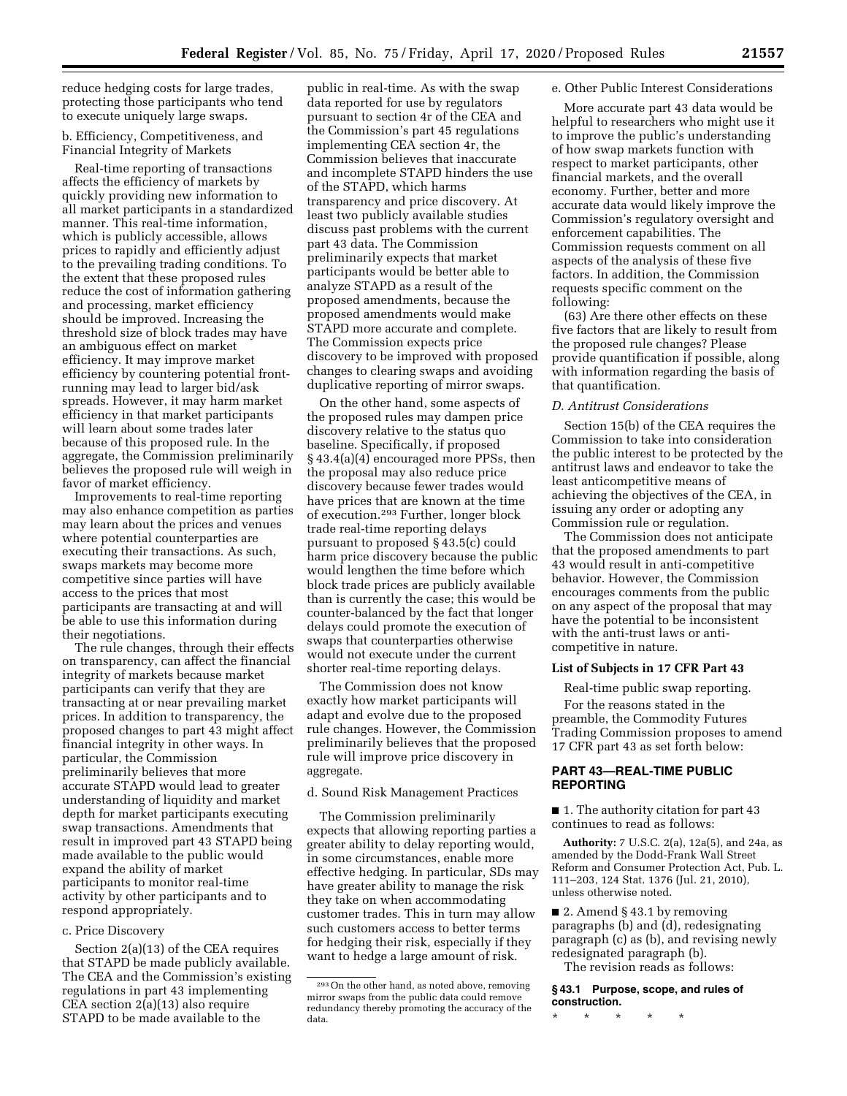reduce hedging costs for large trades, protecting those participants who tend to execute uniquely large swaps.

b. Efficiency, Competitiveness, and Financial Integrity of Markets

Real-time reporting of transactions affects the efficiency of markets by quickly providing new information to all market participants in a standardized manner. This real-time information, which is publicly accessible, allows prices to rapidly and efficiently adjust to the prevailing trading conditions. To the extent that these proposed rules reduce the cost of information gathering and processing, market efficiency should be improved. Increasing the threshold size of block trades may have an ambiguous effect on market efficiency. It may improve market efficiency by countering potential frontrunning may lead to larger bid/ask spreads. However, it may harm market efficiency in that market participants will learn about some trades later because of this proposed rule. In the aggregate, the Commission preliminarily believes the proposed rule will weigh in favor of market efficiency.

Improvements to real-time reporting may also enhance competition as parties may learn about the prices and venues where potential counterparties are executing their transactions. As such, swaps markets may become more competitive since parties will have access to the prices that most participants are transacting at and will be able to use this information during their negotiations.

The rule changes, through their effects on transparency, can affect the financial integrity of markets because market participants can verify that they are transacting at or near prevailing market prices. In addition to transparency, the proposed changes to part 43 might affect financial integrity in other ways. In particular, the Commission preliminarily believes that more accurate STAPD would lead to greater understanding of liquidity and market depth for market participants executing swap transactions. Amendments that result in improved part 43 STAPD being made available to the public would expand the ability of market participants to monitor real-time activity by other participants and to respond appropriately.

# c. Price Discovery

Section 2(a)(13) of the CEA requires that STAPD be made publicly available. The CEA and the Commission's existing regulations in part 43 implementing CEA section 2(a)(13) also require STAPD to be made available to the

public in real-time. As with the swap data reported for use by regulators pursuant to section 4r of the CEA and the Commission's part 45 regulations implementing CEA section 4r, the Commission believes that inaccurate and incomplete STAPD hinders the use of the STAPD, which harms transparency and price discovery. At least two publicly available studies discuss past problems with the current part 43 data. The Commission preliminarily expects that market participants would be better able to analyze STAPD as a result of the proposed amendments, because the proposed amendments would make STAPD more accurate and complete. The Commission expects price discovery to be improved with proposed changes to clearing swaps and avoiding duplicative reporting of mirror swaps.

On the other hand, some aspects of the proposed rules may dampen price discovery relative to the status quo baseline. Specifically, if proposed § 43.4(a)(4) encouraged more PPSs, then the proposal may also reduce price discovery because fewer trades would have prices that are known at the time of execution.293 Further, longer block trade real-time reporting delays pursuant to proposed § 43.5(c) could harm price discovery because the public would lengthen the time before which block trade prices are publicly available than is currently the case; this would be counter-balanced by the fact that longer delays could promote the execution of swaps that counterparties otherwise would not execute under the current shorter real-time reporting delays.

The Commission does not know exactly how market participants will adapt and evolve due to the proposed rule changes. However, the Commission preliminarily believes that the proposed rule will improve price discovery in aggregate.

d. Sound Risk Management Practices

The Commission preliminarily expects that allowing reporting parties a greater ability to delay reporting would, in some circumstances, enable more effective hedging. In particular, SDs may have greater ability to manage the risk they take on when accommodating customer trades. This in turn may allow such customers access to better terms for hedging their risk, especially if they want to hedge a large amount of risk.

## e. Other Public Interest Considerations

More accurate part 43 data would be helpful to researchers who might use it to improve the public's understanding of how swap markets function with respect to market participants, other financial markets, and the overall economy. Further, better and more accurate data would likely improve the Commission's regulatory oversight and enforcement capabilities. The Commission requests comment on all aspects of the analysis of these five factors. In addition, the Commission requests specific comment on the following:

(63) Are there other effects on these five factors that are likely to result from the proposed rule changes? Please provide quantification if possible, along with information regarding the basis of that quantification.

#### *D. Antitrust Considerations*

Section 15(b) of the CEA requires the Commission to take into consideration the public interest to be protected by the antitrust laws and endeavor to take the least anticompetitive means of achieving the objectives of the CEA, in issuing any order or adopting any Commission rule or regulation.

The Commission does not anticipate that the proposed amendments to part 43 would result in anti-competitive behavior. However, the Commission encourages comments from the public on any aspect of the proposal that may have the potential to be inconsistent with the anti-trust laws or anticompetitive in nature.

#### **List of Subjects in 17 CFR Part 43**

Real-time public swap reporting.

For the reasons stated in the preamble, the Commodity Futures Trading Commission proposes to amend 17 CFR part 43 as set forth below:

# **PART 43—REAL-TIME PUBLIC REPORTING**

■ 1. The authority citation for part 43 continues to read as follows:

**Authority:** 7 U.S.C. 2(a), 12a(5), and 24a, as amended by the Dodd-Frank Wall Street Reform and Consumer Protection Act, Pub. L. 111–203, 124 Stat. 1376 (Jul. 21, 2010), unless otherwise noted.

■ 2. Amend § 43.1 by removing paragraphs (b) and (d), redesignating paragraph (c) as (b), and revising newly redesignated paragraph (b).

The revision reads as follows:

**§ 43.1 Purpose, scope, and rules of construction.** 

\* \* \* \* \*

<sup>293</sup>On the other hand, as noted above, removing mirror swaps from the public data could remove redundancy thereby promoting the accuracy of the data.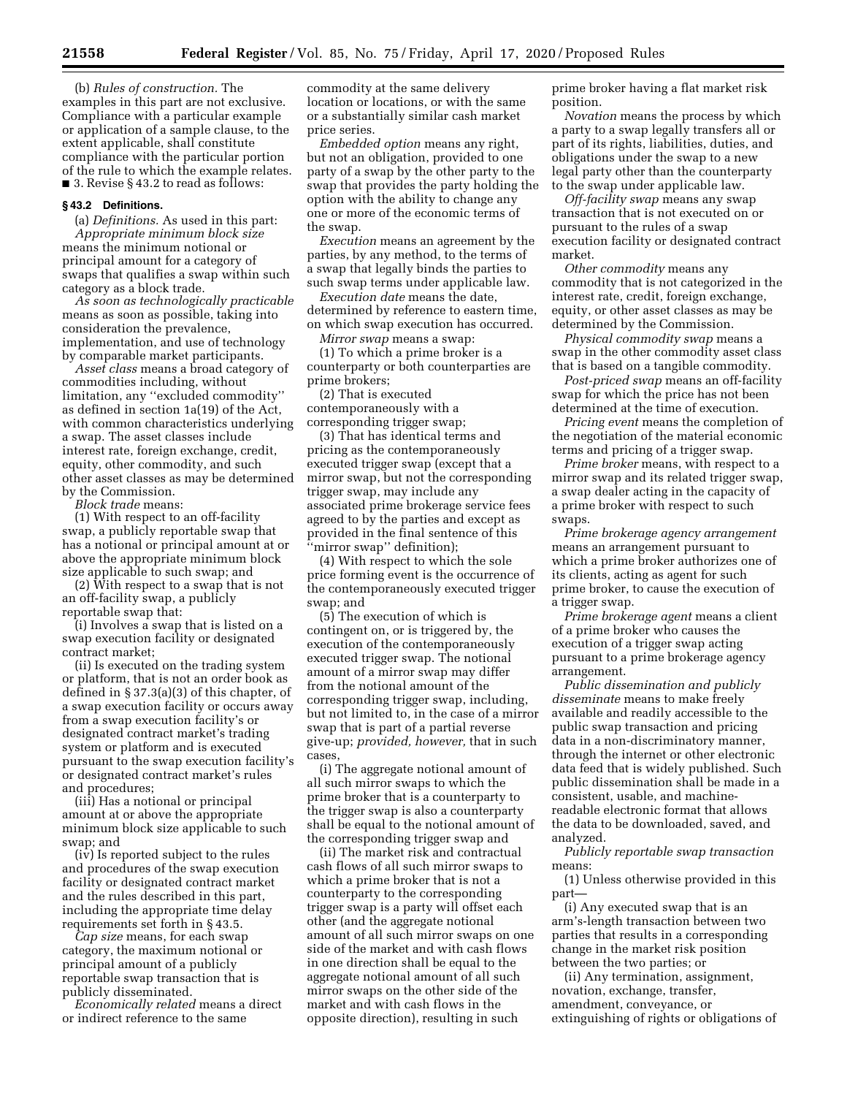(b) *Rules of construction.* The examples in this part are not exclusive. Compliance with a particular example or application of a sample clause, to the extent applicable, shall constitute compliance with the particular portion of the rule to which the example relates. ■ 3. Revise § 43.2 to read as follows:

#### **§ 43.2 Definitions.**

(a) *Definitions.* As used in this part: *Appropriate minimum block size*  means the minimum notional or principal amount for a category of swaps that qualifies a swap within such category as a block trade.

*As soon as technologically practicable*  means as soon as possible, taking into consideration the prevalence, implementation, and use of technology by comparable market participants.

*Asset class* means a broad category of commodities including, without limitation, any ''excluded commodity'' as defined in section 1a(19) of the Act, with common characteristics underlying a swap. The asset classes include interest rate, foreign exchange, credit, equity, other commodity, and such other asset classes as may be determined by the Commission.

*Block trade* means:

(1) With respect to an off-facility swap, a publicly reportable swap that has a notional or principal amount at or above the appropriate minimum block size applicable to such swap; and

(2) With respect to a swap that is not an off-facility swap, a publicly reportable swap that:

(i) Involves a swap that is listed on a swap execution facility or designated contract market;

(ii) Is executed on the trading system or platform, that is not an order book as defined in § 37.3(a)(3) of this chapter, of a swap execution facility or occurs away from a swap execution facility's or designated contract market's trading system or platform and is executed pursuant to the swap execution facility's or designated contract market's rules and procedures;

(iii) Has a notional or principal amount at or above the appropriate minimum block size applicable to such swap; and

(iv) Is reported subject to the rules and procedures of the swap execution facility or designated contract market and the rules described in this part, including the appropriate time delay requirements set forth in § 43.5.

*Cap size* means, for each swap category, the maximum notional or principal amount of a publicly reportable swap transaction that is publicly disseminated.

*Economically related* means a direct or indirect reference to the same

commodity at the same delivery location or locations, or with the same or a substantially similar cash market price series.

*Embedded option* means any right, but not an obligation, provided to one party of a swap by the other party to the swap that provides the party holding the option with the ability to change any one or more of the economic terms of the swap.

*Execution* means an agreement by the parties, by any method, to the terms of a swap that legally binds the parties to such swap terms under applicable law.

*Execution date* means the date, determined by reference to eastern time, on which swap execution has occurred.

*Mirror swap* means a swap:

(1) To which a prime broker is a counterparty or both counterparties are prime brokers;

(2) That is executed contemporaneously with a corresponding trigger swap;

(3) That has identical terms and pricing as the contemporaneously executed trigger swap (except that a mirror swap, but not the corresponding trigger swap, may include any associated prime brokerage service fees agreed to by the parties and except as provided in the final sentence of this ''mirror swap'' definition);

(4) With respect to which the sole price forming event is the occurrence of the contemporaneously executed trigger swap; and

(5) The execution of which is contingent on, or is triggered by, the execution of the contemporaneously executed trigger swap. The notional amount of a mirror swap may differ from the notional amount of the corresponding trigger swap, including, but not limited to, in the case of a mirror swap that is part of a partial reverse give-up; *provided, however,* that in such cases,

(i) The aggregate notional amount of all such mirror swaps to which the prime broker that is a counterparty to the trigger swap is also a counterparty shall be equal to the notional amount of the corresponding trigger swap and

(ii) The market risk and contractual cash flows of all such mirror swaps to which a prime broker that is not a counterparty to the corresponding trigger swap is a party will offset each other (and the aggregate notional amount of all such mirror swaps on one side of the market and with cash flows in one direction shall be equal to the aggregate notional amount of all such mirror swaps on the other side of the market and with cash flows in the opposite direction), resulting in such

prime broker having a flat market risk position.

*Novation* means the process by which a party to a swap legally transfers all or part of its rights, liabilities, duties, and obligations under the swap to a new legal party other than the counterparty to the swap under applicable law.

*Off-facility swap* means any swap transaction that is not executed on or pursuant to the rules of a swap execution facility or designated contract market.

*Other commodity* means any commodity that is not categorized in the interest rate, credit, foreign exchange, equity, or other asset classes as may be determined by the Commission.

*Physical commodity swap* means a swap in the other commodity asset class that is based on a tangible commodity.

*Post-priced swap* means an off-facility swap for which the price has not been determined at the time of execution.

*Pricing event* means the completion of the negotiation of the material economic terms and pricing of a trigger swap.

*Prime broker* means, with respect to a mirror swap and its related trigger swap, a swap dealer acting in the capacity of a prime broker with respect to such swaps.

*Prime brokerage agency arrangement*  means an arrangement pursuant to which a prime broker authorizes one of its clients, acting as agent for such prime broker, to cause the execution of a trigger swap.

*Prime brokerage agent* means a client of a prime broker who causes the execution of a trigger swap acting pursuant to a prime brokerage agency arrangement.

*Public dissemination and publicly disseminate* means to make freely available and readily accessible to the public swap transaction and pricing data in a non-discriminatory manner, through the internet or other electronic data feed that is widely published. Such public dissemination shall be made in a consistent, usable, and machinereadable electronic format that allows the data to be downloaded, saved, and analyzed.

*Publicly reportable swap transaction*  means:

(1) Unless otherwise provided in this part—

(i) Any executed swap that is an arm's-length transaction between two parties that results in a corresponding change in the market risk position between the two parties; or

(ii) Any termination, assignment, novation, exchange, transfer, amendment, conveyance, or extinguishing of rights or obligations of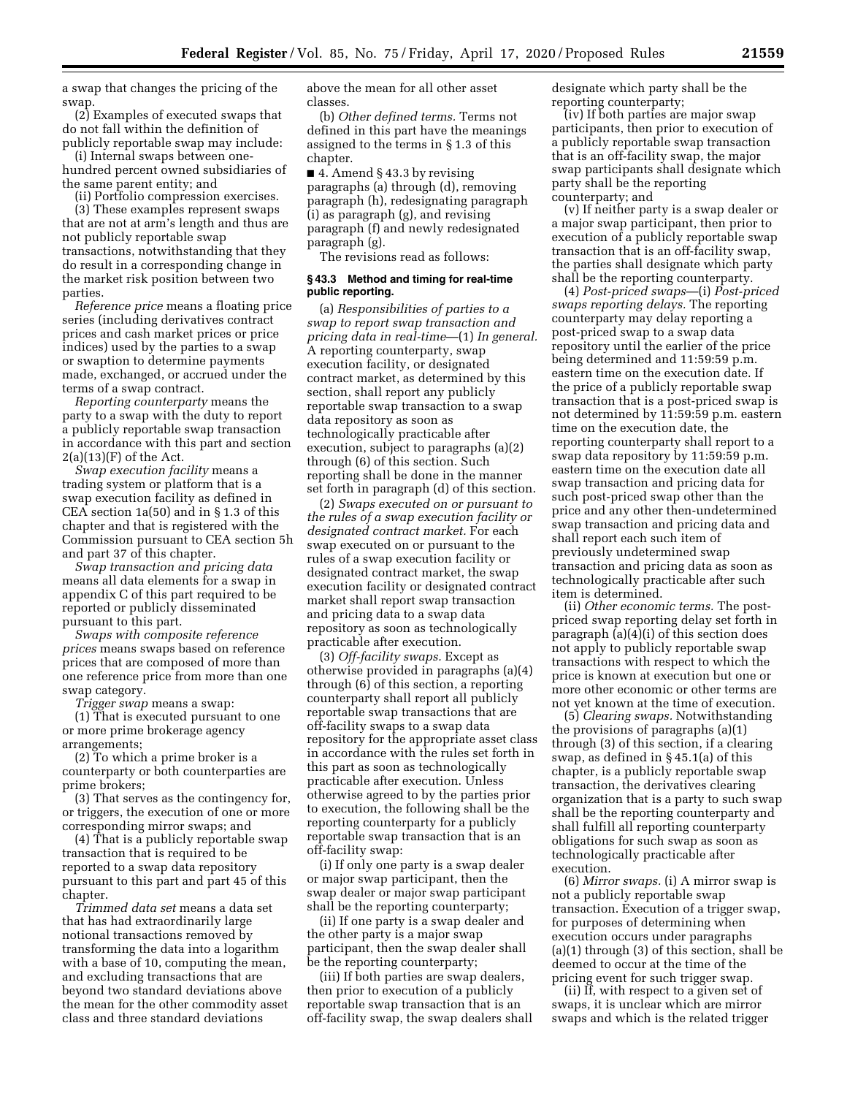a swap that changes the pricing of the swap.

(2) Examples of executed swaps that do not fall within the definition of publicly reportable swap may include:

(i) Internal swaps between onehundred percent owned subsidiaries of the same parent entity; and

(ii) Portfolio compression exercises. (3) These examples represent swaps

that are not at arm's length and thus are not publicly reportable swap transactions, notwithstanding that they do result in a corresponding change in the market risk position between two parties.

*Reference price* means a floating price series (including derivatives contract prices and cash market prices or price indices) used by the parties to a swap or swaption to determine payments made, exchanged, or accrued under the terms of a swap contract.

*Reporting counterparty* means the party to a swap with the duty to report a publicly reportable swap transaction in accordance with this part and section  $2(a)(13)(F)$  of the Act.

*Swap execution facility* means a trading system or platform that is a swap execution facility as defined in CEA section 1a(50) and in § 1.3 of this chapter and that is registered with the Commission pursuant to CEA section 5h and part 37 of this chapter.

*Swap transaction and pricing data*  means all data elements for a swap in appendix C of this part required to be reported or publicly disseminated pursuant to this part.

*Swaps with composite reference prices* means swaps based on reference prices that are composed of more than one reference price from more than one swap category.

*Trigger swap* means a swap:

(1) That is executed pursuant to one or more prime brokerage agency arrangements;

(2) To which a prime broker is a counterparty or both counterparties are prime brokers;

(3) That serves as the contingency for, or triggers, the execution of one or more corresponding mirror swaps; and

(4) That is a publicly reportable swap transaction that is required to be reported to a swap data repository pursuant to this part and part 45 of this chapter.

*Trimmed data set* means a data set that has had extraordinarily large notional transactions removed by transforming the data into a logarithm with a base of 10, computing the mean, and excluding transactions that are beyond two standard deviations above the mean for the other commodity asset class and three standard deviations

above the mean for all other asset classes.

(b) *Other defined terms.* Terms not defined in this part have the meanings assigned to the terms in § 1.3 of this chapter.

■ 4. Amend § 43.3 by revising paragraphs (a) through (d), removing paragraph (h), redesignating paragraph (i) as paragraph (g), and revising paragraph (f) and newly redesignated paragraph (g).

The revisions read as follows:

#### **§ 43.3 Method and timing for real-time public reporting.**

(a) *Responsibilities of parties to a swap to report swap transaction and pricing data in real-time*—(1) *In general.*  A reporting counterparty, swap execution facility, or designated contract market, as determined by this section, shall report any publicly reportable swap transaction to a swap data repository as soon as technologically practicable after execution, subject to paragraphs (a)(2) through (6) of this section. Such reporting shall be done in the manner set forth in paragraph (d) of this section.

(2) *Swaps executed on or pursuant to the rules of a swap execution facility or designated contract market.* For each swap executed on or pursuant to the rules of a swap execution facility or designated contract market, the swap execution facility or designated contract market shall report swap transaction and pricing data to a swap data repository as soon as technologically practicable after execution.

(3) *Off-facility swaps.* Except as otherwise provided in paragraphs (a)(4) through (6) of this section, a reporting counterparty shall report all publicly reportable swap transactions that are off-facility swaps to a swap data repository for the appropriate asset class in accordance with the rules set forth in this part as soon as technologically practicable after execution. Unless otherwise agreed to by the parties prior to execution, the following shall be the reporting counterparty for a publicly reportable swap transaction that is an off-facility swap:

(i) If only one party is a swap dealer or major swap participant, then the swap dealer or major swap participant shall be the reporting counterparty;

(ii) If one party is a swap dealer and the other party is a major swap participant, then the swap dealer shall be the reporting counterparty;

(iii) If both parties are swap dealers, then prior to execution of a publicly reportable swap transaction that is an off-facility swap, the swap dealers shall designate which party shall be the reporting counterparty;

(iv) If both parties are major swap participants, then prior to execution of a publicly reportable swap transaction that is an off-facility swap, the major swap participants shall designate which party shall be the reporting counterparty; and

(v) If neither party is a swap dealer or a major swap participant, then prior to execution of a publicly reportable swap transaction that is an off-facility swap, the parties shall designate which party shall be the reporting counterparty.

(4) *Post-priced swaps*—(i) *Post-priced swaps reporting delays.* The reporting counterparty may delay reporting a post-priced swap to a swap data repository until the earlier of the price being determined and 11:59:59 p.m. eastern time on the execution date. If the price of a publicly reportable swap transaction that is a post-priced swap is not determined by 11:59:59 p.m. eastern time on the execution date, the reporting counterparty shall report to a swap data repository by 11:59:59 p.m. eastern time on the execution date all swap transaction and pricing data for such post-priced swap other than the price and any other then-undetermined swap transaction and pricing data and shall report each such item of previously undetermined swap transaction and pricing data as soon as technologically practicable after such item is determined.

(ii) *Other economic terms.* The postpriced swap reporting delay set forth in paragraph (a)(4)(i) of this section does not apply to publicly reportable swap transactions with respect to which the price is known at execution but one or more other economic or other terms are not yet known at the time of execution.

(5) *Clearing swaps.* Notwithstanding the provisions of paragraphs (a)(1) through (3) of this section, if a clearing swap, as defined in § 45.1(a) of this chapter, is a publicly reportable swap transaction, the derivatives clearing organization that is a party to such swap shall be the reporting counterparty and shall fulfill all reporting counterparty obligations for such swap as soon as technologically practicable after execution.

(6) *Mirror swaps.* (i) A mirror swap is not a publicly reportable swap transaction. Execution of a trigger swap, for purposes of determining when execution occurs under paragraphs (a)(1) through (3) of this section, shall be deemed to occur at the time of the pricing event for such trigger swap.

(ii) If, with respect to a given set of swaps, it is unclear which are mirror swaps and which is the related trigger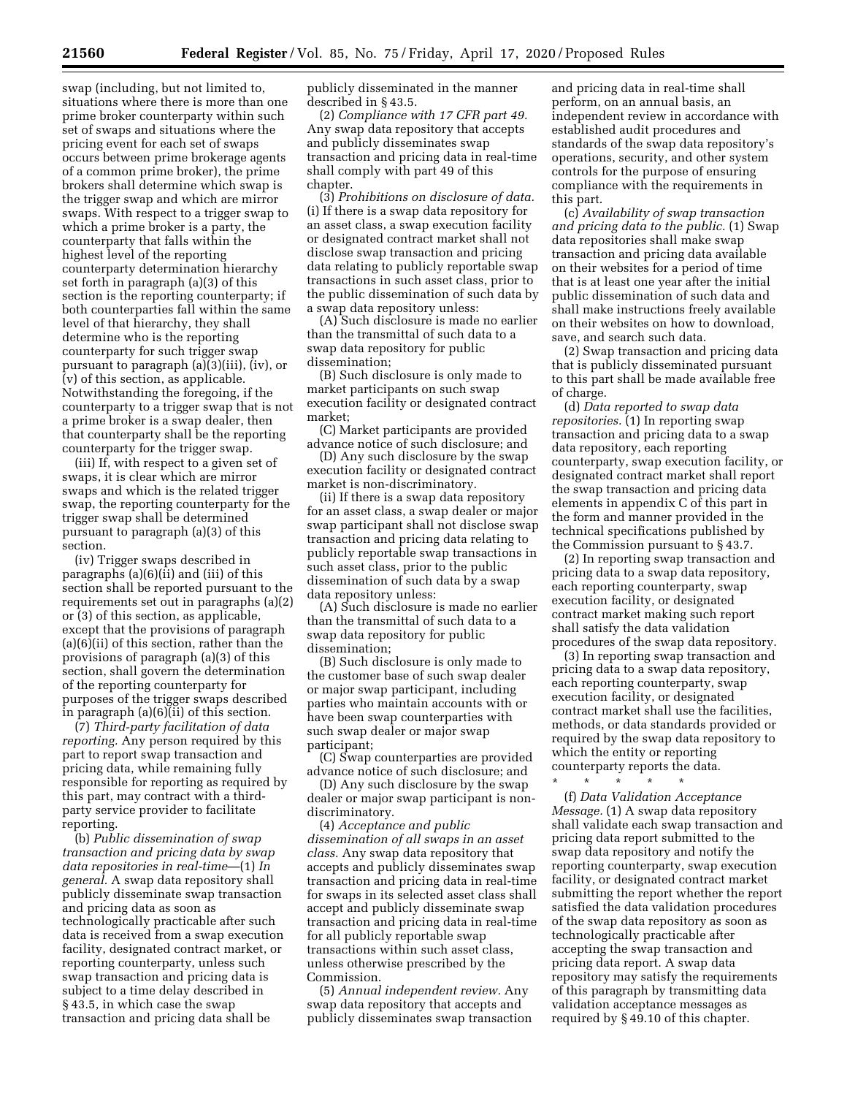swap (including, but not limited to, situations where there is more than one prime broker counterparty within such set of swaps and situations where the pricing event for each set of swaps occurs between prime brokerage agents of a common prime broker), the prime brokers shall determine which swap is the trigger swap and which are mirror swaps. With respect to a trigger swap to which a prime broker is a party, the counterparty that falls within the highest level of the reporting counterparty determination hierarchy set forth in paragraph (a)(3) of this section is the reporting counterparty; if both counterparties fall within the same level of that hierarchy, they shall determine who is the reporting counterparty for such trigger swap pursuant to paragraph (a)(3)(iii), (iv), or (v) of this section, as applicable. Notwithstanding the foregoing, if the counterparty to a trigger swap that is not a prime broker is a swap dealer, then that counterparty shall be the reporting counterparty for the trigger swap.

(iii) If, with respect to a given set of swaps, it is clear which are mirror swaps and which is the related trigger swap, the reporting counterparty for the trigger swap shall be determined pursuant to paragraph (a)(3) of this section.

(iv) Trigger swaps described in paragraphs (a)(6)(ii) and (iii) of this section shall be reported pursuant to the requirements set out in paragraphs (a)(2) or (3) of this section, as applicable, except that the provisions of paragraph (a)(6)(ii) of this section, rather than the provisions of paragraph (a)(3) of this section, shall govern the determination of the reporting counterparty for purposes of the trigger swaps described in paragraph (a)(6)(ii) of this section.

(7) *Third-party facilitation of data reporting.* Any person required by this part to report swap transaction and pricing data, while remaining fully responsible for reporting as required by this part, may contract with a thirdparty service provider to facilitate reporting.

(b) *Public dissemination of swap transaction and pricing data by swap data repositories in real-time*—(1) *In general.* A swap data repository shall publicly disseminate swap transaction and pricing data as soon as technologically practicable after such data is received from a swap execution facility, designated contract market, or reporting counterparty, unless such swap transaction and pricing data is subject to a time delay described in § 43.5, in which case the swap transaction and pricing data shall be

publicly disseminated in the manner described in § 43.5.

(2) *Compliance with 17 CFR part 49.*  Any swap data repository that accepts and publicly disseminates swap transaction and pricing data in real-time shall comply with part 49 of this chapter.

(3) *Prohibitions on disclosure of data.*  (i) If there is a swap data repository for an asset class, a swap execution facility or designated contract market shall not disclose swap transaction and pricing data relating to publicly reportable swap transactions in such asset class, prior to the public dissemination of such data by a swap data repository unless:

(A) Such disclosure is made no earlier than the transmittal of such data to a swap data repository for public dissemination;

(B) Such disclosure is only made to market participants on such swap execution facility or designated contract market;

(C) Market participants are provided advance notice of such disclosure; and

(D) Any such disclosure by the swap execution facility or designated contract market is non-discriminatory.

(ii) If there is a swap data repository for an asset class, a swap dealer or major swap participant shall not disclose swap transaction and pricing data relating to publicly reportable swap transactions in such asset class, prior to the public dissemination of such data by a swap data repository unless:

(A) Such disclosure is made no earlier than the transmittal of such data to a swap data repository for public dissemination;

(B) Such disclosure is only made to the customer base of such swap dealer or major swap participant, including parties who maintain accounts with or have been swap counterparties with such swap dealer or major swap participant;

(C) Swap counterparties are provided advance notice of such disclosure; and

(D) Any such disclosure by the swap dealer or major swap participant is nondiscriminatory.

(4) *Acceptance and public dissemination of all swaps in an asset class.* Any swap data repository that accepts and publicly disseminates swap transaction and pricing data in real-time for swaps in its selected asset class shall accept and publicly disseminate swap transaction and pricing data in real-time for all publicly reportable swap transactions within such asset class, unless otherwise prescribed by the Commission.

(5) *Annual independent review.* Any swap data repository that accepts and publicly disseminates swap transaction and pricing data in real-time shall perform, on an annual basis, an independent review in accordance with established audit procedures and standards of the swap data repository's operations, security, and other system controls for the purpose of ensuring compliance with the requirements in this part.

(c) *Availability of swap transaction and pricing data to the public.* (1) Swap data repositories shall make swap transaction and pricing data available on their websites for a period of time that is at least one year after the initial public dissemination of such data and shall make instructions freely available on their websites on how to download, save, and search such data.

(2) Swap transaction and pricing data that is publicly disseminated pursuant to this part shall be made available free of charge.

(d) *Data reported to swap data repositories.* (1) In reporting swap transaction and pricing data to a swap data repository, each reporting counterparty, swap execution facility, or designated contract market shall report the swap transaction and pricing data elements in appendix C of this part in the form and manner provided in the technical specifications published by the Commission pursuant to § 43.7.

(2) In reporting swap transaction and pricing data to a swap data repository, each reporting counterparty, swap execution facility, or designated contract market making such report shall satisfy the data validation procedures of the swap data repository.

(3) In reporting swap transaction and pricing data to a swap data repository, each reporting counterparty, swap execution facility, or designated contract market shall use the facilities, methods, or data standards provided or required by the swap data repository to which the entity or reporting counterparty reports the data.

\* \* \* \* \* (f) *Data Validation Acceptance Message.* (1) A swap data repository shall validate each swap transaction and pricing data report submitted to the swap data repository and notify the reporting counterparty, swap execution facility, or designated contract market submitting the report whether the report satisfied the data validation procedures of the swap data repository as soon as technologically practicable after accepting the swap transaction and pricing data report. A swap data repository may satisfy the requirements of this paragraph by transmitting data validation acceptance messages as required by § 49.10 of this chapter.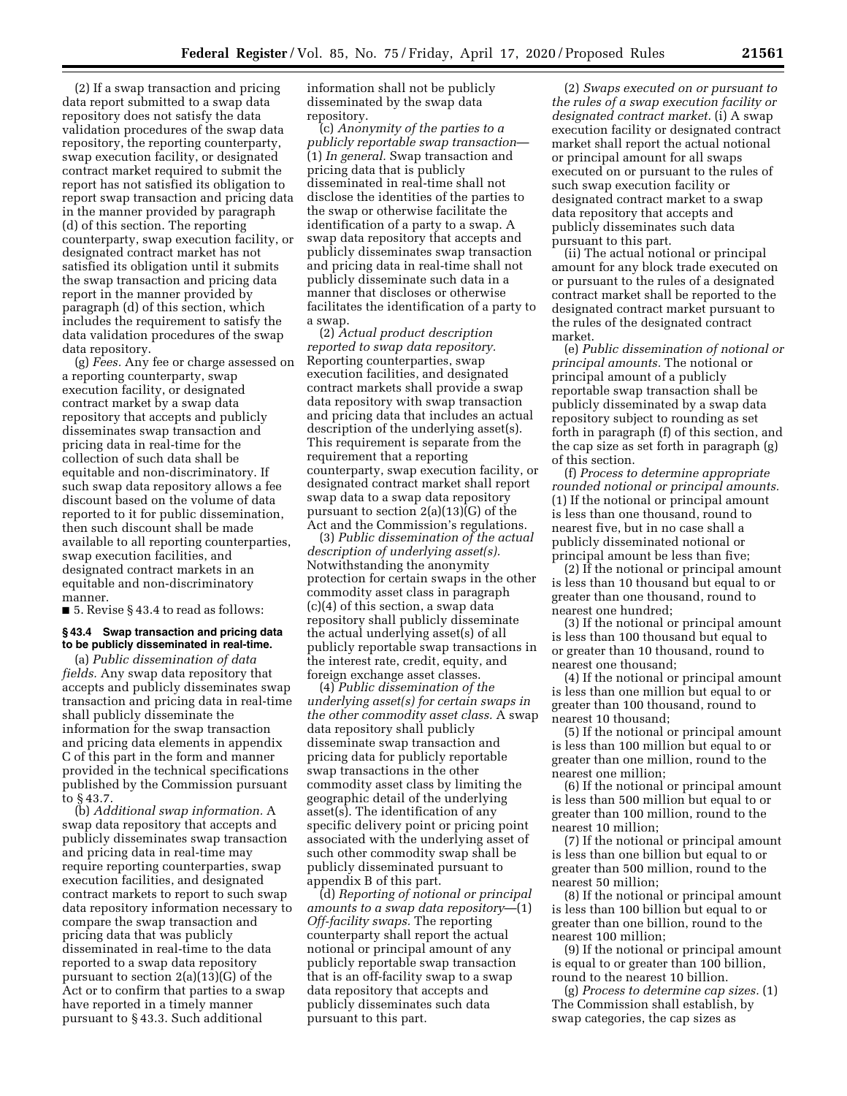(2) If a swap transaction and pricing data report submitted to a swap data repository does not satisfy the data validation procedures of the swap data repository, the reporting counterparty, swap execution facility, or designated contract market required to submit the report has not satisfied its obligation to report swap transaction and pricing data in the manner provided by paragraph (d) of this section. The reporting counterparty, swap execution facility, or designated contract market has not satisfied its obligation until it submits the swap transaction and pricing data report in the manner provided by paragraph (d) of this section, which includes the requirement to satisfy the data validation procedures of the swap data repository.

(g) *Fees.* Any fee or charge assessed on a reporting counterparty, swap execution facility, or designated contract market by a swap data repository that accepts and publicly disseminates swap transaction and pricing data in real-time for the collection of such data shall be equitable and non-discriminatory. If such swap data repository allows a fee discount based on the volume of data reported to it for public dissemination, then such discount shall be made available to all reporting counterparties, swap execution facilities, and designated contract markets in an equitable and non-discriminatory manner.

■ 5. Revise § 43.4 to read as follows:

## **§ 43.4 Swap transaction and pricing data to be publicly disseminated in real-time.**

(a) *Public dissemination of data fields.* Any swap data repository that accepts and publicly disseminates swap transaction and pricing data in real-time shall publicly disseminate the information for the swap transaction and pricing data elements in appendix C of this part in the form and manner provided in the technical specifications published by the Commission pursuant to § 43.7.

(b) *Additional swap information.* A swap data repository that accepts and publicly disseminates swap transaction and pricing data in real-time may require reporting counterparties, swap execution facilities, and designated contract markets to report to such swap data repository information necessary to compare the swap transaction and pricing data that was publicly disseminated in real-time to the data reported to a swap data repository pursuant to section 2(a)(13)(G) of the Act or to confirm that parties to a swap have reported in a timely manner pursuant to § 43.3. Such additional

information shall not be publicly disseminated by the swap data repository.

(c) *Anonymity of the parties to a publicly reportable swap transaction*— (1) *In general.* Swap transaction and pricing data that is publicly disseminated in real-time shall not disclose the identities of the parties to the swap or otherwise facilitate the identification of a party to a swap. A swap data repository that accepts and publicly disseminates swap transaction and pricing data in real-time shall not publicly disseminate such data in a manner that discloses or otherwise facilitates the identification of a party to a swap.

(2) *Actual product description reported to swap data repository.*  Reporting counterparties, swap execution facilities, and designated contract markets shall provide a swap data repository with swap transaction and pricing data that includes an actual description of the underlying asset(s). This requirement is separate from the requirement that a reporting counterparty, swap execution facility, or designated contract market shall report swap data to a swap data repository pursuant to section 2(a)(13)(G) of the Act and the Commission's regulations.

(3) *Public dissemination of the actual description of underlying asset(s).*  Notwithstanding the anonymity protection for certain swaps in the other commodity asset class in paragraph (c)(4) of this section, a swap data repository shall publicly disseminate the actual underlying asset(s) of all publicly reportable swap transactions in the interest rate, credit, equity, and foreign exchange asset classes.

(4) *Public dissemination of the underlying asset(s) for certain swaps in the other commodity asset class.* A swap data repository shall publicly disseminate swap transaction and pricing data for publicly reportable swap transactions in the other commodity asset class by limiting the geographic detail of the underlying asset(s). The identification of any specific delivery point or pricing point associated with the underlying asset of such other commodity swap shall be publicly disseminated pursuant to appendix B of this part.

(d) *Reporting of notional or principal amounts to a swap data repository*—(1) *Off-facility swaps.* The reporting counterparty shall report the actual notional or principal amount of any publicly reportable swap transaction that is an off-facility swap to a swap data repository that accepts and publicly disseminates such data pursuant to this part.

(2) *Swaps executed on or pursuant to the rules of a swap execution facility or designated contract market.* (i) A swap execution facility or designated contract market shall report the actual notional or principal amount for all swaps executed on or pursuant to the rules of such swap execution facility or designated contract market to a swap data repository that accepts and publicly disseminates such data pursuant to this part.

(ii) The actual notional or principal amount for any block trade executed on or pursuant to the rules of a designated contract market shall be reported to the designated contract market pursuant to the rules of the designated contract market.

(e) *Public dissemination of notional or principal amounts.* The notional or principal amount of a publicly reportable swap transaction shall be publicly disseminated by a swap data repository subject to rounding as set forth in paragraph (f) of this section, and the cap size as set forth in paragraph (g) of this section.

(f) *Process to determine appropriate rounded notional or principal amounts.*  (1) If the notional or principal amount is less than one thousand, round to nearest five, but in no case shall a publicly disseminated notional or principal amount be less than five;

(2) If the notional or principal amount is less than 10 thousand but equal to or greater than one thousand, round to nearest one hundred;

(3) If the notional or principal amount is less than 100 thousand but equal to or greater than 10 thousand, round to nearest one thousand;

(4) If the notional or principal amount is less than one million but equal to or greater than 100 thousand, round to nearest 10 thousand;

(5) If the notional or principal amount is less than 100 million but equal to or greater than one million, round to the nearest one million;

(6) If the notional or principal amount is less than 500 million but equal to or greater than 100 million, round to the nearest 10 million;

(7) If the notional or principal amount is less than one billion but equal to or greater than 500 million, round to the nearest 50 million;

(8) If the notional or principal amount is less than 100 billion but equal to or greater than one billion, round to the nearest 100 million;

(9) If the notional or principal amount is equal to or greater than 100 billion, round to the nearest 10 billion.

(g) *Process to determine cap sizes.* (1) The Commission shall establish, by swap categories, the cap sizes as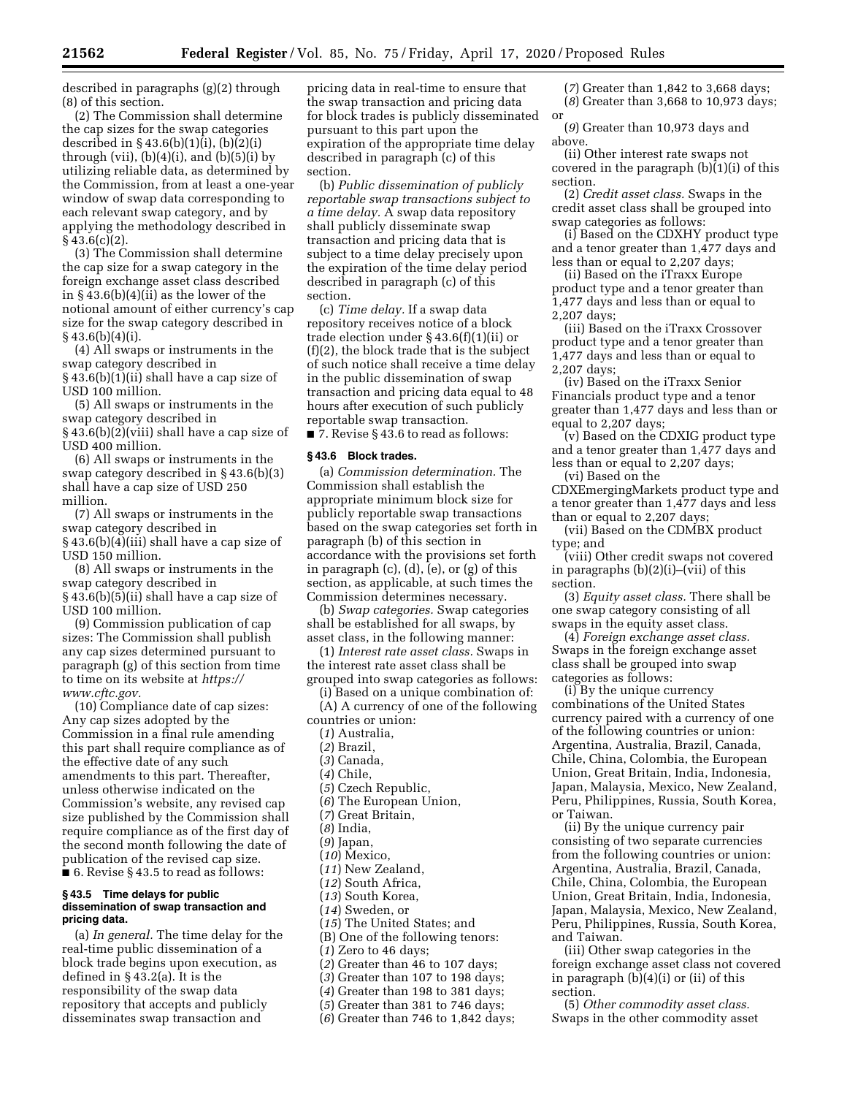(2) The Commission shall determine the cap sizes for the swap categories described in § 43.6(b)(1)(i), (b)(2)(i) through (vii),  $(b)(4)(i)$ , and  $(b)(5)(i)$  by utilizing reliable data, as determined by the Commission, from at least a one-year window of swap data corresponding to each relevant swap category, and by applying the methodology described in  $§$  43.6(c)(2).

(3) The Commission shall determine the cap size for a swap category in the foreign exchange asset class described in  $§$  43.6(b)(4)(ii) as the lower of the notional amount of either currency's cap size for the swap category described in  $§$  43.6(b)(4)(i).

(4) All swaps or instruments in the swap category described in § 43.6(b)(1)(ii) shall have a cap size of USD 100 million.

(5) All swaps or instruments in the swap category described in

§ 43.6(b)(2)(viii) shall have a cap size of USD 400 million.

(6) All swaps or instruments in the swap category described in § 43.6(b)(3) shall have a cap size of USD 250 million.

(7) All swaps or instruments in the swap category described in § 43.6(b)(4)(iii) shall have a cap size of USD 150 million.

(8) All swaps or instruments in the swap category described in § 43.6(b)(5)(ii) shall have a cap size of USD 100 million.

(9) Commission publication of cap sizes: The Commission shall publish any cap sizes determined pursuant to paragraph (g) of this section from time to time on its website at *[https://](https://www.cftc.gov) [www.cftc.gov.](https://www.cftc.gov)* 

(10) Compliance date of cap sizes: Any cap sizes adopted by the Commission in a final rule amending this part shall require compliance as of the effective date of any such amendments to this part. Thereafter, unless otherwise indicated on the Commission's website, any revised cap size published by the Commission shall require compliance as of the first day of the second month following the date of publication of the revised cap size. ■ 6. Revise § 43.5 to read as follows:

#### **§ 43.5 Time delays for public dissemination of swap transaction and pricing data.**

(a) *In general.* The time delay for the real-time public dissemination of a block trade begins upon execution, as defined in § 43.2(a). It is the responsibility of the swap data repository that accepts and publicly disseminates swap transaction and

pricing data in real-time to ensure that the swap transaction and pricing data for block trades is publicly disseminated pursuant to this part upon the expiration of the appropriate time delay described in paragraph (c) of this section.

(b) *Public dissemination of publicly reportable swap transactions subject to a time delay.* A swap data repository shall publicly disseminate swap transaction and pricing data that is subject to a time delay precisely upon the expiration of the time delay period described in paragraph (c) of this section.

(c) *Time delay.* If a swap data repository receives notice of a block trade election under § 43.6(f)(1)(ii) or (f)(2), the block trade that is the subject of such notice shall receive a time delay in the public dissemination of swap transaction and pricing data equal to 48 hours after execution of such publicly reportable swap transaction.

■ 7. Revise § 43.6 to read as follows:

# **§ 43.6 Block trades.**

(a) *Commission determination.* The Commission shall establish the appropriate minimum block size for publicly reportable swap transactions based on the swap categories set forth in paragraph (b) of this section in accordance with the provisions set forth in paragraph (c), (d), (e), or (g) of this section, as applicable, at such times the Commission determines necessary.

(b) *Swap categories.* Swap categories shall be established for all swaps, by asset class, in the following manner:

(1) *Interest rate asset class.* Swaps in the interest rate asset class shall be grouped into swap categories as follows:

(i) Based on a unique combination of:

(A) A currency of one of the following countries or union:

(*1*) Australia,

(*2*) Brazil,

(*3*) Canada,

(*4*) Chile,

- (*5*) Czech Republic,
- (*6*) The European Union,

(*7*) Great Britain,

(*8*) India,

(*9*) Japan,

(*10*) Mexico,

(*11*) New Zealand,

(*12*) South Africa,

(*13*) South Korea,

(*14*) Sweden, or

(*15*) The United States; and

(B) One of the following tenors:

(*1*) Zero to 46 days;

(*2*) Greater than 46 to 107 days;

(*3*) Greater than 107 to 198 days;

(*4*) Greater than 198 to 381 days;

- (*5*) Greater than 381 to 746 days;
- (*6*) Greater than 746 to 1,842 days;

(*7*) Greater than 1,842 to 3,668 days; (*8*) Greater than 3,668 to 10,973 days;

or (*9*) Greater than 10,973 days and above.

(ii) Other interest rate swaps not covered in the paragraph (b)(1)(i) of this section.

(2) *Credit asset class.* Swaps in the credit asset class shall be grouped into swap categories as follows:

(i) Based on the CDXHY product type and a tenor greater than 1,477 days and less than or equal to 2,207 days;

(ii) Based on the iTraxx Europe product type and a tenor greater than 1,477 days and less than or equal to 2,207 days;

(iii) Based on the iTraxx Crossover product type and a tenor greater than 1,477 days and less than or equal to 2,207 days;

(iv) Based on the iTraxx Senior Financials product type and a tenor greater than 1,477 days and less than or equal to 2,207 days;

(v) Based on the CDXIG product type and a tenor greater than 1,477 days and less than or equal to 2,207 days;

(vi) Based on the CDXEmergingMarkets product type and

a tenor greater than 1,477 days and less than or equal to 2,207 days;

(vii) Based on the CDMBX product type; and

(viii) Other credit swaps not covered in paragraphs (b)(2)(i)–(vii) of this section.

(3) *Equity asset class.* There shall be one swap category consisting of all swaps in the equity asset class.

(4) *Foreign exchange asset class.*  Swaps in the foreign exchange asset class shall be grouped into swap categories as follows:

(i) By the unique currency combinations of the United States currency paired with a currency of one of the following countries or union: Argentina, Australia, Brazil, Canada, Chile, China, Colombia, the European Union, Great Britain, India, Indonesia, Japan, Malaysia, Mexico, New Zealand, Peru, Philippines, Russia, South Korea, or Taiwan.

(ii) By the unique currency pair consisting of two separate currencies from the following countries or union: Argentina, Australia, Brazil, Canada, Chile, China, Colombia, the European Union, Great Britain, India, Indonesia, Japan, Malaysia, Mexico, New Zealand, Peru, Philippines, Russia, South Korea, and Taiwan.

(iii) Other swap categories in the foreign exchange asset class not covered in paragraph (b)(4)(i) or (ii) of this section.

(5) *Other commodity asset class.*  Swaps in the other commodity asset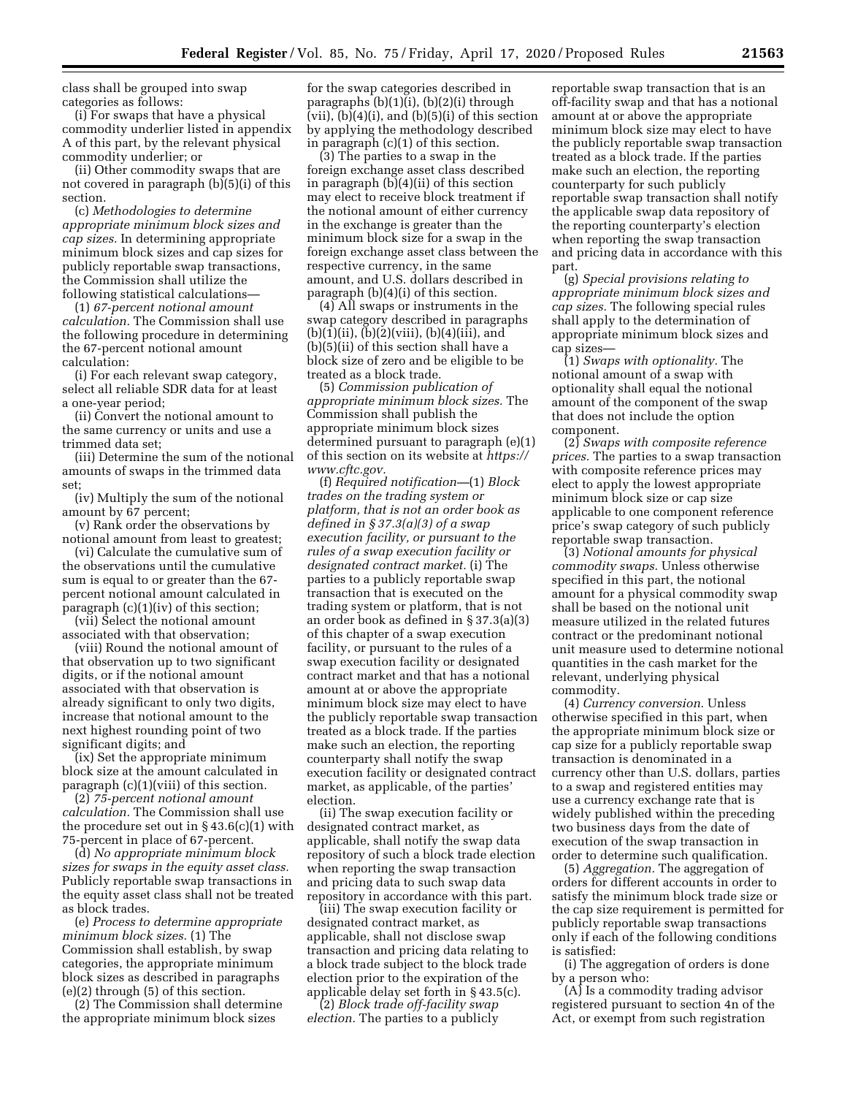class shall be grouped into swap categories as follows:

(i) For swaps that have a physical commodity underlier listed in appendix A of this part, by the relevant physical commodity underlier; or

(ii) Other commodity swaps that are not covered in paragraph (b)(5)(i) of this section.

(c) *Methodologies to determine appropriate minimum block sizes and cap sizes.* In determining appropriate minimum block sizes and cap sizes for publicly reportable swap transactions, the Commission shall utilize the following statistical calculations—

(1) *67-percent notional amount calculation.* The Commission shall use the following procedure in determining the 67-percent notional amount calculation:

(i) For each relevant swap category, select all reliable SDR data for at least a one-year period;

(ii) Convert the notional amount to the same currency or units and use a trimmed data set;

(iii) Determine the sum of the notional amounts of swaps in the trimmed data set;

(iv) Multiply the sum of the notional amount by 67 percent;

(v) Rank order the observations by notional amount from least to greatest;

(vi) Calculate the cumulative sum of the observations until the cumulative sum is equal to or greater than the 67 percent notional amount calculated in paragraph (c)(1)(iv) of this section;

(vii) Select the notional amount associated with that observation;

(viii) Round the notional amount of that observation up to two significant digits, or if the notional amount associated with that observation is already significant to only two digits, increase that notional amount to the next highest rounding point of two significant digits; and

(ix) Set the appropriate minimum block size at the amount calculated in paragraph (c)(1)(viii) of this section.

(2) *75-percent notional amount calculation.* The Commission shall use the procedure set out in  $\S 43.6(c)(1)$  with 75-percent in place of 67-percent.

(d) *No appropriate minimum block sizes for swaps in the equity asset class.*  Publicly reportable swap transactions in the equity asset class shall not be treated as block trades.

(e) *Process to determine appropriate minimum block sizes.* (1) The Commission shall establish, by swap categories, the appropriate minimum block sizes as described in paragraphs (e)(2) through (5) of this section.

(2) The Commission shall determine the appropriate minimum block sizes

for the swap categories described in paragraphs (b)(1)(i), (b)(2)(i) through (vii), (b)(4)(i), and (b)(5)(i) of this section by applying the methodology described in paragraph (c)(1) of this section.

(3) The parties to a swap in the foreign exchange asset class described in paragraph (b)(4)(ii) of this section may elect to receive block treatment if the notional amount of either currency in the exchange is greater than the minimum block size for a swap in the foreign exchange asset class between the respective currency, in the same amount, and U.S. dollars described in paragraph (b)(4)(i) of this section.

(4) All swaps or instruments in the swap category described in paragraphs  $(b)(1)(ii)$ ,  $(b)(2)(viii)$ ,  $(b)(4)(iii)$ , and (b)(5)(ii) of this section shall have a block size of zero and be eligible to be treated as a block trade.

(5) *Commission publication of appropriate minimum block sizes.* The Commission shall publish the appropriate minimum block sizes determined pursuant to paragraph (e)(1) of this section on its website at *[https://](https://www.cftc.gov) [www.cftc.gov.](https://www.cftc.gov)* 

(f) *Required notification—*(1) *Block trades on the trading system or platform, that is not an order book as defined in § 37.3(a)(3) of a swap execution facility, or pursuant to the rules of a swap execution facility or designated contract market.* (i) The parties to a publicly reportable swap transaction that is executed on the trading system or platform, that is not an order book as defined in § 37.3(a)(3) of this chapter of a swap execution facility, or pursuant to the rules of a swap execution facility or designated contract market and that has a notional amount at or above the appropriate minimum block size may elect to have the publicly reportable swap transaction treated as a block trade. If the parties make such an election, the reporting counterparty shall notify the swap execution facility or designated contract market, as applicable, of the parties' election.

(ii) The swap execution facility or designated contract market, as applicable, shall notify the swap data repository of such a block trade election when reporting the swap transaction and pricing data to such swap data repository in accordance with this part.

(iii) The swap execution facility or designated contract market, as applicable, shall not disclose swap transaction and pricing data relating to a block trade subject to the block trade election prior to the expiration of the applicable delay set forth in § 43.5(c).

(2) *Block trade off-facility swap election.* The parties to a publicly

reportable swap transaction that is an off-facility swap and that has a notional amount at or above the appropriate minimum block size may elect to have the publicly reportable swap transaction treated as a block trade. If the parties make such an election, the reporting counterparty for such publicly reportable swap transaction shall notify the applicable swap data repository of the reporting counterparty's election when reporting the swap transaction and pricing data in accordance with this part.

(g) *Special provisions relating to appropriate minimum block sizes and cap sizes.* The following special rules shall apply to the determination of appropriate minimum block sizes and cap sizes—

(1) *Swaps with optionality.* The notional amount of a swap with optionality shall equal the notional amount of the component of the swap that does not include the option component.

(2) *Swaps with composite reference prices.* The parties to a swap transaction with composite reference prices may elect to apply the lowest appropriate minimum block size or cap size applicable to one component reference price's swap category of such publicly reportable swap transaction.

(3) *Notional amounts for physical commodity swaps.* Unless otherwise specified in this part, the notional amount for a physical commodity swap shall be based on the notional unit measure utilized in the related futures contract or the predominant notional unit measure used to determine notional quantities in the cash market for the relevant, underlying physical commodity.

(4) *Currency conversion.* Unless otherwise specified in this part, when the appropriate minimum block size or cap size for a publicly reportable swap transaction is denominated in a currency other than U.S. dollars, parties to a swap and registered entities may use a currency exchange rate that is widely published within the preceding two business days from the date of execution of the swap transaction in order to determine such qualification.

(5) *Aggregation.* The aggregation of orders for different accounts in order to satisfy the minimum block trade size or the cap size requirement is permitted for publicly reportable swap transactions only if each of the following conditions is satisfied:

(i) The aggregation of orders is done by a person who:

(A) Is a commodity trading advisor registered pursuant to section 4n of the Act, or exempt from such registration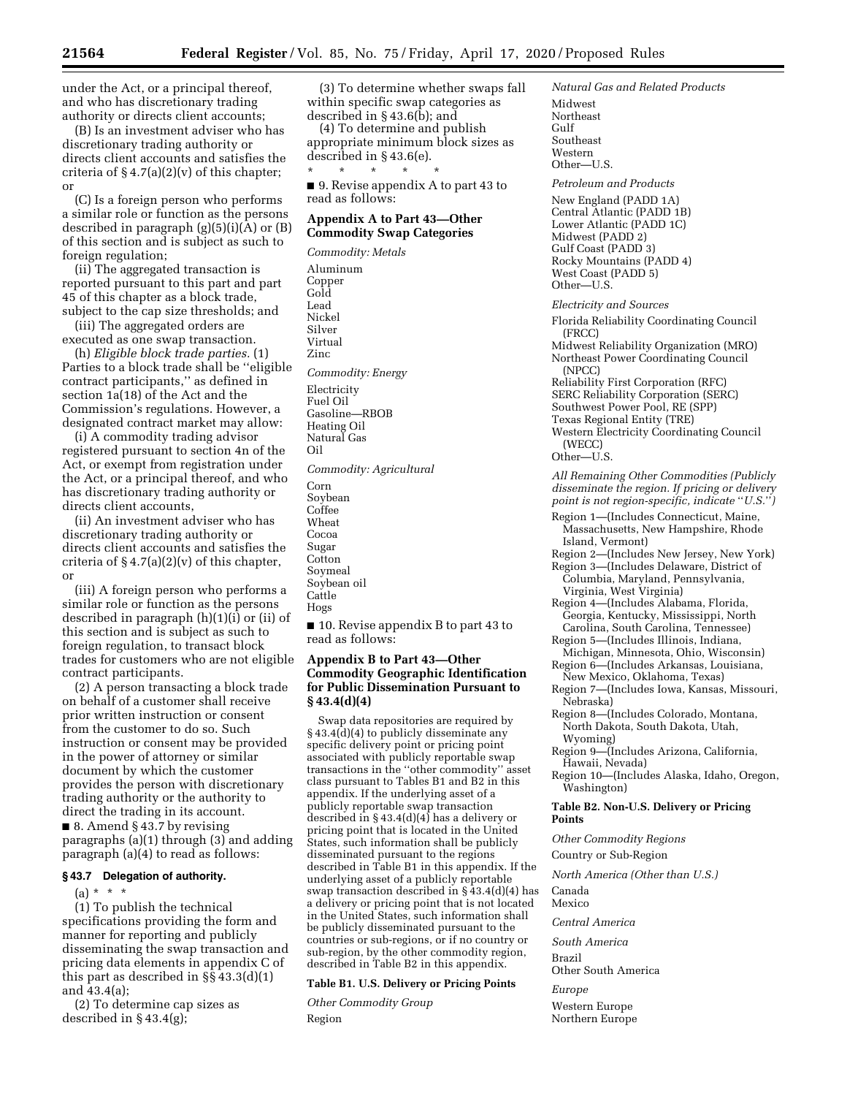under the Act, or a principal thereof, and who has discretionary trading authority or directs client accounts;

(B) Is an investment adviser who has discretionary trading authority or directs client accounts and satisfies the criteria of  $\S 4.7(a)(2)(v)$  of this chapter; or

(C) Is a foreign person who performs a similar role or function as the persons described in paragraph (g)(5)(i)(A) or (B) of this section and is subject as such to foreign regulation;

(ii) The aggregated transaction is reported pursuant to this part and part 45 of this chapter as a block trade, subject to the cap size thresholds; and

(iii) The aggregated orders are executed as one swap transaction.

(h) *Eligible block trade parties.* (1) Parties to a block trade shall be ''eligible contract participants,'' as defined in section 1a(18) of the Act and the Commission's regulations. However, a designated contract market may allow:

(i) A commodity trading advisor registered pursuant to section 4n of the Act, or exempt from registration under the Act, or a principal thereof, and who has discretionary trading authority or directs client accounts,

(ii) An investment adviser who has discretionary trading authority or directs client accounts and satisfies the criteria of  $\S 4.7(a)(2)(v)$  of this chapter, or

(iii) A foreign person who performs a similar role or function as the persons described in paragraph (h)(1)(i) or (ii) of this section and is subject as such to foreign regulation, to transact block trades for customers who are not eligible contract participants.

(2) A person transacting a block trade on behalf of a customer shall receive prior written instruction or consent from the customer to do so. Such instruction or consent may be provided in the power of attorney or similar document by which the customer provides the person with discretionary trading authority or the authority to direct the trading in its account.

■ 8. Amend § 43.7 by revising paragraphs (a)(1) through (3) and adding paragraph (a)(4) to read as follows:

# **§ 43.7 Delegation of authority.**

(a) \* \* \*

(1) To publish the technical specifications providing the form and manner for reporting and publicly disseminating the swap transaction and pricing data elements in appendix C of this part as described in §§ 43.3(d)(1) and 43.4(a);

(2) To determine cap sizes as described in § 43.4(g);

(3) To determine whether swaps fall within specific swap categories as described in § 43.6(b); and

(4) To determine and publish appropriate minimum block sizes as described in § 43.6(e).

\* \* \* \* \* ■ 9. Revise appendix A to part 43 to read as follows:

# **Appendix A to Part 43—Other Commodity Swap Categories**

*Commodity: Metals*  Aluminum Copper Gold Lead Nickel Silver Virtual Zinc *Commodity: Energy*  Electricity Fuel Oil Gasoline—RBOB Heating Oil Natural Gas Oil *Commodity: Agricultural*  Corn Soybean Coffee Wheat Cocoa Sugar **Cotton** Soymeal Soybean oil **Cattle** Hogs

■ 10. Revise appendix B to part 43 to read as follows:

# **Appendix B to Part 43—Other Commodity Geographic Identification for Public Dissemination Pursuant to § 43.4(d)(4)**

Swap data repositories are required by § 43.4(d)(4) to publicly disseminate any specific delivery point or pricing point associated with publicly reportable swap transactions in the ''other commodity'' asset class pursuant to Tables B1 and B2 in this appendix. If the underlying asset of a publicly reportable swap transaction described in  $\S 43.4(d)(4)$  has a delivery or pricing point that is located in the United States, such information shall be publicly disseminated pursuant to the regions described in Table B1 in this appendix. If the underlying asset of a publicly reportable swap transaction described in § 43.4(d)(4) has a delivery or pricing point that is not located in the United States, such information shall be publicly disseminated pursuant to the countries or sub-regions, or if no country or sub-region, by the other commodity region, described in Table B2 in this appendix.

# **Table B1. U.S. Delivery or Pricing Points**

*Other Commodity Group*  Region

*Natural Gas and Related Products*  Midwest Northeast Gulf Southeast Western Other—U.S.

*Petroleum and Products* 

New England (PADD 1A) Central Atlantic (PADD 1B) Lower Atlantic (PADD 1C) Midwest (PADD 2) Gulf Coast (PADD 3) Rocky Mountains (PADD 4) West Coast (PADD 5) Other—U.S.

#### *Electricity and Sources*

Florida Reliability Coordinating Council (FRCC) Midwest Reliability Organization (MRO) Northeast Power Coordinating Council (NPCC) Reliability First Corporation (RFC) SERC Reliability Corporation (SERC) Southwest Power Pool, RE (SPP) Texas Regional Entity (TRE) Western Electricity Coordinating Council (WECC) Other—U.S. *All Remaining Other Commodities (Publicly disseminate the region. If pricing or delivery point is not region-specific, indicate* ''*U.S.*''*)* 

- Region 1—(Includes Connecticut, Maine, Massachusetts, New Hampshire, Rhode Island, Vermont)
- Region 2—(Includes New Jersey, New York) Region 3—(Includes Delaware, District of Columbia, Maryland, Pennsylvania,
- Virginia, West Virginia) Region 4—(Includes Alabama, Florida, Georgia, Kentucky, Mississippi, North
- Carolina, South Carolina, Tennessee) Region 5—(Includes Illinois, Indiana,
- Michigan, Minnesota, Ohio, Wisconsin) Region 6—(Includes Arkansas, Louisiana, New Mexico, Oklahoma, Texas)
- Region 7—(Includes Iowa, Kansas, Missouri, Nebraska)
- Region 8—(Includes Colorado, Montana, North Dakota, South Dakota, Utah, Wyoming)
- Region 9—(Includes Arizona, California, Hawaii, Nevada)

Region 10—(Includes Alaska, Idaho, Oregon, Washington)

## **Table B2. Non-U.S. Delivery or Pricing Points**

*Other Commodity Regions* 

Country or Sub-Region

*North America (Other than U.S.)* 

Canada Mexico

*Central America* 

*South America* 

Brazil Other South America

*Europe* 

Western Europe Northern Europe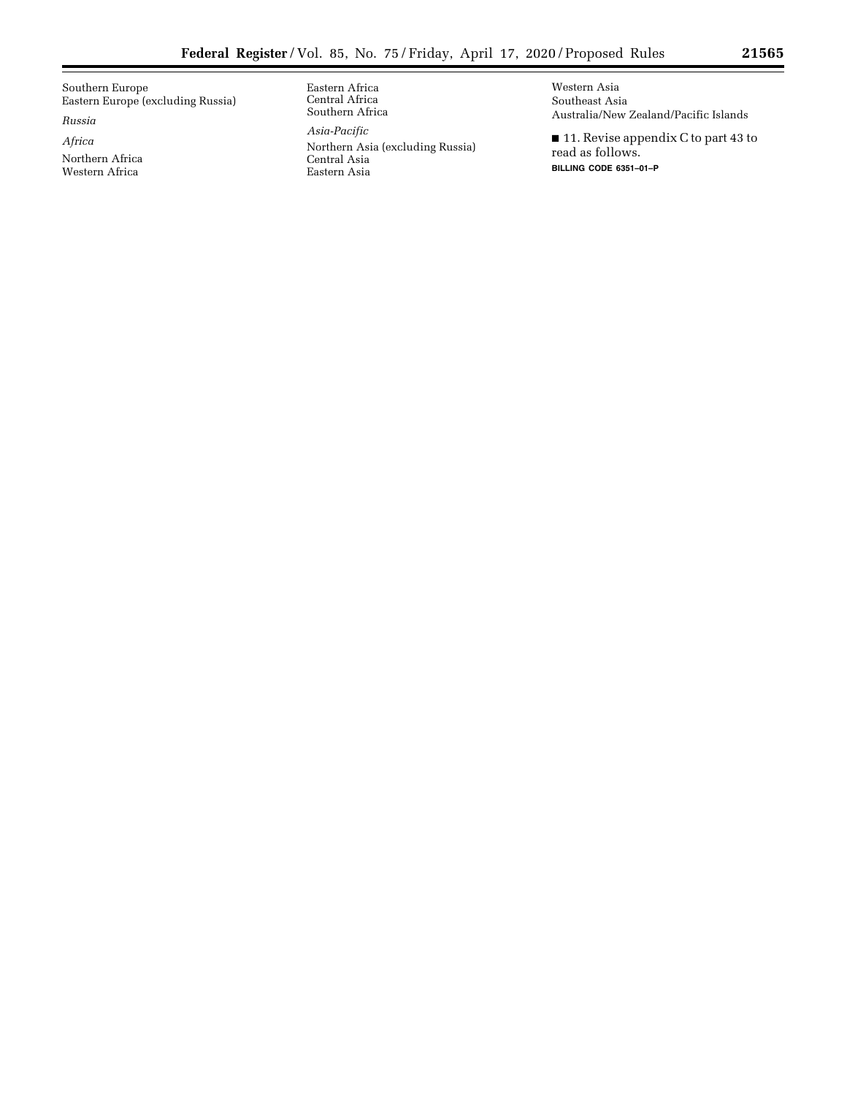Southern Europe Eastern Europe (excluding Russia)

*Russia* 

*Africa* 

Northern Africa Western Africa

Eastern Africa Central Africa Southern Africa

*Asia-Pacific* 

Northern Asia (excluding Russia) Central Asia Eastern Asia

Western Asia Southeast Asia Australia/New Zealand/Pacific Islands

■ 11. Revise appendix C to part 43 to read as follows. **BILLING CODE 6351–01–P**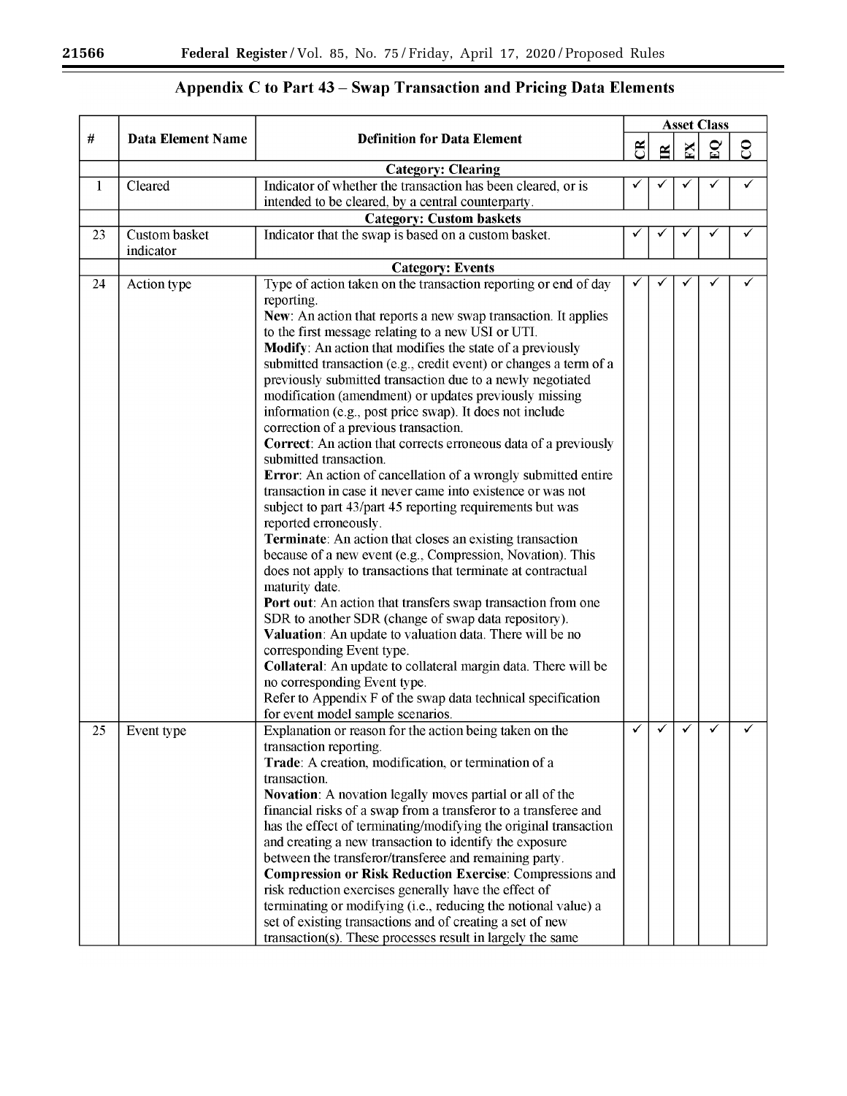$\equiv$ 

۰

# Appendix C to Part 43 - Swap Transaction and Pricing Data Elements

| #  | <b>Data Element Name</b>   |                                                                                                                                                                                           |                | <b>Asset Class</b> |   |              |          |  |  |  |
|----|----------------------------|-------------------------------------------------------------------------------------------------------------------------------------------------------------------------------------------|----------------|--------------------|---|--------------|----------|--|--|--|
|    |                            | <b>Definition for Data Element</b>                                                                                                                                                        | $\mathfrak{B}$ | ≅                  | X | $\mathbf{E}$ | $\infty$ |  |  |  |
|    |                            | <b>Category: Clearing</b>                                                                                                                                                                 |                |                    |   |              |          |  |  |  |
| 1  | Cleared                    | Indicator of whether the transaction has been cleared, or is<br>intended to be cleared, by a central counterparty.                                                                        |                |                    |   |              |          |  |  |  |
|    |                            | <b>Category: Custom baskets</b>                                                                                                                                                           |                |                    |   |              |          |  |  |  |
| 23 | Custom basket<br>indicator | Indicator that the swap is based on a custom basket.                                                                                                                                      |                |                    |   |              |          |  |  |  |
|    |                            | <b>Category: Events</b>                                                                                                                                                                   |                |                    |   |              |          |  |  |  |
| 24 | Action type                | Type of action taken on the transaction reporting or end of day<br>reporting.<br>New: An action that reports a new swap transaction. It applies                                           |                |                    |   |              |          |  |  |  |
|    |                            | to the first message relating to a new USI or UTI.<br>Modify: An action that modifies the state of a previously                                                                           |                |                    |   |              |          |  |  |  |
|    |                            | submitted transaction (e.g., credit event) or changes a term of a<br>previously submitted transaction due to a newly negotiated<br>modification (amendment) or updates previously missing |                |                    |   |              |          |  |  |  |
|    |                            | information (e.g., post price swap). It does not include<br>correction of a previous transaction.                                                                                         |                |                    |   |              |          |  |  |  |
|    |                            | Correct: An action that corrects erroneous data of a previously<br>submitted transaction.<br>Error: An action of cancellation of a wrongly submitted entire                               |                |                    |   |              |          |  |  |  |
|    |                            | transaction in case it never came into existence or was not                                                                                                                               |                |                    |   |              |          |  |  |  |
|    |                            | subject to part 43/part 45 reporting requirements but was<br>reported erroneously.                                                                                                        |                |                    |   |              |          |  |  |  |
|    |                            | Terminate: An action that closes an existing transaction<br>because of a new event (e.g., Compression, Novation). This                                                                    |                |                    |   |              |          |  |  |  |
|    |                            | does not apply to transactions that terminate at contractual<br>maturity date.                                                                                                            |                |                    |   |              |          |  |  |  |
|    |                            | Port out: An action that transfers swap transaction from one                                                                                                                              |                |                    |   |              |          |  |  |  |
|    |                            | SDR to another SDR (change of swap data repository).<br>Valuation: An update to valuation data. There will be no                                                                          |                |                    |   |              |          |  |  |  |
|    |                            | corresponding Event type.<br>Collateral: An update to collateral margin data. There will be                                                                                               |                |                    |   |              |          |  |  |  |
|    |                            | no corresponding Event type.<br>Refer to Appendix F of the swap data technical specification                                                                                              |                |                    |   |              |          |  |  |  |
|    |                            | for event model sample scenarios.                                                                                                                                                         | ✓              | ✓                  | ✓ | $\checkmark$ |          |  |  |  |
| 25 | Event type                 | Explanation or reason for the action being taken on the<br>transaction reporting.                                                                                                         |                |                    |   |              |          |  |  |  |
|    |                            | Trade: A creation, modification, or termination of a                                                                                                                                      |                |                    |   |              |          |  |  |  |
|    |                            | transaction.                                                                                                                                                                              |                |                    |   |              |          |  |  |  |
|    |                            | Novation: A novation legally moves partial or all of the                                                                                                                                  |                |                    |   |              |          |  |  |  |
|    |                            | financial risks of a swap from a transferor to a transferee and                                                                                                                           |                |                    |   |              |          |  |  |  |
|    |                            | has the effect of terminating/modifying the original transaction                                                                                                                          |                |                    |   |              |          |  |  |  |
|    |                            | and creating a new transaction to identify the exposure                                                                                                                                   |                |                    |   |              |          |  |  |  |
|    |                            | between the transferor/transferee and remaining party.                                                                                                                                    |                |                    |   |              |          |  |  |  |
|    |                            | <b>Compression or Risk Reduction Exercise: Compressions and</b>                                                                                                                           |                |                    |   |              |          |  |  |  |
|    |                            | risk reduction exercises generally have the effect of<br>terminating or modifying (i.e., reducing the notional value) a                                                                   |                |                    |   |              |          |  |  |  |
|    |                            | set of existing transactions and of creating a set of new                                                                                                                                 |                |                    |   |              |          |  |  |  |
|    |                            | transaction(s). These processes result in largely the same                                                                                                                                |                |                    |   |              |          |  |  |  |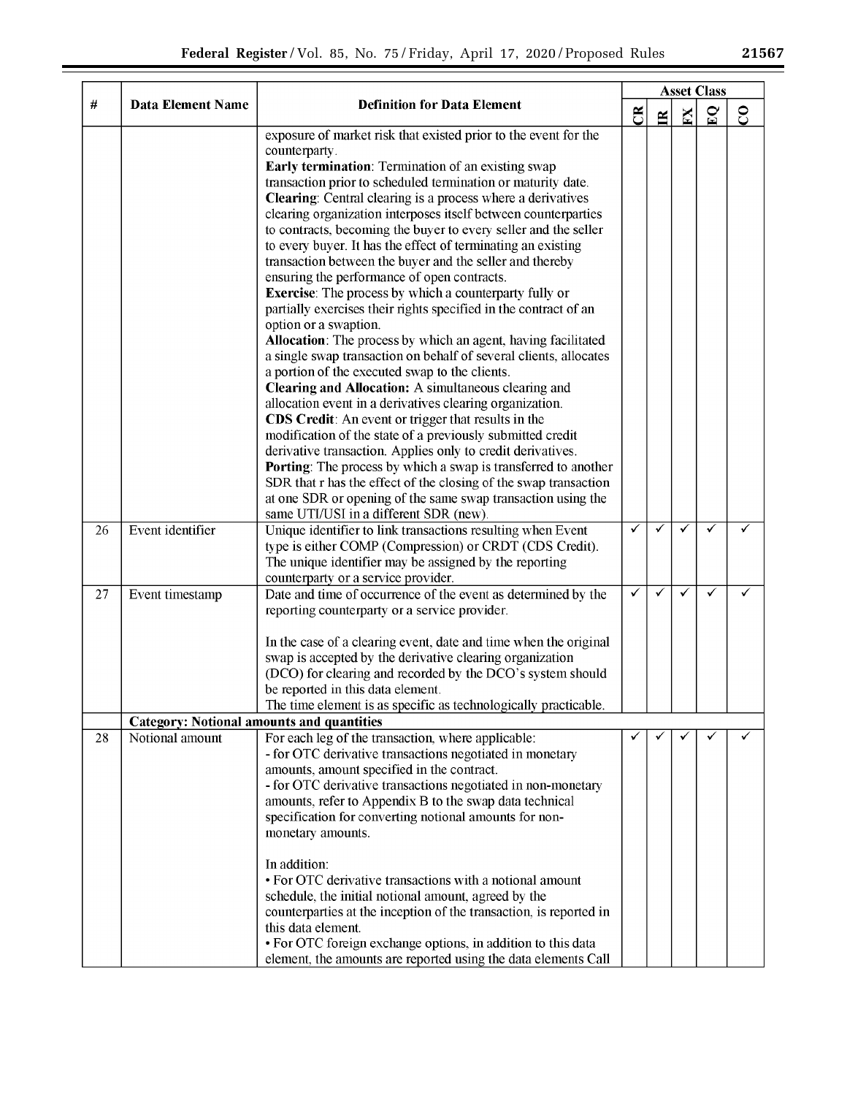|    |                                                  | <b>Definition for Data Element</b>                                                                                                                                                                                                                                                                                                                                                                                                                                                                                                                                                                                                                                                                                                                                                                                                                                                                                                                                                                                                                                                                                                                                                                        | <b>Asset Class</b> |              |              |              |               |  |  |  |
|----|--------------------------------------------------|-----------------------------------------------------------------------------------------------------------------------------------------------------------------------------------------------------------------------------------------------------------------------------------------------------------------------------------------------------------------------------------------------------------------------------------------------------------------------------------------------------------------------------------------------------------------------------------------------------------------------------------------------------------------------------------------------------------------------------------------------------------------------------------------------------------------------------------------------------------------------------------------------------------------------------------------------------------------------------------------------------------------------------------------------------------------------------------------------------------------------------------------------------------------------------------------------------------|--------------------|--------------|--------------|--------------|---------------|--|--|--|
| #  | <b>Data Element Name</b>                         |                                                                                                                                                                                                                                                                                                                                                                                                                                                                                                                                                                                                                                                                                                                                                                                                                                                                                                                                                                                                                                                                                                                                                                                                           | $\mathfrak{B}$     | $\mathbf{R}$ | $\mathbf{K}$ | $\mathbf{E}$ | $\mathcal{S}$ |  |  |  |
|    |                                                  | exposure of market risk that existed prior to the event for the<br>counterparty.<br>Early termination: Termination of an existing swap<br>transaction prior to scheduled termination or maturity date.<br><b>Clearing:</b> Central clearing is a process where a derivatives<br>clearing organization interposes itself between counterparties<br>to contracts, becoming the buyer to every seller and the seller<br>to every buyer. It has the effect of terminating an existing<br>transaction between the buyer and the seller and thereby<br>ensuring the performance of open contracts.<br><b>Exercise:</b> The process by which a counterparty fully or<br>partially exercises their rights specified in the contract of an<br>option or a swaption.<br>Allocation: The process by which an agent, having facilitated<br>a single swap transaction on behalf of several clients, allocates<br>a portion of the executed swap to the clients.<br><b>Clearing and Allocation:</b> A simultaneous clearing and<br>allocation event in a derivatives clearing organization.<br><b>CDS Credit:</b> An event or trigger that results in the<br>modification of the state of a previously submitted credit |                    |              |              |              |               |  |  |  |
|    |                                                  | derivative transaction. Applies only to credit derivatives.<br>Porting: The process by which a swap is transferred to another<br>SDR that r has the effect of the closing of the swap transaction<br>at one SDR or opening of the same swap transaction using the<br>same UTI/USI in a different SDR (new).                                                                                                                                                                                                                                                                                                                                                                                                                                                                                                                                                                                                                                                                                                                                                                                                                                                                                               |                    |              |              |              |               |  |  |  |
| 26 | Event identifier                                 | Unique identifier to link transactions resulting when Event<br>type is either COMP (Compression) or CRDT (CDS Credit).<br>The unique identifier may be assigned by the reporting<br>counterparty or a service provider.                                                                                                                                                                                                                                                                                                                                                                                                                                                                                                                                                                                                                                                                                                                                                                                                                                                                                                                                                                                   | ✓                  | ✓            | ✓            | ✓            |               |  |  |  |
| 27 | Event timestamp                                  | Date and time of occurrence of the event as determined by the<br>reporting counterparty or a service provider.<br>In the case of a clearing event, date and time when the original<br>swap is accepted by the derivative clearing organization<br>(DCO) for clearing and recorded by the DCO's system should<br>be reported in this data element.<br>The time element is as specific as technologically practicable.                                                                                                                                                                                                                                                                                                                                                                                                                                                                                                                                                                                                                                                                                                                                                                                      | ✓                  | ✓            | ✓            |              |               |  |  |  |
|    | <b>Category: Notional amounts and quantities</b> |                                                                                                                                                                                                                                                                                                                                                                                                                                                                                                                                                                                                                                                                                                                                                                                                                                                                                                                                                                                                                                                                                                                                                                                                           |                    |              |              |              |               |  |  |  |
| 28 | Notional amount                                  | For each leg of the transaction, where applicable:<br>- for OTC derivative transactions negotiated in monetary<br>amounts, amount specified in the contract.<br>- for OTC derivative transactions negotiated in non-monetary<br>amounts, refer to Appendix B to the swap data technical<br>specification for converting notional amounts for non-<br>monetary amounts.<br>In addition:<br>• For OTC derivative transactions with a notional amount<br>schedule, the initial notional amount, agreed by the                                                                                                                                                                                                                                                                                                                                                                                                                                                                                                                                                                                                                                                                                                |                    |              |              |              |               |  |  |  |
|    |                                                  | counterparties at the inception of the transaction, is reported in<br>this data element.<br>• For OTC foreign exchange options, in addition to this data<br>element the amounts are reported using the data elements Call                                                                                                                                                                                                                                                                                                                                                                                                                                                                                                                                                                                                                                                                                                                                                                                                                                                                                                                                                                                 |                    |              |              |              |               |  |  |  |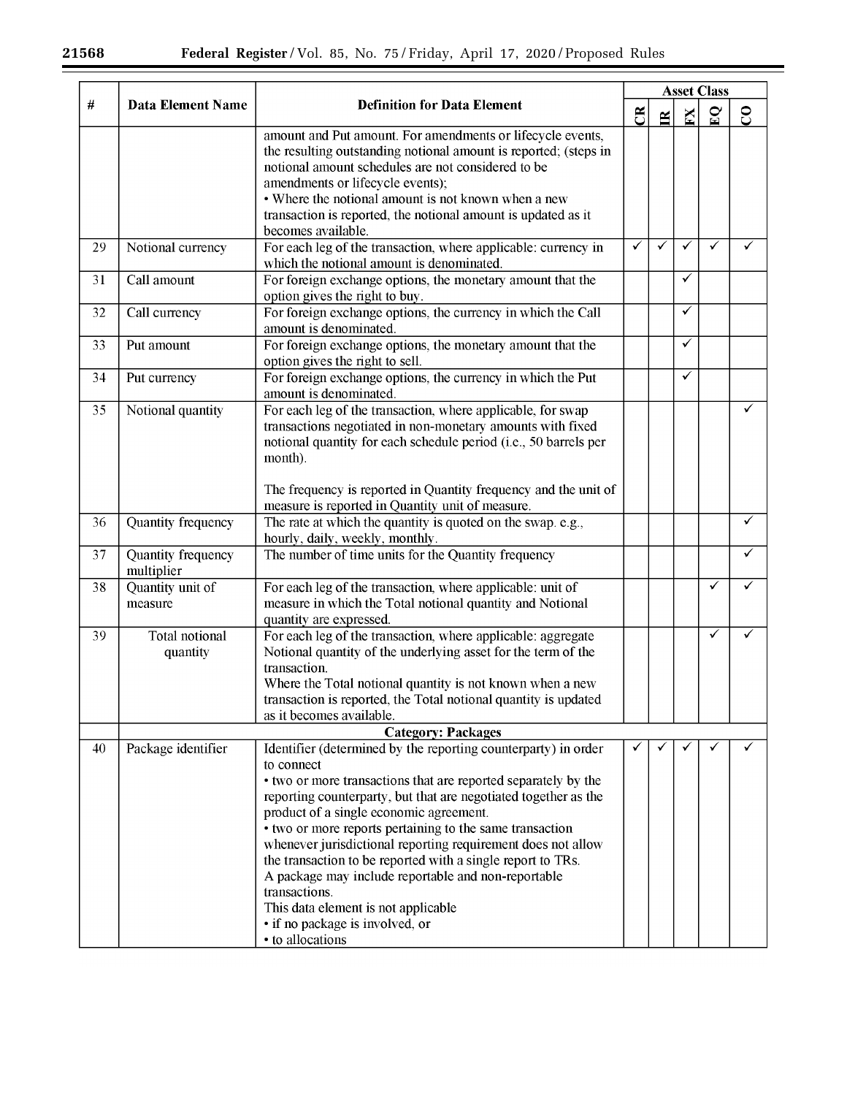$\equiv$ 

|      |                                  | <b>Definition for Data Element</b>                                                                                                                                                                                                                                                                                                                                                                                                                                                                                                                                                                                            |              |    |                         |              |               |
|------|----------------------------------|-------------------------------------------------------------------------------------------------------------------------------------------------------------------------------------------------------------------------------------------------------------------------------------------------------------------------------------------------------------------------------------------------------------------------------------------------------------------------------------------------------------------------------------------------------------------------------------------------------------------------------|--------------|----|-------------------------|--------------|---------------|
| $\#$ | <b>Data Element Name</b>         |                                                                                                                                                                                                                                                                                                                                                                                                                                                                                                                                                                                                                               | ජී           | Ĕ. | $\overline{\mathbf{M}}$ | $\mathbf{S}$ | $\mathcal{S}$ |
|      |                                  | amount and Put amount. For amendments or lifecycle events,<br>the resulting outstanding notional amount is reported; (steps in<br>notional amount schedules are not considered to be<br>amendments or lifecycle events);<br>• Where the notional amount is not known when a new<br>transaction is reported, the notional amount is updated as it<br>becomes available.                                                                                                                                                                                                                                                        |              |    |                         |              |               |
| 29   | Notional currency                | For each leg of the transaction, where applicable: currency in<br>which the notional amount is denominated.                                                                                                                                                                                                                                                                                                                                                                                                                                                                                                                   | $\checkmark$ | ✓  | ✓                       | ✓            |               |
| 31   | Call amount                      | For foreign exchange options, the monetary amount that the<br>option gives the right to buy.                                                                                                                                                                                                                                                                                                                                                                                                                                                                                                                                  |              |    | ✓                       |              |               |
| 32   | Call currency                    | For foreign exchange options, the currency in which the Call<br>amount is denominated.                                                                                                                                                                                                                                                                                                                                                                                                                                                                                                                                        |              |    | ✓                       |              |               |
| 33   | Put amount                       | For foreign exchange options, the monetary amount that the<br>option gives the right to sell.                                                                                                                                                                                                                                                                                                                                                                                                                                                                                                                                 |              |    | ✓                       |              |               |
| 34   | Put currency                     | For foreign exchange options, the currency in which the Put<br>amount is denominated.                                                                                                                                                                                                                                                                                                                                                                                                                                                                                                                                         |              |    | ✓                       |              |               |
| 35   | Notional quantity                | For each leg of the transaction, where applicable, for swap<br>transactions negotiated in non-monetary amounts with fixed<br>notional quantity for each schedule period (i.e., 50 barrels per<br>month).<br>The frequency is reported in Quantity frequency and the unit of<br>measure is reported in Quantity unit of measure.                                                                                                                                                                                                                                                                                               |              |    |                         |              | ✓             |
| 36   | Quantity frequency               | The rate at which the quantity is quoted on the swap. e.g.,<br>hourly, daily, weekly, monthly.                                                                                                                                                                                                                                                                                                                                                                                                                                                                                                                                |              |    |                         |              | ✓             |
| 37   | Quantity frequency<br>multiplier | The number of time units for the Quantity frequency                                                                                                                                                                                                                                                                                                                                                                                                                                                                                                                                                                           |              |    |                         |              |               |
| 38   | Quantity unit of<br>measure      | For each leg of the transaction, where applicable: unit of<br>measure in which the Total notional quantity and Notional<br>quantity are expressed.                                                                                                                                                                                                                                                                                                                                                                                                                                                                            |              |    |                         | ✓            | ✓             |
| 39   | Total notional<br>quantity       | For each leg of the transaction, where applicable: aggregate<br>Notional quantity of the underlying asset for the term of the<br>transaction.<br>Where the Total notional quantity is not known when a new<br>transaction is reported, the Total notional quantity is updated<br>as it becomes available.                                                                                                                                                                                                                                                                                                                     |              |    |                         | ✓            |               |
|      |                                  | <b>Category: Packages</b>                                                                                                                                                                                                                                                                                                                                                                                                                                                                                                                                                                                                     |              |    |                         |              |               |
| 40   | Package identifier               | Identifier (determined by the reporting counterparty) in order<br>to connect<br>• two or more transactions that are reported separately by the<br>reporting counterparty, but that are negotiated together as the<br>product of a single economic agreement.<br>• two or more reports pertaining to the same transaction<br>whenever jurisdictional reporting requirement does not allow<br>the transaction to be reported with a single report to TRs.<br>A package may include reportable and non-reportable<br>transactions.<br>This data element is not applicable<br>• if no package is involved, or<br>• to allocations | ✓            |    |                         |              |               |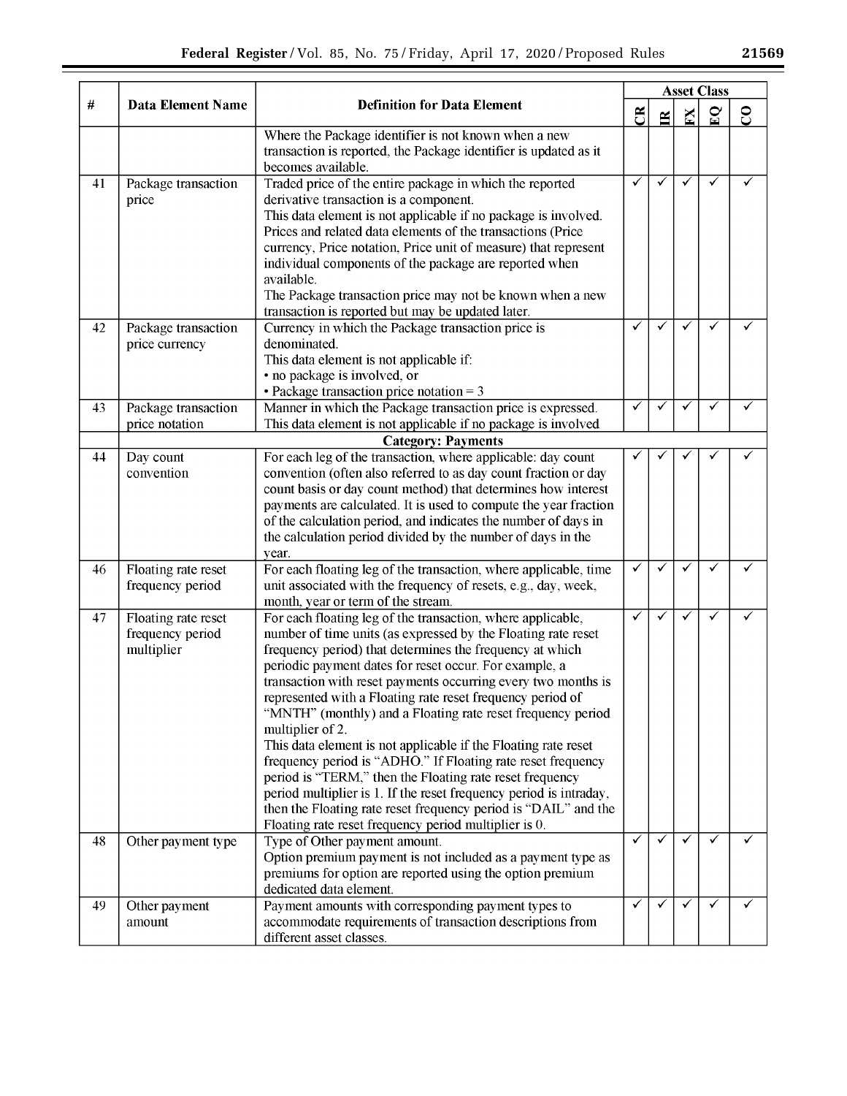|    | <b>Data Element Name</b>                              | <b>Definition for Data Element</b>                                                                                                                                                                                                                                                                                                                                                                                                                                                                                                                                                                                                                                                                                                                                                                                                                                   |              | <b>Asset Class</b> |                         |              |   |
|----|-------------------------------------------------------|----------------------------------------------------------------------------------------------------------------------------------------------------------------------------------------------------------------------------------------------------------------------------------------------------------------------------------------------------------------------------------------------------------------------------------------------------------------------------------------------------------------------------------------------------------------------------------------------------------------------------------------------------------------------------------------------------------------------------------------------------------------------------------------------------------------------------------------------------------------------|--------------|--------------------|-------------------------|--------------|---|
| #  |                                                       |                                                                                                                                                                                                                                                                                                                                                                                                                                                                                                                                                                                                                                                                                                                                                                                                                                                                      | ජී           | $\mathbf{B}$       | K                       | $\mathbf{E}$ | င |
|    |                                                       | Where the Package identifier is not known when a new<br>transaction is reported, the Package identifier is updated as it<br>becomes available.                                                                                                                                                                                                                                                                                                                                                                                                                                                                                                                                                                                                                                                                                                                       |              |                    |                         |              |   |
| 41 | Package transaction<br>price                          | Traded price of the entire package in which the reported<br>derivative transaction is a component.<br>This data element is not applicable if no package is involved.<br>Prices and related data elements of the transactions (Price<br>currency, Price notation, Price unit of measure) that represent<br>individual components of the package are reported when<br>available.<br>The Package transaction price may not be known when a new<br>transaction is reported but may be updated later.                                                                                                                                                                                                                                                                                                                                                                     | ✓            | ✓                  | ✓                       | ✓            |   |
| 42 | Package transaction<br>price currency                 | Currency in which the Package transaction price is<br>denominated.<br>This data element is not applicable if:<br>• no package is involved, or<br>• Package transaction price notation = $3$                                                                                                                                                                                                                                                                                                                                                                                                                                                                                                                                                                                                                                                                          | $\checkmark$ | $\checkmark$       | ✓                       | ✓            |   |
| 43 | Package transaction<br>price notation                 | Manner in which the Package transaction price is expressed.<br>This data element is not applicable if no package is involved<br><b>Category: Payments</b>                                                                                                                                                                                                                                                                                                                                                                                                                                                                                                                                                                                                                                                                                                            | ✓            | ✓                  | ✓                       | ✓            |   |
| 44 | Day count<br>convention                               | For each leg of the transaction, where applicable: day count<br>convention (often also referred to as day count fraction or day<br>count basis or day count method) that determines how interest<br>payments are calculated. It is used to compute the year fraction<br>of the calculation period, and indicates the number of days in<br>the calculation period divided by the number of days in the<br>year.                                                                                                                                                                                                                                                                                                                                                                                                                                                       |              |                    |                         |              |   |
| 46 | Floating rate reset<br>frequency period               | For each floating leg of the transaction, where applicable, time<br>unit associated with the frequency of resets, e.g., day, week,<br>month, year or term of the stream.                                                                                                                                                                                                                                                                                                                                                                                                                                                                                                                                                                                                                                                                                             | ✓            | ✓                  | ✓                       | ✓            |   |
| 47 | Floating rate reset<br>frequency period<br>multiplier | For each floating leg of the transaction, where applicable,<br>number of time units (as expressed by the Floating rate reset<br>frequency period) that determines the frequency at which<br>periodic payment dates for reset occur. For example, a<br>transaction with reset payments occurring every two months is<br>represented with a Floating rate reset frequency period of<br>"MNTH" (monthly) and a Floating rate reset frequency period<br>multiplier of 2.<br>This data element is not applicable if the Floating rate reset<br>frequency period is "ADHO." If Floating rate reset frequency<br>period is "TERM," then the Floating rate reset frequency<br>period multiplier is 1. If the reset frequency period is intraday,<br>then the Floating rate reset frequency period is "DAIL" and the<br>Floating rate reset frequency period multiplier is 0. | ✓            | ✓                  | $\overline{\checkmark}$ | $\checkmark$ |   |
| 48 | Other payment type                                    | Type of Other payment amount.<br>Option premium payment is not included as a payment type as<br>premiums for option are reported using the option premium<br>dedicated data element.                                                                                                                                                                                                                                                                                                                                                                                                                                                                                                                                                                                                                                                                                 | ✓            | $\checkmark$       | ✓                       | ✓            | ✓ |
| 49 | Other payment<br>amount                               | Payment amounts with corresponding payment types to<br>accommodate requirements of transaction descriptions from<br>different asset classes.                                                                                                                                                                                                                                                                                                                                                                                                                                                                                                                                                                                                                                                                                                                         | $\checkmark$ | $\checkmark$       | ✓                       | ✓            |   |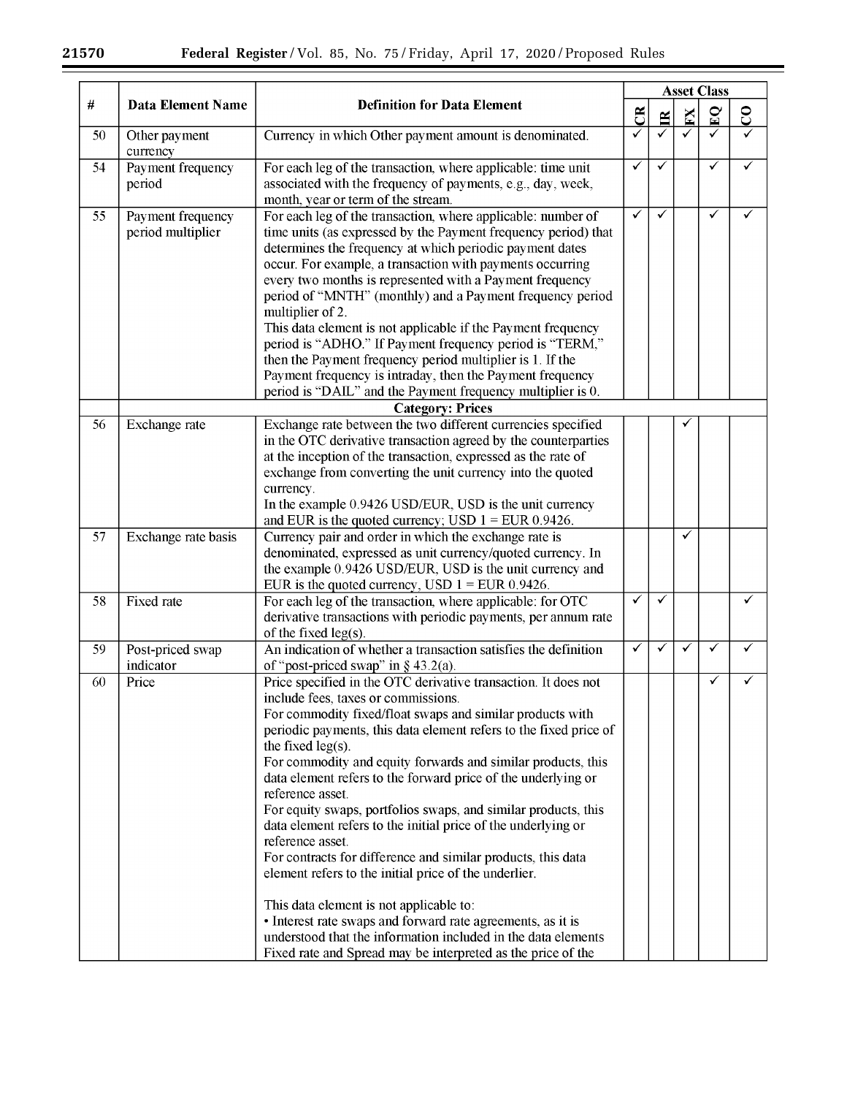$\equiv$ 

|      |                                        |                                                                                                                                                                                                                                                                                                                                                                                                                                                                                                                                                                                                                                                                                                                                                                                                                                                                                                                                                 | <b>Asset Class</b> |              |                         |              |          |  |  |  |
|------|----------------------------------------|-------------------------------------------------------------------------------------------------------------------------------------------------------------------------------------------------------------------------------------------------------------------------------------------------------------------------------------------------------------------------------------------------------------------------------------------------------------------------------------------------------------------------------------------------------------------------------------------------------------------------------------------------------------------------------------------------------------------------------------------------------------------------------------------------------------------------------------------------------------------------------------------------------------------------------------------------|--------------------|--------------|-------------------------|--------------|----------|--|--|--|
| $\#$ | <b>Data Element Name</b>               | <b>Definition for Data Element</b>                                                                                                                                                                                                                                                                                                                                                                                                                                                                                                                                                                                                                                                                                                                                                                                                                                                                                                              | $\mathfrak{B}$     | $\mathbb{E}$ | $\overline{\mathbf{K}}$ | $\mathbf{C}$ | $\rm{S}$ |  |  |  |
| 50   | Other payment<br>currency              | Currency in which Other payment amount is denominated.                                                                                                                                                                                                                                                                                                                                                                                                                                                                                                                                                                                                                                                                                                                                                                                                                                                                                          | ✓                  | ✓            | ✓                       | ✓            |          |  |  |  |
| 54   | Payment frequency<br>period            | For each leg of the transaction, where applicable: time unit<br>associated with the frequency of payments, e.g., day, week,<br>month, year or term of the stream.                                                                                                                                                                                                                                                                                                                                                                                                                                                                                                                                                                                                                                                                                                                                                                               | ✓                  | ✓            |                         | ✓            | ✓        |  |  |  |
| 55   | Payment frequency<br>period multiplier | For each leg of the transaction, where applicable: number of<br>time units (as expressed by the Payment frequency period) that<br>determines the frequency at which periodic payment dates<br>occur. For example, a transaction with payments occurring<br>every two months is represented with a Payment frequency<br>period of "MNTH" (monthly) and a Payment frequency period<br>multiplier of 2.<br>This data element is not applicable if the Payment frequency<br>period is "ADHO." If Payment frequency period is "TERM,"<br>then the Payment frequency period multiplier is 1. If the<br>Payment frequency is intraday, then the Payment frequency<br>period is "DAIL" and the Payment frequency multiplier is 0.                                                                                                                                                                                                                       | ✓                  | ✓            |                         | ✓            |          |  |  |  |
|      |                                        | <b>Category: Prices</b>                                                                                                                                                                                                                                                                                                                                                                                                                                                                                                                                                                                                                                                                                                                                                                                                                                                                                                                         |                    |              |                         |              |          |  |  |  |
| 56   | Exchange rate                          | Exchange rate between the two different currencies specified<br>in the OTC derivative transaction agreed by the counterparties<br>at the inception of the transaction, expressed as the rate of<br>exchange from converting the unit currency into the quoted<br>currency.<br>In the example 0.9426 USD/EUR, USD is the unit currency<br>and EUR is the quoted currency; USD $1 = EUR$ 0.9426.                                                                                                                                                                                                                                                                                                                                                                                                                                                                                                                                                  |                    |              |                         |              |          |  |  |  |
| 57   | Exchange rate basis                    | Currency pair and order in which the exchange rate is<br>denominated, expressed as unit currency/quoted currency. In<br>the example 0.9426 USD/EUR, USD is the unit currency and<br>EUR is the quoted currency, USD $1 =$ EUR 0.9426.                                                                                                                                                                                                                                                                                                                                                                                                                                                                                                                                                                                                                                                                                                           |                    |              | ✓                       |              |          |  |  |  |
| 58   | Fixed rate                             | For each leg of the transaction, where applicable: for OTC<br>derivative transactions with periodic payments, per annum rate<br>of the fixed $leg(s)$ .                                                                                                                                                                                                                                                                                                                                                                                                                                                                                                                                                                                                                                                                                                                                                                                         | $\checkmark$       | ✓            |                         |              |          |  |  |  |
| 59   | Post-priced swap<br>indicator          | An indication of whether a transaction satisfies the definition<br>of "post-priced swap" in $\S$ 43.2(a).                                                                                                                                                                                                                                                                                                                                                                                                                                                                                                                                                                                                                                                                                                                                                                                                                                       | ✓                  | ✓            | ✓                       | ✓            | ✓        |  |  |  |
| 60   | Price                                  | Price specified in the OTC derivative transaction. It does not<br>include fees, taxes or commissions.<br>For commodity fixed/float swaps and similar products with<br>periodic payments, this data element refers to the fixed price of<br>the fixed $leg(s)$ .<br>For commodity and equity forwards and similar products, this<br>data element refers to the forward price of the underlying or<br>reference asset.<br>For equity swaps, portfolios swaps, and similar products, this<br>data element refers to the initial price of the underlying or<br>reference asset.<br>For contracts for difference and similar products, this data<br>element refers to the initial price of the underlier.<br>This data element is not applicable to:<br>• Interest rate swaps and forward rate agreements, as it is<br>understood that the information included in the data elements<br>Fixed rate and Spread may be interpreted as the price of the |                    |              |                         |              |          |  |  |  |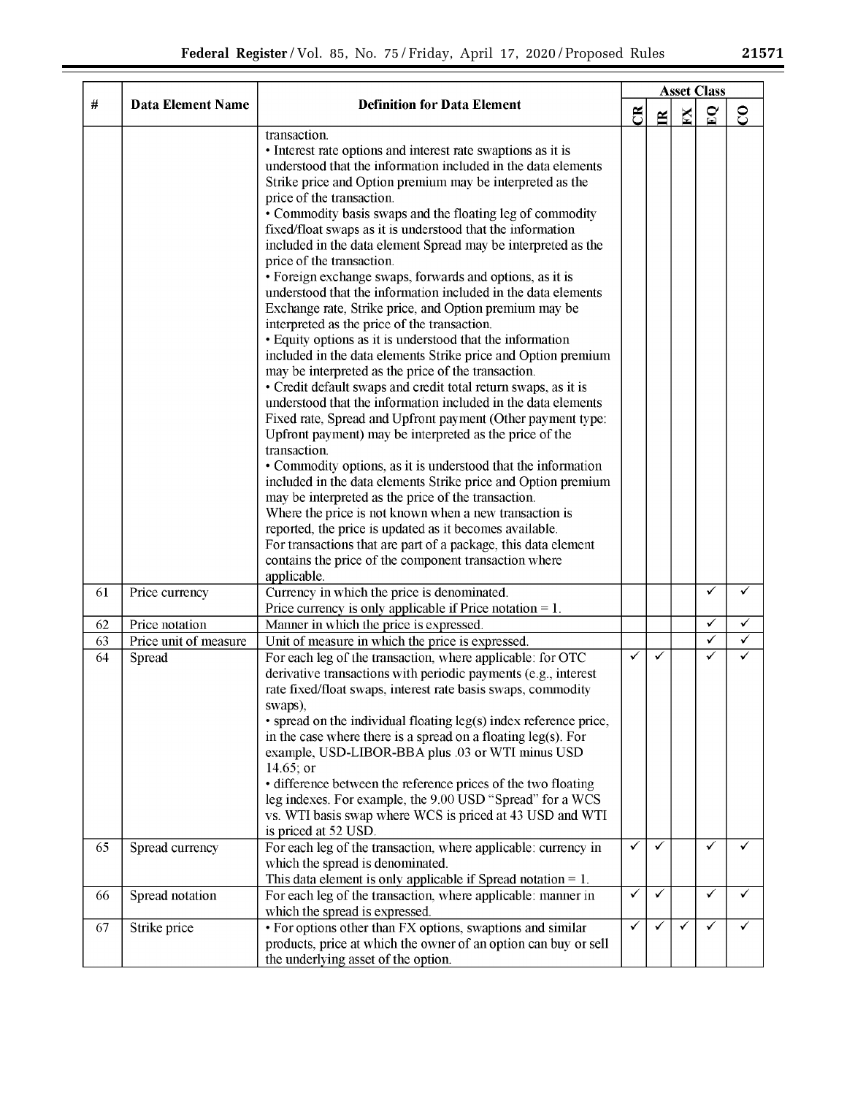|    |                          |                                                                                                                      |                | <b>Asset Class</b> |              |              |                         |
|----|--------------------------|----------------------------------------------------------------------------------------------------------------------|----------------|--------------------|--------------|--------------|-------------------------|
| #  | <b>Data Element Name</b> | <b>Definition for Data Element</b>                                                                                   | $\mathfrak{B}$ | $\leq$             | $\mathbf{K}$ | $\mathbf{C}$ | $\overline{\mathrm{c}}$ |
|    |                          | transaction.                                                                                                         |                |                    |              |              |                         |
|    |                          | • Interest rate options and interest rate swaptions as it is                                                         |                |                    |              |              |                         |
|    |                          | understood that the information included in the data elements                                                        |                |                    |              |              |                         |
|    |                          | Strike price and Option premium may be interpreted as the                                                            |                |                    |              |              |                         |
|    |                          | price of the transaction.                                                                                            |                |                    |              |              |                         |
|    |                          | • Commodity basis swaps and the floating leg of commodity                                                            |                |                    |              |              |                         |
|    |                          | fixed/float swaps as it is understood that the information                                                           |                |                    |              |              |                         |
|    |                          | included in the data element Spread may be interpreted as the                                                        |                |                    |              |              |                         |
|    |                          | price of the transaction.<br>• Foreign exchange swaps, forwards and options, as it is                                |                |                    |              |              |                         |
|    |                          | understood that the information included in the data elements                                                        |                |                    |              |              |                         |
|    |                          | Exchange rate, Strike price, and Option premium may be                                                               |                |                    |              |              |                         |
|    |                          | interpreted as the price of the transaction.                                                                         |                |                    |              |              |                         |
|    |                          | • Equity options as it is understood that the information                                                            |                |                    |              |              |                         |
|    |                          | included in the data elements Strike price and Option premium                                                        |                |                    |              |              |                         |
|    |                          | may be interpreted as the price of the transaction.                                                                  |                |                    |              |              |                         |
|    |                          | • Credit default swaps and credit total return swaps, as it is                                                       |                |                    |              |              |                         |
|    |                          | understood that the information included in the data elements                                                        |                |                    |              |              |                         |
|    |                          | Fixed rate, Spread and Upfront payment (Other payment type:                                                          |                |                    |              |              |                         |
|    |                          | Upfront payment) may be interpreted as the price of the                                                              |                |                    |              |              |                         |
|    |                          | transaction.                                                                                                         |                |                    |              |              |                         |
|    |                          | • Commodity options, as it is understood that the information                                                        |                |                    |              |              |                         |
|    |                          | included in the data elements Strike price and Option premium<br>may be interpreted as the price of the transaction. |                |                    |              |              |                         |
|    |                          | Where the price is not known when a new transaction is                                                               |                |                    |              |              |                         |
|    |                          | reported, the price is updated as it becomes available.                                                              |                |                    |              |              |                         |
|    |                          | For transactions that are part of a package, this data element                                                       |                |                    |              |              |                         |
|    |                          | contains the price of the component transaction where                                                                |                |                    |              |              |                         |
|    |                          | applicable.                                                                                                          |                |                    |              |              |                         |
| 61 | Price currency           | Currency in which the price is denominated.                                                                          |                |                    |              | ✓            |                         |
|    |                          | Price currency is only applicable if Price notation $= 1$ .                                                          |                |                    |              |              |                         |
| 62 | Price notation           | Manner in which the price is expressed.                                                                              |                |                    |              | ✓            | ✓                       |
| 63 | Price unit of measure    | Unit of measure in which the price is expressed.                                                                     |                |                    |              | ✓            | ✓                       |
| 64 | Spread                   | For each leg of the transaction, where applicable: for OTC                                                           | ✓              | ✓                  |              | ✓            |                         |
|    |                          | derivative transactions with periodic payments (e.g., interest                                                       |                |                    |              |              |                         |
|    |                          | rate fixed/float swaps, interest rate basis swaps, commodity                                                         |                |                    |              |              |                         |
|    |                          | swaps),<br>• spread on the individual floating leg(s) index reference price,                                         |                |                    |              |              |                         |
|    |                          | in the case where there is a spread on a floating $leg(s)$ . For                                                     |                |                    |              |              |                         |
|    |                          | example, USD-LIBOR-BBA plus .03 or WTI minus USD                                                                     |                |                    |              |              |                         |
|    |                          | 14.65; or                                                                                                            |                |                    |              |              |                         |
|    |                          | • difference between the reference prices of the two floating                                                        |                |                    |              |              |                         |
|    |                          | leg indexes. For example, the 9.00 USD "Spread" for a WCS                                                            |                |                    |              |              |                         |
|    |                          | vs. WTI basis swap where WCS is priced at 43 USD and WTI                                                             |                |                    |              |              |                         |
|    |                          | is priced at 52 USD.                                                                                                 |                |                    |              |              |                         |
| 65 | Spread currency          | For each leg of the transaction, where applicable: currency in                                                       | ✓              | ✓                  |              | ✓            | ✓                       |
|    |                          | which the spread is denominated.                                                                                     |                |                    |              |              |                         |
|    |                          | This data element is only applicable if Spread notation $= 1$ .                                                      | ✓              | ✓                  |              | $\checkmark$ | ✓                       |
| 66 | Spread notation          | For each leg of the transaction, where applicable: manner in<br>which the spread is expressed.                       |                |                    |              |              |                         |
| 67 | Strike price             | • For options other than FX options, swaptions and similar                                                           | ✓              | ✓                  | ✓            | ✓            |                         |
|    |                          | products, price at which the owner of an option can buy or sell                                                      |                |                    |              |              |                         |
|    |                          | the underlying asset of the option.                                                                                  |                |                    |              |              |                         |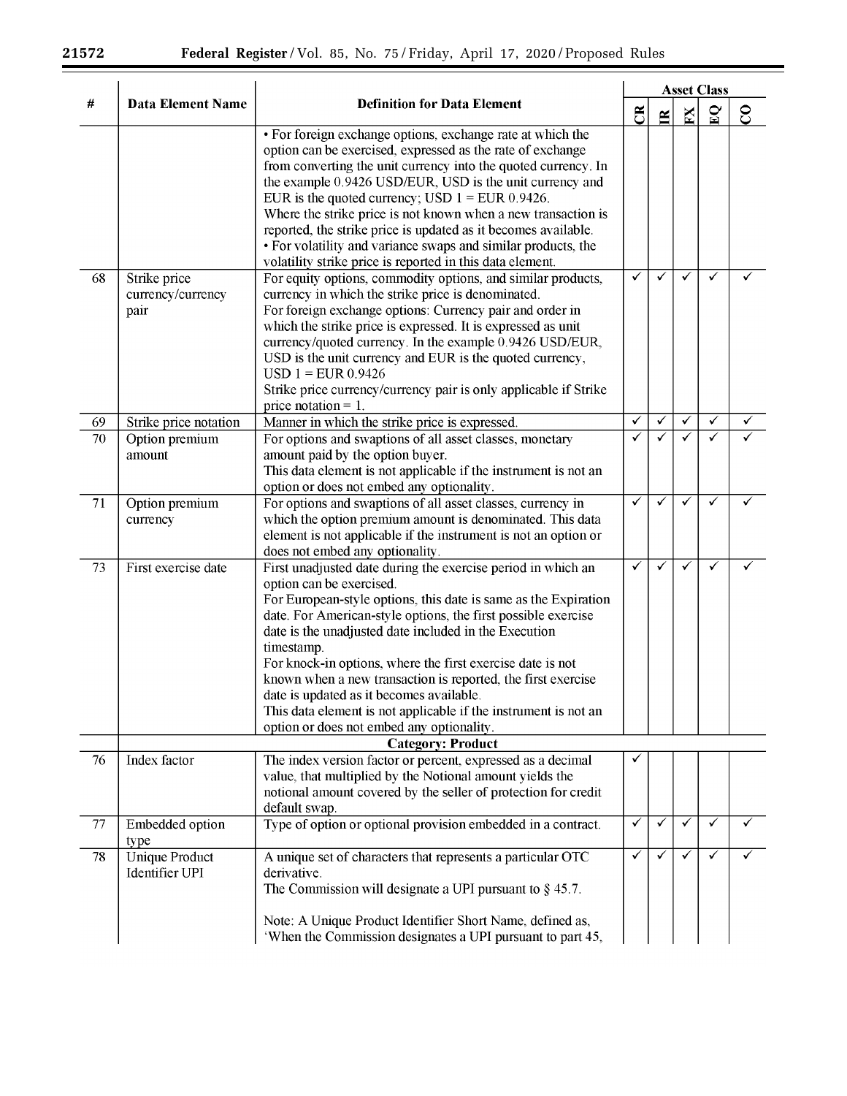$\sim$   $\sim$ 

|    |                                                | <b>Asset Class</b>                                                                                                                                                                                                                                                                                                                                                                                                                                                                                                                                                                            |              |              |                         |              |               |
|----|------------------------------------------------|-----------------------------------------------------------------------------------------------------------------------------------------------------------------------------------------------------------------------------------------------------------------------------------------------------------------------------------------------------------------------------------------------------------------------------------------------------------------------------------------------------------------------------------------------------------------------------------------------|--------------|--------------|-------------------------|--------------|---------------|
| #  | <b>Data Element Name</b>                       | <b>Definition for Data Element</b>                                                                                                                                                                                                                                                                                                                                                                                                                                                                                                                                                            | ජී           | $\mathbf{R}$ | $\overline{\mathbf{N}}$ | $\mathbf{S}$ | $\mathcal{S}$ |
|    |                                                | • For foreign exchange options, exchange rate at which the<br>option can be exercised, expressed as the rate of exchange<br>from converting the unit currency into the quoted currency. In<br>the example 0.9426 USD/EUR, USD is the unit currency and<br>EUR is the quoted currency; USD $1 =$ EUR 0.9426.<br>Where the strike price is not known when a new transaction is<br>reported, the strike price is updated as it becomes available.<br>• For volatility and variance swaps and similar products, the<br>volatility strike price is reported in this data element.                  |              |              |                         |              |               |
| 68 | Strike price<br>currency/currency<br>pair      | For equity options, commodity options, and similar products,<br>currency in which the strike price is denominated.<br>For foreign exchange options: Currency pair and order in<br>which the strike price is expressed. It is expressed as unit<br>currency/quoted currency. In the example 0.9426 USD/EUR,<br>USD is the unit currency and EUR is the quoted currency,<br>$USD 1 = EUR 0.9426$<br>Strike price currency/currency pair is only applicable if Strike<br>price notation $= 1$ .                                                                                                  | $\checkmark$ | ✓            | ✓                       | ✓            |               |
| 69 | Strike price notation                          | Manner in which the strike price is expressed.                                                                                                                                                                                                                                                                                                                                                                                                                                                                                                                                                | $\checkmark$ | ✓            | $\checkmark$            | ✓            |               |
| 70 | Option premium<br>amount                       | For options and swaptions of all asset classes, monetary<br>amount paid by the option buyer.<br>This data element is not applicable if the instrument is not an<br>option or does not embed any optionality.                                                                                                                                                                                                                                                                                                                                                                                  | ✓            | ✓            | ✓                       | ✓            |               |
| 71 | Option premium<br>currency                     | For options and swaptions of all asset classes, currency in<br>which the option premium amount is denominated. This data<br>element is not applicable if the instrument is not an option or<br>does not embed any optionality.                                                                                                                                                                                                                                                                                                                                                                | $\checkmark$ | ✓            | ✓                       | ✓            |               |
| 73 | First exercise date                            | First unadjusted date during the exercise period in which an<br>option can be exercised.<br>For European-style options, this date is same as the Expiration<br>date. For American-style options, the first possible exercise<br>date is the unadjusted date included in the Execution<br>timestamp.<br>For knock-in options, where the first exercise date is not<br>known when a new transaction is reported, the first exercise<br>date is updated as it becomes available.<br>This data element is not applicable if the instrument is not an<br>option or does not embed any optionality. | $\checkmark$ | ✓            | ✓                       | ✓            |               |
|    |                                                | <b>Category: Product</b>                                                                                                                                                                                                                                                                                                                                                                                                                                                                                                                                                                      |              |              |                         |              |               |
| 76 | Index factor                                   | The index version factor or percent, expressed as a decimal<br>value, that multiplied by the Notional amount yields the<br>notional amount covered by the seller of protection for credit<br>default swap.                                                                                                                                                                                                                                                                                                                                                                                    |              |              |                         |              |               |
| 77 | Embedded option<br>type                        | Type of option or optional provision embedded in a contract.                                                                                                                                                                                                                                                                                                                                                                                                                                                                                                                                  | ✓            | ✓            | ✓                       | ✓            |               |
| 78 | <b>Unique Product</b><br><b>Identifier UPI</b> | A unique set of characters that represents a particular OTC<br>derivative.<br>The Commission will designate a UPI pursuant to $\S$ 45.7.<br>Note: A Unique Product Identifier Short Name, defined as,<br>'When the Commission designates a UPI pursuant to part 45,                                                                                                                                                                                                                                                                                                                           | $\checkmark$ | ✓            | $\checkmark$            | $\checkmark$ |               |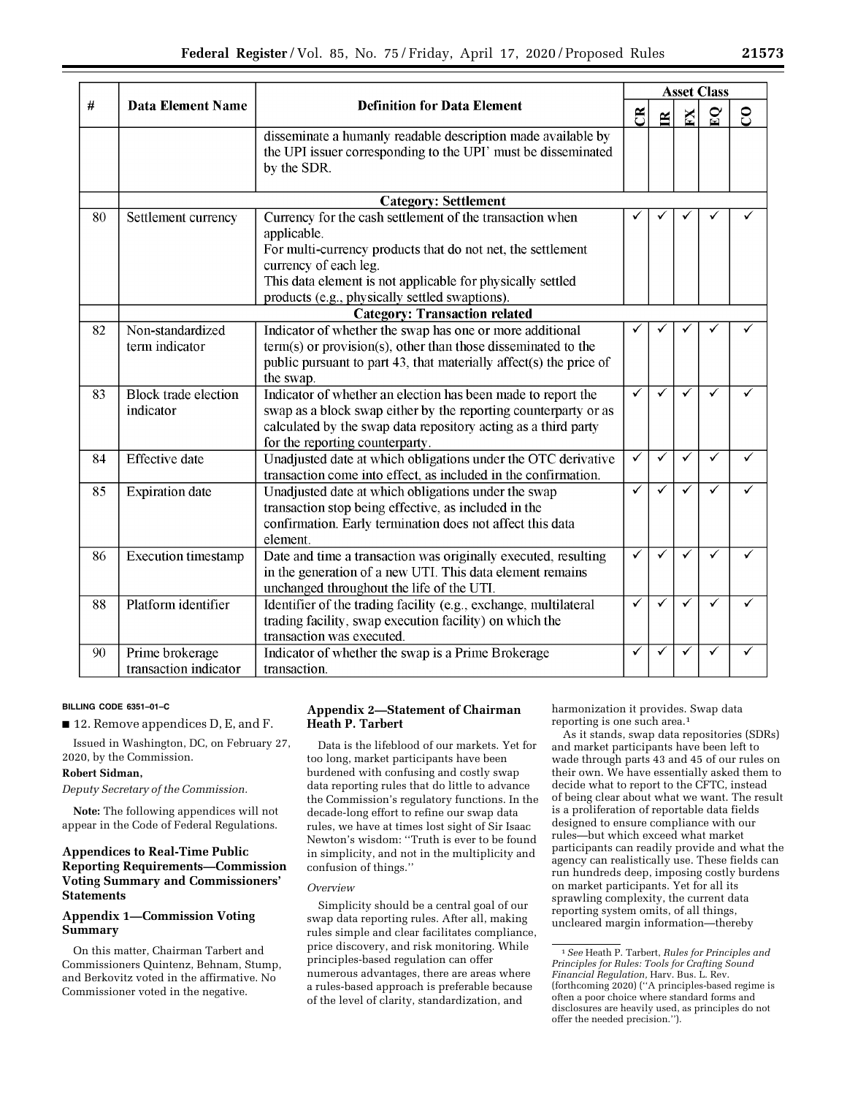|    |                                          |                                                                                                                                                                                                                                                                                 | <b>Asset Class</b> |   |              |              |               |  |  |  |
|----|------------------------------------------|---------------------------------------------------------------------------------------------------------------------------------------------------------------------------------------------------------------------------------------------------------------------------------|--------------------|---|--------------|--------------|---------------|--|--|--|
| #  | <b>Data Element Name</b>                 | <b>Definition for Data Element</b>                                                                                                                                                                                                                                              | $\mathfrak{B}$     | E | K            | $\mathbf{S}$ | $\mathcal{S}$ |  |  |  |
|    |                                          | disseminate a humanly readable description made available by<br>the UPI issuer corresponding to the UPI' must be disseminated<br>by the SDR.                                                                                                                                    |                    |   |              |              |               |  |  |  |
|    |                                          | <b>Category: Settlement</b>                                                                                                                                                                                                                                                     |                    |   |              |              |               |  |  |  |
| 80 | Settlement currency                      | Currency for the cash settlement of the transaction when<br>applicable.<br>For multi-currency products that do not net, the settlement<br>currency of each leg.<br>This data element is not applicable for physically settled<br>products (e.g., physically settled swaptions). |                    |   |              |              |               |  |  |  |
|    | <b>Category: Transaction related</b>     |                                                                                                                                                                                                                                                                                 |                    |   |              |              |               |  |  |  |
| 82 | Non-standardized<br>term indicator       | Indicator of whether the swap has one or more additional<br>term(s) or provision(s), other than those disseminated to the<br>public pursuant to part 43, that materially affect(s) the price of<br>the swap.                                                                    |                    |   |              |              |               |  |  |  |
| 83 | <b>Block trade election</b><br>indicator | Indicator of whether an election has been made to report the<br>swap as a block swap either by the reporting counterparty or as<br>calculated by the swap data repository acting as a third party<br>for the reporting counterparty.                                            | ✓                  | ✓ | ✓            | ✓            |               |  |  |  |
| 84 | <b>Effective</b> date                    | Unadjusted date at which obligations under the OTC derivative<br>transaction come into effect, as included in the confirmation.                                                                                                                                                 | ✓                  | ✓ | ✓            | ✓            | ✓             |  |  |  |
| 85 | <b>Expiration</b> date                   | Unadjusted date at which obligations under the swap<br>transaction stop being effective, as included in the<br>confirmation. Early termination does not affect this data<br>element.                                                                                            | ✓                  | ✓ | ✓            | √            |               |  |  |  |
| 86 | <b>Execution</b> timestamp               | Date and time a transaction was originally executed, resulting<br>in the generation of a new UTI. This data element remains<br>unchanged throughout the life of the UTI.                                                                                                        | ✓                  | ✓ | ✓            |              |               |  |  |  |
| 88 | Platform identifier                      | Identifier of the trading facility (e.g., exchange, multilateral<br>trading facility, swap execution facility) on which the<br>transaction was executed.                                                                                                                        | ✓                  |   | ✓            |              |               |  |  |  |
| 90 | Prime brokerage<br>transaction indicator | Indicator of whether the swap is a Prime Brokerage<br>transaction.                                                                                                                                                                                                              | ✓                  | ✓ | $\checkmark$ | ✓            |               |  |  |  |

## **BILLING CODE 6351–01–C**

■ 12. Remove appendices D, E, and F.

Issued in Washington, DC, on February 27, 2020, by the Commission.

# **Robert Sidman,**

*Deputy Secretary of the Commission.* 

**Note:** The following appendices will not appear in the Code of Federal Regulations.

# **Appendices to Real-Time Public Reporting Requirements—Commission Voting Summary and Commissioners' Statements**

# **Appendix 1—Commission Voting Summary**

On this matter, Chairman Tarbert and Commissioners Quintenz, Behnam, Stump, and Berkovitz voted in the affirmative. No Commissioner voted in the negative.

# **Appendix 2—Statement of Chairman Heath P. Tarbert**

Data is the lifeblood of our markets. Yet for too long, market participants have been burdened with confusing and costly swap data reporting rules that do little to advance the Commission's regulatory functions. In the decade-long effort to refine our swap data rules, we have at times lost sight of Sir Isaac Newton's wisdom: ''Truth is ever to be found in simplicity, and not in the multiplicity and confusion of things.''

# *Overview*

Simplicity should be a central goal of our swap data reporting rules. After all, making rules simple and clear facilitates compliance, price discovery, and risk monitoring. While principles-based regulation can offer numerous advantages, there are areas where a rules-based approach is preferable because of the level of clarity, standardization, and

harmonization it provides. Swap data reporting is one such area.1

As it stands, swap data repositories (SDRs) and market participants have been left to wade through parts 43 and 45 of our rules on their own. We have essentially asked them to decide what to report to the CFTC, instead of being clear about what we want. The result is a proliferation of reportable data fields designed to ensure compliance with our rules—but which exceed what market participants can readily provide and what the agency can realistically use. These fields can run hundreds deep, imposing costly burdens on market participants. Yet for all its sprawling complexity, the current data reporting system omits, of all things, uncleared margin information—thereby

<sup>1</sup>*See* Heath P. Tarbert, *Rules for Principles and Principles for Rules: Tools for Crafting Sound Financial Regulation,* Harv. Bus. L. Rev. (forthcoming 2020) (''A principles-based regime is often a poor choice where standard forms and disclosures are heavily used, as principles do not offer the needed precision.'').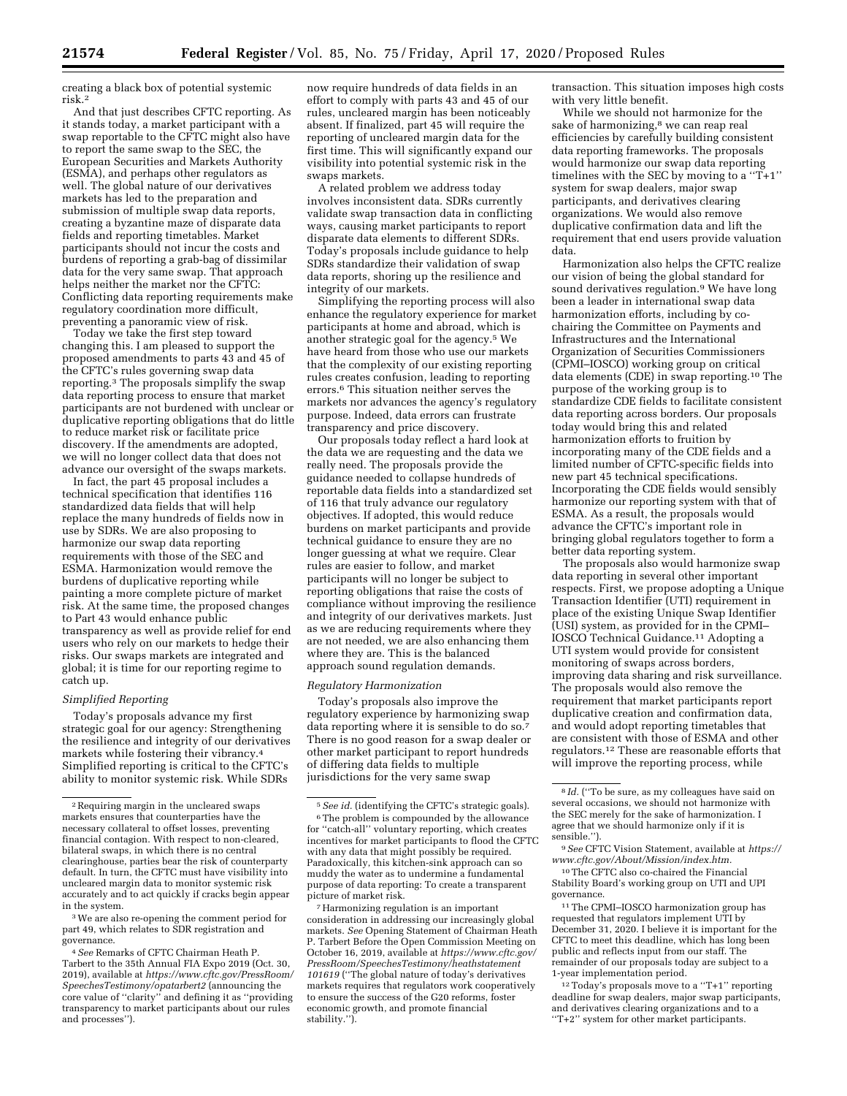creating a black box of potential systemic risk.2

And that just describes CFTC reporting. As it stands today, a market participant with a swap reportable to the CFTC might also have to report the same swap to the SEC, the European Securities and Markets Authority (ESMA), and perhaps other regulators as well. The global nature of our derivatives markets has led to the preparation and submission of multiple swap data reports, creating a byzantine maze of disparate data fields and reporting timetables. Market participants should not incur the costs and burdens of reporting a grab-bag of dissimilar data for the very same swap. That approach helps neither the market nor the CFTC: Conflicting data reporting requirements make regulatory coordination more difficult, preventing a panoramic view of risk.

Today we take the first step toward changing this. I am pleased to support the proposed amendments to parts 43 and 45 of the CFTC's rules governing swap data reporting.3 The proposals simplify the swap data reporting process to ensure that market participants are not burdened with unclear or duplicative reporting obligations that do little to reduce market risk or facilitate price discovery. If the amendments are adopted, we will no longer collect data that does not advance our oversight of the swaps markets.

In fact, the part 45 proposal includes a technical specification that identifies 116 standardized data fields that will help replace the many hundreds of fields now in use by SDRs. We are also proposing to harmonize our swap data reporting requirements with those of the SEC and ESMA. Harmonization would remove the burdens of duplicative reporting while painting a more complete picture of market risk. At the same time, the proposed changes to Part 43 would enhance public transparency as well as provide relief for end users who rely on our markets to hedge their risks. Our swaps markets are integrated and global; it is time for our reporting regime to catch up.

#### *Simplified Reporting*

Today's proposals advance my first strategic goal for our agency: Strengthening the resilience and integrity of our derivatives markets while fostering their vibrancy.4 Simplified reporting is critical to the CFTC's ability to monitor systemic risk. While SDRs

3We are also re-opening the comment period for part 49, which relates to SDR registration and governance.

now require hundreds of data fields in an effort to comply with parts 43 and 45 of our rules, uncleared margin has been noticeably absent. If finalized, part 45 will require the reporting of uncleared margin data for the first time. This will significantly expand our visibility into potential systemic risk in the swaps markets.

A related problem we address today involves inconsistent data. SDRs currently validate swap transaction data in conflicting ways, causing market participants to report disparate data elements to different SDRs. Today's proposals include guidance to help SDRs standardize their validation of swap data reports, shoring up the resilience and integrity of our markets.

Simplifying the reporting process will also enhance the regulatory experience for market participants at home and abroad, which is another strategic goal for the agency.5 We have heard from those who use our markets that the complexity of our existing reporting rules creates confusion, leading to reporting errors.6 This situation neither serves the markets nor advances the agency's regulatory purpose. Indeed, data errors can frustrate transparency and price discovery.

Our proposals today reflect a hard look at the data we are requesting and the data we really need. The proposals provide the guidance needed to collapse hundreds of reportable data fields into a standardized set of 116 that truly advance our regulatory objectives. If adopted, this would reduce burdens on market participants and provide technical guidance to ensure they are no longer guessing at what we require. Clear rules are easier to follow, and market participants will no longer be subject to reporting obligations that raise the costs of compliance without improving the resilience and integrity of our derivatives markets. Just as we are reducing requirements where they are not needed, we are also enhancing them where they are. This is the balanced approach sound regulation demands.

#### *Regulatory Harmonization*

Today's proposals also improve the regulatory experience by harmonizing swap data reporting where it is sensible to do so.7 There is no good reason for a swap dealer or other market participant to report hundreds of differing data fields to multiple jurisdictions for the very same swap

transaction. This situation imposes high costs with very little benefit.

While we should not harmonize for the sake of harmonizing,<sup>8</sup> we can reap real efficiencies by carefully building consistent data reporting frameworks. The proposals would harmonize our swap data reporting timelines with the SEC by moving to a " $T+1$ " system for swap dealers, major swap participants, and derivatives clearing organizations. We would also remove duplicative confirmation data and lift the requirement that end users provide valuation data.

Harmonization also helps the CFTC realize our vision of being the global standard for sound derivatives regulation.<sup>9</sup> We have long been a leader in international swap data harmonization efforts, including by cochairing the Committee on Payments and Infrastructures and the International Organization of Securities Commissioners (CPMI–IOSCO) working group on critical data elements (CDE) in swap reporting.10 The purpose of the working group is to standardize CDE fields to facilitate consistent data reporting across borders. Our proposals today would bring this and related harmonization efforts to fruition by incorporating many of the CDE fields and a limited number of CFTC-specific fields into new part 45 technical specifications. Incorporating the CDE fields would sensibly harmonize our reporting system with that of ESMA. As a result, the proposals would advance the CFTC's important role in bringing global regulators together to form a better data reporting system.

The proposals also would harmonize swap data reporting in several other important respects. First, we propose adopting a Unique Transaction Identifier (UTI) requirement in place of the existing Unique Swap Identifier (USI) system, as provided for in the CPMI– IOSCO Technical Guidance.11 Adopting a UTI system would provide for consistent monitoring of swaps across borders, improving data sharing and risk surveillance. The proposals would also remove the requirement that market participants report duplicative creation and confirmation data, and would adopt reporting timetables that are consistent with those of ESMA and other regulators.12 These are reasonable efforts that will improve the reporting process, while

11The CPMI–IOSCO harmonization group has requested that regulators implement UTI by December 31, 2020. I believe it is important for the CFTC to meet this deadline, which has long been public and reflects input from our staff. The remainder of our proposals today are subject to a 1-year implementation period.

12Today's proposals move to a ''T+1'' reporting deadline for swap dealers, major swap participants, and derivatives clearing organizations and to a ''T+2'' system for other market participants.

<sup>2</sup>Requiring margin in the uncleared swaps markets ensures that counterparties have the necessary collateral to offset losses, preventing financial contagion. With respect to non-cleared, bilateral swaps, in which there is no central clearinghouse, parties bear the risk of counterparty default. In turn, the CFTC must have visibility into uncleared margin data to monitor systemic risk accurately and to act quickly if cracks begin appear in the system.

<sup>4</sup>*See* Remarks of CFTC Chairman Heath P. Tarbert to the 35th Annual FIA Expo 2019 (Oct. 30, 2019), available at *[https://www.cftc.gov/PressRoom/](https://www.cftc.gov/PressRoom/SpeechesTestimony/opatarbert2) [SpeechesTestimony/opatarbert2](https://www.cftc.gov/PressRoom/SpeechesTestimony/opatarbert2)* (announcing the core value of ''clarity'' and defining it as ''providing transparency to market participants about our rules and processes'').

<sup>5</sup>*See id.* (identifying the CFTC's strategic goals). <sup>6</sup>The problem is compounded by the allowance for ''catch-all'' voluntary reporting, which creates incentives for market participants to flood the CFTC with any data that might possibly be required. Paradoxically, this kitchen-sink approach can so muddy the water as to undermine a fundamental purpose of data reporting: To create a transparent picture of market risk.

<sup>7</sup>Harmonizing regulation is an important consideration in addressing our increasingly global markets. *See* Opening Statement of Chairman Heath P. Tarbert Before the Open Commission Meeting on October 16, 2019, available at *[https://www.cftc.gov/](https://www.cftc.gov/PressRoom/SpeechesTestimony/heathstatement101619)  [PressRoom/SpeechesTestimony/heathstatement](https://www.cftc.gov/PressRoom/SpeechesTestimony/heathstatement101619) [101619](https://www.cftc.gov/PressRoom/SpeechesTestimony/heathstatement101619)* (''The global nature of today's derivatives markets requires that regulators work cooperatively to ensure the success of the G20 reforms, foster economic growth, and promote financial stability.'').

<sup>&</sup>lt;sup>8</sup> *Id.* ("To be sure, as my colleagues have said on several occasions, we should not harmonize with the SEC merely for the sake of harmonization. I agree that we should harmonize only if it is sensible.'').

<sup>9</sup>*See* CFTC Vision Statement, available at *[https://](https://www.cftc.gov/About/Mission/index.htm)  [www.cftc.gov/About/Mission/index.htm.](https://www.cftc.gov/About/Mission/index.htm)* 

<sup>10</sup>The CFTC also co-chaired the Financial Stability Board's working group on UTI and UPI governance.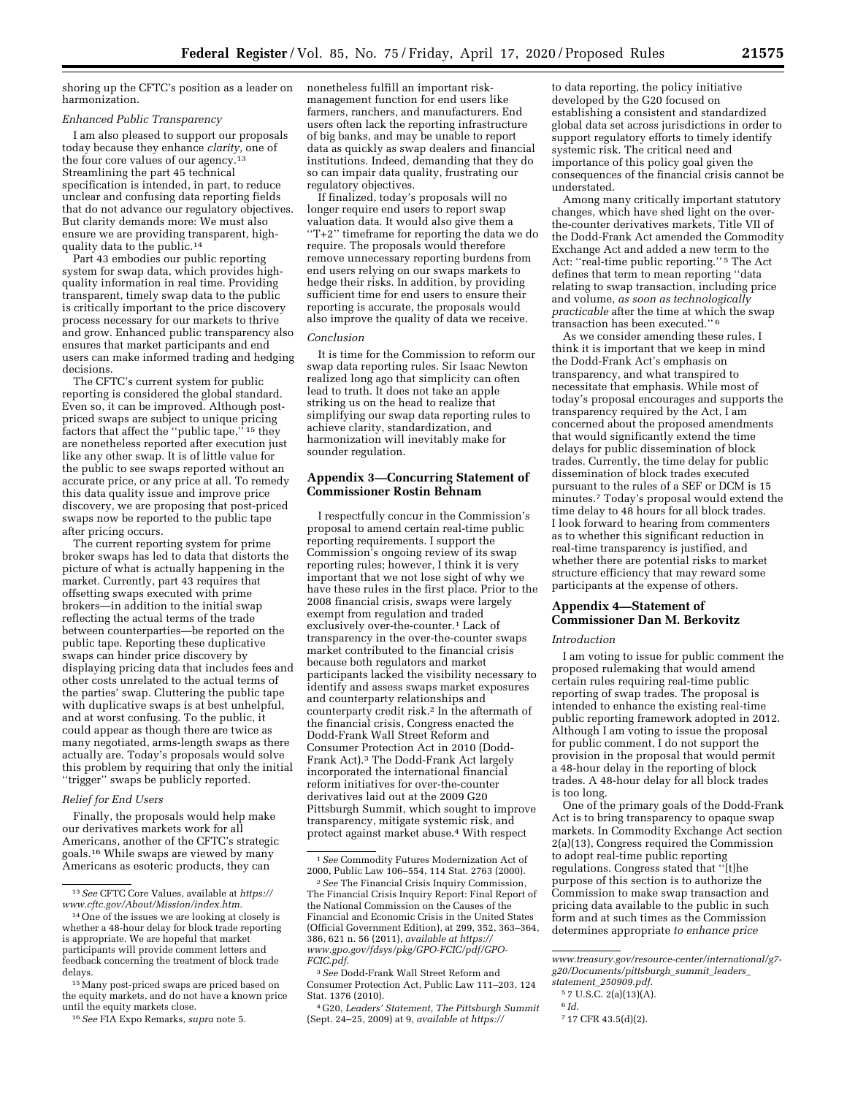shoring up the CFTC's position as a leader on harmonization.

#### *Enhanced Public Transparency*

I am also pleased to support our proposals today because they enhance *clarity,* one of the four core values of our agency.<sup>13</sup> Streamlining the part 45 technical specification is intended, in part, to reduce unclear and confusing data reporting fields that do not advance our regulatory objectives. But clarity demands more: We must also ensure we are providing transparent, highquality data to the public.14

Part 43 embodies our public reporting system for swap data, which provides highquality information in real time. Providing transparent, timely swap data to the public is critically important to the price discovery process necessary for our markets to thrive and grow. Enhanced public transparency also ensures that market participants and end users can make informed trading and hedging decisions.

The CFTC's current system for public reporting is considered the global standard. Even so, it can be improved. Although postpriced swaps are subject to unique pricing factors that affect the "public tape,"<sup>15</sup> they are nonetheless reported after execution just like any other swap. It is of little value for the public to see swaps reported without an accurate price, or any price at all. To remedy this data quality issue and improve price discovery, we are proposing that post-priced swaps now be reported to the public tape after pricing occurs.

The current reporting system for prime broker swaps has led to data that distorts the picture of what is actually happening in the market. Currently, part 43 requires that offsetting swaps executed with prime brokers—in addition to the initial swap reflecting the actual terms of the trade between counterparties—be reported on the public tape. Reporting these duplicative swaps can hinder price discovery by displaying pricing data that includes fees and other costs unrelated to the actual terms of the parties' swap. Cluttering the public tape with duplicative swaps is at best unhelpful, and at worst confusing. To the public, it could appear as though there are twice as many negotiated, arms-length swaps as there actually are. Today's proposals would solve this problem by requiring that only the initial ''trigger'' swaps be publicly reported.

#### *Relief for End Users*

Finally, the proposals would help make our derivatives markets work for all Americans, another of the CFTC's strategic goals.16 While swaps are viewed by many Americans as esoteric products, they can

nonetheless fulfill an important riskmanagement function for end users like farmers, ranchers, and manufacturers. End users often lack the reporting infrastructure of big banks, and may be unable to report data as quickly as swap dealers and financial institutions. Indeed, demanding that they do so can impair data quality, frustrating our regulatory objectives.

If finalized, today's proposals will no longer require end users to report swap valuation data. It would also give them a ''T+2'' timeframe for reporting the data we do require. The proposals would therefore remove unnecessary reporting burdens from end users relying on our swaps markets to hedge their risks. In addition, by providing sufficient time for end users to ensure their reporting is accurate, the proposals would also improve the quality of data we receive.

#### *Conclusion*

It is time for the Commission to reform our swap data reporting rules. Sir Isaac Newton realized long ago that simplicity can often lead to truth. It does not take an apple striking us on the head to realize that simplifying our swap data reporting rules to achieve clarity, standardization, and harmonization will inevitably make for sounder regulation.

## **Appendix 3—Concurring Statement of Commissioner Rostin Behnam**

I respectfully concur in the Commission's proposal to amend certain real-time public reporting requirements. I support the Commission's ongoing review of its swap reporting rules; however, I think it is very important that we not lose sight of why we have these rules in the first place. Prior to the 2008 financial crisis, swaps were largely exempt from regulation and traded exclusively over-the-counter.1 Lack of transparency in the over-the-counter swaps market contributed to the financial crisis because both regulators and market participants lacked the visibility necessary to identify and assess swaps market exposures and counterparty relationships and counterparty credit risk.2 In the aftermath of the financial crisis, Congress enacted the Dodd-Frank Wall Street Reform and Consumer Protection Act in 2010 (Dodd-Frank Act).3 The Dodd-Frank Act largely incorporated the international financial reform initiatives for over-the-counter derivatives laid out at the 2009 G20 Pittsburgh Summit, which sought to improve transparency, mitigate systemic risk, and protect against market abuse.4 With respect

to data reporting, the policy initiative developed by the G20 focused on establishing a consistent and standardized global data set across jurisdictions in order to support regulatory efforts to timely identify systemic risk. The critical need and importance of this policy goal given the consequences of the financial crisis cannot be understated.

Among many critically important statutory changes, which have shed light on the overthe-counter derivatives markets, Title VII of the Dodd-Frank Act amended the Commodity Exchange Act and added a new term to the Act: ''real-time public reporting.'' 5 The Act defines that term to mean reporting ''data relating to swap transaction, including price and volume, *as soon as technologically practicable* after the time at which the swap transaction has been executed.'' 6

As we consider amending these rules, I think it is important that we keep in mind the Dodd-Frank Act's emphasis on transparency, and what transpired to necessitate that emphasis. While most of today's proposal encourages and supports the transparency required by the Act, I am concerned about the proposed amendments that would significantly extend the time delays for public dissemination of block trades. Currently, the time delay for public dissemination of block trades executed pursuant to the rules of a SEF or DCM is 15 minutes.7 Today's proposal would extend the time delay to 48 hours for all block trades. I look forward to hearing from commenters as to whether this significant reduction in real-time transparency is justified, and whether there are potential risks to market structure efficiency that may reward some participants at the expense of others.

# **Appendix 4—Statement of Commissioner Dan M. Berkovitz**

#### *Introduction*

I am voting to issue for public comment the proposed rulemaking that would amend certain rules requiring real-time public reporting of swap trades. The proposal is intended to enhance the existing real-time public reporting framework adopted in 2012. Although I am voting to issue the proposal for public comment, I do not support the provision in the proposal that would permit a 48-hour delay in the reporting of block trades. A 48-hour delay for all block trades is too long.

One of the primary goals of the Dodd-Frank Act is to bring transparency to opaque swap markets. In Commodity Exchange Act section 2(a)(13), Congress required the Commission to adopt real-time public reporting regulations. Congress stated that ''[t]he purpose of this section is to authorize the Commission to make swap transaction and pricing data available to the public in such form and at such times as the Commission determines appropriate *to enhance price* 

<sup>13</sup>*See* CFTC Core Values, available at *[https://](https://www.cftc.gov/About/Mission/index.htm) [www.cftc.gov/About/Mission/index.htm.](https://www.cftc.gov/About/Mission/index.htm)* 

<sup>14</sup>One of the issues we are looking at closely is whether a 48-hour delay for block trade reporting is appropriate. We are hopeful that market participants will provide comment letters and feedback concerning the treatment of block trade delays.

<sup>15</sup>Many post-priced swaps are priced based on the equity markets, and do not have a known price until the equity markets close.

<sup>16</sup>*See* FIA Expo Remarks, *supra* note 5.

<sup>1</sup>*See* Commodity Futures Modernization Act of 2000, Public Law 106–554, 114 Stat. 2763 (2000).

<sup>2</sup>*See* The Financial Crisis Inquiry Commission, The Financial Crisis Inquiry Report: Final Report of the National Commission on the Causes of the Financial and Economic Crisis in the United States (Official Government Edition), at 299, 352, 363–364, 386, 621 n. 56 (2011), *available at [https://](https://www.gpo.gov/fdsys/pkg/GPO-FCIC/pdf/GPO-FCIC.pdf) [www.gpo.gov/fdsys/pkg/GPO-FCIC/pdf/GPO-](https://www.gpo.gov/fdsys/pkg/GPO-FCIC/pdf/GPO-FCIC.pdf)[FCIC.pdf.](https://www.gpo.gov/fdsys/pkg/GPO-FCIC/pdf/GPO-FCIC.pdf)* 

<sup>3</sup>*See* Dodd-Frank Wall Street Reform and Consumer Protection Act, Public Law 111–203, 124 Stat. 1376 (2010).

<sup>4</sup> G20, *Leaders' Statement, The Pittsburgh Summit*  (Sept. 24–25, 2009) at 9, *available at [https://](https://www.treasury.gov/resource-center/international/g7-g20/Documents/pittsburgh_summit_leaders_statement_250909.pdf)*

*[www.treasury.gov/resource-center/international/g7](https://www.treasury.gov/resource-center/international/g7-g20/Documents/pittsburgh_summit_leaders_statement_250909.pdf) [g20/Documents/pittsburgh](https://www.treasury.gov/resource-center/international/g7-g20/Documents/pittsburgh_summit_leaders_statement_250909.pdf)*\_*summit*\_*leaders*\_ *statement*\_*[250909.pdf.](https://www.treasury.gov/resource-center/international/g7-g20/Documents/pittsburgh_summit_leaders_statement_250909.pdf)* 

<sup>5</sup> 7 U.S.C. 2(a)(13)(A).

<sup>6</sup> *Id.* 

<sup>7</sup> 17 CFR 43.5(d)(2).